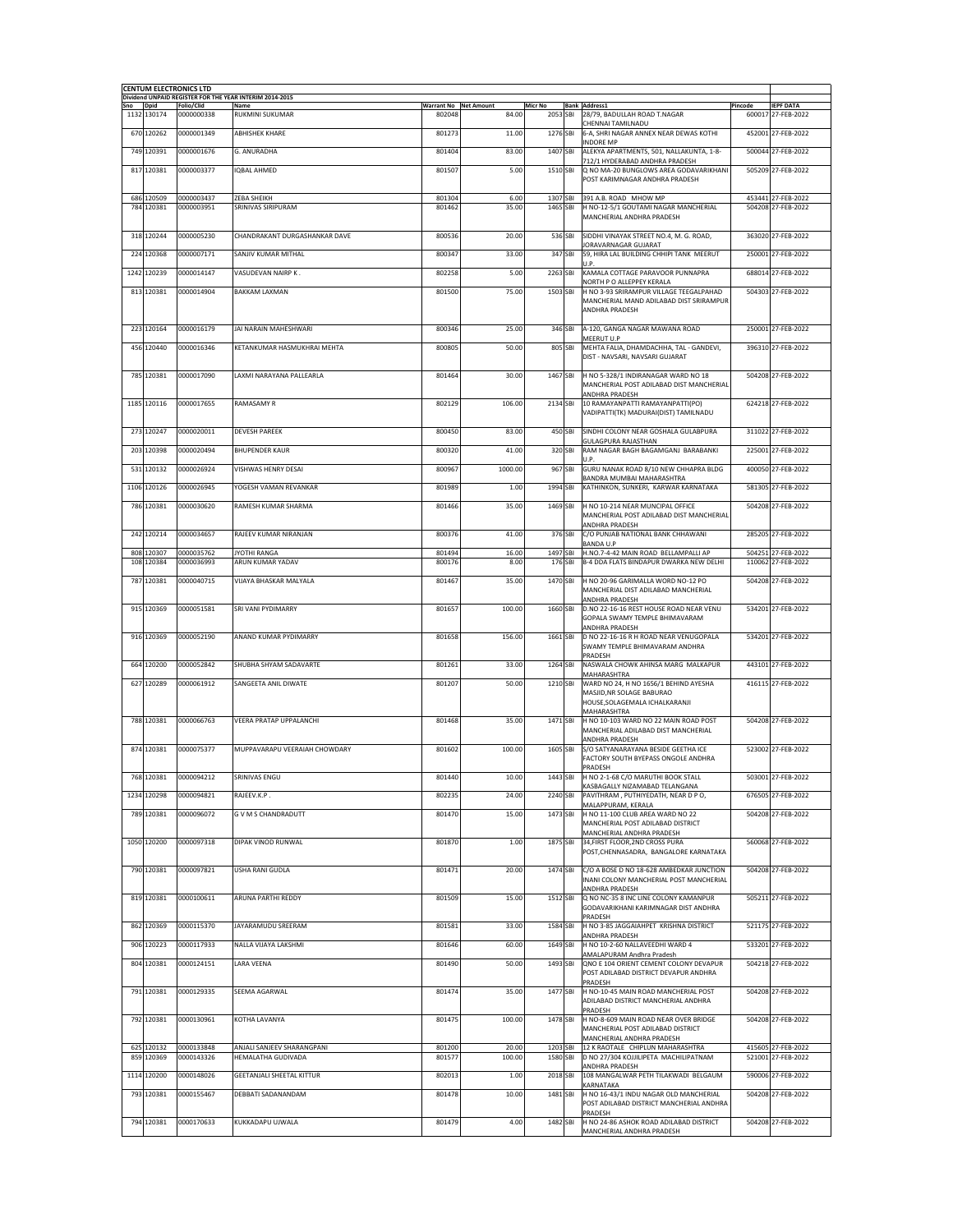|          |                           | <b>CENTUM ELECTRONICS LTD</b> | Dividend UNPAID REGISTER FOR THE YEAR INTERIM 2014-2015 |                       |                |                      |                                                                                                      |         |                                          |
|----------|---------------------------|-------------------------------|---------------------------------------------------------|-----------------------|----------------|----------------------|------------------------------------------------------------------------------------------------------|---------|------------------------------------------|
| Sno Dpid |                           | Folio/Clid                    | Name                                                    | Warrant No Net Amount |                | <b>Micr No</b>       | <b>Bank Address1</b>                                                                                 | Pincode | <b>IEPF DATA</b>                         |
|          | 1132 130174<br>670 120262 | 0000000338<br>0000001349      | <b>RUKMINI SUKUMAR</b><br><b>ABHISHEK KHARF</b>         | 802048                | 84.00          | 2053 SBI             | 28/79, BADULLAH ROAD T.NAGAR<br>CHENNAI TAMILNADU<br>6-A, SHRI NAGAR ANNEX NEAR DEWAS KOTHI          |         | 600017 27-FEB-2022<br>452001 27-FEB-2022 |
|          | 749 120391                | 0000001676                    | G. ANURADHA                                             | 801273<br>801404      | 11.00<br>83.00 | 1276 SBI<br>1407 SBI | <b>INDORE MP</b><br>ALEKYA APARTMENTS, 501, NALLAKUNTA, 1-8-                                         |         | 500044 27-FEB-2022                       |
|          | 817 120381                | 0000003377                    | <b>IOBAL AHMED</b>                                      | 801507                | 5.00           | 1510 SBI             | 712/1 HYDERABAD ANDHRA PRADESH<br>Q NO MA-20 BUNGLOWS AREA GODAVARIKHANI                             |         | 505209 27-FEB-2022                       |
|          |                           |                               |                                                         |                       |                |                      | POST KARIMNAGAR ANDHRA PRADESH                                                                       |         |                                          |
|          | 686 120509                | 0000003437                    | ZEBA SHEIKH                                             | 801304                | 6.00           | 1307 SBI             | 391 A.B. ROAD MHOW MP                                                                                |         | 453441 27-FEB-2022                       |
|          | 784 120381                | 0000003951                    | SRINIVAS SIRIPURAM                                      | 801462                | 35.00          | 1465 SBI             | H NO-12-5/1 GOUTAMI NAGAR MANCHERIAL<br>MANCHERIAL ANDHRA PRADESH                                    |         | 504208 27-FEB-2022                       |
|          | 318 120244                | 0000005230                    | CHANDRAKANT DURGASHANKAR DAVE                           | 800536                | 20.00          | 536 SBI              | SIDDHI VINAYAK STREET NO.4, M. G. ROAD,                                                              |         | 363020 27-FEB-2022                       |
|          | 224 120368                | 0000007171                    | SANJIV KUMAR MITHAL                                     | 800347                | 33.00          | 347 SBI              | JORAVARNAGAR GUJARAT<br>59, HIRA LAL BUILDING CHHIPI TANK MEERUT                                     |         | 250001 27-FEB-2022                       |
|          | 1242 120239               | 0000014147                    | VASUDEVAN NAIRP K.                                      | 802258                | 5.00           | 2263 SBI             | U.P.                                                                                                 |         |                                          |
|          |                           |                               |                                                         |                       |                |                      | KAMALA COTTAGE PARAVOOR PUNNAPRA<br>NORTH P O ALLEPPEY KERALA                                        |         | 688014 27-FEB-2022                       |
|          | 813 120381                | 0000014904                    | <b>BAKKAM LAXMAN</b>                                    | 801500                | 75.00          | 1503 SBI             | H NO 3-93 SRIRAMPUR VILLAGE TEEGALPAHAD<br>MANCHERIAL MAND ADILABAD DIST SRIRAMPUR<br>ANDHRA PRADESH |         | 504303 27-FEB-2022                       |
|          | 223 120164                | 0000016179                    | JAI NARAIN MAHESHWARI                                   | 800346                | 25.00          | 346 SBI              | A-120, GANGA NAGAR MAWANA ROAD<br>MEERUT U.P                                                         |         | 250001 27-FEB-2022                       |
|          | 456 120440                | 0000016346                    | KETANKUMAR HASMUKHRAI MEHTA                             | 800805                | 50.00          | 805 SBI              | MEHTA FALIA, DHAMDACHHA, TAL - GANDEVI,<br>DIST - NAVSARI, NAVSARI GUJARAT                           |         | 396310 27-FEB-2022                       |
|          | 785 120381                | 0000017090                    | LAXMI NARAYANA PALLEARLA                                | 801464                | 30.00          | 1467 SBI             | H NO 5-328/1 INDIRANAGAR WARD NO 18                                                                  |         | 504208 27-FEB-2022                       |
|          |                           |                               |                                                         |                       |                |                      | MANCHERIAL POST ADILABAD DIST MANCHERIAL<br>ANDHRA PRADESH                                           |         |                                          |
|          | 1185 120116               | 0000017655                    | RAMASAMY R                                              | 802129                | 106.00         | 2134 SBI             | 10 RAMAYANPATTI RAMAYANPATTI(PO)<br>VADIPATTI(TK) MADURAI(DIST) TAMILNADU                            |         | 624218 27-FEB-2022                       |
|          | 273 120247                | 0000020011                    | <b>DEVESH PAREEK</b>                                    | 800450                | 83.00          | 450 SBI              | SINDHI COLONY NEAR GOSHALA GULABPURA                                                                 |         | 311022 27-FEB-2022                       |
|          | 203 120398                | 0000020494                    | <b>BHUPENDER KAUR</b>                                   | 800320                | 41.00          | 320 SBI              | <b>GULAGPURA RAJASTHAN</b><br>RAM NAGAR BAGH BAGAMGANJ BARABANKI                                     |         | 225001 27-FEB-2022                       |
|          | 531 120132                | 0000026924                    | VISHWAS HENRY DESAI                                     | 800967                | 1000.00        | 967 SBI              | U.P.<br>GURU NANAK ROAD 8/10 NEW CHHAPRA BLDG                                                        |         | 400050 27-FEB-2022                       |
|          | 1106 120126               | 0000026945                    | YOGESH VAMAN REVANKAR                                   | 801989                | 1.00           | 1994 SBI             | BANDRA MUMBAI MAHARASHTRA<br>KATHINKON, SUNKERI, KARWAR KARNATAKA                                    |         | 581305 27-FEB-2022                       |
|          | 786 120381                | 0000030620                    | RAMESH KUMAR SHARMA                                     | 801466                | 35.00          | 1469 SBI             | H NO 10-214 NEAR MUNCIPAL OFFICE                                                                     |         | 504208 27-FEB-2022                       |
|          |                           |                               |                                                         |                       |                |                      | MANCHERIAL POST ADILABAD DIST MANCHERIAL<br>ANDHRA PRADESH                                           |         |                                          |
|          | 242 120214                | 0000034657                    | RAJEEV KUMAR NIRANJAN                                   | 800376                | 41.00          | 376 SBI              | C/O PUNJAB NATIONAL BANK CHHAWANI<br><b>BANDA U.P</b>                                                |         | 285205 27-FEB-2022                       |
|          | 808 120307                | 0000035762                    | JYOTHI RANGA                                            | 801494                | 16.00          | 1497 SBI             | H.NO.7-4-42 MAIN ROAD BELLAMPALLI AP                                                                 |         | 504251 27-FEB-2022                       |
|          | 108 120384                | 0000036993                    | ARUN KUMAR YADAV                                        | 800176                | 8.00           | 176 SBI              | B-4 DDA FLATS BINDAPUR DWARKA NEW DELHI                                                              |         | 110062 27-FEB-2022                       |
|          | 787 120381                | 0000040715                    | VIJAYA BHASKAR MALYALA                                  | 801467                | 35.00          | 1470 SBI             | H NO 20-96 GARIMALLA WORD NO-12 PO<br>MANCHERIAL DIST ADILABAD MANCHERIAL                            |         | 504208 27-FEB-2022                       |
|          | 915 120369                | 0000051581                    | SRI VANI PYDIMARRY                                      | 801657                | 100.00         | 1660 SBI             | ANDHRA PRADESH<br>D.NO 22-16-16 REST HOUSE ROAD NEAR VENU                                            |         | 534201 27-FEB-2022                       |
|          |                           |                               |                                                         |                       |                |                      | GOPALA SWAMY TEMPLE BHIMAVARAM<br>ANDHRA PRADESH                                                     |         |                                          |
|          | 916 120369                | 0000052190                    | ANAND KUMAR PYDIMARRY                                   | 801658                | 156.00         | 1661 SBI             | D NO 22-16-16 R H ROAD NEAR VENUGOPALA<br>SWAMY TEMPLE BHIMAVARAM ANDHRA                             |         | 534201 27-FEB-2022                       |
|          | 664 120200                | 0000052842                    | SHUBHA SHYAM SADAVARTE                                  | 801261                | 33.00          | 1264 SBI             | PRADESH<br>NASWALA CHOWK AHINSA MARG MALKAPUR                                                        |         | 443101 27-FEB-2022                       |
|          | 627 120289                | 0000061912                    | SANGEETA ANIL DIWATE                                    | 801207                | 50.00          | 1210 SBI             | MAHARASHTRA<br>WARD NO 24, H NO 1656/1 BEHIND AYESHA                                                 |         | 416115 27-FEB-2022                       |
|          |                           |                               |                                                         |                       |                |                      | MASJID, NR SOLAGE BABURAO<br>HOUSE, SOLAGEMALA ICHALKARANJI                                          |         |                                          |
|          | 788 120381                | 0000066763                    | <b>VEERA PRATAP UPPALANCHI</b>                          | 801468                | 35.00          | 1471 SBI             | MAHARASHTRA<br>H NO 10-103 WARD NO 22 MAIN ROAD POST                                                 |         | 504208 27-FEB-2022                       |
|          |                           |                               |                                                         |                       |                |                      | MANCHERIAL ADILABAD DIST MANCHERIAL<br>ANDHRA PRADESH                                                |         |                                          |
|          | 874 120381                | 0000075377                    | MUPPAVARAPU VEERAIAH CHOWDARY                           | 801602                | 100.00         | 1605 SBI             | S/O SATYANARAYANA BESIDE GEETHA ICE<br>FACTORY SOUTH BYEPASS ONGOLE ANDHRA                           |         | 523002 27-FFB-2022                       |
|          | 768 120381                | 0000094212                    | SRINIVAS ENGU                                           | 801440                | 10.00          | 1443 SBI             | PRADESH<br>H NO 2-1-68 C/O MARUTHI BOOK STALL                                                        |         | 503001 27-FEB-2022                       |
|          | 1234 120298               | 0000094821                    | RAJEEV.K.P.                                             | 802235                | 24.00          | 2240 SBI             | KASBAGALLY NIZAMABAD TELANGANA<br>PAVITHRAM, PUTHIYEDATH, NEAR D PO,                                 |         | 676505 27-FEB-2022                       |
|          | 789 120381                | 0000096072                    | <b>GVM S CHANDRADUTT</b>                                | 801470                | 15.00          | 1473 SBI             | MALAPPURAM, KERALA<br>H NO 11-100 CLUB AREA WARD NO 22                                               |         | 504208 27-FEB-2022                       |
|          |                           |                               |                                                         |                       |                |                      | MANCHERIAL POST ADILABAD DISTRICT<br>MANCHERIAL ANDHRA PRADESH                                       |         |                                          |
|          | 1050 120200               | 0000097318                    | DIPAK VINOD RUNWAL                                      | 801870                | 1.00           | 1875 SBI             | 34, FIRST FLOOR, 2ND CROSS PURA<br>POST, CHENNASADRA, BANGALORE KARNATAKA                            |         | 560068 27-FEB-2022                       |
|          | 790 120381                | 0000097821                    | USHA RANI GUDLA                                         | 801471                | 20.00          | 1474 SBI             | C/O A BOSE D NO 18-628 AMBEDKAR JUNCTION                                                             |         | 504208 27-FEB-2022                       |
|          |                           |                               |                                                         |                       |                |                      | INANI COLONY MANCHERIAL POST MANCHERIAL<br>ANDHRA PRADESH                                            |         |                                          |
|          | 819 120381                | 0000100611                    | ARUNA PARTHI REDDY                                      | 801509                | 15.00          | 1512 SBI             | Q NO NC-35 8 INC LINE COLONY KAMANPUR<br>GODAVARIKHANI KARIMNAGAR DIST ANDHRA                        |         | 505211 27-FEB-2022                       |
|          | 862 120369                | 0000115370                    | JAYARAMUDU SREERAM                                      | 801581                | 33.00          | 1584 SBI             | PRADESH<br>H NO 3-85 JAGGAIAHPET KRISHNA DISTRICT                                                    |         | 521175 27-FEB-2022                       |
|          | 906 120223                | 0000117933                    | NALLA VIJAYA LAKSHMI                                    | 801646                | 60.00          | 1649 SBI             | ANDHRA PRADESH<br>H NO 10-2-60 NALLAVEEDHI WARD 4                                                    |         | 533201 27-FEB-2022                       |
|          | 804 120381                | 0000124151                    | LARA VEENA                                              | 801490                | 50.00          | 1493 SBI             | AMALAPURAM Andhra Pradesh<br>QNO E 104 ORIENT CEMENT COLONY DEVAPUR                                  |         | 504218 27-FEB-2022                       |
|          |                           |                               |                                                         |                       |                |                      | POST ADILABAD DISTRICT DEVAPUR ANDHRA<br>PRADESH                                                     |         |                                          |
|          | 791 120381                | 0000129335                    | SEEMA AGARWAL                                           | 801474                | 35.00          | 1477 SBI             | H NO-10-45 MAIN ROAD MANCHERIAL POST<br>ADILABAD DISTRICT MANCHERIAL ANDHRA                          |         | 504208 27-FEB-2022                       |
|          | 792 120381                | 0000130961                    | KOTHA LAVANYA                                           | 801475                | 100.00         | 1478 SBI             | PRADESH<br>H NO-8-609 MAIN ROAD NEAR OVER BRIDGE<br>MANCHERIAL POST ADILABAD DISTRICT                |         | 504208 27-FEB-2022                       |
|          | 625 120132                | 0000133848                    | ANJALI SANJEEV SHARANGPANI                              | 801200                | 20.00          | 1203 SBI             | MANCHERIAL ANDHRA PRADESH<br>12 K RAOTALE CHIPLUN MAHARASHTRA                                        |         | 415605 27-FEB-2022                       |
|          | 859 120369                | 0000143326                    | HEMALATHA GUDIVADA                                      | 801577                | 100.00         | 1580 SBI             | D NO 27/304 KOJJILIPETA MACHILIPATNAM<br>ANDHRA PRADESH                                              |         | 521001 27-FEB-2022                       |
|          | 1114 120200               | 0000148026                    | GEETANJALI SHEETAL KITTUR                               | 802013                | 1.00           | 2018 SBI             | 108 MANGALWAR PETH TILAKWADI BELGAUM<br>KARNATAKA                                                    |         | 590006 27-FEB-2022                       |
|          | 793 120381                | 0000155467                    | DEBBATI SADANANDAM                                      | 801478                | 10.00          | 1481 SBI             | H NO 16-43/1 INDU NAGAR OLD MANCHERIAL<br>POST ADILABAD DISTRICT MANCHERIAL ANDHRA                   |         | 504208 27-FEB-2022                       |
|          | 794 120381                | 0000170633                    | KUKKADAPU UJWALA                                        | 801479                | 4.00           | 1482 SBI             | PRADESH<br>H NO 24-86 ASHOK ROAD ADILABAD DISTRICT                                                   |         | 504208 27-FEB-2022                       |
|          |                           |                               |                                                         |                       |                |                      | MANCHERIAL ANDHRA PRADESH                                                                            |         |                                          |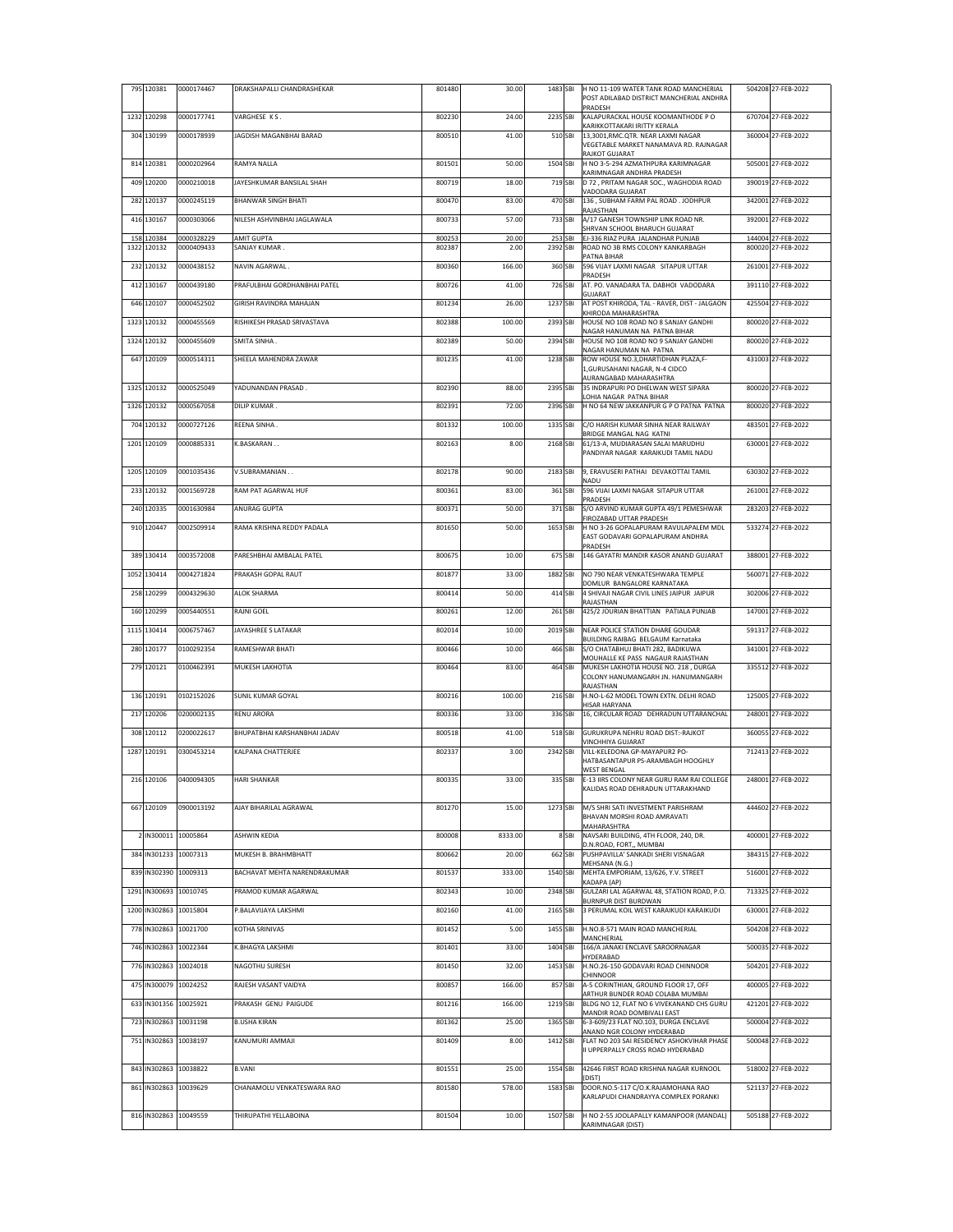|      | 795 120381                            | 0000174467               | DRAKSHAPALLI CHANDRASHEKAR                   | 801480           | 30.00            | 1483 SBI            |       | H NO 11-109 WATER TANK ROAD MANCHERIAL<br>POST ADILABAD DISTRICT MANCHERIAL ANDHRA<br>PRADESH                         | 504208 27-FEB-2022                       |
|------|---------------------------------------|--------------------------|----------------------------------------------|------------------|------------------|---------------------|-------|-----------------------------------------------------------------------------------------------------------------------|------------------------------------------|
|      | 1232 120298                           | 0000177741               | VARGHESE KS.                                 | 802230           | 24.00            | 2235 SBI            |       | KALAPURACKAL HOUSE KOOMANTHODE PO                                                                                     | 670704 27-FEB-2022                       |
|      | 304 130199                            | 0000178939               | JAGDISH MAGANBHAI BARAD                      | 800510           | 41.00            | 510 SBI             |       | KARIKKOTTAKARI IRITTY KERALA<br>13,3001,RMC.QTR. NEAR LAXMI NAGAR<br>VEGETABLE MARKET NANAMAVA RD. RAJNAGAR           | 360004 27-FEB-2022                       |
|      | 814 120381                            | 0000202964               | RAMYA NALLA                                  | 801501           | 50.00            | 1504 SBI            |       | RAJKOT GUJARAT<br>H NO 3-5-294 AZMATHPURA KARIMNAGAR                                                                  | 505001 27-FEB-2022                       |
|      | 409 120200                            | 0000210018               | JAYESHKUMAR BANSILAL SHAH                    | 800719           | 18.00            | 719 SBI             |       | KARIMNAGAR ANDHRA PRADESH<br>D 72, PRITAM NAGAR SOC., WAGHODIA ROAD                                                   | 390019 27-FEB-2022                       |
|      | 282 120137                            | 0000245119               | <b>BHANWAR SINGH BHATI</b>                   | 800470           | 83.00            | 470 SBI             |       | VADODARA GUJARAT<br>136, SUBHAM FARM PAL ROAD. JODHPUR                                                                | 342001 27-FEB-2022                       |
|      | 416 130167                            | 0000303066               | NILESH ASHVINBHAI JAGLAWALA                  | 800733           | 57.00            | 733 SBI             |       | RAJASTHAN<br>A/17 GANESH TOWNSHIP LINK ROAD NR.                                                                       | 392001 27-FEB-2022                       |
|      |                                       |                          |                                              |                  |                  |                     |       | SHRVAN SCHOOL BHARUCH GUJARAT                                                                                         |                                          |
| 158  | 120384<br>1322 120132                 | 0000328229<br>0000409433 | <b>AMIT GUPTA</b><br>SANJAY KUMAR.           | 800253<br>802387 | 20.00<br>2.00    | 253 SBI<br>2392 SBI |       | EJ-336 RIAZ PURA JALANDHAR PUNJAB<br>ROAD NO 3B RMS COLONY KANKARBAGH<br>PATNA BIHAR                                  | 144004 27-FEB-2022<br>800020 27-FEB-2022 |
|      | 232 120132                            | 0000438152               | NAVIN AGARWAL.                               | 800360           | 166.00           | 360 SBI             |       | 596 VIJAY LAXMI NAGAR SITAPUR UTTAR<br>PRADESH                                                                        | 261001 27-FEB-2022                       |
|      | 412 130167                            | 0000439180               | PRAFULBHAI GORDHANBHAI PATEL                 | 800726           | 41.00            | 726 SBI             |       | AT. PO. VANADARA TA. DABHOI VADODARA<br>GUJARAT                                                                       | 391110 27-FEB-2022                       |
|      | 646 120107                            | 0000452502               | GIRISH RAVINDRA MAHAJAN                      | 801234           | 26.00            | 1237 SBI            |       | AT POST KHIRODA, TAL - RAVER, DIST - JALGAON<br>KHIRODA MAHARASHTRA                                                   | 425504 27-FEB-2022                       |
| 1323 | 120132                                | 0000455569               | RISHIKESH PRASAD SRIVASTAVA                  | 802388           | 100.00           | 2393 SBI            |       | HOUSE NO 108 ROAD NO 8 SANJAY GANDHI<br>NAGAR HANUMAN NA PATNA BIHAR                                                  | 800020 27-FEB-2022                       |
|      | 1324 120132                           | 0000455609               | SMITA SINHA.                                 | 802389           | 50.00            | 2394 SBI            |       | HOUSE NO 108 ROAD NO 9 SANJAY GANDHI<br>NAGAR HANUMAN NA PATNA                                                        | 800020 27-FEB-2022                       |
|      | 647 120109                            | 0000514311               | SHEELA MAHENDRA ZAWAR                        | 801235           | 41.00            | 1238 SBI            |       | ROW HOUSE NO.3, DHARTIDHAN PLAZA, F-<br>1, GURUSAHANI NAGAR, N-4 CIDCO<br>AURANGABAD MAHARASHTRA                      | 431003 27-FEB-2022                       |
|      | 1325 120132                           | 0000525049               | YADUNANDAN PRASAD.                           | 802390           | 88.00            | 2395 SBI            |       | 35 INDRAPURI PO DHELWAN WEST SIPARA                                                                                   | 800020 27-FEB-2022                       |
|      | 1326 120132                           | 0000567058               | DILIP KUMAR.                                 | 802391           | 72.00            | 2396 SBI            |       | LOHIA NAGAR PATNA BIHAR<br>H NO 64 NEW JAKKANPUR G P O PATNA PATNA                                                    | 800020 27-FEB-2022                       |
|      | 704 120132                            | 0000727126               | REENA SINHA.                                 | 801332           | 100.00           | 1335 SBI            |       | C/O HARISH KUMAR SINHA NEAR RAILWAY                                                                                   | 483501 27-FEB-2022                       |
|      | 1201 120109                           | 0000885331               | K.BASKARAN                                   | 802163           | 8.00             | 2168 SBI            |       | BRIDGE MANGAL NAG KATNI<br>61/13-A, MUDIARASAN SALAI MARUDHU                                                          | 630001 27-FEB-2022                       |
|      |                                       |                          | V.SUBRAMANIAN                                | 802178           | 90.00            | 2183 SBI            |       | PANDIYAR NAGAR KARAIKUDI TAMIL NADU                                                                                   | 630302 27-FEB-2022                       |
|      | 1205 120109                           | 0001035436               |                                              |                  |                  |                     |       | 9, ERAVUSERI PATHAI DEVAKOTTAI TAMIL<br>NADU                                                                          |                                          |
|      | 233 120132                            | 0001569728               | RAM PAT AGARWAL HUF                          | 800361           | 83.00            | 361 SBI             |       | 596 VIJAI LAXMI NAGAR SITAPUR UTTAR<br>PRADESH                                                                        | 261001 27-FEB-2022                       |
|      | 240 120335                            | 0001630984               | ANURAG GUPTA                                 | 800371           | 50.00            | 371 SBI             |       | S/O ARVIND KUMAR GUPTA 49/1 PEMESHWAR<br>FIROZABAD UTTAR PRADESH                                                      | 283203 27-FEB-2022                       |
|      | 910 120447                            | 0002509914               | RAMA KRISHNA REDDY PADALA                    | 801650           | 50.00            | 1653 SBI            |       | H NO 3-26 GOPALAPURAM RAVULAPALEM MDL<br>EAST GODAVARI GOPALAPURAM ANDHRA<br>PRADESH                                  | 533274 27-FEB-2022                       |
|      | 389 130414                            | 0003572008               | PARESHBHAI AMBALAL PATEL                     | 800675           | 10.00            | 675 SBI             |       | 146 GAYATRI MANDIR KASOR ANAND GUJARAT                                                                                | 388001 27-FEB-2022                       |
|      | 1052 130414                           | 0004271824               | PRAKASH GOPAL RAUT                           | 801877           | 33.00            | 1882 SBI            |       | NO 790 NEAR VENKATESHWARA TEMPLE                                                                                      | 560071 27-FEB-2022                       |
|      | 258 120299                            | 0004329630               | <b>ALOK SHARMA</b>                           | 800414           | 50.00            | 414 SBI             |       | DOMLUR BANGALORE KARNATAKA<br>4 SHIVAJI NAGAR CIVIL LINES JAIPUR JAIPUR                                               | 302006 27-FEB-2022                       |
|      | 160 120299                            | 0005440551               | RAJNI GOEL                                   | 800261           | 12.00            | 261 SBI             |       | RAJASTHAN<br>425/2 JOURIAN BHATTIAN PATIALA PUNJAB                                                                    | 147001 27-FEB-2022                       |
|      | 1115 130414                           | 0006757467               | JAYASHREE S LATAKAR                          | 802014           | 10.00            | 2019 SBI            |       | NEAR POLICE STATION DHARE GOUDAR                                                                                      | 591317 27-FEB-2022                       |
|      | 280 120177                            | 0100292354               | RAMESHWAR BHATI                              | 800466           | 10.00            | 466 SBI             |       | BUILDING RAIBAG BELGAUM Karnataka<br>S/O CHATABHUJ BHATI 282, BADIKUWA                                                | 341001 27-FEB-2022                       |
|      | 279 120121                            | 0100462391               | MUKESH LAKHOTIA                              | 800464           | 83.00            | 464 SBI             |       | MOUHALLE KE PASS NAGAUR RAJASTHAN<br>MUKESH LAKHOTIA HOUSE NO. 218, DURGA<br>COLONY HANUMANGARH JN. HANUMANGARH       | 335512 27-FEB-2022                       |
|      | 136 120191                            | 0102152026               | SUNIL KUMAR GOYAL                            | 800216           | 100.00           | 216 SBI             |       | RAJASTHAN<br>H.NO-L-62 MODEL TOWN EXTN. DELHI ROAD                                                                    | 125005 27-FEB-2022                       |
|      | 217 120206                            | 0200002135               | <b>RENU ARORA</b>                            | 800336           | 33.00            | 336 SBI             |       | HISAR HARYANA<br>16, CIRCULAR ROAD DEHRADUN UTTARANCHAL                                                               | 248001 27-FEB-2022                       |
|      | 308 120112                            | 0200022617               | BHUPATBHAI KARSHANBHAI JADAV                 | 800518           | 41.00            | 518 SBI             |       | GURUKRUPA NEHRU ROAD DIST:-RAJKOT                                                                                     | 360055 27-FEB-2022                       |
|      | 1287 120191                           | 0300453214               | KALPANA CHATTERJEE                           | 802337           | 3.00             | 2342 SBI            |       | VINCHHIYA GUJARAT<br>VILL-KELEDONA GP-MAYAPUR2 PO-                                                                    | 712413 27-FEB-2022                       |
|      |                                       |                          |                                              |                  |                  |                     |       | HATBASANTAPUR PS-ARAMBAGH HOOGHLY<br><b>WEST BENGAL</b>                                                               |                                          |
|      | 216 120106                            | 0400094305               | <b>HARI SHANKAR</b>                          | 800335           | 33.00            | 335 SBI             |       | E-13 IIRS COLONY NEAR GURU RAM RAI COLLEGE<br>KALIDAS ROAD DEHRADUN UTTARAKHAND                                       | 248001 27-FEB-2022                       |
|      | 667 120109                            | 0900013192               | AJAY BIHARILAL AGRAWAL                       | 801270           | 15.00            | 1273 SBI            |       | M/S SHRI SATI INVESTMENT PARISHRAM<br>BHAVAN MORSHI ROAD AMRAVATI                                                     | 444602 27-FEB-2022                       |
|      | 2 IN300011 10005864                   |                          | <b>ASHWIN KEDIA</b>                          | 800008           | 8333.00          |                     | 8 SBI | MAHARASHTRA<br>NAVSARI BUILDING, 4TH FLOOR, 240, DR.                                                                  | 400001 27-FEB-2022                       |
|      | 384 IN301233 10007313                 |                          | MUKESH B. BRAHMBHATT                         | 800662           | 20.00            | 662 SBI             |       | D.N.ROAD, FORT,, MUMBAI<br>PUSHPAVILLA' SANKADI SHERI VISNAGAR                                                        | 384315 27-FEB-2022                       |
|      | 839 IN302390 10009313                 |                          | BACHAVAT MEHTA NARENDRAKUMAR                 | 801537           | 333.00           | 1540 SBI            |       | MEHSANA (N.G.)<br>MEHTA EMPORIAM, 13/626, Y.V. STREET                                                                 | 516001 27-FEB-2022                       |
|      | 1291 IN300693 10010745                |                          | PRAMOD KUMAR AGARWAL                         | 802343           | 10.00            | 2348 SBI            |       | KADAPA (AP)<br>GULZARI LAL AGARWAL 48, STATION ROAD, P.O.                                                             | 713325 27-FEB-2022                       |
|      | 1200 IN302863                         | 10015804                 | P.BALAVIJAYA LAKSHMI                         | 802160           | 41.00            | 2165 SBI            |       | <b>BURNPUR DIST BURDWAN</b><br>3 PERUMAL KOIL WEST KARAIKUDI KARAIKUDI                                                | 630001 27-FEB-2022                       |
|      | 778 IN302863 10021700                 |                          | KOTHA SRINIVAS                               | 801452           | 5.00             | 1455 SBI            |       | H.NO.8-571 MAIN ROAD MANCHERIAL                                                                                       | 504208 27-FEB-2022                       |
|      | 746 IN302863                          | 10022344                 | K.BHAGYA LAKSHMI                             | 801401           | 33.00            | 1404 SBI            |       | MANCHERIAL<br>166/A JANAKI ENCLAVE SAROORNAGAR                                                                        | 500035 27-FEB-2022                       |
|      | 776 IN302863 10024018                 |                          | NAGOTHU SURESH                               | 801450           | 32.00            | 1453 SBI            |       | HYDERABAD<br>H.NO.26-150 GODAVARI ROAD CHINNOOR                                                                       | 504201 27-FEB-2022                       |
|      |                                       |                          |                                              |                  |                  |                     |       | CHINNOOR                                                                                                              |                                          |
|      | 475 IN300079<br>633 IN301356 10025921 | 10024252                 | RAJESH VASANT VAIDYA<br>PRAKASH GENU PAIGUDE | 800857<br>801216 | 166.00<br>166.00 | 857 SBI<br>1219 SBI |       | A-5 CORINTHIAN, GROUND FLOOR 17, OFF<br>ARTHUR BUNDER ROAD COLABA MUMBAI<br>BLDG NO 12, FLAT NO 6 VIVEKANAND CHS GURU | 400005 27-FEB-2022<br>421201 27-FEB-2022 |
|      | 723 IN302863                          | 10031198                 | <b>B.USHA KIRAN</b>                          | 801362           | 25.00            | 1365 SBI            |       | MANDIR ROAD DOMBIVALI EAST<br>6-3-609/23 FLAT NO.103, DURGA ENCLAVE                                                   | 500004 27-FEB-2022                       |
|      |                                       |                          |                                              |                  |                  |                     |       | ANAND NGR COLONY HYDERABAD                                                                                            |                                          |
|      | 751 IN302863 10038197                 |                          | KANUMURI AMMAJI                              | 801409           | 8.00             | 1412 SBI            |       | FLAT NO 203 SAI RESIDENCY ASHOKVIHAR PHASE<br>II UPPERPALLY CROSS ROAD HYDERABAD                                      | 500048 27-FEB-2022                       |
|      | 843 IN302863 10038822                 |                          | <b>B.VANI</b>                                | 801551           | 25.00            | 1554 SBI            |       | 42646 FIRST ROAD KRISHNA NAGAR KURNOOL<br>(DIST)                                                                      | 518002 27-FEB-2022                       |
|      | 861 IN302863 10039629                 |                          | CHANAMOLU VENKATESWARA RAO                   | 801580           | 578.00           | 1583 SBI            |       | DOOR.NO.5-117 C/O.K.RAJAMOHANA RAO<br>KARLAPUDI CHANDRAYYA COMPLEX PORANKI                                            | 521137 27-FEB-2022                       |
|      | 816 IN302863 10049559                 |                          | THIRUPATHI YELLABOINA                        | 801504           | 10.00            | 1507 SBI            |       | H NO 2-55 JOOLAPALLY KAMANPOOR (MANDAL)                                                                               | 505188 27-FEB-2022                       |
|      |                                       |                          |                                              |                  |                  |                     |       | KARIMNAGAR (DIST)                                                                                                     |                                          |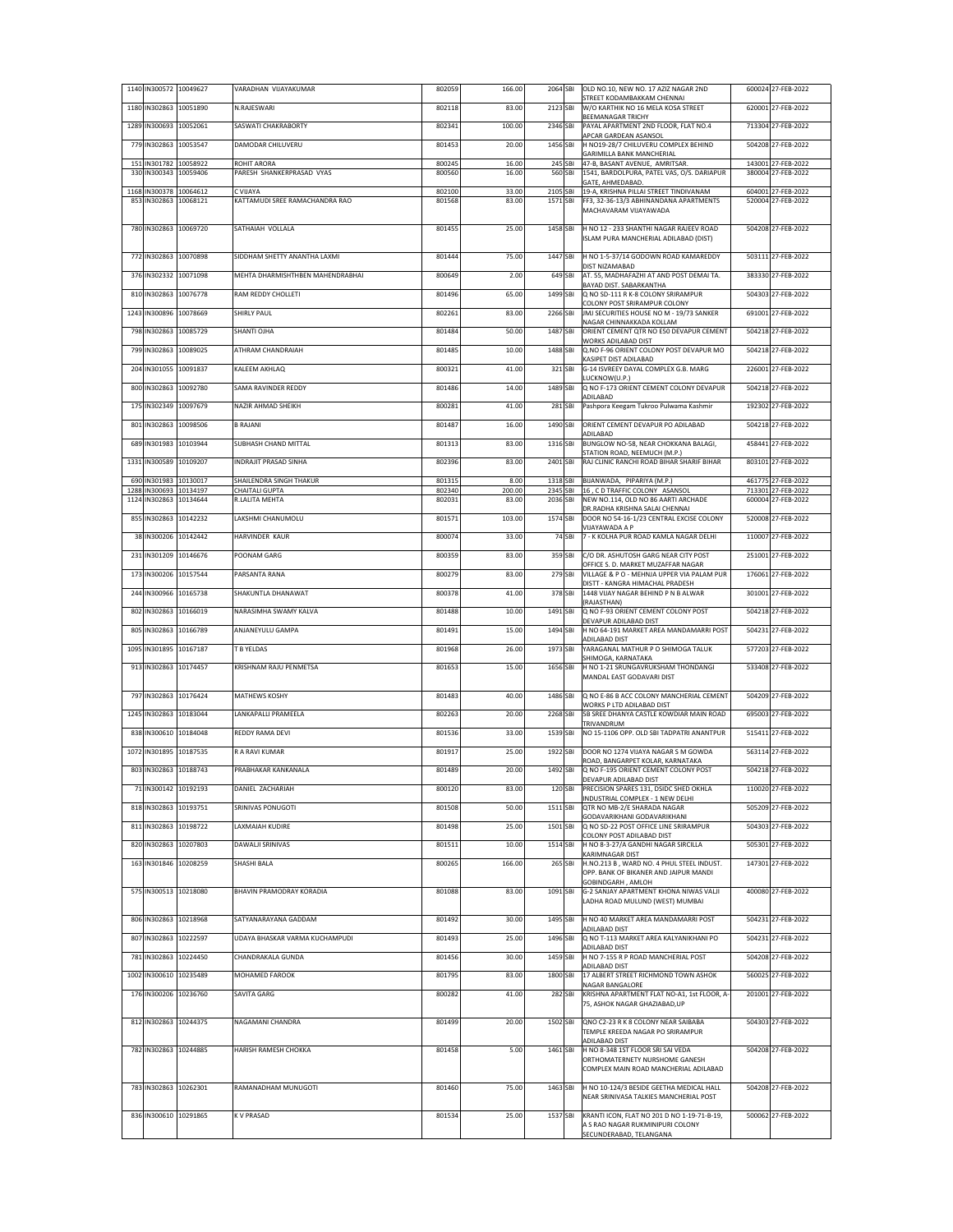|      |                   | 1140 IN300572 10049627                     | VARADHAN VIJAYAKUMAR                       | 802059           | 166.00          | 2064 SBI             |        | OLD NO.10, NEW NO. 17 AZIZ NAGAR 2ND<br>STREET KODAMBAKKAM CHENNAI                                         | 600024 27-FEB-2022                       |
|------|-------------------|--------------------------------------------|--------------------------------------------|------------------|-----------------|----------------------|--------|------------------------------------------------------------------------------------------------------------|------------------------------------------|
|      |                   | 1180 IN302863 10051890                     | N.RAJESWARI                                | 802118           | 83.00           | 2123 SBI             |        | W/O KARTHIK NO 16 MELA KOSA STREET<br>BEEMANAGAR TRICHY                                                    | 620001 27-FEB-2022                       |
| 1289 |                   | IN300693 10052061                          | SASWATI CHAKRABORTY                        | 802341           | 100.00          | 2346 SBI             |        | PAYAL APARTMENT 2ND FLOOR, FLAT NO.4                                                                       | 713304 27-FEB-2022                       |
| 779  |                   | IN302863 10053547                          | DAMODAR CHILUVERU                          | 801453           | 20.00           | 1456 SBI             |        | APCAR GARDEAN ASANSOL<br>H NO19-28/7 CHILUVERU COMPLEX BEHIND                                              | 504208 27-FEB-2022                       |
| 151  | IN301782 10058922 |                                            | ROHIT ARORA                                | 800245           | 16.00           | 245 SBI              |        | GARIMILLA BANK MANCHERIAL<br>47-B, BASANT AVENUE, AMRITSAR.                                                | 143001 27-FEB-2022                       |
|      |                   | 330 IN300343 10059406                      | PARESH SHANKERPRASAD VYAS                  | 800560           | 16.00           | 560 SBI              |        | 1541, BARDOLPURA, PATEL VAS, O/S. DARIAPUR<br>GATE, AHMEDABAD.                                             | 380004 27-FEB-2022                       |
| 1168 |                   | IN300378 10064612<br>853 IN302863 10068121 | C VIJAYA<br>KATTAMUDI SREE RAMACHANDRA RAO | 802100<br>801568 | 33.00<br>83.00  | 2105 SBI<br>1571 SBI |        | 19-A, KRISHNA PILLAI STREET TINDIVANAM<br>FF3, 32-36-13/3 ABHINANDANA APARTMENTS<br>MACHAVARAM VIJAYAWADA  | 604001 27-FEB-2022<br>520004 27-FEB-2022 |
|      |                   | 780 IN302863 10069720                      | SATHAIAH VOLLALA                           | 801455           | 25.00           | 1458 SBI             |        | H NO 12 - 233 SHANTHI NAGAR RAJEEV ROAD<br>ISLAM PURA MANCHERIAL ADILABAD (DIST)                           | 504208 27-FEB-2022                       |
|      |                   | 772 IN302863 10070898                      | SIDDHAM SHETTY ANANTHA LAXMI               | 801444           | 75.00           | 1447 SBI             |        | H NO 1-5-37/14 GODOWN ROAD KAMAREDDY                                                                       | 503111 27-FEB-2022                       |
|      |                   | 376 IN302332 10071098                      | MEHTA DHARMISHTHBEN MAHENDRABHAI           | 800649           | 2.00            | 649 SBI              |        | DIST NIZAMABAD<br>AT. 55, MADHAFAZHI AT AND POST DEMAI TA.                                                 | 383330 27-FEB-2022                       |
|      |                   | 810 IN302863 10076778                      | <b>RAM REDDY CHOLLETL</b>                  | 801496           | 65.00           | 1499 SBI             |        | BAYAD DIST. SABARKANTHA<br>Q NO SD-111 R K-8 COLONY SRIRAMPUR                                              | 504303 27-FEB-2022                       |
| 1243 |                   | IN300896 10078669                          | SHIRLY PAUL                                | 802261           | 83.00           | 2266 SBI             |        | COLONY POST SRIRAMPUR COLONY<br>JMJ SECURITIES HOUSE NO M - 19/73 SANKER                                   | 691001 27-FEB-2022                       |
|      |                   | 798 IN302863 10085729                      | SHANTI OJHA                                | 801484           | 50.00           | 1487 SBI             |        | NAGAR CHINNAKKADA KOLLAM<br>ORIENT CEMENT QTR NO E50 DEVAPUR CEMENT                                        | 504218 27-FEB-2022                       |
|      |                   |                                            |                                            |                  |                 |                      |        | WORKS ADILABAD DIST                                                                                        |                                          |
| 799  |                   | IN302863 10089025                          | ATHRAM CHANDRAIAH                          | 801485           | 10.00           | 1488 SBI             |        | Q.NO F-96 ORIENT COLONY POST DEVAPUR MO<br>KASIPET DIST ADILABAD                                           | 504218 27-FEB-2022                       |
|      |                   | 204 IN301055 10091837                      | KALEEM AKHLAQ                              | 800321           | 41.00           | 321 SBI              |        | G-14 ISVREEY DAYAL COMPLEX G.B. MARG<br>LUCKNOW(U.P.)                                                      | 226001 27-FEB-2022                       |
| 800  |                   | IN302863 10092780                          | SAMA RAVINDER REDDY                        | 801486           | 14.00           | 1489 SBI             |        | Q NO F-173 ORIENT CEMENT COLONY DEVAPUR<br>ADILABAD                                                        | 504218 27-FEB-2022                       |
|      |                   | 175 IN302349 10097679                      | NAZIR AHMAD SHEIKH                         | 800281           | 41.00           | 281 SBI              |        | Pashpora Keegam Tukroo Pulwama Kashmir                                                                     | 192302 27-FEB-2022                       |
| 801  |                   | IN302863 10098506                          | <b>B RAJANI</b>                            | 801487           | 16.00           | 1490 SBI             |        | ORIENT CEMENT DEVAPUR PO ADILABAD<br>ADILABAD                                                              | 504218 27-FEB-2022                       |
|      |                   | 689 IN301983 10103944                      | SUBHASH CHAND MITTAL                       | 801313           | 83.00           | 1316 SBI             |        | BUNGLOW NO-58, NEAR CHOKKANA BALAGI,                                                                       | 458441 27-FEB-2022                       |
| 1331 |                   | IN300589 10109207                          | INDRAJIT PRASAD SINHA                      | 802396           | 83.00           | 2401 SBI             |        | STATION ROAD, NEEMUCH (M.P.)<br>RAJ CLINIC RANCHI ROAD BIHAR SHARIF BIHAR                                  | 803101 27-FEB-2022                       |
| 690  |                   | IN301983 10130017                          | SHAILENDRA SINGH THAKUR                    | 801315           | 8.00            | 1318 SBI             |        | BIJANWADA, PIPARIYA (M.P.)                                                                                 | 461775 27-FEB-2022                       |
| 1288 | IN300693 10134197 | 1124 IN302863 10134644                     | CHAITALI GUPTA<br>R.LALITA MEHTA           | 802340<br>802031 | 200.00<br>83.00 | 2345 SBI<br>2036 SBI |        | 16, C D TRAFFIC COLONY ASANSOL<br>NEW NO.114, OLD NO 86 AARTI ARCHADE                                      | 713301 27-FEB-2022<br>600004 27-FEB-2022 |
|      |                   | 855 IN302863 10142232                      | LAKSHMI CHANUMOLU                          | 801571           | 103.00          | 1574 SBI             |        | DR.RADHA KRISHNA SALAI CHENNAI<br>DOOR NO 54-16-1/23 CENTRAL EXCISE COLONY                                 | 520008 27-FEB-2022                       |
|      |                   | 38 IN300206 10142442                       | HARVINDER KAUR                             | 800074           | 33.00           |                      | 74 SBI | VIJAYAWADA A P<br>7 - K KOLHA PUR ROAD KAMLA NAGAR DELHI                                                   | 110007 27-FEB-2022                       |
|      |                   |                                            |                                            |                  |                 |                      |        |                                                                                                            |                                          |
|      |                   | 231 IN301209 10146676                      | POONAM GARG                                | 800359           | 83.00           | 359 SBI              |        | C/O DR. ASHUTOSH GARG NEAR CITY POST<br>OFFICE S. D. MARKET MUZAFFAR NAGAR                                 | 251001 27-FEB-2022                       |
| 173  |                   | IN300206 10157544                          | PARSANTA RANA                              | 800279           | 83.00           | 279 SBI              |        | VILLAGE & P O - MEHNJA UPPER VIA PALAM PUR<br>DISTT - KANGRA HIMACHAL PRADESH                              | 176061 27-FEB-2022                       |
|      |                   | 244 IN300966 10165738                      | SHAKUNTLA DHANAWAT                         | 800378           | 41.00           | 378 SBI              |        | 1448 VIJAY NAGAR BEHIND P N B ALWAR<br>(RAJASTHAN)                                                         | 301001 27-FEB-2022                       |
| 802  |                   | IN302863 10166019                          | NARASIMHA SWAMY KALVA                      | 801488           | 10.00           | 1491 SBI             |        | Q NO F-93 ORIENT CEMENT COLONY POST<br>DEVAPUR ADILABAD DIST                                               | 504218 27-FEB-2022                       |
|      |                   | 805 IN302863 10166789                      | ANJANEYULU GAMPA                           | 801491           | 15.00           | 1494 SBI             |        | H NO 64-191 MARKET AREA MANDAMARRI POST<br>ADILABAD DIST                                                   | 504231 27-FEB-2022                       |
| 1095 |                   | IN301895 10167187                          | T B YELDAS                                 | 801968           | 26.00           | 1973 SBI             |        | YARAGANAL MATHUR P O SHIMOGA TALUK<br>SHIMOGA, KARNATAKA                                                   | 577203 27-FEB-2022                       |
|      |                   | 913 IN302863 10174457                      | KRISHNAM RAJU PENMETSA                     | 801653           | 15.00           | 1656 SBI             |        | H NO 1-21 SRUNGAVRUKSHAM THONDANGI                                                                         | 533408 27-FEB-2022                       |
|      |                   | 797 IN302863 10176424                      | MATHEWS KOSHY                              | 801483           | 40.00           | 1486 SBI             |        | MANDAL EAST GODAVARI DIST<br>Q NO E-86 B ACC COLONY MANCHERIAL CEMENT                                      | 504209 27-FEB-2022                       |
| 1245 |                   | IN302863 10183044                          | LANKAPALLI PRAMEELA                        | 802263           | 20.00           | 2268 SBI             |        | WORKS P LTD ADILABAD DIST<br>5B SREE DHANYA CASTLE KOWDIAR MAIN ROAD                                       | 695003 27-FEB-2022                       |
|      |                   | 838 IN300610 10184048                      | REDDY RAMA DEVI                            | 801536           | 33.00           | 1539 SBI             |        | TRIVANDRUM<br>NO 15-1106 OPP. OLD SBI TADPATRI ANANTPUR                                                    | 515411 27-FEB-2022                       |
|      |                   | IN301895 10187535                          | R A RAVI KUMAR                             | 801917           | 25.00           |                      |        | DOOR NO 1274 VIJAYA NAGAR S M GOWDA                                                                        | 563114 27-FEB-2022                       |
| 1072 |                   |                                            |                                            |                  |                 | 1922 SBI             |        | ROAD, BANGARPET KOLAR, KARNATAKA                                                                           |                                          |
| 803  |                   | IN302863 10188743                          | PRABHAKAR KANKANALA                        | 801489           | 20.00           | 1492 SBI             |        | Q NO F-195 ORIENT CEMENT COLONY POST<br>DEVAPUR ADILABAD DIST                                              | 504218 27-FEB-2022                       |
|      |                   | 71 IN300142 10192193                       | DANIEL ZACHARIAH                           | 800120           | 83.00           | 120 SBI              |        | PRECISION SPARES 131, DSIDC SHED OKHLA<br>INDUSTRIAL COMPLEX - 1 NEW DELHI                                 | 110020 27-FEB-2022                       |
|      |                   | 818 IN302863 10193751                      | SRINIVAS PONUGOTI                          | 801508           | 50.00           | 1511 SBI             |        | QTR NO MB-2/E SHARADA NAGAR<br>GODAVARIKHANI GODAVARIKHANI                                                 | 505209 27-FEB-2022                       |
|      |                   | 811 IN302863 10198722                      | LAXMAIAH KUDIRE                            | 801498           | 25.00           | 1501 SBI             |        | Q NO SD-22 POST OFFICE LINE SRIRAMPUR<br>COLONY POST ADILABAD DIST                                         | 504303 27-FEB-2022                       |
|      |                   | 820 IN302863 10207803                      | DAWALJI SRINIVAS                           | 801511           | 10.00           | 1514 SBI             |        | H NO 8-3-27/A GANDHI NAGAR SIRCILLA<br>KARIMNAGAR DIST                                                     | 505301 27-FEB-2022                       |
|      |                   | 163 IN301846 10208259                      | SHASHI BALA                                | 800265           | 166.00          | 265 SBI              |        | H.NO.213 B, WARD NO. 4 PHUL STEEL INDUST.<br>OPP. BANK OF BIKANER AND JAIPUR MANDI<br>GOBINDGARH, AMLOH    | 147301 27-FEB-2022                       |
|      |                   | 575 IN300513 10218080                      | BHAVIN PRAMODRAY KORADIA                   | 801088           | 83.00           | 1091 SBI             |        | G-2 SANJAY APARTMENT KHONA NIWAS VALII<br>LADHA ROAD MULUND (WEST) MUMBAI                                  | 400080 27-FEB-2022                       |
|      |                   | 806 IN302863 10218968                      | SATYANARAYANA GADDAM                       | 801492           | 30.00           | 1495 SBI             |        | H NO 40 MARKET AREA MANDAMARRI POST<br>ADILABAD DIST                                                       | 504231 27-FEB-2022                       |
| 807  |                   | IN302863 10222597                          | UDAYA BHASKAR VARMA KUCHAMPUDI             | 801493           | 25.00           | 1496 SBI             |        | Q NO T-113 MARKET AREA KALYANIKHANI PO                                                                     | 504231 27-FEB-2022                       |
|      |                   | 781 IN302863 10224450                      | CHANDRAKALA GUNDA                          | 801456           | 30.00           | 1459 SBI             |        | ADILABAD DIST<br>H NO 7-155 R P ROAD MANCHERIAL POST                                                       | 504208 27-FEB-2022                       |
| 1002 |                   | IN300610 10235489                          | MOHAMED FAROOK                             | 801795           | 83.00           | 1800 SBI             |        | ADILABAD DIST<br>17 ALBERT STREET RICHMOND TOWN ASHOK                                                      | 560025 27-FEB-2022                       |
|      |                   | 176 IN300206 10236760                      | SAVITA GARG                                | 800282           | 41.00           | 282 SBI              |        | NAGAR BANGALORE<br>KRISHNA APARTMENT FLAT NO-A1, 1st FLOOR, A-<br>75, ASHOK NAGAR GHAZIABAD, UP            | 201001 27-FEB-2022                       |
|      |                   | 812 IN302863 10244375                      | NAGAMANI CHANDRA                           | 801499           | 20.00           | 1502 SBI             |        | QNO C2-23 R K 8 COLONY NEAR SAIBABA<br>TEMPLE KREEDA NAGAR PO SRIRAMPUR                                    | 504303 27-FEB-2022                       |
|      |                   | 782 IN302863 10244885                      | HARISH RAMESH CHOKKA                       | 801458           | 5.00            | 1461 SBI             |        | ADILABAD DIST<br>H NO 8-348 1ST FLOOR SRI SAI VEDA                                                         | 504208 27-FEB-2022                       |
|      |                   |                                            |                                            |                  |                 |                      |        | ORTHOMATERNETY NURSHOME GANESH<br>COMPLEX MAIN ROAD MANCHERIAL ADILABAD                                    |                                          |
|      |                   | 783 IN302863 10262301                      | RAMANADHAM MUNUGOTI                        |                  |                 | 1463 SBI             |        | H NO 10-124/3 BESIDE GEETHA MEDICAL HALL                                                                   | 504208 27-FEB-2022                       |
|      |                   |                                            |                                            | 801460           | 75.00           |                      |        | NEAR SRINIVASA TALKIES MANCHERIAL POST                                                                     |                                          |
|      |                   | 836 IN300610 10291865                      | K V PRASAD                                 | 801534           | 25.00           | 1537 SBI             |        | KRANTI ICON, FLAT NO 201 D NO 1-19-71-B-19,<br>A S RAO NAGAR RUKMINIPURI COLONY<br>SECUNDERABAD, TELANGANA | 500062 27-FEB-2022                       |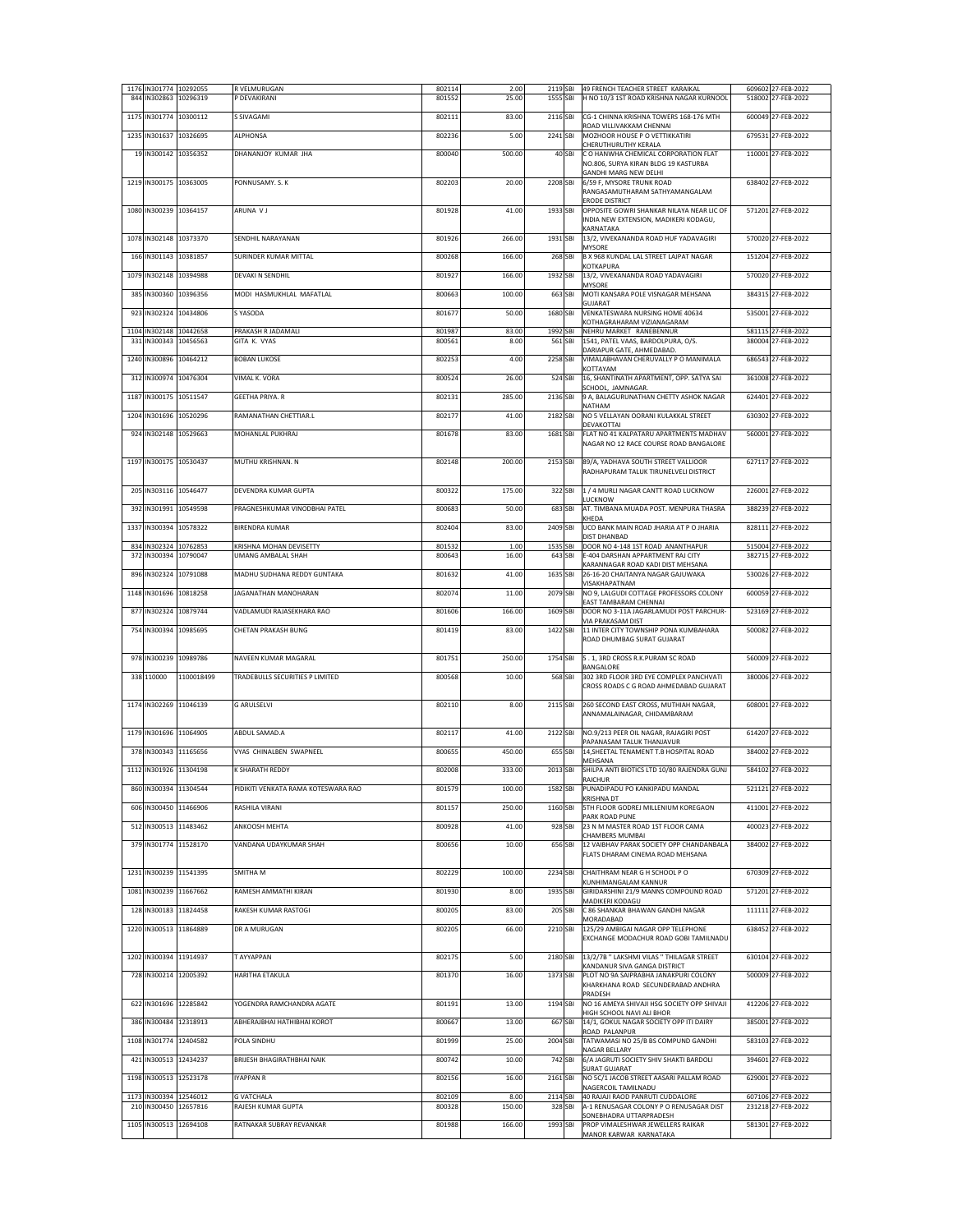| 844  |                                            | 1176 IN301774 10292055<br>IN302863 10296319 | R VELMURUGAN<br>P DEVAKIRANI                  | 802114<br>801552 | 2.00<br>25.00  | 1555 SBI            |        | 2119 SBI 49 FRENCH TEACHER STREET KARAIKAL<br>H NO 10/3 1ST ROAD KRISHNA NAGAR KURNOOL                                               | 609602 27-FEB-2022<br>518002 27-FEB-2022 |
|------|--------------------------------------------|---------------------------------------------|-----------------------------------------------|------------------|----------------|---------------------|--------|--------------------------------------------------------------------------------------------------------------------------------------|------------------------------------------|
| 1175 |                                            | IN301774 10300112                           | S SIVAGAMI                                    | 802111           | 83.00          | 2116 SBI            |        | CG-1 CHINNA KRISHNA TOWERS 168-176 MTH<br>ROAD VILLIVAKKAM CHENNAI                                                                   | 600049 27-FEB-2022                       |
| 1235 |                                            | IN301637 10326695                           | <b>ALPHONSA</b>                               | 802236           | 5.00           | 2241 SBI            |        | MOZHOOR HOUSE P O VETTIKKATIRI                                                                                                       | 679531 27-FEB-2022                       |
|      |                                            | 19 IN300142 10356352                        | DHANANJOY KUMAR JHA                           | 800040           | 500.00         |                     | 40 SBI | CHERUTHURUTHY KERALA<br>C O HANWHA CHEMICAL CORPORATION FLAT<br>NO.806, SURYA KIRAN BLDG 19 KASTURBA<br><b>GANDHI MARG NEW DELHI</b> | 110001 27-FEB-2022                       |
|      |                                            | 1219 IN300175 10363005                      | PONNUSAMY, S. K.                              | 802203           | 20.00          | 2208 SBI            |        | 6/59 F, MYSORE TRUNK ROAD<br>RANGASAMUTHARAM SATHYAMANGALAM<br><b>ERODE DISTRICT</b>                                                 | 638402 27-FEB-2022                       |
|      |                                            | 1080 IN300239 10364157                      | ARUNA VJ                                      | 801928           | 41.00          | 1933 SBI            |        | OPPOSITE GOWRI SHANKAR NILAYA NEAR LIC OF<br>INDIA NEW EXTENSION, MADIKERI KODAGU,                                                   | 571201 27-FEB-2022                       |
|      |                                            | 1078 IN302148 10373370                      | SENDHIL NARAYANAN                             | 801926           | 266.00         | 1931 SBI            |        | KARNATAKA<br>13/2, VIVEKANANDA ROAD HUF YADAVAGIRI                                                                                   | 570020 27-FEB-2022                       |
| 166  | IN301143 10381857                          |                                             | <b>SURINDER KUMAR MITTAL</b>                  | 800268           | 166.00         | 268 SBI             |        | MYSORE<br>B X 968 KUNDAL LAL STREET LAJPAT NAGAR                                                                                     | 151204 27-FEB-2022                       |
|      |                                            | 1079 IN302148 10394988                      | DEVAKI N SENDHIL                              | 801927           | 166.00         | 1932 SBI            |        | KOTKAPURA<br>13/2, VIVEKANANDA ROAD YADAVAGIRI                                                                                       | 570020 27-FEB-2022                       |
| 385  |                                            | IN300360 10396356                           | MODI HASMUKHLAL MAFATLAL                      | 800663           | 100.00         | 663 SBI             |        | <b>MYSORE</b><br>MOTI KANSARA POLE VISNAGAR MEHSANA                                                                                  | 384315 27-FEB-2022                       |
|      |                                            | 923 IN302324 10434806                       | S YASODA                                      | 801677           | 50.00          | 1680 SBI            |        | GUJARAT<br>VENKATESWARA NURSING HOME 40634<br>KOTHAGRAHARAM VIZIANAGARAM                                                             | 535001 27-FEB-2022                       |
| 1104 |                                            | IN302148 10442658<br>331 IN300343 10456563  | PRAKASH R JADAMALI<br>GITA K. VYAS            | 801987<br>800561 | 83.00<br>8.00  | 1992 SBI<br>561 SBI |        | NEHRU MARKET RANEBENNUR<br>1541, PATEL VAAS, BARDOLPURA, O/S.                                                                        | 581115 27-FEB-2022<br>380004 27-FEB-2022 |
| 1240 |                                            | IN300896 10464212                           | <b>BOBAN LUKOSE</b>                           | 802253           | 4.00           | 2258 SBI            |        | DARIAPUR GATE, AHMEDABAD.<br>VIMALABHAVAN CHERUVALLY P O MANIMALA                                                                    | 686543 27-FEB-2022                       |
|      |                                            | 312 IN300974 10476304                       | VIMAL K. VORA                                 | 800524           | 26.00          | 524 SBI             |        | KOTTAYAM<br>16, SHANTINATH APARTMENT, OPP. SATYA SAI                                                                                 | 361008 27-FEB-2022                       |
| 1187 |                                            | IN300175 10511547                           | <b>GEETHA PRIYA, R</b>                        | 802131           | 285.00         | 2136 SBI            |        | SCHOOL, JAMNAGAR.<br>9 A, BALAGURUNATHAN CHETTY ASHOK NAGAR                                                                          | 624401 27-FEB-2022                       |
|      |                                            |                                             | RAMANATHAN CHETTIAR.L                         |                  |                |                     |        | NATHAM                                                                                                                               | 630302 27-FEB-2022                       |
| 1204 |                                            | IN301696 10520296                           |                                               | 802177           | 41.00          | 2182 SBI            |        | NO 5 VELLAYAN OORANI KULAKKAL STREET<br>DEVAKOTTAI                                                                                   |                                          |
| 924  |                                            | IN302148 10529663                           | MOHANLAL PUKHRAJ                              | 801678           | 83.00          | 1681 SBI            |        | FLAT NO 41 KALPATARU APARTMENTS MADHAV<br>NAGAR NO 12 RACE COURSE ROAD BANGALORE                                                     | 560001 27-FEB-2022                       |
|      | 1197 IN300175 10530437                     |                                             | MUTHU KRISHNAN. N                             | 802148           | 200.00         | 2153 SBI            |        | 89/A, YADHAVA SOUTH STREET VALLIOOR<br>RADHAPURAM TALUK TIRUNELVELI DISTRICT                                                         | 627117 27-FEB-2022                       |
|      | 205 IN303116 10546477                      |                                             | DEVENDRA KUMAR GUPTA                          | 800322           | 175.00         | 322 SBI             |        | 1 / 4 MURLI NAGAR CANTT ROAD LUCKNOW                                                                                                 | 226001 27-FEB-2022                       |
|      |                                            | 392 IN301991 10549598                       | PRAGNESHKUMAR VINODBHAI PATEL                 | 800683           | 50.00          | 683 SBI             |        | LUCKNOW<br>AT. TIMBANA MUADA POST. MENPURA THASRA                                                                                    | 388239 27-FEB-2022                       |
| 1337 |                                            | IN300394 10578322                           | <b>BIRENDRA KUMAR</b>                         | 802404           | 83.00          | 2409 SBI            |        | KHEDA<br>UCO BANK MAIN ROAD JHARIA AT P O JHARIA<br>DIST DHANBAD                                                                     | 828111 27-FEB-2022                       |
| 834  | IN302324 10762853<br>372 IN300394 10790047 |                                             | KRISHNA MOHAN DEVISETTY<br>UMANG AMBALAL SHAH | 801532<br>800643 | 1.00<br>16.00  | 1535 SBI<br>643 SBI |        | DOOR NO 4-148 1ST ROAD ANANTHAPUR<br>E-404 DARSHAN APPARTMENT RAJ CITY                                                               | 515004 27-FEB-2022<br>382715 27-FEB-2022 |
| 896  |                                            | IN302324 10791088                           | MADHU SUDHANA REDDY GUNTAKA                   | 801632           | 41.00          | 1635 SBI            |        | KARANNAGAR ROAD KADI DIST MEHSANA<br>26-16-20 CHAITANYA NAGAR GAJUWAKA                                                               | 530026 27-FEB-2022                       |
| 1148 |                                            | IN301696 10818258                           | JAGANATHAN MANOHARAN                          | 802074           | 11.00          | 2079 SBI            |        | VISAKHAPATNAM<br>NO 9, LALGUDI COTTAGE PROFESSORS COLONY                                                                             | 600059 27-FEB-2022                       |
| 877  |                                            | IN302324 10879744                           | VADLAMUDI RAJASEKHARA RAO                     | 801606           | 166.00         | 1609 SBI            |        | EAST TAMBARAM CHENNAI<br>DOOR NO 3-11A JAGARLAMUDI POST PARCHUR-                                                                     | 523169 27-FEB-2022                       |
|      |                                            | 754 IN300394 10985695                       | CHETAN PRAKASH BUNG                           | 801419           | 83.00          | 1422 SBI            |        | VIA PRAKASAM DIST<br>11 INTER CITY TOWNSHIP PONA KUMBAHARA<br>ROAD DHUMBAG SURAT GUJARAT                                             | 500082 27-FEB-2022                       |
|      |                                            | 978 IN300239 10989786                       | NAVEEN KUMAR MAGARAL                          | 801751           | 250.00         | 1754 SBI            |        | 5.1, 3RD CROSS R.K.PURAM SC ROAD                                                                                                     | 560009 27-FEB-2022                       |
|      | 338 110000                                 | 1100018499                                  | TRADEBULLS SECURITIES P LIMITED               | 800568           | 10.00          | 568 SBI             |        | BANGALORE<br>302 3RD FLOOR 3RD EYE COMPLEX PANCHVATI<br>CROSS ROADS C G ROAD AHMEDABAD GUJARAT                                       | 380006 27-FEB-2022                       |
|      |                                            | 1174 IN302269 11046139                      | <b>G ARULSELVI</b>                            | 802110           | 8.00           | 2115 SBI            |        | 260 SECOND EAST CROSS, MUTHIAH NAGAR,<br>ANNAMALAINAGAR, CHIDAMBARAM                                                                 | 608001 27-FEB-2022                       |
|      |                                            | 1179 IN301696 11064905                      | ABDUL SAMAD.A                                 | 802117           | 41.00          | 2122 SBI            |        | NO.9/213 PEER OIL NAGAR, RAJAGIRI POST                                                                                               | 614207 27-FEB-2022                       |
| 378  |                                            | IN300343 11165656                           | VYAS CHINALBEN SWAPNEEL                       | 800655           | 450.00         | 655 SBI             |        | PAPANASAM TALUK THANJAVUR<br>14, SHEETAL TENAMENT T.B HOSPITAL ROAD                                                                  | 384002 27-FEB-2022                       |
|      |                                            | 1112 IN301926 11304198                      | K SHARATH REDDY                               | 802008           | 333.00         | 2013 SBI            |        | MEHSANA<br>SHILPA ANTI BIOTICS LTD 10/80 RAJENDRA GUNJ                                                                               | 584102 27-FEB-2022                       |
|      |                                            | 860 IN300394 11304544                       | PIDIKITI VENKATA RAMA KOTESWARA RAO           | 801579           | 100.00         | 1582 SBI            |        | <b>RAICHUR</b><br>PUNADIPADU PO KANKIPADU MANDAL<br><b>KRISHNA DT</b>                                                                | 521121 27-FEB-2022                       |
|      |                                            | 606 IN300450 11466906                       | RASHILA VIRANI                                | 801157           | 250.00         | 1160 SBI            |        | 5TH FLOOR GODREJ MILLENIUM KOREGAON<br>PARK ROAD PUNE                                                                                | 411001 27-FEB-2022                       |
|      |                                            | 512 IN300513 11483462                       | ANKOOSH MEHTA                                 | 800928           | 41.00          | 928 SBI             |        | 23 N M MASTER ROAD 1ST FLOOR CAMA<br><b>CHAMBERS MUMBAI</b>                                                                          | 400023 27-FEB-2022                       |
|      |                                            | 379 IN301774 11528170                       | VANDANA UDAYKUMAR SHAH                        | 800656           | 10.00          | 656 SBI             |        | 12 VAIBHAV PARAK SOCIETY OPP CHANDANBALA<br>FLATS DHARAM CINEMA ROAD MEHSANA                                                         | 384002 27-FEB-2022                       |
|      |                                            | 1231 IN300239 11541395                      | SMITHA M                                      | 802229           | 100.00         | 2234 SBI            |        | CHAITHRAM NEAR G H SCHOOL P O<br>KUNHIMANGALAM KANNUR                                                                                | 670309 27-FEB-2022                       |
| 1081 |                                            | IN300239 11667662                           | RAMESH AMMATHI KIRAN                          | 801930           | 8.00           | 1935 SBI            |        | GIRIDARSHINI 21/9 MANNS COMPOUND ROAD                                                                                                | 571201 27-FEB-2022                       |
| 128  |                                            | IN300183 11824458                           | RAKESH KUMAR RASTOGI                          | 800205           | 83.00          | 205 SBI             |        | MADIKERI KODAGU<br>C 86 SHANKAR BHAWAN GANDHI NAGAR                                                                                  | 111111 27-FEB-2022                       |
| 1220 |                                            | IN300513 11864889                           | DR A MURUGAN                                  | 802205           | 66.00          | 2210 SBI            |        | MORADABAD<br>125/29 AMBIGAI NAGAR OPP TELEPHONE<br>EXCHANGE MODACHUR ROAD GOBI TAMILNADU                                             | 638452 27-FEB-2022                       |
|      | 1202 IN300394 11914937                     |                                             | T AYYAPPAN                                    | 802175           | 5.00           | 2180 SBI            |        | 13/2/7B " LAKSHMI VILAS " THILAGAR STREET                                                                                            | 630104 27-FEB-2022                       |
|      |                                            | 728 IN300214 12005392                       | <b>HARITHA ETAKULA</b>                        | 801370           | 16.00          | 1373 SBI            |        | KANDANUR SIVA GANGA DISTRICT<br>PLOT NO 9A SAIPRABHA JANAKPURI COLONY                                                                | 500009 27-FEB-2022                       |
|      |                                            | 622 IN301696 12285842                       | YOGENDRA RAMCHANDRA AGATE                     | 801191           | 13.00          | 1194 SBI            |        | KHARKHANA ROAD SECUNDERABAD ANDHRA<br>PRADESH<br>NO 16 AMEYA SHIVAJI HSG SOCIETY OPP SHIVAJI                                         | 412206 27-FEB-2022                       |
| 386  |                                            | IN300484 12318913                           | ABHERAJBHAI HATHIBHAI KOROT                   | 800667           | 13.00          | 667 SBI             |        | HIGH SCHOOL NAVI ALI BHOR<br>14/1, GOKUL NAGAR SOCIETY OPP ITI DAIRY                                                                 | 385001 27-FEB-2022                       |
|      |                                            | 1108 IN301774 12404582                      | POLA SINDHU                                   | 801999           | 25.00          | 2004 SBI            |        | ROAD PALANPUR<br>TATWAMASI NO 25/B BS COMPUND GANDHI                                                                                 | 583103 27-FEB-2022                       |
| 421  | IN300513 12434237                          |                                             | <b>BRIJESH BHAGIRATHBHAI NAIK</b>             | 800742           |                | 742 SBI             |        | NAGAR BELLARY                                                                                                                        |                                          |
|      |                                            |                                             |                                               |                  | 10.00          |                     |        | 6/A JAGRUTI SOCIETY SHIV SHAKTI BARDOLI<br><b>SURAT GUJARAT</b>                                                                      | 394601 27-FEB-2022                       |
| 1198 |                                            | IN300513 12523178                           | <b>IYAPPAN R</b>                              | 802156           | 16.00          | 2161 SBI            |        | NO 5C/1 JACOB STREET AASARI PALLAM ROAD<br>NAGERCOIL TAMILNADU                                                                       | 629001 27-FEB-2022                       |
| 1173 |                                            | IN300394 12546012<br>210 IN300450 12657816  | <b>G VATCHALA</b><br>RAJESH KUMAR GUPTA       | 802109<br>800328 | 8.00<br>150.00 | 2114 SBI<br>328 SBI |        | 40 RAJAJI RAOD PANRUTI CUDDALORE<br>A-1 RENUSAGAR COLONY P O RENUSAGAR DIST<br>SONEBHADRA UTTARPRADESH                               | 607106 27-FEB-2022<br>231218 27-FEB-2022 |
| 1105 |                                            | IN300513 12694108                           | RATNAKAR SUBRAY REVANKAR                      | 801988           | 166.00         | 1993 SBI            |        | PROP VIMALESHWAR JEWELLERS RAIKAR<br>MANOR KARWAR KARNATAKA                                                                          | 581301 27-FEB-2022                       |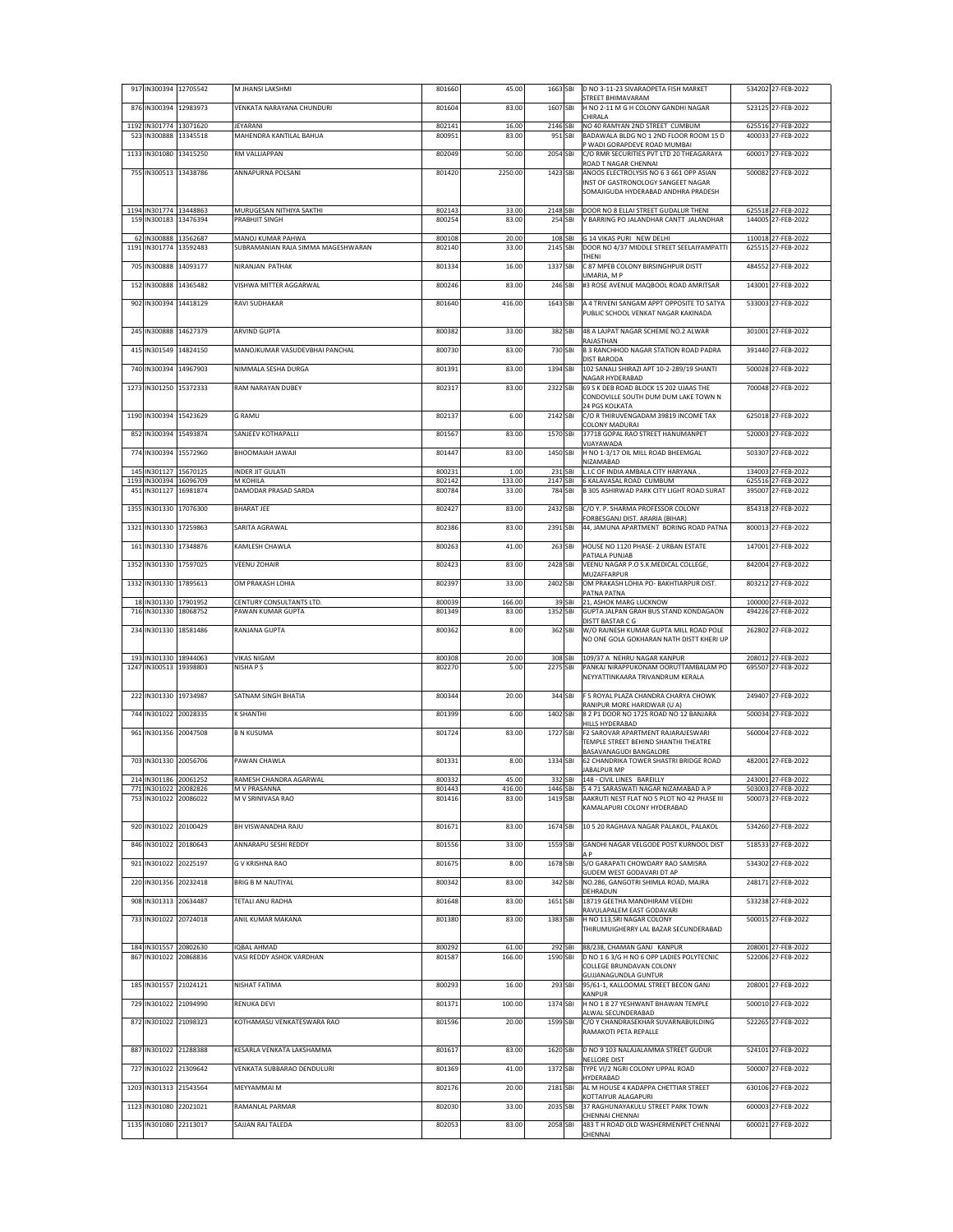|             |                        | 917 IN300394 12705542                           | M JHANSI LAKSHMI                                        | 801660           | 45.00           | 1663 SBI            |         | D NO 3-11-23 SIVARAOPETA FISH MARKET<br>STREET BHIMAVARAM                                                                                    | 534202 27-FEB-2022                       |
|-------------|------------------------|-------------------------------------------------|---------------------------------------------------------|------------------|-----------------|---------------------|---------|----------------------------------------------------------------------------------------------------------------------------------------------|------------------------------------------|
|             |                        | 876 IN300394 12983973                           | VENKATA NARAYANA CHUNDURI                               | 801604           | 83.00           | 1607 SBI            |         | H NO 2-11 M G H COLONY GANDHI NAGAR<br>CHIRALA                                                                                               | 523125 27-FEB-2022                       |
| 1192        |                        | IN301774 13071620                               | JEYARANI                                                | 802141           | 16.00           | 2146 SBI<br>951 SBI |         | NO 40 RAMYAN 2ND STREET CUMBUM                                                                                                               | 625516 27-FEB-2022<br>400033 27-FEB-2022 |
| 523<br>1133 |                        | IN300888 13345518<br>IN301080 13415250          | MAHENDRA KANTILAL BAHUA<br>RM VALLIAPPAN                | 800951<br>802049 | 83.00<br>50.00  | 2054 SBI            |         | BADAWALA BLDG NO 1 2ND FLOOR ROOM 15 D<br>P WADI GORAPDEVE ROAD MUMBAI<br>C/O RMR SECURITIES PVT LTD 20 THEAGARAYA                           | 600017 27-FEB-2022                       |
| 755         |                        | IN300513 13438786                               | ANNAPURNA POLSANI                                       | 801420           | 2250.00         | 1423 SBI            |         | ROAD T NAGAR CHENNAI<br>ANOOS ELECTROLYSIS NO 6 3 661 OPP ASIAN<br>INST OF GASTRONOLOGY SANGEET NAGAR<br>SOMAJIGUDA HYDERABAD ANDHRA PRADESH | 500082 27-FEB-2022                       |
|             | 1194 IN301774 13448863 | 159 IN300183 13476394                           | MURUGESAN NITHIYA SAKTHI<br>PRABHJIT SINGH              | 802143<br>800254 | 33.00<br>83.00  | 2148 SBI<br>254 SBI |         | DOOR NO 8 ELLAI STREET GUDALUR THENI<br>V BARRING PO JALANDHAR CANTT JALANDHAR                                                               | 625518 27-FEB-2022<br>144005 27-FEB-2022 |
| 62<br>1191  |                        | N300888 13562687<br>IN301774 13592483           | MANOJ KUMAR PAHWA<br>SUBRAMANIAN RAJA SIMMA MAGESHWARAN | 800108<br>802140 | 20.00<br>33.00  | 108 SBI<br>2145 SBI |         | G 14 VIKAS PURI NEW DELHI<br>DOOR NO 4/37 MIDDLE STREET SEELAIYAMPATTI<br>THENI                                                              | 110018 27-FEB-2022<br>625515 27-FEB-2022 |
| 705         |                        | IN300888 14093177                               | NIRANIAN PATHAK                                         | 801334           | 16.00           | 1337 SBI            |         | C 87 MPEB COLONY BIRSINGHPUR DISTT                                                                                                           | 484552 27-FEB-2022                       |
| 152         |                        | IN300888 14365482                               | VISHWA MITTER AGGARWAL                                  | 800246           | 83.00           | 246 SBI             |         | UMARIA, M P<br>#3 ROSE AVENUE MAQBOOL ROAD AMRITSAR                                                                                          | 143001 27-FEB-2022                       |
|             |                        | 902 IN300394 14418129                           | RAVI SUDHAKAR                                           | 801640           | 416.00          | 1643 SBI            |         | A 4 TRIVENI SANGAM APPT OPPOSITE TO SATYA<br>PUBLIC SCHOOL VENKAT NAGAR KAKINADA                                                             | 533003 27-FEB-2022                       |
|             |                        | 245 IN300888 14627379                           | <b>ARVIND GUPTA</b>                                     | 800382           | 33.00           | 382 SBI             |         | 48 A LAJPAT NAGAR SCHEME NO.2 ALWAR<br>RAJASTHAN                                                                                             | 301001 27-FEB-2022                       |
| 415         |                        | IN301549 14824150                               | MANOJKUMAR VASUDEVBHAI PANCHAL                          | 800730           | 83.00           | 730 SBI             |         | <b>B 3 RANCHHOD NAGAR STATION ROAD PADRA</b><br>DIST BARODA                                                                                  | 391440 27-FEB-2022                       |
|             |                        | 740 IN300394 14967903<br>IN301250 15372333      | NIMMALA SESHA DURGA<br>RAM NARAYAN DUBEY                | 801391           | 83.00           | 1394 SBI            |         | 102 SANALI SHIRAZI APT 10-2-289/19 SHANTI<br>NAGAR HYDERABAD<br>69 S K DEB ROAD BLOCK 15 202 UJAAS THE                                       | 500028 27-FEB-2022                       |
| 1273        |                        |                                                 |                                                         | 802317           | 83.00           | 2322 SBI            |         | CONDOVILLE SOUTH DUM DUM LAKE TOWN N<br>24 PGS KOLKATA                                                                                       | 700048 27-FEB-2022                       |
|             |                        | 1190 IN300394 15423629                          | G RAMU                                                  | 802137           | 6.00            | 2142 SBI            |         | C/O R THIRUVENGADAM 39819 INCOME TAX<br>COLONY MADURAI                                                                                       | 625018 27-FEB-2022                       |
| 852         |                        | IN300394 15493874                               | SANJEEV KOTHAPALLI                                      | 801567           | 83.00           | 1570 SBI            |         | 37718 GOPAL RAO STREET HANUMANPET<br>VIJAYAWADA                                                                                              | 520003 27-FEB-2022                       |
| 774         |                        | IN300394 15572960                               | ILAWAL HAIAMOOHB                                        | 801447           | 83.00           | 1450 SBI            |         | H NO 1-3/17 OIL MILL ROAD BHEEMGAL<br>NIZAMABAD                                                                                              | 503307 27-FEB-2022                       |
|             |                        | 145 IN301127 15670125<br>1193 IN300394 16096709 | <b>NDER JIT GULATI</b><br>M KOHILA                      | 800231<br>802142 | 1.00<br>133.00  | 2147 SBI            | 231 SBI | L.I.C OF INDIA AMBALA CITY HARYANA.<br>6 KALAVASAL ROAD CUMBUM                                                                               | 134003 27-FEB-2022<br>625516 27-FEB-2022 |
|             |                        | 451 IN301127 16981874                           | DAMODAR PRASAD SARDA                                    | 800784           | 33.00           | 784 SBI             |         | B 305 ASHIRWAD PARK CITY LIGHT ROAD SURAT                                                                                                    | 395007 27-FEB-2022                       |
| 1355        |                        | IN301330 17076300                               | <b>BHARAT JEE</b>                                       | 802427           | 83.00           | 2432 SBI            |         | C/O Y. P. SHARMA PROFESSOR COLONY<br>FORBESGANJ DIST. ARARIA (BIHAR)                                                                         | 854318 27-FEB-2022                       |
| 1321        |                        | IN301330 17259863                               | SARITA AGRAWAL                                          | 802386           | 83.00           | 2391 SBI            |         | 44. JAMUNA APARTMENT BORING ROAD PATNA                                                                                                       | 800013 27-FEB-2022                       |
| 161         |                        | IN301330 17348876                               | KAMLESH CHAWLA                                          | 800263           | 41.00           | 263 SBI             |         | HOUSE NO 1120 PHASE- 2 URBAN ESTATE<br>PATIALA PUNJAB                                                                                        | 147001 27-FEB-2022                       |
| 1352        |                        | IN301330 17597025                               | VEENU ZOHAIR                                            | 802423           | 83.00           | 2428 SBI            |         | VEENU NAGAR P.O S.K.MEDICAL COLLEGE,<br>MUZAFFARPUR                                                                                          | 842004 27-FEB-2022                       |
| 1332        |                        | IN301330 17895613                               | OM PRAKASH LOHIA                                        | 802397           | 33.00           | 2402 SBI            |         | OM PRAKASH LOHIA PO- BAKHTIARPUR DIST.<br>PATNA PATNA                                                                                        | 803212 27-FEB-2022                       |
|             | 18 IN301330 17901952   | 716 IN301330 18068752                           | CENTURY CONSULTANTS LTD.<br>PAWAN KUMAR GUPTA           | 800039<br>801349 | 166.00<br>83.00 | 1352 SBI            | 39 SBI  | 21, ASHOK MARG LUCKNOW<br>GUPTA JALPAN GRAH BUS STAND KONDAGAON                                                                              | 100000 27-FEB-2022<br>494226 27-FEB-2022 |
|             |                        | 234 IN301330 18581486                           | RANJANA GUPTA                                           | 800362           | 8.00            | 362 SBI             |         | DISTT BASTAR C G<br>W/O RAJNESH KUMAR GUPTA MILL ROAD POLE<br>NO ONE GOLA GOKHARAN NATH DISTT KHERI UP                                       | 262802 27-FEB-2022                       |
|             |                        | 193 IN301330 18944063<br>1247 IN300513 19398803 | VIKAS NIGAM<br>NISHA P S                                | 800308<br>802270 | 20.00<br>5.00   | 308 SBI<br>2275 SBI |         | 109/37 A NEHRU NAGAR KANPUR<br>PANKAJ NIRAPPUKONAM OORUTTAMBALAM PO                                                                          | 208012 27-FEB-2022<br>695507 27-FEB-2022 |
|             |                        | 222 IN301330 19734987                           |                                                         |                  |                 |                     |         | NEYYATTINKAARA TRIVANDRUM KERALA<br>F 5 ROYAL PLAZA CHANDRA CHARYA CHOWK                                                                     |                                          |
|             |                        |                                                 | SATNAM SINGH BHATIA                                     | 800344           | 20.00           | 344 SBI             |         | RANIPUR MORE HARIDWAR (U A)                                                                                                                  | 249407 27-FEB-2022                       |
| 744         |                        | IN301022 20028335                               | K SHANTHI                                               | 801399           | 6.00            | 1402 SBI            |         | 8 2 P1 DOOR NO 1725 ROAD NO 12 BANJARA<br>HILLS HYDERABAD                                                                                    | 500034 27-FEB-2022                       |
|             |                        | 961 IN301356 20047508                           | <b>B N KUSUMA</b>                                       | 801724           | 83.00           | 1727 SBI            |         | F2 SAROVAR APARTMENT RAJARAJESWARI<br>TEMPLE STREET BEHIND SHANTHI THEATRE<br>BASAVANAGUDI BANGALORE                                         | 560004 27-FEB-2022                       |
|             |                        | 703 IN301330 20056706                           | PAWAN CHAWLA                                            | 801331           | 8.00            | 1334 SBI            |         | 62 CHANDRIKA TOWER SHASTRI BRIDGE ROAD<br>JABALPUR MP                                                                                        | 482001 27-FEB-2022                       |
|             |                        | 214 IN301186 20061252<br>771 IN301022 20082826  | RAMESH CHANDRA AGARWAL<br>M V PRASANNA                  | 800332<br>801443 | 45.00<br>416.00 | 1446 SBI            |         | 332 SBI 148 - CIVIL LINES BAREILLY<br>5 4 71 SARASWATI NAGAR NIZAMABAD A P                                                                   | 243001 27-FEB-2022<br>503003 27-FEB-2022 |
|             |                        | 753 IN301022 20086022                           | M V SRINIVASA RAO                                       | 801416           | 83.00           | 1419 SBI            |         | AAKRUTI NEST FLAT NO 5 PLOT NO 42 PHASE III<br>KAMALAPURI COLONY HYDERABAD                                                                   | 500073 27-FEB-2022                       |
|             |                        | 920 IN301022 20100429                           | BH VISWANADHA RAJU                                      | 801671           | 83.00           | 1674 SBI            |         | 10 5 20 RAGHAVA NAGAR PALAKOL, PALAKOL                                                                                                       | 534260 27-FEB-2022                       |
|             |                        | 846 IN301022 20180643                           | ANNARAPU SESHI REDDY                                    | 801556           | 33.00           | 1559 SBI            |         | GANDHI NAGAR VELGODE POST KURNOOL DIST<br>A P                                                                                                | 518533 27-FEB-2022                       |
|             |                        | 921 IN301022 20225197                           | <b>G V KRISHNA RAO</b>                                  | 801675           | 8.00            | 1678 SBI            |         | S/O GARAPATI CHOWDARY RAO SAMISRA<br>GUDEM WEST GODAVARI DT AP                                                                               | 534302 27-FEB-2022                       |
|             |                        | 220 IN301356 20232418                           | BRIG B M NAUTIYAL                                       | 800342           | 83.00           | 342 SBI             |         | NO.286, GANGOTRI SHIMLA ROAD, MAJRA<br>DEHRADUN                                                                                              | 248171 27-FEB-2022                       |
|             |                        | 908 IN301313 20634487                           | TETALI ANU RADHA                                        | 801648           | 83.00           | 1651 SBI            |         | 18719 GEETHA MANDHIRAM VEEDHI<br>RAVULAPALEM EAST GODAVARI                                                                                   | 533238 27-FEB-2022                       |
|             |                        | 733 IN301022 20724018                           | ANIL KUMAR MAKANA                                       | 801380           | 83.00           | 1383 SBI            |         | H NO 113, SRI NAGAR COLONY<br>THIRUMUIGHERRY LAL BAZAR SECUNDERABAD                                                                          | 500015 27-FEB-2022                       |
|             |                        | 184 IN301557 20802630<br>867 IN301022 20868836  | QBAL AHMAD                                              | 800292           | 61.00           |                     | 292 SBI | 88/238, CHAMAN GANJ KANPUR                                                                                                                   | 208001 27-FEB-2022                       |
|             |                        |                                                 | VASI REDDY ASHOK VARDHAN                                | 801587           | 166.00          | 1590 SBI            |         | D NO 1 6 3/G H NO 6 OPP LADIES POLYTECNIC<br>COLLEGE BRUNDAVAN COLONY<br>GUJJANAGUNDLA GUNTUR                                                | 522006 27-FEB-2022                       |
|             |                        | 185 IN301557 21024121                           | NISHAT FATIMA                                           | 800293           | 16.00           | 293 SBI             |         | 95/61-1, KALLOOMAL STREET BECON GANJ<br>KANPUR                                                                                               | 208001 27-FEB-2022                       |
|             |                        | 729 IN301022 21094990                           | RENUKA DEVI                                             | 801371           | 100.00          | 1374 SBI            |         | H NO 1 8 27 YESHWANT BHAWAN TEMPLE<br>ALWAL SECUNDERABAD                                                                                     | 500010 27-FEB-2022                       |
|             |                        | 872 IN301022 21098323                           | KOTHAMASU VENKATESWARA RAO                              | 801596           | 20.00           | 1599 SBI            |         | C/O Y CHANDRASEKHAR SUVARNABUILDING<br>RAMAKOTI PETA REPALLE                                                                                 | 522265 27-FEB-2022                       |
|             |                        | 887 IN301022 21288388                           | KESARLA VENKATA LAKSHAMMA                               | 801617           | 83.00           | 1620 SBI            |         | D NO 9 103 NALAJALAMMA STREET GUDUR<br>NELLORE DIST                                                                                          | 524101 27-FEB-2022                       |
|             |                        | 727 IN301022 21309642                           | VENKATA SUBBARAO DENDULURI                              | 801369           | 41.00           | 1372 SBI            |         | TYPE VI/2 NGRI COLONY UPPAL ROAD<br>HYDERABAD                                                                                                | 500007 27-FEB-2022                       |
| 1203        |                        | IN301313 21543564                               | MEYYAMMAI M                                             | 802176           | 20.00           | 2181 SBI            |         | AL M HOUSE 4 KADAPPA CHETTIAR STREET                                                                                                         | 630106 27-FEB-2022                       |
|             |                        | 1123 IN301080 22021021                          | RAMANLAL PARMAR                                         | 802030           | 33.00           | 2035 SBI            |         | KOTTAIYUR ALAGAPURI<br>37 RAGHUNAYAKULU STREET PARK TOWN                                                                                     | 600003 27-FEB-2022                       |
|             |                        | 1135 IN301080 22113017                          | SAJJAN RAJ TALEDA                                       | 802053           | 83.00           | 2058 SBI            |         | CHENNAI CHENNAI<br>483 T H ROAD OLD WASHERMENPET CHENNAI<br>CHENNAI                                                                          | 600021 27-FEB-2022                       |
|             |                        |                                                 |                                                         |                  |                 |                     |         |                                                                                                                                              |                                          |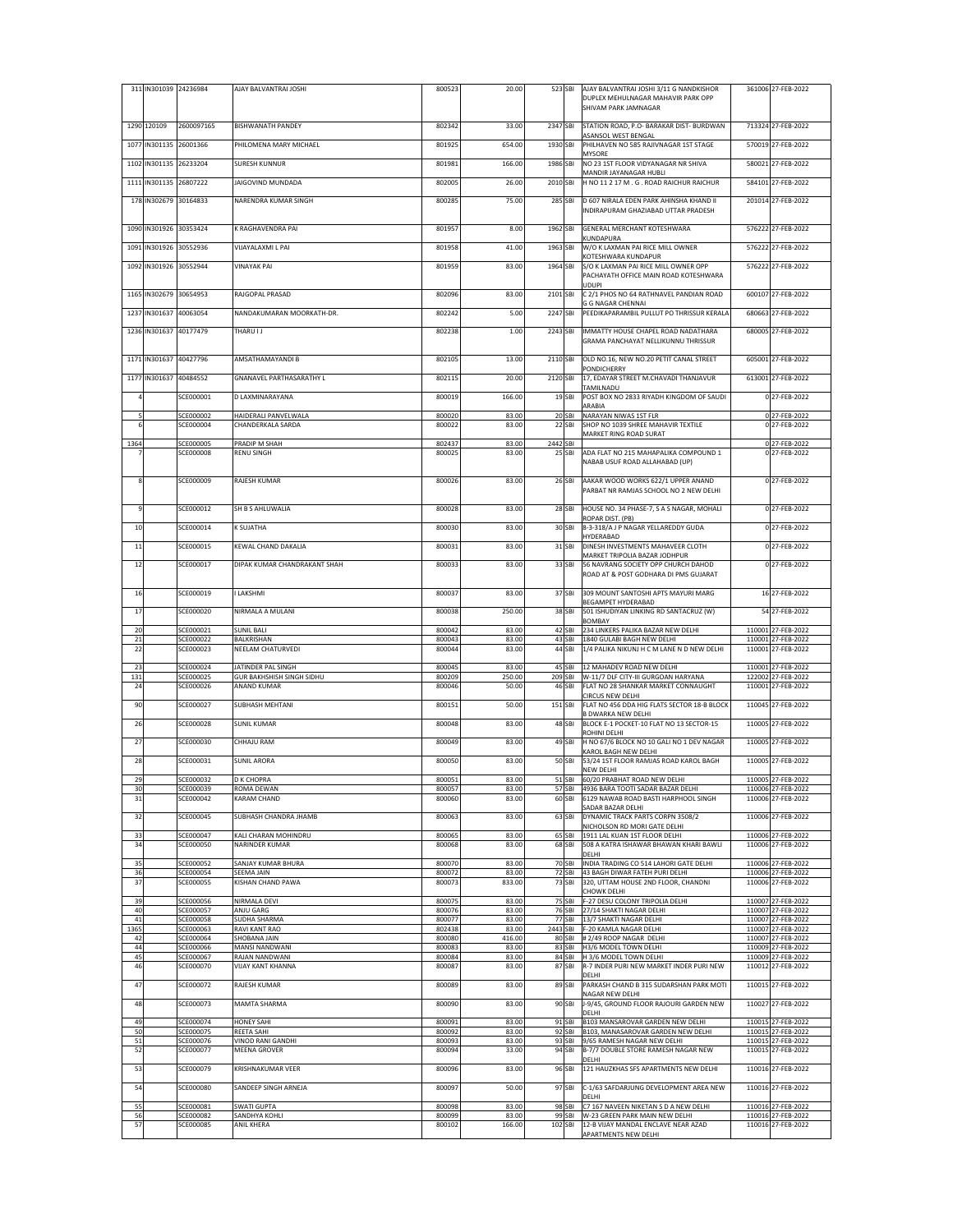|            |             | 311 IN301039 24236984         | AJAY BALVANTRAI JOSHI                           | 800523           | 20.00           | 523 SBI  |                   | AJAY BALVANTRAI JOSHI 3/11 G NANDKISHOR                                       | 361006 27-FEB-2022                       |
|------------|-------------|-------------------------------|-------------------------------------------------|------------------|-----------------|----------|-------------------|-------------------------------------------------------------------------------|------------------------------------------|
|            |             |                               |                                                 |                  |                 |          |                   | DUPLEX MEHULNAGAR MAHAVIR PARK OPP<br>SHIVAM PARK JAMNAGAR                    |                                          |
|            |             |                               |                                                 |                  |                 |          |                   |                                                                               |                                          |
|            | 1290 120109 | 2600097165                    | BISHWANATH PANDEY                               | 802342           | 33.00           | 2347 SBI |                   | STATION ROAD, P.O- BARAKAR DIST- BURDWAN<br>ASANSOL WEST BENGAL               | 713324 27-FEB-2022                       |
| 1077       |             | IN301135 26001366             | PHILOMENA MARY MICHAEL                          | 801925           | 654.00          | 1930 SBI |                   | PHILHAVEN NO 585 RAJIVNAGAR 1ST STAGE                                         | 570019 27-FEB-2022                       |
| 1102       |             | IN301135 26233204             | SURESH KUNNUR                                   | 801981           | 166.00          | 1986 SBI |                   | MYSORE<br>NO 23 1ST FLOOR VIDYANAGAR NR SHIVA                                 | 580021 27-FEB-2022                       |
|            |             |                               |                                                 |                  |                 |          |                   | MANDIR JAYANAGAR HUBLI                                                        |                                          |
| 1111       |             | IN301135 26807222             | JAIGOVIND MUNDADA                               | 802005           | 26.00           | 2010 SBI |                   | H NO 11 2 17 M . G . ROAD RAICHUR RAICHUR                                     | 584101 27-FEB-2022                       |
| 178        |             | IN302679 30164833             | NARENDRA KUMAR SINGH                            | 800285           | 75.00           | 285 SBI  |                   | D 607 NIRALA EDEN PARK AHINSHA KHAND II                                       | 201014 27-FEB-2022                       |
|            |             |                               |                                                 |                  |                 |          |                   | INDIRAPURAM GHAZIABAD UTTAR PRADESH                                           |                                          |
| 1090       |             | IN301926 30353424             | K RAGHAVENDRA PAI                               | 801957           | 8.00            | 1962 SBI |                   | GENERAL MERCHANT KOTESHWARA                                                   | 576222 27-FEB-2022                       |
| 1091       |             | IN301926 30552936             | VIJAYALAXMI L PAI                               | 801958           | 41.00           | 1963 SBI |                   | KUNDAPURA<br>W/O K LAXMAN PAI RICE MILL OWNER                                 | 576222 27-FEB-2022                       |
|            |             |                               |                                                 |                  |                 |          |                   | KOTESHWARA KUNDAPUR                                                           | 576222 27-FEB-2022                       |
| 1092       |             | IN301926 30552944             | <b>VINAYAK PAI</b>                              | 801959           | 83.00           | 1964 SBI |                   | S/O K LAXMAN PAI RICE MILL OWNER OPP<br>PACHAYATH OFFICE MAIN ROAD KOTESHWARA |                                          |
| 1165       |             | IN302679 30654953             | RAJGOPAL PRASAD                                 | 802096           | 83.00           | 2101 SBI |                   | <b>UDUPI</b><br>C 2/1 PHOS NO 64 RATHNAVEL PANDIAN ROAD                       | 600107 27-FEB-2022                       |
|            |             |                               |                                                 |                  |                 |          |                   | G G NAGAR CHENNAI                                                             |                                          |
| 1237       | IN301637    | 40063054                      | NANDAKUMARAN MOORKATH-DR.                       | 802242           | 5.00            | 2247 SBI |                   | PEEDIKAPARAMBIL PULLUT PO THRISSUR KERALA                                     | 680663 27-FEB-2022                       |
| 1236       |             | IN301637 40177479             | THARU I J                                       | 802238           | 1.00            | 2243 SBI |                   | IMMATTY HOUSE CHAPEL ROAD NADATHARA                                           | 680005 27-FEB-2022                       |
|            |             |                               |                                                 |                  |                 |          |                   | GRAMA PANCHAYAT NELLIKUNNU THRISSUR                                           |                                          |
| 1171       |             | IN301637 40427796             | AMSATHAMAYANDI B                                | 802105           | 13.00           | 2110 SBI |                   | OLD NO.16, NEW NO.20 PETIT CANAL STREET                                       | 605001 27-FEB-2022                       |
| 1177       | IN301637    | 40484552                      | GNANAVEL PARTHASARATHY L                        | 802115           | 20.00           | 2120 SBI |                   | PONDICHERRY<br>17, EDAYAR STREET M.CHAVADI THANJAVUR                          | 613001 27-FEB-2022                       |
|            |             |                               |                                                 |                  |                 |          |                   | TAMILNADU                                                                     |                                          |
|            |             | SCE000001                     | D LAXMINARAYANA                                 | 800019           | 166.00          |          | 19 <sub>SBI</sub> | POST BOX NO 2833 RIYADH KINGDOM OF SAUDI<br>ARABIA                            | 0 27-FEB-2022                            |
| 5          |             | SCE000002                     | HAIDERALI PANVELWALA                            | 800020           | 83.00           |          | 20 SBI            | NARAYAN NIWAS 1ST FLR                                                         | 0 27-FEB-2022                            |
| 6          |             | SCE000004                     | CHANDERKALA SARDA                               | 800022           | 83.00           |          | 22 SBI            | SHOP NO 1039 SHREE MAHAVIR TEXTILE<br>MARKET RING ROAD SURAT                  | 0 27-FEB-2022                            |
| 1364       |             | SCE000005<br><b>SCE000008</b> | PRADIP M SHAH<br>RENU SINGH                     | 802437<br>800025 | 83.00<br>83.00  | 2442 SBI | 25 SBI            |                                                                               | 0 27-FEB-2022<br>0 27-FEB-2022           |
|            |             |                               |                                                 |                  |                 |          |                   | ADA FLAT NO 215 MAHAPALIKA COMPOUND 1<br>NABAB USUF ROAD ALLAHABAD (UP)       |                                          |
| 8          |             | SCE000009                     | RAJESH KUMAR                                    | 800026           | 83.00           |          | 26 SBI            | AAKAR WOOD WORKS 622/1 UPPER ANAND                                            | 0 27-FEB-2022                            |
|            |             |                               |                                                 |                  |                 |          |                   | PARBAT NR RAMJAS SCHOOL NO 2 NEW DELHI                                        |                                          |
| 9          |             | SCE000012                     | SH B S AHLUWALIA                                | 800028           | 83.00           |          | 28 SBI            | HOUSE NO. 34 PHASE-7, S A S NAGAR, MOHALI                                     | 027-FEB-2022                             |
|            |             |                               |                                                 |                  |                 |          |                   | ROPAR DIST. (PB)                                                              |                                          |
| 10         |             | SCE000014                     | K SUJATHA                                       | 800030           | 83.00           |          | 30 SBI            | 8-3-318/A J P NAGAR YELLAREDDY GUDA<br>HYDERABAD                              | 0 27-FEB-2022                            |
| $11\,$     |             | SCE000015                     | KEWAL CHAND DAKALIA                             | 800031           | 83.00           |          | 31 SBI            | DINESH INVESTMENTS MAHAVEER CLOTH                                             | 0 27-FEB-2022                            |
| 12         |             | SCE000017                     | DIPAK KUMAR CHANDRAKANT SHAH                    | 800033           | 83.00           |          | 33 SBI            | MARKET TRIPOLIA BAZAR JODHPUR<br>56 NAVRANG SOCIETY OPP CHURCH DAHOD          | 0 27-FEB-2022                            |
|            |             |                               |                                                 |                  |                 |          |                   | ROAD AT & POST GODHARA DI PMS GUJARAT                                         |                                          |
| 16         |             | SCE000019                     | LAKSHMI                                         | 800037           | 83.00           |          | 37 SBI            | 309 MOUNT SANTOSHI APTS MAYURI MARG                                           | 16 27-FEB-2022                           |
|            |             |                               |                                                 |                  |                 |          |                   | BEGAMPET HYDERABAD                                                            |                                          |
| 17         |             | SCE000020                     | NIRMALA A MULANI                                | 800038           | 250.00          |          | 38 SBI            | 501 ISHUDIYAN LINKING RD SANTACRUZ (W)<br>BOMBAY                              | 54 27-FEB-2022                           |
| 20         |             | SCE000021                     | <b>SUNIL BALI</b>                               | 800042           | 83.00           |          | 42 SBI            | 234 LINKERS PALIKA BAZAR NEW DELHI                                            | 110001 27-FEB-2022                       |
| 21<br>22   |             | SCE000022<br>SCE000023        | BALKRISHAN<br>NEELAM CHATURVEDI                 | 800043<br>800044 | 83.00<br>83.00  |          | 43 SBI<br>44 SBI  | 1840 GULABI BAGH NEW DELHI<br>1/4 PALIKA NIKUNJ H C M LANE N D NEW DELHI      | 110001 27-FEB-2022<br>110001 27-FEB-2022 |
|            |             |                               |                                                 |                  |                 |          |                   |                                                                               |                                          |
| 23<br>131  |             | SCE000024<br>SCE000025        | JATINDER PAL SINGH<br>GUR BAKHSHISH SINGH SIDHU | 800045<br>800209 | 83.00<br>250.00 |          | 45 SBI            | 12 MAHADEV ROAD NEW DELHI<br>209 SBI W-11/7 DLF CITY-III GURGOAN HARYANA      | 110001 27-FEB-2022<br>122002 27-FEB-2022 |
| 24         |             | SCE000026                     | <b>ANAND KUMAR</b>                              | 800046           | 50.00           |          | 46 SBI            | FLAT NO 28 SHANKAR MARKET CONNAUGHT                                           | 110001 27-FEB-2022                       |
| 90         |             | SCE000027                     | SUBHASH MEHTANI                                 | 800151           | 50.00           | 151 SBI  |                   | CIRCUS NEW DELHI<br>FLAT NO 456 DDA HIG FLATS SECTOR 18-B BLOCK               | 110045 27-FEB-2022                       |
|            |             | SCE000028                     |                                                 |                  |                 |          |                   | <b>B DWARKA NEW DELHI</b>                                                     |                                          |
| 26         |             |                               | SUNIL KUMAR                                     | 800048           | 83.00           |          | 48 SBI            | BLOCK E-1 POCKET-10 FLAT NO 13 SECTOR-15<br>ROHINI DELHI                      | 110005 27-FEB-2022                       |
| 27         |             | SCE000030                     | CHHAJU RAM                                      | 800049           | 83.00           |          | 49 SBI            | H NO 67/6 BLOCK NO 10 GALI NO 1 DEV NAGAR<br>KAROL BAGH NEW DELHI             | 110005 27-FEB-2022                       |
| 28         |             | SCE000031                     | <b>SUNIL ARORA</b>                              | 800050           | 83.00           |          | 50 SBI            | 53/24 1ST FLOOR RAMJAS ROAD KAROL BAGH                                        | 110005 27-FEB-2022                       |
| 29         |             | SCE000032                     | <b>D K CHOPRA</b>                               | 800051           | 83.00           |          | 51 SBI            | NEW DELHI<br>60/20 PRABHAT ROAD NEW DELHI                                     | 110005 27-FEB-2022                       |
| 30         |             | SCE000039                     | ROMA DEWAN                                      | 800057           | 83.00           |          |                   | 57 SBI 4936 BARA TOOTI SADAR BAZAR DELHI                                      | 110006 27-FEB-2022                       |
| 31         |             | SCE000042                     | KARAM CHAND                                     | 800060           | 83.00           |          | 60 SBI            | 6129 NAWAB ROAD BASTI HARPHOOL SINGH<br>SADAR BAZAR DELHI                     | 110006 27-FEB-2022                       |
| 32         |             | SCE000045                     | <b>SUBHASH CHANDRA JHAMB</b>                    | 800063           | 83.00           |          | 63 SBI            | DYNAMIC TRACK PARTS CORPN 3508/2                                              | 110006 27-FEB-2022                       |
| 33         |             | SCE000047                     | KALI CHARAN MOHINDRU                            | 800065           | 83.00           |          | 65 SBI            | NICHOLSON RD MORI GATE DELHI<br>1911 LAL KUAN 1ST FLOOR DELHI                 | 110006 27-FEB-2022                       |
| 34         |             | SCE000050                     | NARINDER KUMAR                                  | 800068           | 83.00           |          | 68 SBI            | 508 A KATRA ISHAWAR BHAWAN KHARI BAWLI                                        | 110006 27-FEB-2022                       |
| 35         |             | SCE000052                     | SANJAY KUMAR BHURA                              | 800070           | 83.00           |          | 70 SBI            | DELHI<br>INDIA TRADING CO 514 LAHORI GATE DELHI                               | 110006 27-FEB-2022                       |
| 36<br>37   |             | SCE000054<br><b>SCE000055</b> | SEEMA JAIN<br>KISHAN CHAND PAWA                 | 800072           | 83.00           |          | 72 SBI            | 43 BAGH DIWAR FATEH PURI DELHI<br>320. UTTAM HOUSE 2ND FLOOR, CHANDNI         | 110006 27-FEB-2022                       |
|            |             |                               |                                                 | 800073           | 833.00          |          | 73 SBI            | CHOWK DELHI                                                                   | 110006 27-FEB-2022                       |
| 39<br>40   |             | SCE000056<br>SCE000057        | NIRMALA DEVI<br>ANJU GARG                       | 800075<br>800076 | 83.00<br>83.00  |          |                   | 75 SBI F-27 DESU COLONY TRIPOLIA DELHI<br>76 SBI 27/14 SHAKTI NAGAR DELHI     | 110007 27-FEB-2022<br>110007 27-FEB-2022 |
| 41         |             | SCE000058                     | SUDHA SHARMA                                    | 800077           | 83.00           |          |                   | 77 SBI 13/7 SHAKTI NAGAR DELHI                                                | 110007 27-FEB-2022                       |
| 1365<br>42 |             | SCE000063<br>SCE000064        | RAVI KANT RAO<br><b>SHOBANA JAIN</b>            | 802438<br>800080 | 83.00<br>416.00 |          |                   | 2443 SBI F-20 KAMLA NAGAR DELHI<br>80 SBI #2/49 ROOP NAGAR DELHI              | 110007 27-FEB-2022<br>110007 27-FEB-2022 |
| 44         |             | SCE000066                     | MANSI NANDWANI                                  | 800083           | 83.00           |          |                   | 83 SBI H3/6 MODEL TOWN DELHI                                                  | 110009 27-FEB-2022                       |
| 45<br>46   |             | SCE000067<br>SCE000070        | RAJAN NANDWANI<br><b>VUAY KANT KHANNA</b>       | 800084<br>800087 | 83.00<br>83.00  |          | 87 SBI            | 84 SBI H 3/6 MODEL TOWN DELHI<br>R-7 INDER PURI NEW MARKET INDER PURI NEW     | 110009 27-FEB-2022<br>110012 27-FEB-2022 |
|            |             |                               |                                                 |                  |                 |          |                   | DELHI                                                                         |                                          |
| 47         |             | SCE000072                     | RAJESH KUMAR                                    | 800089           | 83.00           |          | 89 SBI            | PARKASH CHAND B 315 SUDARSHAN PARK MOTI<br>NAGAR NEW DELHI                    | 110015 27-FEB-2022                       |
| 48         |             | SCE000073                     | MAMTA SHARMA                                    | 800090           | 83.00           |          | 90 SBI            | J-9/45, GROUND FLOOR RAJOURI GARDEN NEW                                       | 110027 27-FEB-2022                       |
| 49         |             | SCE000074                     | HONEY SAHI                                      | 800091           | 83.00           |          | 91 SBI            | DELHI<br>B103 MANSAROVAR GARDEN NEW DELHI                                     | 110015 27-FEB-2022                       |
| 50         |             | SCE000075                     | REETA SAHI                                      | 800092           | 83.00           |          | 92 SBI            | B103, MANASAROVAR GARDEN NEW DELHI                                            | 110015 27-FEB-2022                       |
| 51<br>52   |             | SCE000076<br>SCE000077        | VINOD RANI GANDHI<br>MEENA GROVER               | 800093<br>800094 | 83.00<br>33.00  |          | 94 SBI            | 93 SBI 9/65 RAMESH NAGAR NEW DELHI<br>B-7/7 DOUBLE STORE RAMESH NAGAR NEW     | 110015 27-FEB-2022<br>110015 27-FEB-2022 |
|            |             |                               |                                                 |                  |                 |          |                   | DELHI                                                                         |                                          |
| 53         |             | SCE000079                     | KRISHNAKUMAR VEER                               | 800096           | 83.00           |          | 96 SBI            | 121 HAUZKHAS SFS APARTMENTS NEW DELHI                                         | 110016 27-FEB-2022                       |
| 54         |             | SCE000080                     | SANDEEP SINGH ARNEJA                            | 800097           | 50.00           |          | 97 SBI            | C-1/63 SAFDARJUNG DEVELOPMENT AREA NEW<br>DFI HI                              | 110016 27-FEB-2022                       |
| 55         |             | SCE000081                     | SWATI GUPTA                                     | 800098           | 83.00           |          |                   | 98 SBI C7 167 NAVEEN NIKETAN S D A NEW DELHI                                  | 110016 27-FEB-2022                       |
| 56<br>57   |             | SCE000082<br>SCE000085        | SANDHYA KOHLI<br>ANIL KHERA                     | 800099<br>800102 | 83.00<br>166.00 |          | 102 SBI           | 99 SBI W-23 GREEN PARK MAIN NEW DELHI<br>12-B VIJAY MANDAL ENCLAVE NEAR AZAD  | 110016 27-FEB-2022<br>110016 27-FEB-2022 |
|            |             |                               |                                                 |                  |                 |          |                   | APARTMENTS NEW DELHI                                                          |                                          |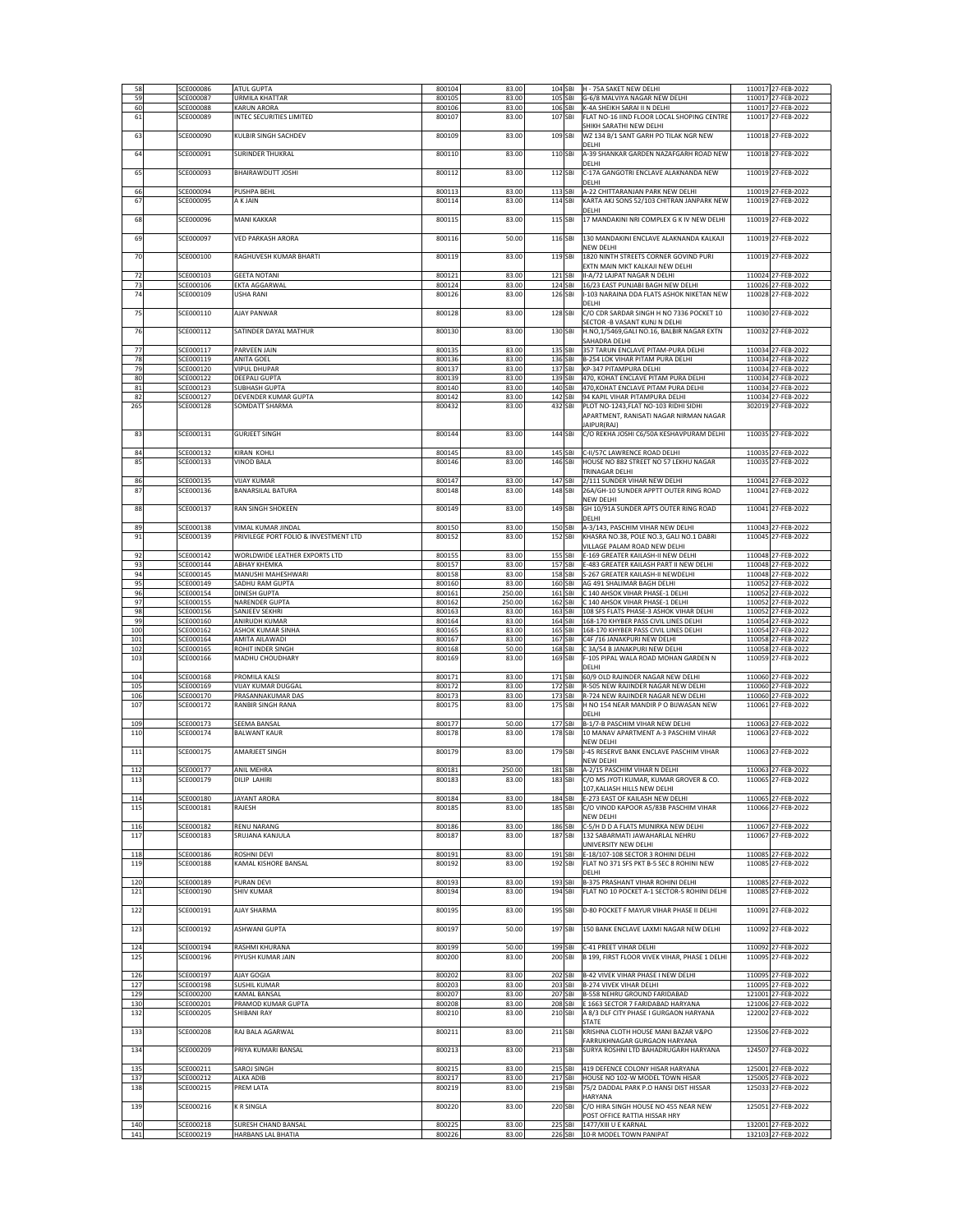| 58         | SCE000086              | <b>ATUL GUPTA</b>                                | 800104           | 83.00          |                    | 104 SBI H - 75A SAKET NEW DELHI                                                      | 110017 27-FEB-2022                       |
|------------|------------------------|--------------------------------------------------|------------------|----------------|--------------------|--------------------------------------------------------------------------------------|------------------------------------------|
| 59         | SCE000087              | <b>URMILA KHATTAR</b>                            | 800105           | 83.00          |                    | 105 SBI G-6/8 MALVIYA NAGAR NEW DELHI                                                | 110017 27-FEB-2022                       |
| 60         | SCE000088              | <b>KARUN ARORA</b>                               | 800106           | 83.00          |                    | 106 SBI K-4A SHEIKH SARAI II N DELHI                                                 | 110017 27-FEB-2022                       |
| 61         | SCE000089              | INTEC SECURITIES LIMITED                         | 800107           | 83.00          | 107 SBI            | FLAT NO-16 IIND FLOOR LOCAL SHOPING CENTRE                                           | 110017 27-FEB-2022                       |
| 63         | SCE000090              | KULBIR SINGH SACHDEV                             | 800109           | 83.00          | 109 SBI            | SHIKH SARATHI NEW DELHI<br>WZ 134 B/1 SANT GARH PO TILAK NGR NEW                     | 110018 27-FEB-2022                       |
|            |                        |                                                  |                  |                |                    | DELHI                                                                                |                                          |
| 64         | SCE000091              | <b>SURINDER THUKRAL</b>                          | 800110           | 83.00          | 110 SBI            | A-39 SHANKAR GARDEN NAZAFGARH ROAD NEW                                               | 110018 27-FEB-2022                       |
|            |                        |                                                  |                  |                |                    | DELHI                                                                                |                                          |
| 65         | SCE000093              | BHAIRAWDUTT JOSHI                                | 800112           | 83.00          | 112 SBI            | C-17A GANGOTRI ENCLAVE ALAKNANDA NEW                                                 | 110019 27-FEB-2022                       |
|            |                        |                                                  |                  |                |                    | DELHI                                                                                |                                          |
| 66<br>67   | SCE000094              | PUSHPA BEHL                                      | 800113<br>800114 | 83.00          | 113 SBI<br>114 SBI | A-22 CHITTARANJAN PARK NEW DELHI                                                     | 110019 27-FEB-2022                       |
|            | SCE000095              | A K JAIN                                         |                  | 83.00          |                    | KARTA AKJ SONS 52/103 CHITRAN JANPARK NEW<br>DELHI                                   | 110019 27-FEB-2022                       |
| 68         | SCE000096              | <b>MANI KAKKAR</b>                               | 800115           | 83.00          | 115 SBI            | 17 MANDAKINI NRI COMPLEX G K IV NEW DELHI                                            | 110019 27-FEB-2022                       |
|            |                        |                                                  |                  |                |                    |                                                                                      |                                          |
| 69         | SCE000097              | <b>VED PARKASH ARORA</b>                         | 800116           | 50.00          | 116 SBI            | 130 MANDAKINI ENCLAVE ALAKNANDA KALKAJI                                              | 110019 27-FEB-2022                       |
|            |                        |                                                  |                  |                |                    | NEW DELHI                                                                            |                                          |
| 70         | SCE000100              | RAGHUVESH KUMAR BHARTI                           | 800119           | 83.00          | 119 SBI            | 1820 NINTH STREETS CORNER GOVIND PURI                                                | 110019 27-FEB-2022                       |
|            |                        |                                                  |                  |                |                    | EXTN MAIN MKT KALKAJI NEW DELHI                                                      |                                          |
| 72         | SCE000103              | <b>GEETA NOTANI</b>                              | 800121           | 83.00          | 121 SBI            | II-A/72 LAJPAT NAGAR N DELHI                                                         | 110024 27-FEB-2022                       |
| 73<br>74   | SCE000106<br>SCE000109 | EKTA AGGARWAL<br><b>USHA RANI</b>                | 800124<br>800126 | 83.00<br>83.00 | 124 SBI<br>126 SBI | 16/23 EAST PUNJABI BAGH NEW DELHI<br>I-103 NARAINA DDA FLATS ASHOK NIKETAN NEW       | 110026 27-FEB-2022<br>110028 27-FEB-2022 |
|            |                        |                                                  |                  |                |                    | DELHI                                                                                |                                          |
| 75         | SCE000110              | <b>AJAY PANWAR</b>                               | 800128           | 83.00          | 128 SBI            | C/O CDR SARDAR SINGH H NO 7336 POCKET 10                                             | 110030 27-FEB-2022                       |
|            |                        |                                                  |                  |                |                    | SECTOR - B VASANT KUNJ N DELHI                                                       |                                          |
| 76         | SCE000112              | SATINDER DAYAL MATHUR                            | 800130           | 83.00          | 130 SBI            | H.NO,1/5469,GALI NO.16, BALBIR NAGAR EXTN                                            | 110032 27-FEB-2022                       |
|            |                        |                                                  |                  |                |                    | SAHADRA DELHI                                                                        |                                          |
| 77         | SCE000117              | PARVEEN JAIN                                     | 800135           | 83.00          | 135 SBI            | 357 TARUN ENCLAVE PITAM-PURA DELHI                                                   | 110034 27-FEB-2022                       |
| 78         | SCE000119              | ANITA GOEL                                       | 800136           | 83.00          | 136 SBI            | B-254 LOK VIHAR PITAM PURA DELHI                                                     | 110034 27-FEB-2022                       |
| 79<br>80   | SCE000120<br>SCE000122 | <b>VIPUL DHUPAR</b><br>DEEPALI GUPTA             | 800137<br>800139 | 83.00<br>83.00 |                    | 137 SBI KP-347 PITAMPURA DELHI<br>139 SBI 470, KOHAT ENCLAVE PITAM PURA DELHI        | 110034 27-FEB-2022<br>110034 27-FEB-2022 |
| 81         | SCE000123              | <b>SUBHASH GUPTA</b>                             | 800140           | 83.00          |                    | 140 SBI 470, KOHAT ENCLAVE PITAM PURA DELHI                                          | 110034 27-FEB-2022                       |
| 82         | SCE000127              | DEVENDER KUMAR GUPTA                             | 800142           | 83.00          |                    | 142 SBI 94 KAPIL VIHAR PITAMPURA DELHI                                               | 110034 27-FEB-2022                       |
| 265        | SCE000128              | SOMDATT SHARMA                                   | 800432           | 83.00          | 432 SBI            | PLOT NO-1243, FLAT NO-103 RIDHI SIDHI                                                | 302019 27-FEB-2022                       |
|            |                        |                                                  |                  |                |                    | APARTMENT, RANISATI NAGAR NIRMAN NAGAR                                               |                                          |
|            |                        |                                                  |                  |                |                    | JAIPUR(RAJ)                                                                          |                                          |
| 83         | SCE000131              | <b>GURJEET SINGH</b>                             | 800144           | 83.00          | 144 SBI            | C/O REKHA JOSHI C6/50A KESHAVPURAM DELHI                                             | 110035 27-FEB-2022                       |
|            |                        |                                                  |                  |                |                    |                                                                                      |                                          |
| 84         | SCE000132              | <b>KIRAN KOHLI</b>                               | 800145           | 83.00          | 145 SBI            | C-II/57C LAWRENCE ROAD DELHI                                                         | 110035 27-FEB-2022                       |
| 85         | SCE000133              | <b>VINOD BALA</b>                                | 800146           | 83.00          | 146 SBI            | HOUSE NO 882 STREET NO 57 LEKHU NAGAR<br>TRINAGAR DELHI                              | 110035 27-FEB-2022                       |
| 86         | SCE000135              | <b>VIJAY KUMAR</b>                               | 800147           | 83.00          | 147 SBI            | 2/111 SUNDER VIHAR NEW DELHI                                                         | 110041 27-FEB-2022                       |
| 87         | SCE000136              | <b>BANARSILAL BATURA</b>                         | 800148           | 83.00          | 148 SBI            | 26A/GH-10 SUNDER APPTT OUTER RING ROAD                                               | 110041 27-FEB-2022                       |
|            |                        |                                                  |                  |                |                    | <b>NEW DELHI</b>                                                                     |                                          |
| 88         | SCE000137              | RAN SINGH SHOKEEN                                | 800149           | 83.00          | 149 SBI            | GH 10/91A SUNDER APTS OUTER RING ROAD                                                | 110041 27-FEB-2022                       |
|            |                        |                                                  |                  |                |                    | DELHI                                                                                |                                          |
| 89         | SCE000138              | VIMAL KUMAR JINDAL                               | 800150           | 83.00          | 150 SBI            | A-3/143, PASCHIM VIHAR NEW DELHI                                                     | 110043 27-FEB-2022                       |
| 91         | SCE000139              | PRIVILEGE PORT FOLIO & INVESTMENT LTD            | 800152           | 83.00          | 152 SBI            | KHASRA NO.38, POLE NO.3, GALI NO.1 DABRI                                             | 110045 27-FEB-2022                       |
|            |                        |                                                  |                  |                |                    | VILLAGE PALAM ROAD NEW DELHI                                                         |                                          |
| 92         | SCE000142              | WORLDWIDE LEATHER EXPORTS LTD                    | 800155           | 83.00          | 155 SBI            | E-169 GREATER KAILASH-II NEW DELHI                                                   | 110048 27-FEB-2022                       |
| 93<br>94   | SCE000144<br>SCE000145 | АВНАҮ КНЕМКА<br>MANUSHI MAHESHWARI               | 800157<br>800158 | 83.00<br>83.00 | 157 SBI            | E-483 GREATER KAILASH PART II NEW DELHI<br>158 SBI S-267 GREATER KAILASH-II NEWDELHI | 110048 27-FEB-2022<br>110048 27-FEB-2022 |
| 95         | SCE000149              | SADHU RAM GUPTA                                  | 800160           | 83.00          |                    | 160 SBI AG 491 SHALIMAR BAGH DELHI                                                   | 110052 27-FEB-2022                       |
| 96         | SCE000154              | <b>DINESH GUPTA</b>                              | 800161           | 250.00         |                    | 161 SBI C 140 AHSOK VIHAR PHASE-1 DELHI                                              | 110052 27-FEB-2022                       |
| 97         | SCE000155              | NARENDER GUPTA                                   | 800162           | 250.00         |                    | 162 SBI C 140 AHSOK VIHAR PHASE-1 DELHI                                              | 110052 27-FEB-2022                       |
|            | SCE000156              | <b>SANJEEV SEKHRI</b>                            | 800163           | 83.00          |                    |                                                                                      | 110052 27-FEB-2022                       |
| 98         |                        |                                                  |                  |                |                    | 163 SBI 108 SFS FLATS PHASE-3 ASHOK VIHAR DELHI                                      |                                          |
| 99         | SCE000160              | <b>ANIRUDH KUMAR</b>                             | 800164           | 83.00          | 164 SBI            | 168-170 KHYBER PASS CIVIL LINES DELHI                                                | 110054 27-FEB-2022                       |
| 100        | SCE000162              | ASHOK KUMAR SINHA                                | 800165           | 83.00          | 165 SBI            | 168-170 KHYBER PASS CIVIL LINES DELHI                                                | 110054 27-FEB-2022                       |
| 101        | SCE000164              | AMITA AILAWADI                                   | 800167           | 83.00          | 167 SBI            | C4F /16 JANAKPURI NEW DELHI                                                          | 110058 27-FEB-2022                       |
| 102        | SCE000165              | ROHIT INDER SINGH                                | 800168           | 50.00          | 168 SBI            | C 3A/54 B JANAKPURI NEW DELHI                                                        | 110058 27-FEB-2022                       |
| 103        | SCE000166              | MADHU CHOUDHARY                                  | 800169           | 83.00          | 169 SBI            | F-105 PIPAL WALA ROAD MOHAN GARDEN N                                                 | 110059 27-FEB-2022                       |
| 104        |                        |                                                  | 800171           | 83.00          | 171 SBI            | DELHI                                                                                |                                          |
| 105        | SCE000168<br>SCE000169 | PROMILA KALSI<br><b>VIJAY KUMAR DUGGAL</b>       | 800172           | 83.00          | 172 SBI            | 60/9 OLD RAJINDER NAGAR NEW DELHI<br>R-505 NEW RAJINDER NAGAR NEW DELHI              | 110060 27-FEB-2022<br>110060 27-FEB-2022 |
| 106        | SCE000170              | PRASANNAKUMAR DAS                                | 800173           | 83.00          | 173 SBI            | R-724 NEW RAJINDER NAGAR NEW DELHI                                                   | 110060 27-FEB-2022                       |
| 107        | SCE000172              | <b>RANBIR SINGH RANA</b>                         | 800175           | 83.00          | 175 SBI            | H NO 154 NEAR MANDIR P O BIJWASAN NEW                                                | 110061 27-FEB-2022                       |
|            |                        |                                                  |                  |                |                    | DELHI                                                                                |                                          |
| 109        | SCE000173              | <b>SEEMA BANSAL</b>                              | 800177           | 50.00          | 177 SBI            | B-1/7-B PASCHIM VIHAR NEW DELHI                                                      | 110063 27-FEB-2022                       |
| 110        | SCE000174              | <b>BALWANT KAUR</b>                              | 800178           | 83.00          | 178 SBI            | 10 MANAV APARTMENT A-3 PASCHIM VIHAR                                                 | 110063 27-FEB-2022                       |
| 111        | SCE000175              | <b>AMARJEET SINGH</b>                            | 800179           | 83.00          | 179 SBI            | NEW DELHI<br>J-45 RESERVE BANK ENCLAVE PASCHIM VIHAR                                 | 110063 27-FEB-2022                       |
|            |                        |                                                  |                  |                |                    | NEW DELHI                                                                            |                                          |
| 112        | SCE000177              | ANIL MEHRA                                       | 800181           | 250.00         |                    | 181 SBI A-2/15 PASCHIM VIHAR N DELHI                                                 | 110063 27-FEB-2022                       |
| 113        | SCE000179              | <b>DILIP LAHIRI</b>                              | 800183           | 83.00          |                    | 183 SBI C/O MS JYOTI KUMAR, KUMAR GROVER & CO.                                       | 110065 27-FEB-2022                       |
|            |                        |                                                  |                  |                |                    | 107, KALIASH HILLS NEW DELHI                                                         |                                          |
| 114        | SCE000180              | JAYANT ARORA                                     | 800184           | 83.00          | 184 SBI            | E-273 EAST OF KAILASH NEW DELHI                                                      | 110065 27-FEB-2022                       |
| 115        | SCE000181              | RAJESH                                           | 800185           | 83.00          | 185 SBI            | C/O VINOD KAPOOR A5/83B PASCHIM VIHAR                                                | 110066 27-FEB-2022                       |
|            | SCE000182              |                                                  |                  |                | 186 SBI            | NEW DELHI                                                                            | 110067 27-FEB-2022                       |
| 116<br>117 | SCE000183              | <b>RENU NARANG</b><br>SRUJANA KANJULA            | 800186<br>800187 | 83.00<br>83.00 | 187 SBI            | C-5/H D D A FLATS MUNIRKA NEW DELHI<br>132 SABARMATI JAWAHARLAL NEHRU                | 110067 27-FEB-2022                       |
|            |                        |                                                  |                  |                |                    | UNIVERSITY NEW DELHI                                                                 |                                          |
| 118        | SCE000186              | ROSHNI DEVI                                      | 800191           | 83.00          | 191 SBI            | E-18/107-108 SECTOR 3 ROHINI DELHI                                                   | 110085 27-FEB-2022                       |
| 119        | SCE000188              | KAMAL KISHORE BANSAL                             | 800192           | 83.00          | 192 SBI            | FLAT NO 371 SFS PKT B-5 SEC 8 ROHINI NEW                                             | 110085 27-FEB-2022                       |
|            |                        |                                                  |                  |                |                    | DELHI                                                                                |                                          |
| 120        | SCE000189              | <b>PURAN DEVI</b>                                | 800193           | 83.00          | 193 SBI            | B-375 PRASHANT VIHAR ROHINI DELHI                                                    | 110085 27-FEB-2022                       |
| 121        | SCE000190              | <b>SHIV KUMAR</b>                                | 800194           | 83.00          | 194 SBI            | FLAT NO 10 POCKET A-1 SECTOR-5 ROHINI DELHI                                          | 110085 27-FEB-2022                       |
|            | SCE000191              |                                                  |                  |                |                    | D-80 POCKET F MAYUR VIHAR PHASE II DELHI                                             | 110091 27-FEB-2022                       |
| 122        |                        | <b>AJAY SHARMA</b>                               | 800195           | 83.00          | 195 SBI            |                                                                                      |                                          |
| 123        | SCE000192              | ASHWANI GUPTA                                    | 800197           | 50.00          | 197 SBI            | 150 BANK ENCLAVE LAXMI NAGAR NEW DELHI                                               | 110092 27-FEB-2022                       |
|            |                        |                                                  |                  |                |                    |                                                                                      |                                          |
| 124        | SCE000194              | RASHMI KHURANA                                   | 800199           | 50.00          | 199 SBI            | C-41 PREET VIHAR DELHI                                                               | 110092 27-FEB-2022                       |
| 125        | SCE000196              | PIYUSH KUMAR JAIN                                | 800200           | 83.00          | 200 SBI            | B 199, FIRST FLOOR VIVEK VIHAR, PHASE 1 DELHI                                        | 110095 27-FEB-2022                       |
|            |                        |                                                  |                  |                |                    |                                                                                      |                                          |
| 126        | SCE000197              | AJAY GOGIA                                       | 800202           | 83.00          |                    | 202 SBI B-42 VIVEK VIHAR PHASE I NEW DELHI                                           | 110095 27-FEB-2022                       |
| 127        | SCE000198              | <b>SUSHIL KUMAR</b>                              | 800203           | 83.00          |                    | 203 SBI B-274 VIVEK VIHAR DELHI                                                      | 110095 27-FEB-2022                       |
| 129        | SCE000200              | <b>KAMAL BANSAL</b>                              | 800207<br>800208 | 83.00          |                    | 207 SBI B-558 NEHRU GROUND FARIDABAD                                                 | 121001 27-FEB-2022                       |
| 130<br>132 | SCE000201<br>SCE000205 | PRAMOD KUMAR GUPTA<br>SHIBANI RAY                | 800210           | 83.00<br>83.00 | 210 SBI            | 208 SBI E 1663 SECTOR 7 FARIDABAD HARYANA<br>A 8/3 DLF CITY PHASE I GURGAON HARYANA  | 121006 27-FEB-2022<br>122002 27-FEB-2022 |
|            |                        |                                                  |                  |                |                    | <b>STATE</b>                                                                         |                                          |
| 133        | SCE000208              | RAJ BALA AGARWAL                                 | 800211           | 83.00          | 211 SBI            | KRISHNA CLOTH HOUSE MANI BAZAR V&PO                                                  | 123506 27-FEB-2022                       |
|            |                        |                                                  |                  |                |                    | FARRUKHNAGAR GURGAON HARYANA                                                         |                                          |
| 134        | SCE000209              | PRIYA KUMARI BANSAL                              | 800213           | 83.00          | 213 SBI            | SURYA ROSHNI LTD BAHADRUGARH HARYANA                                                 | 124507 27-FEB-2022                       |
|            |                        |                                                  |                  |                |                    |                                                                                      |                                          |
| 135        | SCE000211              | <b>SAROJ SINGH</b>                               | 800215           | 83.00          | 215 SBI            | 419 DEFENCE COLONY HISAR HARYANA                                                     | 125001 27-FEB-2022                       |
| 137<br>138 | SCE000212<br>SCE000215 | ALKA ADIB<br>PREM LATA                           | 800217<br>800219 | 83.00<br>83.00 | 219 SBI            | 217 SBI HOUSE NO 102-W MODEL TOWN HISAR                                              | 125005 27-FEB-2022<br>125033 27-FEB-2022 |
|            |                        |                                                  |                  |                |                    | 75/2 DADDAL PARK P.O HANSI DIST HISSAR<br>HARYANA                                    |                                          |
| 139        | SCE000216              | <b>K R SINGLA</b>                                | 800220           | 83.00          | 220 SBI            | C/O HIRA SINGH HOUSE NO 455 NEAR NEW                                                 | 125051 27-FEB-2022                       |
|            |                        |                                                  |                  |                |                    | POST OFFICE RATTIA HISSAR HRY                                                        |                                          |
| 140<br>141 | SCE000218<br>SCE000219 | SURESH CHAND BANSAL<br><b>HARBANS LAL BHATIA</b> | 800225<br>800226 | 83.00<br>83.00 | 225 SBI<br>226 SBI | 1477/XIII U E KARNAL<br>10-R MODEL TOWN PANIPAT                                      | 132001 27-FEB-2022<br>132103 27-FEB-2022 |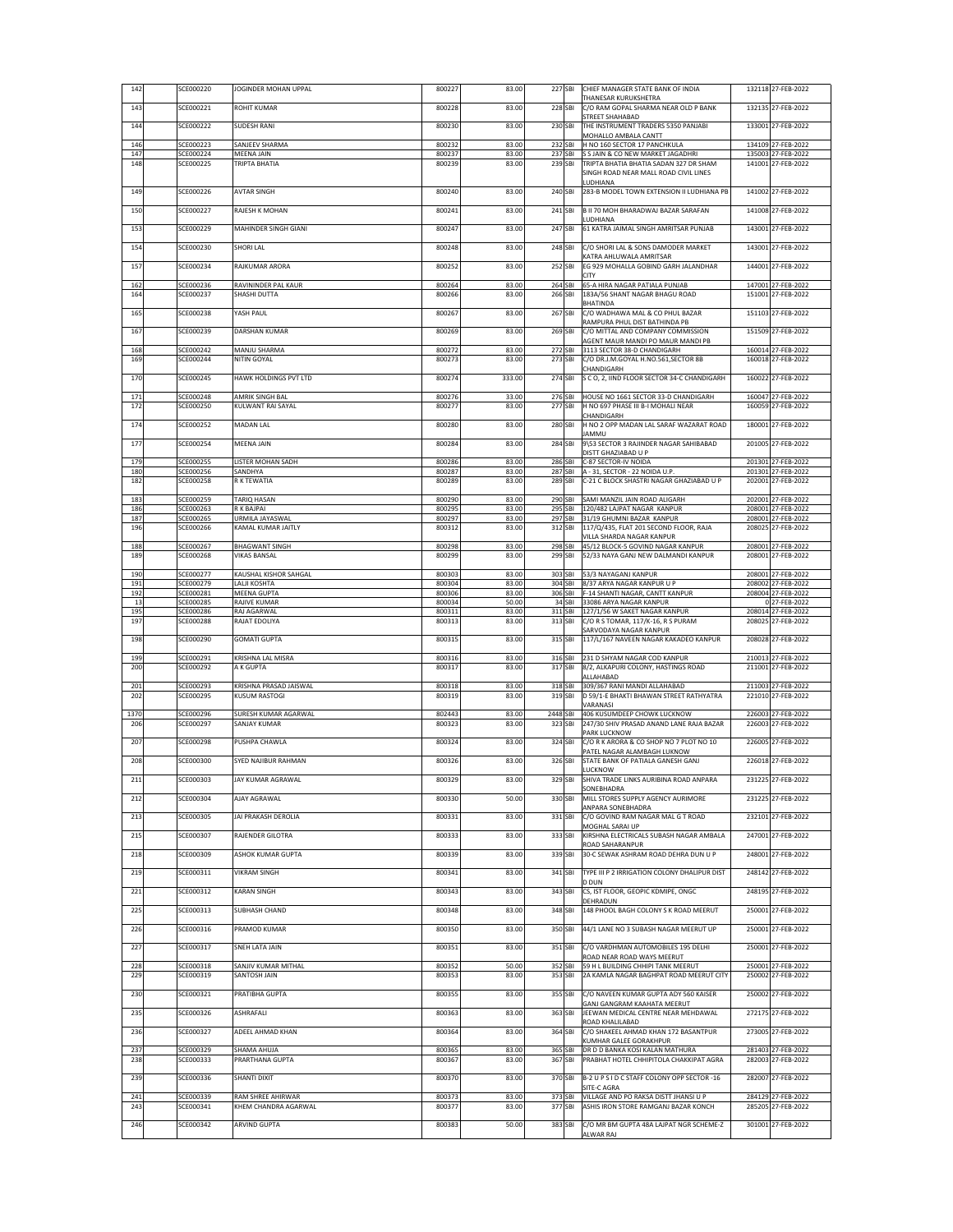|             | SCE000220              | JOGINDER MOHAN UPPAL                    | 800227           | 83.00          | 227 SBI             | CHIEF MANAGER STATE BANK OF INDIA<br>THANESAR KURUKSHETRA                | 132118 27-FEB-2022                       |
|-------------|------------------------|-----------------------------------------|------------------|----------------|---------------------|--------------------------------------------------------------------------|------------------------------------------|
| 143         | SCE000221              | ROHIT KUMAR                             | 800228           | 83.00          | 228 SBI             | C/O RAM GOPAL SHARMA NEAR OLD P BANK                                     | 132135 27-FEB-2022                       |
| 144         | SCE000222              | <b>SUDESH RANI</b>                      | 800230           | 83.00          | 230 SBI             | STREET SHAHABAD<br>THE INSTRUMENT TRADERS 5350 PANJABI                   | 133001 27-FEB-2022                       |
|             |                        |                                         |                  |                |                     | MOHALLO AMBALA CANTT                                                     |                                          |
| 146<br>147  | SCE000223<br>SCE000224 | SANJEEV SHARMA<br><b>MEENA JAIN</b>     | 800232<br>800237 | 83.00<br>83.00 | 232 SBI<br>237 SBI  | H NO 160 SECTOR 17 PANCHKULA<br>S S JAIN & CO NEW MARKET JAGADHRI        | 134109 27-FEB-2022<br>135003 27-FEB-2022 |
| 148         | SCE000225              | TRIPTA BHATIA                           | 800239           | 83.00          | 239 SBI             | TRIPTA BHATIA BHATIA SADAN 327 DR SHAM                                   | 141001 27-FEB-2022                       |
|             |                        |                                         |                  |                |                     | SINGH ROAD NEAR MALL ROAD CIVIL LINES<br>LUDHIANA                        |                                          |
| 149         | SCE000226              | <b>AVTAR SINGH</b>                      | 800240           | 83.00          | 240 SBI             | 283-B MODEL TOWN EXTENSION II LUDHIANA PB                                | 141002 27-FEB-2022                       |
| 150         | SCE000227              | RAJESH K MOHAN                          | 800241           | 83.00          | 241 SBI             | B II 70 MOH BHARADWAJ BAZAR SARAFAN                                      | 141008 27-FEB-2022                       |
| 153         | SCE000229              | MAHINDER SINGH GIANI                    | 800247           | 83.00          | 247 SBI             | LUDHIANA<br>61 KATRA JAIMAL SINGH AMRITSAR PUNJAB                        | 143001 27-FEB-2022                       |
|             |                        |                                         |                  |                |                     |                                                                          |                                          |
| 154         | SCE000230              | SHORI LAL                               | 800248           | 83.00          | 248 SBI             | C/O SHORI LAL & SONS DAMODER MARKET<br>KATRA AHLUWALA AMRITSAR           | 143001 27-FEB-2022                       |
| 157         | SCE000234              | RAJKUMAR ARORA                          | 800252           | 83.00          | 252 SBI             | EG 929 MOHALLA GOBIND GARH JALANDHAR                                     | 144001 27-FEB-2022                       |
| 162         | SCE000236              | RAVININDER PAL KAUR                     | 800264           | 83.00          | 264 SBI             | <b>CITY</b><br>65-A HIRA NAGAR PATIALA PUNJAB                            | 147001 27-FEB-2022                       |
| 164         | SCE000237              | SHASHI DUTTA                            | 800266           | 83.00          | 266 SBI             | 183A/56 SHANT NAGAR BHAGU ROAD                                           | 151001 27-FEB-2022                       |
| 165         | SCE000238              | YASH PAUL                               | 800267           | 83.00          | 267 SBI             | BHATINDA<br>C/O WADHAWA MAL & CO PHUL BAZAR                              | 151103 27-FEB-2022                       |
|             |                        |                                         |                  |                |                     | RAMPURA PHUL DIST BATHINDA PB                                            |                                          |
| 167         | SCE000239              | DARSHAN KUMAR                           | 800269           | 83.00          | 269 SBI             | C/O MITTAL AND COMPANY COMMISSION<br>AGENT MAUR MANDI PO MAUR MANDI PB   | 151509 27-FEB-2022                       |
| 168<br>169  | SCE000242<br>SCE000244 | MANJU SHARMA<br>NITIN GOYAL             | 800272<br>800273 | 83.00<br>83.00 | 272 SBI<br>273 SBI  | 3113 SECTOR 38-D CHANDIGARH<br>C/O DR.J.M.GOYAL H.NO.561,SECTOR 8B       | 160014 27-FEB-2022<br>160018 27-FEB-2022 |
|             |                        |                                         |                  |                |                     | CHANDIGARH                                                               |                                          |
| 170         | SCE000245              | HAWK HOLDINGS PVT LTD                   | 800274           | 333.00         | 274 SBI             | S C O, 2, IIND FLOOR SECTOR 34-C CHANDIGARH                              | 160022 27-FEB-2022                       |
| 171         | SCE000248              | AMRIK SINGH BAL                         | 800276           | 33.00          | 276 SBI             | HOUSE NO 1661 SECTOR 33-D CHANDIGARH                                     | 160047 27-FEB-2022                       |
| 172         | SCE000250              | KULWANT RAI SAYAL                       | 800277           | 83.00          | 277 SBI             | H NO 697 PHASE III B-I MOHALI NEAR<br>CHANDIGARH                         | 160059 27-FEB-2022                       |
| 174         | SCE000252              | MADAN LAL                               | 800280           | 83.00          | 280 SBI             | H NO 2 OPP MADAN LAL SARAF WAZARAT ROAD                                  | 180001 27-FEB-2022                       |
| 177         | SCE000254              | MEENA JAIN                              | 800284           | 83.00          | 284 SBI             | <b>JAMMU</b><br>9\53 SECTOR 3 RAJINDER NAGAR SAHIBABAD                   | 201005 27-FEB-2022                       |
|             |                        |                                         |                  |                |                     | DISTT GHAZIABAD U P                                                      |                                          |
| 179<br>180  | SCE000255<br>SCE000256 | LISTER MOHAN SADH<br>SANDHYA            | 800286<br>800287 | 83.00<br>83.00 | 286 SBI<br>287 SBI  | C-87 SECTOR-IV NOIDA<br>A - 31, SECTOR - 22 NOIDA U.P.                   | 201301 27-FEB-2022<br>201301 27-FEB-2022 |
| 182         | SCE000258              | R K TEWATIA                             | 800289           | 83.00          | 289 SBI             | C-21 C BLOCK SHASTRI NAGAR GHAZIABAD U P                                 | 202001 27-FEB-2022                       |
| 183         | SCE000259              | TARIQ HASAN                             | 800290           | 83.00          | 290 SBI             | SAMI MANZIL JAIN ROAD ALIGARH                                            | 202001 27-FEB-2022                       |
| 186         | SCE000263              | R K BAJPAI                              | 800295           | 83.00          | 295 SBI             | 120/482 LAJPAT NAGAR KANPUR                                              | 208001 27-FEB-2022                       |
| 187<br>196  | SCE000265<br>SCE000266 | URMILA JAYASWAL<br>KAMAL KUMAR JAITLY   | 800297<br>800312 | 83.00<br>83.00 | 297 SBI<br>312 SBI  | 31/19 GHUMNI BAZAR KANPUR<br>117/Q/435, FLAT 201 SECOND FLOOR, RAJA      | 208001 27-FEB-2022<br>208025 27-FEB-2022 |
|             |                        |                                         |                  |                |                     | VILLA SHARDA NAGAR KANPUR                                                |                                          |
| 188<br>189  | SCE000267<br>SCE000268 | <b>BHAGWANT SINGH</b><br>VIKAS BANSAL   | 800298<br>800299 | 83.00<br>83.00 | 298 SBI<br>299 SBI  | 45/12 BLOCK-5 GOVIND NAGAR KANPUR<br>52/33 NAYA GANJ NEW DALMANDI KANPUR | 208001 27-FEB-2022<br>208001 27-FEB-2022 |
|             |                        |                                         |                  |                |                     |                                                                          | 208001 27-FEB-2022                       |
| 190<br>191  | SCE000277<br>SCE000279 | KAUSHAL KISHOR SAHGAL<br>LALJI KOSHTA   | 800303<br>800304 | 83.00<br>83.00 | 303 SBI<br>304 SBI  | 53/3 NAYAGANJ KANPUR<br>8/37 ARYA NAGAR KANPUR U P                       | 208002 27-FEB-2022                       |
| 192<br>13   | SCE000281<br>SCE000285 | MEENA GUPTA<br>RAJIVE KUMAR             | 800306<br>800034 | 83.00<br>50.00 | 306 SBI<br>34 SBI   | F-14 SHANTI NAGAR, CANTT KANPUR<br>33086 ARYA NAGAR KANPUR               | 208004 27-FEB-2022<br>0 27-FEB-2022      |
| 195         | SCE000286              | RAJ AGARWAL                             | 800311           | 83.00          | 311 SBI             | 127/1/56 W SAKET NAGAR KANPUR                                            | 208014 27-FEB-2022                       |
| 197         | SCE000288              | RAJAT EDOLIYA                           | 800313           | 83.00          | 313 SBI             | C/O R S TOMAR, 117/K-16, R S PURAM<br>SARVODAYA NAGAR KANPUR             | 208025 27-FEB-2022                       |
| 198         | SCE000290              | <b>GOMATI GUPTA</b>                     | 800315           | 83.00          | 315 SBI             | 117/L/167 NAVEEN NAGAR KAKADEO KANPUR                                    | 208028 27-FEB-2022                       |
|             |                        |                                         |                  |                |                     |                                                                          |                                          |
|             |                        |                                         |                  |                |                     |                                                                          |                                          |
| 199<br>200  | SCE000291<br>SCE000292 | KRISHNA LAL MISRA<br>A K GUPTA          | 800316<br>800317 | 83.00<br>83.00 | 316 SBI<br>317 SBI  | 231 D SHYAM NAGAR COD KANPUR<br>8/2, ALKAPURI COLONY, HASTINGS ROAD      | 210013 27-FEB-2022<br>211001 27-FEB-2022 |
|             |                        |                                         |                  |                |                     | ALLAHABAD                                                                |                                          |
| 201<br>202  | SCE000293<br>SCE000295 | KRISHNA PRASAD JAISWAL<br>KUSUM RASTOGI | 800318<br>800319 | 83.00<br>83.00 | 318 SBI<br>319 SBI  | 309/367 RANI MANDI ALLAHABAD<br>D 59/1-E BHAKTI BHAWAN STREET RATHYATRA  | 211003 27-FEB-2022<br>221010 27-FEB-2022 |
|             |                        |                                         |                  |                |                     | VARANASI                                                                 |                                          |
| 1370<br>206 | SCE000296<br>SCE000297 | SURESH KUMAR AGARWAL<br>SANJAY KUMAR    | 802443<br>800323 | 83.00<br>83.00 | 2448 SBI<br>323 SBI | 406 KUSUMDEEP CHOWK LUCKNOW<br>247/30 SHIV PRASAD ANAND LANE RAJA BAZAR  | 226003 27-FEB-2022<br>226003 27-FEB-2022 |
| 207         | SCE000298              | PUSHPA CHAWLA                           | 800324           | 83.00          | 324 SBI             | PARK LUCKNOW<br>C/ORKARORA & COSHOP NO 7 PLOT NO 10                      | 226005 27-FEB-2022                       |
|             |                        |                                         |                  |                |                     | PATEL NAGAR ALAMBAGH LUKNOW                                              |                                          |
| 208         | SCE000300              | SYED NAJIBUR RAHMAN                     | 800326           | 83.00          | 326 SBI             | STATE BANK OF PATIALA GANESH GANJ<br>LUCKNOW                             | 226018 27-FEB-2022                       |
| 211         | SCE000303              | <b>JAY KUMAR AGRAWAL</b>                | 800329           | 83.00          | 329 SBI             | SHIVA TRADE LINKS AURIBINA ROAD ANPARA                                   | 231225 27-FEB-2022                       |
| 212         | SCE000304              | AJAY AGRAWAL                            | 800330           | 50.00          | 330 SBI             | SONEBHADRA<br>MILL STORES SUPPLY AGENCY AURIMORE                         | 231225 27-FEB-2022                       |
|             |                        |                                         |                  |                |                     | ANPARA SONEBHADRA                                                        |                                          |
| 213         | SCE000305              | JAI PRAKASH DEROLIA                     | 800331           | 83.00          | 331 SBI             | C/O GOVIND RAM NAGAR MAL G T ROAD<br>MOGHAL SARAI UP                     | 232101 27-FEB-2022                       |
| 215         | SCE000307              | RAJENDER GILOTRA                        | 800333           | 83.00          | 333 SBI             | KIRSHNA ELECTRICALS SUBASH NAGAR AMBALA<br>ROAD SAHARANPUR               | 247001 27-FEB-2022                       |
| 218         | SCE000309              | ASHOK KUMAR GUPTA                       | 800339           | 83.00          | 339 SBI             | 30-C SEWAK ASHRAM ROAD DEHRA DUN U P                                     | 248001 27-FEB-2022                       |
| 219         | SCE000311              | VIKRAM SINGH                            | 800341           | 83.00          | 341 SBI             | TYPE III P 2 IRRIGATION COLONY DHALIPUR DIST                             | 248142 27-FEB-2022                       |
|             |                        |                                         |                  |                |                     | D DUN                                                                    |                                          |
| 221         | SCE000312              | KARAN SINGH                             | 800343           | 83.00          | 343 SBI             | CS, IST FLOOR, GEOPIC KDMIPE, ONGC<br>DEHRADUN                           | 248195 27-FEB-2022                       |
| 225         | SCE000313              | SUBHASH CHAND                           | 800348           | 83.00          | 348 SBI             | 148 PHOOL BAGH COLONY S K ROAD MEERUT                                    | 250001 27-FEB-2022                       |
| 226         | SCE000316              | PRAMOD KUMAR                            | 800350           | 83.00          | 350 SBI             | 44/1 LANE NO 3 SUBASH NAGAR MEERUT UP                                    | 250001 27-FEB-2022                       |
|             |                        |                                         |                  |                |                     |                                                                          |                                          |
| 227         | SCE000317              | SNEH LATA JAIN                          | 800351           | 83.00          | 351 SBI             | C/O VARDHMAN AUTOMOBILES 195 DELHI<br>ROAD NEAR ROAD WAYS MEERUT         | 250001 27-FEB-2022                       |
| 228         | SCE000318              | SANJIV KUMAR MITHAL                     | 800352           | 50.00          | 352 SBI             | 59 H L BUILDING CHHIPI TANK MEERUT                                       | 250001 27-FEB-2022                       |
| 229         | SCE000319              | SANTOSH JAIN                            | 800353           | 83.00          | 353 SBI             | 2A KAMLA NAGAR BAGHPAT ROAD MEERUT CITY                                  | 250002 27-FEB-2022                       |
| 230         | SCE000321              | PRATIBHA GUPTA                          | 800355           | 83.00          | 355 SBI             | C/O NAVEEN KUMAR GUPTA ADY 560 KAISER                                    | 250002 27-FEB-2022                       |
| 235         | SCE000326              | ASHRAFALI                               | 800363           | 83.00          | 363 SBI             | GANJ GANGRAM KAAHATA MEERUT<br>JEEWAN MEDICAL CENTRE NEAR MEHDAWAL       | 272175 27-FEB-2022                       |
|             |                        |                                         |                  |                |                     | ROAD KHALILABAD                                                          |                                          |
| 236         | SCE000327              | ADEEL AHMAD KHAN                        | 800364           | 83.00          | 364 SBI             | C/O SHAKEEL AHMAD KHAN 172 BASANTPUR<br>KUMHAR GALEE GORAKHPUR           | 273005 27-FEB-2022                       |
| 237         | SCE000329              | SHAMA AHUJA                             | 800365           | 83.00          | 365 SBI             | DR D D BANKA KOSI KALAN MATHURA                                          | 281403 27-FEB-2022                       |
| 238         | SCE000333              | PRARTHANA GUPTA                         | 800367           | 83.00          | 367 SBI             | PRABHAT HOTEL CHHIPITOLA CHAKKIPAT AGRA                                  | 282003 27-FEB-2022                       |
| 239         | SCE000336              | SHANTI DIXIT                            | 800370           | 83.00          | 370 SBI             | B-2 U P S I D C STAFF COLONY OPP SECTOR -16<br>SITE-C AGRA               | 282007 27-FEB-2022                       |
| 241         | SCE000339              | RAM SHREE AHIRWAR                       | 800373           | 83.00          | 373 SBI             | VILLAGE AND PO RAKSA DISTT JHANSI U P                                    | 284129 27-FEB-2022                       |
| 243         | SCE000341              | KHEM CHANDRA AGARWAL                    | 800377           | 83.00          | 377 SBI             | ASHIS IRON STORE RAMGANJ BAZAR KONCH                                     | 285205 27-FEB-2022                       |
| 246         | SCE000342              | ARVIND GUPTA                            | 800383           | 50.00          | 383 SBI             | C/O MR BM GUPTA 48A LAJPAT NGR SCHEME-Z<br>ALWAR RAJ                     | 301001 27-FEB-2022                       |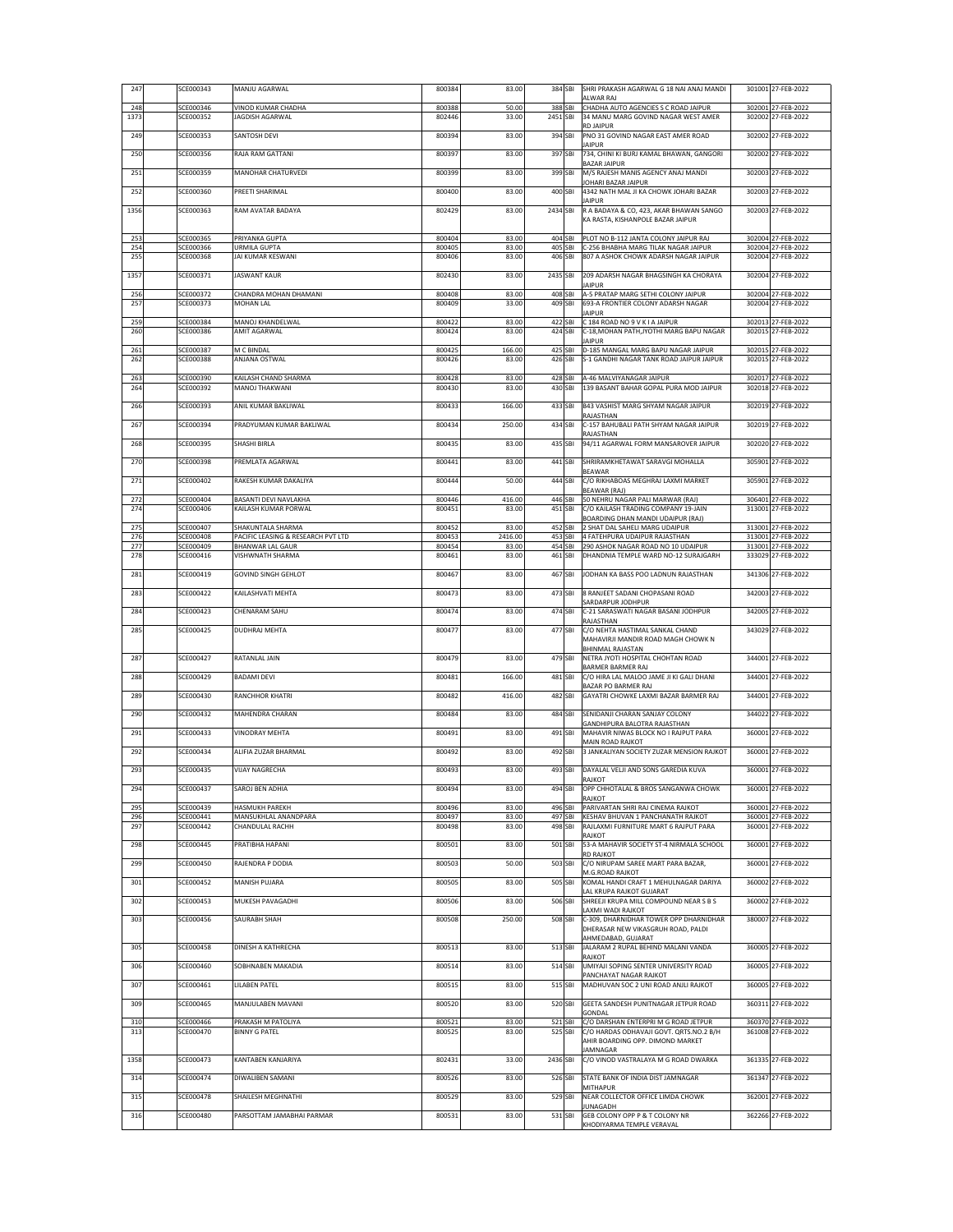| 247         | SCE000343              | MANJU AGARWAL                                          | 800384           | 83.00            | 384 SBI             | SHRI PRAKASH AGARWAL G 18 NAI ANAJ MANDI<br>ALWAR RAJ                         | 301001 27-FEB-2022                       |
|-------------|------------------------|--------------------------------------------------------|------------------|------------------|---------------------|-------------------------------------------------------------------------------|------------------------------------------|
| 248<br>1373 | SCE000346<br>SCE000352 | VINOD KUMAR CHADHA<br>JAGDISH AGARWAL                  | 800388<br>802446 | 50.00<br>33.00   | 388 SBI<br>2451 SBI | CHADHA AUTO AGENCIES S C ROAD JAIPUR<br>34 MANU MARG GOVIND NAGAR WEST AMER   | 302001 27-FEB-2022<br>302002 27-FEB-2022 |
|             | SCE000353              | SANTOSH DEVI                                           |                  |                  | 394 SBI             | <b>RD JAIPUR</b>                                                              | 302002 27-FEB-2022                       |
| 249         |                        |                                                        | 800394           | 83.00            |                     | PNO 31 GOVIND NAGAR EAST AMER ROAD<br><b>JAIPUR</b>                           |                                          |
| 250         | SCE000356              | RAJA RAM GATTANI                                       | 800397           | 83.00            | 397 SBI             | 734, CHINI KI BURJ KAMAL BHAWAN, GANGORI<br><b>BAZAR JAIPUR</b>               | 302002 27-FEB-2022                       |
| 251         | SCE000359              | MANOHAR CHATURVEDI                                     | 800399           | 83.00            | 399 SBI             | M/S RAJESH MANIS AGENCY ANAJ MANDI<br>IOHARI BAZAR JAIPUR                     | 302003 27-FEB-2022                       |
| 252         | SCE000360              | PREETI SHARIMAL                                        | 800400           | 83.00            | 400 SBI             | 4342 NATH MAL JI KA CHOWK JOHARI BAZAR<br><b>IAIPUR</b>                       | 302003 27-FEB-2022                       |
| 1356        | SCE000363              | RAM AVATAR BADAYA                                      | 802429           | 83.00            | 2434 SBI            | R A BADAYA & CO, 423, AKAR BHAWAN SANGO                                       | 302003 27-FEB-2022                       |
|             |                        |                                                        |                  |                  |                     | KA RASTA, KISHANPOLE BAZAR JAIPUR                                             |                                          |
| 253<br>254  | SCE000365<br>SCE000366 | PRIYANKA GUPTA<br>URMILA GUPTA                         | 800404<br>800405 | 83.00<br>83.00   | 404 SBI<br>405 SBI  | PLOT NO B-112 JANTA COLONY JAIPUR RAJ<br>C-256 BHABHA MARG TILAK NAGAR JAIPUR | 302004 27-FEB-2022<br>302004 27-FEB-2022 |
| 255         | SCE000368              | JAI KUMAR KESWANI                                      | 800406           | 83.00            | 406 SBI             | 807 A ASHOK CHOWK ADARSH NAGAR JAIPUR                                         | 302004 27-FEB-2022                       |
| 1357        | SCE000371              | <b>JASWANT KAUR</b>                                    | 802430           | 83.00            | 2435 SBI            | 209 ADARSH NAGAR BHAGSINGH KA CHORAYA<br><b>JAIPUR</b>                        | 302004 27-FEB-2022                       |
| 256         | SCE000372              | CHANDRA MOHAN DHAMANI                                  | 800408           | 83.00            | 408 SBI             | A-5 PRATAP MARG SETHI COLONY JAIPUR                                           | 302004 27-FEB-2022                       |
| 257         | SCE000373              | <b>IA LIANHOM</b>                                      | 800409           | 33.00            | 409 SBI             | 693-A FRONTIER COLONY ADARSH NAGAR<br><b>JAIPUR</b>                           | 302004 27-FEB-2022                       |
| 259<br>260  | SCE000384<br>SCE000386 | MANOJ KHANDELWAL<br><b>AMIT AGARWAL</b>                | 800422<br>800424 | 83.00<br>83.00   | 422 SBI<br>424 SBI  | C 184 ROAD NO 9 V K I A JAIPUR<br>C-18, MOHAN PATH, JYOTHI MARG BAPU NAGAR    | 302013 27-FEB-2022<br>302015 27-FEB-2022 |
| 261         | SCE000387              | M C BINDAL                                             | 800425           | 166.00           | 425 SBI             | <b>IAIPUR</b><br><b>D-185 MANGAL MARG BAPU NAGAR JAIPUR</b>                   | 302015 27-FEB-2022                       |
| 262         | SCE000388              | ANJANA OSTWAL                                          | 800426           | 83.00            | 426 SBI             | S-1 GANDHI NAGAR TANK ROAD JAIPUR JAIPUR                                      | 302015 27-FEB-2022                       |
| 263         | SCE000390              | KAILASH CHAND SHARMA                                   | 800428           | 83.00            | 428 SBI             | A-46 MALVIYANAGAR JAIPUR                                                      | 302017 27-FEB-2022                       |
| 264         | SCE000392              | MANOJ THAKWANI                                         | 800430           | 83.00            | 430 SBI             | 139 BASANT BAHAR GOPAL PURA MOD JAIPUR                                        | 302018 27-FEB-2022                       |
| 266         | SCE000393              | ANIL KUMAR BAKLIWAL                                    | 800433           | 166.00           | 433 SBI             | B43 VASHIST MARG SHYAM NAGAR JAIPUR<br>RAJASTHAN                              | 302019 27-FEB-2022                       |
| 267         | SCE000394              | PRADYUMAN KUMAR BAKLIWAL                               | 800434           | 250.00           | 434 SBI             | C-157 BAHUBALI PATH SHYAM NAGAR JAIPUR<br>RAJASTHAN                           | 302019 27-FEB-2022                       |
| 268         | SCE000395              | SHASHI BIRI A                                          | 800435           | 83.00            | 435 SBI             | 94/11 AGARWAL FORM MANSAROVER JAIPUR                                          | 302020 27-FEB-2022                       |
| 270         | SCE000398              | PREMLATA AGARWAL                                       | 800441           | 83.00            | 441 SBI             | SHRIRAMKHETAWAT SARAVGI MOHALLA                                               | 305901 27-FEB-2022                       |
| 271         | SCE000402              | RAKESH KUMAR DAKALIYA                                  | 800444           | 50.00            | 444 SBI             | BEAWAR<br>C/O RIKHABOAS MEGHRAJ LAXMI MARKET                                  | 305901 27-FEB-2022                       |
| 272         | SCE000404              | BASANTI DEVI NAVLAKHA                                  | 800446           | 416.00           | 446 SBI             | BEAWAR (RAJ)<br>50 NEHRU NAGAR PALI MARWAR (RAJ)                              | 306401 27-FEB-2022                       |
| 274         | SCE000406              | (AILASH KUMAR PORWAL                                   | 800451           | 83.00            | 451 SBI             | C/O KAILASH TRADING COMPANY 19-JAIN                                           | 313001 27-FEB-2022                       |
| 275         | SCE000407              | SHAKUNTALA SHARMA                                      | 800452           | 83.00            | 452 SBI             | BOARDING DHAN MANDI UDAIPUR (RAJ)<br>2 SHAT DAL SAHELI MARG UDAIPUR           | 313001 27-FEB-2022                       |
| 276<br>277  | SCE000408<br>SCE000409 | PACIFIC LEASING & RESEARCH PVT LTD<br>BHANWAR LAL GAUR | 800453<br>800454 | 2416.00<br>83.00 | 453 SBI<br>454 SBI  | 4 FATEHPURA UDAIPUR RAJASTHAN<br>290 ASHOK NAGAR ROAD NO 10 UDAIPUR           | 313001 27-FEB-2022<br>313001 27-FEB-2022 |
| 278         | SCE000416              | VISHWNATH SHARMA                                       | 800461           | 83.00            | 461 SBI             | DHANDNIA TEMPLE WARD NO-12 SURAJGARH                                          | 333029 27-FEB-2022                       |
| 281         | SCE000419              | <b>GOVIND SINGH GEHLOT</b>                             | 800467           | 83.00            | 467 SBI             | JODHAN KA BASS POO LADNUN RAJASTHAN                                           | 341306 27-FEB-2022                       |
| 283         | SCE000422              | KAILASHVATI MEHTA                                      | 800473           | 83.00            | 473 SBI             | 8 RANJEET SADANI CHOPASANI ROAD                                               | 342003 27-FEB-2022                       |
| 284         | SCE000423              | CHENARAM SAHU                                          | 800474           | 83.00            | 474 SBI             | SARDARPUR JODHPUR<br>C-21 SARASWATI NAGAR BASANI JODHPUR                      | 342005 27-FEB-2022                       |
| 285         | SCE000425              | DUDHRAJ MEHTA                                          | 800477           | 83.00            | 477 SBI             | RAJASTHAN<br>C/O NEHTA HASTIMAL SANKAL CHAND                                  | 343029 27-FEB-2022                       |
|             |                        |                                                        |                  |                  |                     | MAHAVIRJI MANDIR ROAD MAGH CHOWK N                                            |                                          |
| 287         | SCE000427              | RATANLAL JAIN                                          | 800479           | 83.00            | 479 SBI             | BHINMAL RAJASTAN<br>NETRA JYOTI HOSPITAL CHOHTAN ROAD                         | 344001 27-FEB-2022                       |
| 288         | SCE000429              | <b>BADAMI DEVI</b>                                     | 800481           | 166.00           | 481 SBI             | BARMER BARMER RAJ<br>C/O HIRA LAL MALOO JAME JI KI GALI DHANI                 | 344001 27-FEB-2022                       |
| 289         | SCE000430              | RANCHHOR KHATRI                                        | 800482           | 416.00           | 482 SBI             | BAZAR PO BARMER RAJ<br>GAYATRI CHOWKE LAXMI BAZAR BARMER RAJ                  | 344001 27-FEB-2022                       |
| 290         | SCE000432              | MAHENDRA CHARAN                                        | 800484           | 83.00            | 484 SBI             | SENIDANJI CHARAN SANJAY COLONY                                                | 344022 27-FEB-2022                       |
|             | SCE000433              |                                                        |                  |                  |                     | GANDHIPURA BALOTRA RAJASTHAN                                                  |                                          |
| 291         |                        | <b>VINODRAY MEHTA</b>                                  | 800491           | 83.00            | 491 SBI             | MAHAVIR NIWAS BLOCK NO I RAJPUT PARA<br><b>MAIN ROAD RAJKOT</b>               | 360001 27-FEB-2022                       |
| 292         | SCE000434              | ALIFIA ZUZAR BHARMAL                                   | 800492           | 83.00            | 492 SBI             | 3 JANKALIYAN SOCIETY ZUZAR MENSION RAJKOT                                     | 360001 27-FEB-2022                       |
| 293         | SCE000435              | <b>VIJAY NAGRECHA</b>                                  | 800493           | 83.00            | 493 SBI             | DAYALAL VELJI AND SONS GAREDIA KUVA<br>RAIKOT                                 | 360001 27-FEB-2022                       |
| 294         | SCE000437              | SAROJ BEN ADHIA                                        | 800494           | 83.00            | 494 SBI             | OPP CHHOTALAL & BROS SANGANWA CHOWK<br>RAJKOT                                 | 360001 27-FEB-2022                       |
| 295         | SCE000439              | HASMUKH PAREKH                                         | 800496           | 83.00            | 496 SBI             | PARIVARTAN SHRI RAJ CINEMA RAJKOT                                             | 360001 27-FEB-2022                       |
| 296<br>297  | SCE000441<br>SCE000442 | MANSUKHLAL ANANDPARA<br>CHANDULAL RACHH                | 800497<br>800498 | 83.00<br>83.00   | 497 SBI<br>498 SBI  | KESHAV BHUVAN 1 PANCHANATH RAJKOT<br>RAJLAXMI FURNITURE MART 6 RAJPUT PARA    | 360001 27-FEB-2022<br>360001 27-FEB-2022 |
| 298         | SCE000445              | PRATIBHA HAPANI                                        | 800501           | 83.00            | 501 SBI             | RAJKOT<br>53-A MAHAVIR SOCIETY ST-4 NIRMALA SCHOOL                            | 360001 27-FEB-2022                       |
| 299         | SCE000450              | RAJENDRA P DODIA                                       | 800503           | 50.00            | 503 SBI             | <b>RD RAJKOT</b><br>C/O NIRUPAM SAREE MART PARA BAZAR,                        | 360001 27-FEB-2022                       |
|             |                        |                                                        |                  |                  |                     | M.G.ROAD RAJKOT                                                               |                                          |
| 301         | SCE000452              | MANISH PUJARA                                          | 800505           | 83.00            | 505 SBI             | KOMAL HANDI CRAFT 1 MEHULNAGAR DARIYA<br>LAL KRUPA RAJKOT GUJARAT             | 360002 27-FEB-2022                       |
| 302         | SCE000453              | MUKESH PAVAGADHI                                       | 800506           | 83.00            | 506 SBI             | SHREEJI KRUPA MILL COMPOUND NEAR S B S<br>LAXMI WADI RAJKOT                   | 360002 27-FEB-2022                       |
| 303         | SCE000456              | SAURABH SHAH                                           | 800508           | 250.00           | 508 SBI             | C-309, DHARNIDHAR TOWER OPP DHARNIDHAR<br>DHERASAR NEW VIKASGRUH ROAD, PALDI  | 380007 27-FEB-2022                       |
| 305         | SCE000458              | DINESH A KATHRECHA                                     | 800513           | 83.00            | 513 SBI             | AHMEDABAD, GUJARAT<br>JALARAM 2 RUPAL BEHIND MALANI VANDA                     | 360005 27-FEB-2022                       |
|             |                        |                                                        |                  |                  |                     | RAJKOT                                                                        |                                          |
| 306         | SCE000460              | SOBHNABEN MAKADIA                                      | 800514           | 83.00            | 514 SBI             | UMIYAJI SOPING SENTER UNIVERSITY ROAD<br>PANCHAYAT NAGAR RAJKOT               | 360005 27-FEB-2022                       |
| 307         | SCE000461              | LILABEN PATEL                                          | 800515           | 83.00            | 515 SBI             | MADHUVAN SOC 2 UNI ROAD ANJLI RAJKOT                                          | 360005 27-FEB-2022                       |
| 309         | SCE000465              | MANJULABEN MAVANI                                      | 800520           | 83.00            | 520 SBI             | GEETA SANDESH PUNITNAGAR JETPUR ROAD<br>GONDAL                                | 360311 27-FEB-2022                       |
| 310         | SCE000466              | PRAKASH M PATOLIYA                                     | 800521           | 83.00            | 521 SBI             | C/O DARSHAN ENTERPRI M G ROAD JETPUR                                          | 360370 27-FEB-2022                       |
| 313         | SCE000470              | BINNY G PATEL                                          | 800525           | 83.00            | 525 SBI             | C/O HARDAS ODHAVAJI GOVT. QRTS.NO.2 B/H<br>AHIR BOARDING OPP. DIMOND MARKET   | 361008 27-FEB-2022                       |
| 1358        | SCE000473              | KANTABEN KANJARIYA                                     | 802431           | 33.00            | 2436 SBI            | JAMNAGAR<br>C/O VINOD VASTRALAYA M G ROAD DWARKA                              | 361335 27-FEB-2022                       |
| 314         | SCE000474              | DIWALIBEN SAMANI                                       | 800526           | 83.00            | 526 SBI             | STATE BANK OF INDIA DIST JAMNAGAR                                             | 361347 27-FEB-2022                       |
|             | SCE000478              | SHAILESH MEGHNATHI                                     |                  |                  | 529 SBI             | MITHAPUR                                                                      | 362001 27-FEB-2022                       |
| 315         |                        |                                                        | 800529           | 83.00            |                     | NEAR COLLECTOR OFFICE LIMDA CHOWK<br><b>IUNAGADH</b>                          |                                          |
| 316         | SCE000480              | PARSOTTAM JAMABHAI PARMAR                              | 800531           | 83.00            | 531 SBI             | GEB COLONY OPP P & T COLONY NR<br>KHODIYARMA TEMPLE VERAVAL                   | 362266 27-FEB-2022                       |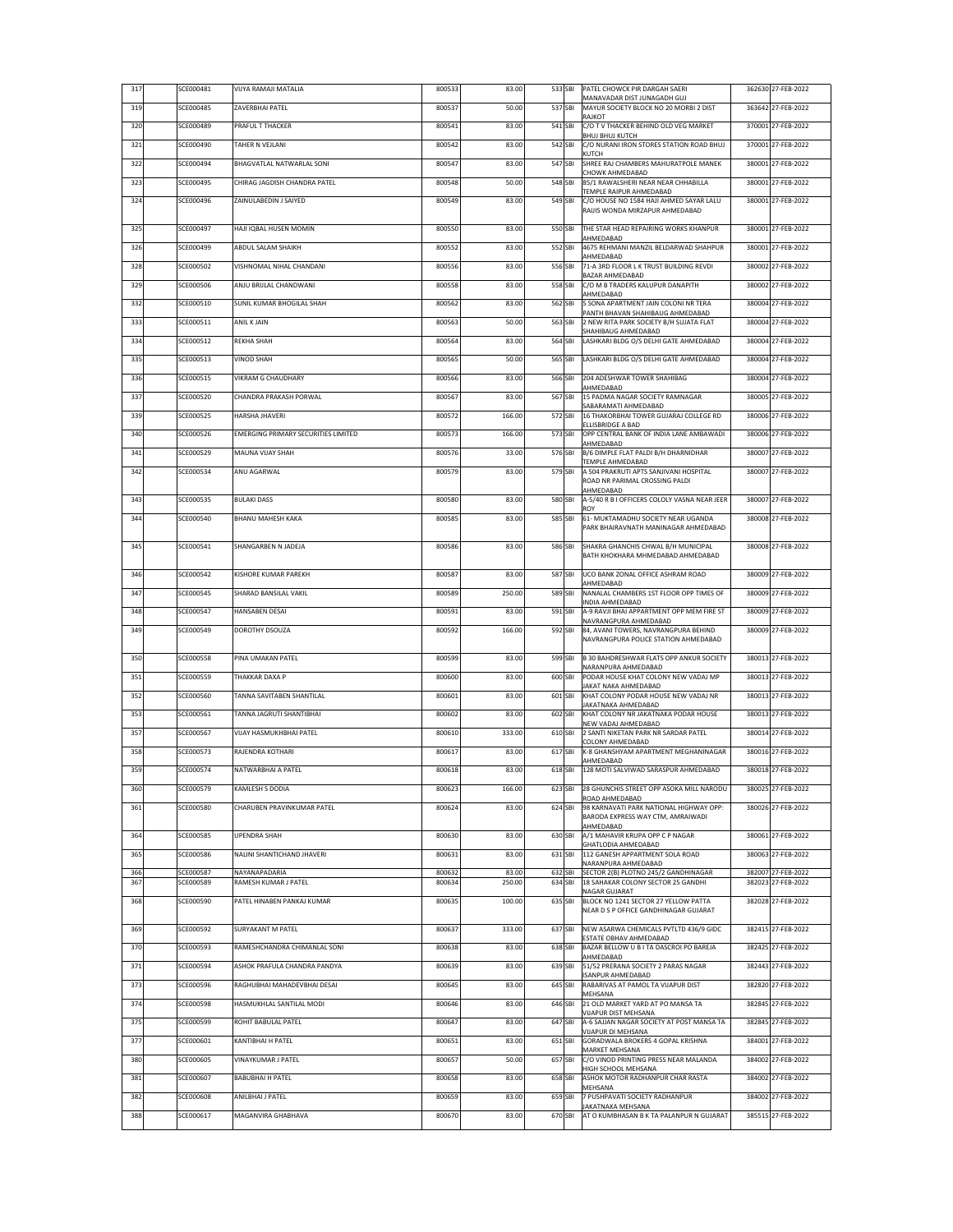| 317 | SCE000481 | VIJYA RAMAJI MATALIA                | 800533 | 83.00  | 533 SBI | PATEL CHOWCK PIR DARGAH SAERI<br>MANAVADAR DIST JUNAGADH GUJ                                          | 362630 27-FEB-2022 |
|-----|-----------|-------------------------------------|--------|--------|---------|-------------------------------------------------------------------------------------------------------|--------------------|
| 319 | SCE000485 | ZAVERBHAI PATEL                     | 800537 | 50.00  | 537 SBI | MAYUR SOCIETY BLOCK NO 20 MORBI 2 DIST<br>RAJKOT                                                      | 363642 27-FEB-2022 |
| 320 | SCE000489 | PRAFUL T THACKER                    | 800541 | 83.00  | 541 SBI | C/O T V THACKER BEHIND OLD VEG MARKET<br><b>BHUJ BHUJ KUTCH</b>                                       | 370001 27-FEB-2022 |
| 321 | SCE000490 | TAHER N VEJLANI                     | 800542 | 83.00  | 542 SBI | C/O NURANI IRON STORES STATION ROAD BHUJ<br>KUTCH                                                     | 370001 27-FEB-2022 |
| 322 | SCE000494 | BHAGVATLAL NATWARLAL SONI           | 800547 | 83.00  | 547 SBI | SHREE RAJ CHAMBERS MAHURATPOLE MANEK                                                                  | 380001 27-FEB-2022 |
| 323 | SCE000495 | CHIRAG JAGDISH CHANDRA PATEL        | 800548 | 50.00  | 548 SBI | CHOWK AHMEDABAD<br>85/1 RAWALSHERI NEAR NEAR CHHABILLA<br>TEMPLE RAIPUR AHMEDABAD                     | 380001 27-FEB-2022 |
| 324 | SCE000496 | ZAINULABEDIN J SAIYED               | 800549 | 83.00  | 549 SBI | C/O HOUSE NO 1584 HAJI AHMED SAYAR LALU<br>RAIJIS WONDA MIRZAPUR AHMEDABAD                            | 380001 27-FEB-2022 |
| 325 | SCE000497 | HAJI IQBAL HUSEN MOMIN              | 800550 | 83.00  | 550 SBI | THE STAR HEAD REPAIRING WORKS KHANPUR                                                                 | 380001 27-FEB-2022 |
| 326 | SCE000499 | <b>ABDUL SALAM SHAIKH</b>           | 800552 | 83.00  | 552 SBI | AHMEDABAD<br>4675 REHMANI MANZIL BELDARWAD SHAHPUR                                                    | 380001 27-FEB-2022 |
| 328 | SCE000502 | VISHNOMAL NIHAL CHANDANI            | 800556 | 83.00  | 556 SBI | AHMEDABAD<br>71-A 3RD FLOOR L K TRUST BUILDING REVDI                                                  | 380002 27-FEB-2022 |
| 329 | SCE000506 | ANJU BRIJLAL CHANDWANI              | 800558 | 83.00  | 558 SBI | BAZAR AHMEDABAD<br>C/O M B TRADERS KALUPUR DANAPITH                                                   | 380002 27-FEB-2022 |
| 332 | SCE000510 | SUNIL KUMAR BHOGILAL SHAH           | 800562 | 83.00  | 562 SBI | AHMEDABAD<br>5 SONA APARTMENT JAIN COLONI NR TERA                                                     | 380004 27-FEB-2022 |
| 333 | SCE000511 | ANIL K JAIN                         | 800563 | 50.00  | 563 SBI | PANTH BHAVAN SHAHIBAUG AHMEDABAD<br>2 NEW RITA PARK SOCIETY B/H SUJATA FLAT                           | 380004 27-FEB-2022 |
| 334 | SCE000512 | REKHA SHAH                          | 800564 | 83.00  | 564 SBI | SHAHIBAUG AHMEDABAD<br>LASHKARI BLDG O/S DELHI GATE AHMEDABAD                                         | 380004 27-FEB-2022 |
| 335 | SCE000513 | <b>VINOD SHAH</b>                   | 800565 | 50.00  | 565 SBI | LASHKARI BLDG O/S DELHI GATE AHMEDABAD                                                                | 380004 27-FEB-2022 |
| 336 | SCE000515 | VIKRAM G CHAUDHARY                  | 800566 | 83.00  | 566 SBI | 204 ADESHWAR TOWER SHAHIBAG                                                                           | 380004 27-FEB-2022 |
| 337 | SCE000520 | CHANDRA PRAKASH PORWAL              | 800567 | 83.00  | 567 SBI | AHMEDABAD<br>15 PADMA NAGAR SOCIETY RAMNAGAR                                                          | 380005 27-FEB-2022 |
| 339 | SCE000525 | HARSHA JHAVERI                      | 800572 | 166.00 | 572 SBI | SABARAMATI AHMEDABAD<br>16 THAKORBHAI TOWER GUJARAJ COLLEGE RD                                        | 380006 27-FEB-2022 |
|     |           |                                     |        |        |         | ELLISBRIDGE A BAD                                                                                     |                    |
| 340 | SCE000526 | EMERGING PRIMARY SECURITIES LIMITED | 800573 | 166.00 | 573 SBI | OPP CENTRAL BANK OF INDIA LANE AMBAWADI<br>AHMEDABAD                                                  | 380006 27-FEB-2022 |
| 341 | SCE000529 | MAUNA VIJAY SHAH                    | 800576 | 33.00  | 576 SBI | B/6 DIMPLE FLAT PALDI B/H DHARNIDHAR<br>TEMPLE AHMEDABAD                                              | 380007 27-FEB-2022 |
| 342 | SCE000534 | ANU AGARWAL                         | 800579 | 83.00  | 579 SBI | A 504 PRAKRUTI APTS SANJIVANI HOSPITAL<br>ROAD NR PARIMAL CROSSING PALDI                              | 380007 27-FEB-2022 |
| 343 | SCE000535 | <b>BULAKI DASS</b>                  | 800580 | 83.00  | 580 SBI | AHMEDABAD<br>A-5/40 R B I OFFICERS COLOLY VASNA NEAR JEER                                             | 380007 27-FEB-2022 |
| 344 | SCE000540 | <b>BHANU MAHESH KAKA</b>            | 800585 | 83.00  | 585 SBI | ROY<br>61- MUKTAMADHU SOCIETY NEAR UGANDA                                                             | 380008 27-FEB-2022 |
|     |           |                                     |        |        |         | PARK BHAIRAVNATH MANINAGAR AHMEDABAD                                                                  |                    |
| 345 | SCE000541 | SHANGARBEN N JADEJA                 | 800586 | 83.00  | 586 SBI | SHAKRA GHANCHIS CHWAL B/H MUNICIPAL<br>BATH KHOKHARA MHMEDABAD AHMEDABAD                              | 380008 27-FEB-2022 |
| 346 | SCE000542 | KISHORE KUMAR PAREKH                | 800587 | 83.00  | 587 SBI | UCO BANK ZONAL OFFICE ASHRAM ROAD<br>AHMEDABAD                                                        | 380009 27-FEB-2022 |
| 347 | SCE000545 | SHARAD BANSILAL VAKIL               | 800589 | 250.00 | 589 SBI | NANALAL CHAMBERS 1ST FLOOR OPP TIMES OF<br>INDIA AHMEDABAD                                            | 380009 27-FEB-2022 |
| 348 | SCE000547 | HANSABEN DESAI                      | 800591 | 83.00  | 591 SBI | A-9 RAVJI BHAI APPARTMENT OPP MEM FIRE ST                                                             | 380009 27-FEB-2022 |
| 349 | SCE000549 | DOROTHY DSOUZA                      | 800592 | 166.00 | 592 SBI | NAVRANGPURA AHMEDABAD<br>84, AVANI TOWERS, NAVRANGPURA BEHIND<br>NAVRANGPURA POLICE STATION AHMEDABAD | 380009 27-FEB-2022 |
| 350 | SCE000558 | PINA UMAKAN PATEL                   | 800599 | 83.00  | 599 SBI | <b>B 30 BAHDRESHWAR FLATS OPP ANKUR SOCIETY</b>                                                       | 380013 27-FEB-2022 |
| 351 | SCE000559 | THAKKAR DAXA P                      | 800600 | 83.00  | 600 SBI | NARANPURA AHMEDABAD<br>PODAR HOUSE KHAT COLONY NEW VADAJ MP                                           | 380013 27-FEB-2022 |
| 352 | SCE000560 | TANNA SAVITABEN SHANTILAL           | 800601 | 83.00  | 601 SBI | JAKAT NAKA AHMEDABAD<br>KHAT COLONY PODAR HOUSE NEW VADAJ NR                                          | 380013 27-FEB-2022 |
| 353 | SCE000561 | TANNA JAGRUTI SHANTIBHAI            | 800602 | 83.00  | 602 SBI | AKATNAKA AHMEDABAD<br>KHAT COLONY NR JAKATNAKA PODAR HOUSE                                            | 380013 27-FEB-2022 |
| 357 | SCE000567 | VIJAY HASMUKHBHAI PATEL             | 800610 | 333.00 | 610 SBI | NEW VADAJ AHMEDABAD<br>2 SANTI NIKETAN PARK NR SARDAR PATEL                                           | 380014 27-FEB-2022 |
| 358 | SCE000573 | RAJENDRA KOTHARI                    | 800617 | 83.00  | 617 SBI | COLONY AHMEDABAD<br>K-8 GHANSHYAM APARTMENT MEGHANINAGAR                                              | 380016 27-FEB-2022 |
| 359 | SCE000574 | NATWARBHAI A PATEL                  | 800618 | 83.00  | 618 SBI | AHMEDABAD<br>128 MOTI SALVIWAD SARASPUR AHMEDABAD                                                     | 380018 27-FEB-2022 |
| 360 | SCE000579 | KAMLESH S DODIA                     | 800623 | 166.00 | 623 SBI | 28 GHUNCHIS STREET OPP ASOKA MILL NARODU                                                              | 380025 27-FEB-2022 |
| 361 | SCE000580 | CHARUBEN PRAVINKUMAR PATEL          | 800624 | 83.00  | 624 SBI | ROAD AHMEDABAD<br>98 KARNAVATI PARK NATIONAL HIGHWAY OPP:                                             | 380026 27-FEB-2022 |
|     |           |                                     |        |        |         | BARODA EXPRESS WAY CTM, AMRAIWADI<br>AHMEDABAD                                                        |                    |
| 364 | SCE000585 | <b>UPENDRA SHAH</b>                 | 800630 | 83.00  | 630 SBI | A/1 MAHAVIR KRUPA OPP C P NAGAR<br>GHATLODIA AHMEDABAD                                                | 380061 27-FEB-2022 |
| 365 | SCE000586 | NALINI SHANTICHAND JHAVERI          | 800631 | 83.00  | 631 SBI | 112 GANESH APPARTMENT SOLA ROAD                                                                       | 380063 27-FEB-2022 |
| 366 | SCE000587 | NAYANAPADARIA                       | 800632 | 83.00  | 632 SBI | NARANPURA AHMEDABAD<br>SECTOR 2(B) PLOTNO 245/2 GANDHINAGAR                                           | 382007 27-FEB-2022 |
| 367 | SCE000589 | RAMESH KUMAR J PATEL                | 800634 | 250.00 | 634 SBI | 18 SAHAKAR COLONY SECTOR 25 GANDHI<br>NAGAR GUJARAT                                                   | 382023 27-FEB-2022 |
| 368 | SCE000590 | PATEL HINABEN PANKAJ KUMAR          | 800635 | 100.00 | 635 SBI | BLOCK NO 1241 SECTOR 27 YELLOW PATTA<br>NEAR D S P OFFICE GANDHINAGAR GUJARAT                         | 382028 27-FEB-2022 |
| 369 | SCE000592 | <b>SURYAKANT M PATEL</b>            | 800637 | 333.00 | 637 SBI | NEW ASARWA CHEMICALS PVTLTD 436/9 GIDC                                                                | 382415 27-FEB-2022 |
| 370 | SCE000593 | RAMESHCHANDRA CHIMANLAL SONI        | 800638 | 83.00  | 638 SBI | ESTATE OBHAV AHMEDABAD<br>BAZAR BELLOW U B I TA DASCROI PO BAREJA                                     | 382425 27-FEB-2022 |
| 371 | SCE000594 | ASHOK PRAFULA CHANDRA PANDYA        | 800639 | 83.00  | 639 SBI | AHMEDABAD<br>51/52 PRERANA SOCIETY 2 PARAS NAGAR                                                      | 382443 27-FEB-2022 |
| 373 | SCE000596 | RAGHUBHAI MAHADEVBHAI DESAI         | 800645 | 83.00  | 645 SBI | <b>ISANPUR AHMEDABAD</b><br>RABARIVAS AT PAMOL TA VIJAPUR DIST                                        | 382820 27-FEB-2022 |
| 374 | SCE000598 | HASMUKHLAL SANTILAL MODI            | 800646 | 83.00  | 646 SBI | MEHSANA<br>21 OLD MARKET YARD AT PO MANSA TA                                                          | 382845 27-FEB-2022 |
| 375 | SCE000599 | ROHIT BABULAL PATEL                 | 800647 | 83.00  | 647 SBI | VIJAPUR DIST MEHSANA<br>A-6 SAJJAN NAGAR SOCIETY AT POST MANSA TA                                     | 382845 27-FEB-2022 |
| 377 | SCE000601 | KANTIBHAI H PATEL                   | 800651 | 83.00  | 651 SBI | VIJAPUR DI MEHSANA<br>GORADWALA BROKERS 4 GOPAL KRISHNA                                               | 384001 27-FEB-2022 |
| 380 | SCE000605 | <b>VINAYKUMAR J PATEL</b>           | 800657 | 50.00  | 657 SBI | MARKET MEHSANA<br>C/O VINOD PRINTING PRESS NEAR MALANDA                                               | 384002 27-FEB-2022 |
| 381 | SCE000607 | BABUBHAI H PATEL                    | 800658 | 83.00  | 658 SBI | HIGH SCHOOL MEHSANA<br>ASHOK MOTOR RADHANPUR CHAR RASTA                                               | 384002 27-FEB-2022 |
|     | SCE000608 | ANILBHAI J PATEL                    |        |        |         | MEHSANA<br>7 PUSHPAVATI SOCIETY RADHANPUR                                                             |                    |
| 382 |           |                                     | 800659 | 83.00  | 659 SBI | <b>JAKATNAKA MEHSANA</b>                                                                              | 384002 27-FEB-2022 |
| 388 | SCE000617 | MAGANVIRA GHABHAVA                  | 800670 | 83.00  | 670 SBI | AT O KUMBHASAN B K TA PALANPUR N GUJARAT                                                              | 385515 27-FEB-2022 |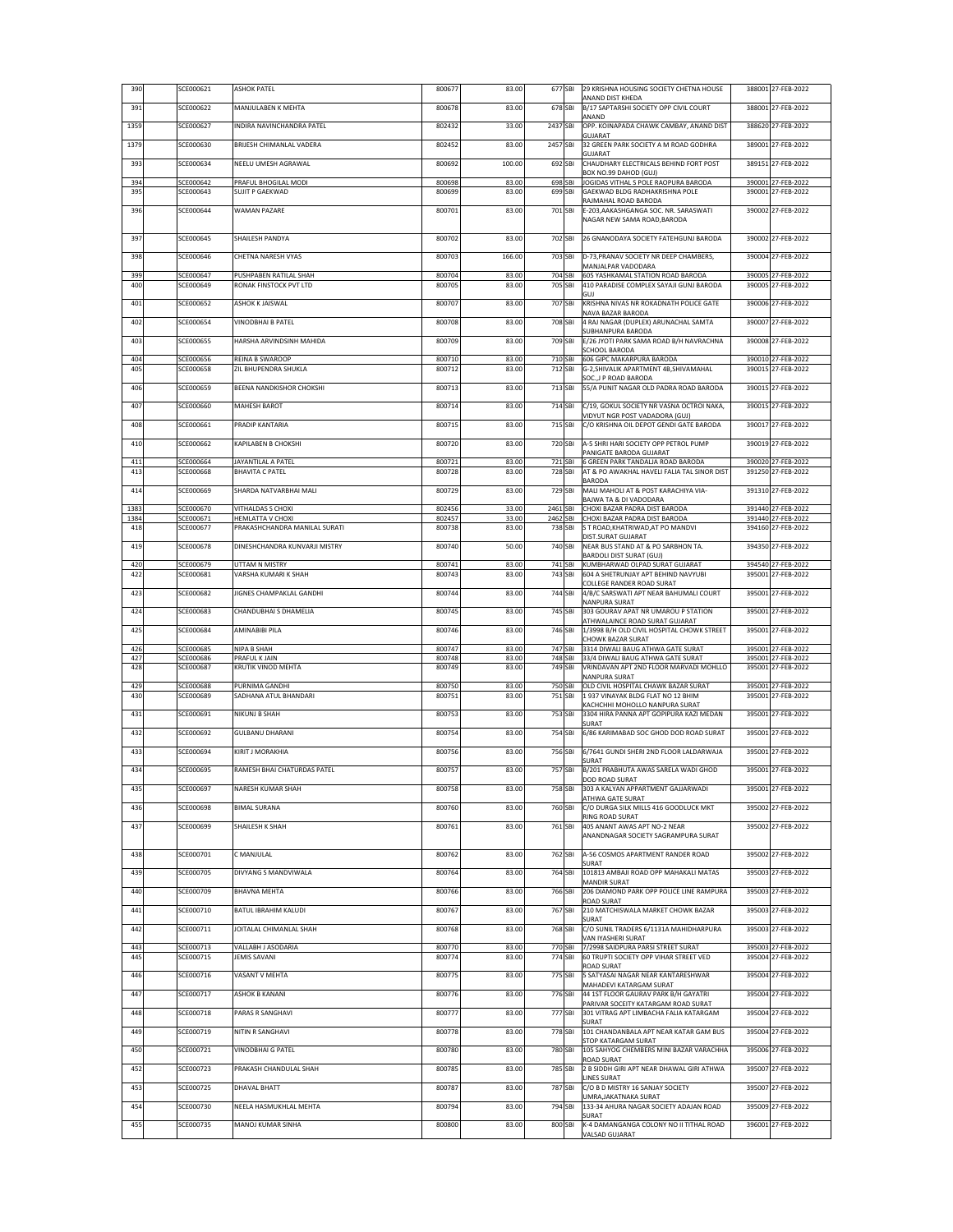| 390          | SCE000621              | <b>ASHOK PATEL</b>                        | 800677           | 83.00          |                      | 677 SBI            | 29 KRISHNA HOUSING SOCIETY CHETNA HOUSE<br>ANAND DIST KHEDA                  | 388001 27-FEB-2022                       |
|--------------|------------------------|-------------------------------------------|------------------|----------------|----------------------|--------------------|------------------------------------------------------------------------------|------------------------------------------|
| 391          | SCE000622              | MANJULABEN K MEHTA                        | 800678           | 83.00          |                      | 678 SBI            | B/17 SAPTARSHI SOCIETY OPP CIVIL COURT<br>ANAND                              | 388001 27-FEB-2022                       |
| 1359         | SCE000627              | INDIRA NAVINCHANDRA PATEL                 | 802432           | 33.00          | 2437 SBI             |                    | OPP, KOINAPADA CHAWK CAMBAY, ANAND DIST                                      | 388620 27-FEB-2022                       |
| 1379         | SCE000630              | BRIJESH CHIMANLAL VADERA                  | 802452           | 83.00          | 2457 SBI             |                    | GUJARAT<br>32 GREEN PARK SOCIETY A M ROAD GODHRA                             | 389001 27-FEB-2022                       |
| 393          | SCE000634              | NEELU UMESH AGRAWAL                       | 800692           | 100.00         |                      | 692 SBI            | GUJARAT<br>CHAUDHARY ELECTRICALS BEHIND FORT POST                            | 389151 27-FEB-2022                       |
| 394          | SCE000642              | PRAFUL BHOGILAL MODI                      | 800698           | 83.00          |                      | 698 SBI            | BOX NO.99 DAHOD (GUJ)<br>JOGIDAS VITHAL S POLE RAOPURA BARODA                | 390001 27-FEB-2022                       |
| 395          | SCE000643              | <b>SUJIT P GAEKWAD</b>                    | 800699           | 83.00          |                      | 699 SBI            | GAEKWAD BLDG RADHAKRISHNA POLE                                               | 390001 27-FEB-2022                       |
| 396          | SCE000644              | <b>WAMAN PAZARE</b>                       | 800701           | 83.00          | 701 SBI              |                    | RAJMAHAL ROAD BARODA<br>E-203, AAKASHGANGA SOC. NR. SARASWATI                | 390002 27-FEB-2022                       |
|              |                        |                                           |                  |                |                      |                    | NAGAR NEW SAMA ROAD, BARODA                                                  |                                          |
| 397          | SCE000645              | SHAILESH PANDYA                           | 800702           | 83.00          | 702 SBI              |                    | 26 GNANODAYA SOCIETY FATEHGUNJ BARODA                                        | 390002 27-FEB-2022                       |
| 398          | SCE000646              | CHETNA NARESH VYAS                        | 800703           | 166.00         |                      | 703 SBI            | D-73.PRANAV SOCIETY NR DEEP CHAMBERS.<br>MANJALPAR VADODARA                  | 390004 27-FEB-2022                       |
| 399          | SCE000647              | PUSHPABEN RATILAL SHAH                    | 800704           | 83.00          |                      | 704 SBI            | 605 YASHKAMAL STATION ROAD BARODA                                            | 390005 27-FEB-2022                       |
| 400          | SCE000649              | RONAK FINSTOCK PVT LTD                    | 800705           | 83.00          |                      | 705 SBI            | 410 PARADISE COMPLEX SAYAJI GUNJ BARODA<br>GUJ                               | 390005 27-FEB-2022                       |
| 401          | SCE000652              | <b>ASHOK K JAISWAL</b>                    | 800707           | 83.00          |                      | 707 SBI            | KRISHNA NIVAS NR ROKADNATH POLICE GATE<br>NAVA BAZAR BARODA                  | 390006 27-FEB-2022                       |
| 402          | SCE000654              | VINODBHAI B PATEL                         | 800708           | 83.00          |                      | 708 SBI            | 4 RAJ NAGAR (DUPLEX) ARUNACHAL SAMTA<br>SUBHANPURA BARODA                    | 390007 27-FEB-2022                       |
| 403          | SCE000655              | HARSHA ARVINDSINH MAHIDA                  | 800709           | 83.00          |                      | 709 SBI            | E/26 JYOTI PARK SAMA ROAD B/H NAVRACHNA<br><b>SCHOOL BARODA</b>              | 390008 27-FEB-2022                       |
| 404<br>405   | SCE000656<br>SCE000658 | REINA B SWAROOP<br>ZIL BHUPENDRA SHUKLA   | 800710<br>800712 | 83.00<br>83.00 | 712 SBI              | 710 SBI            | <b>606 GIPC MAKARPURA BARODA</b><br>G-2, SHIVALIK APARTMENT 4B, SHIVAMAHAL   | 390010 27-FEB-2022<br>390015 27-FEB-2022 |
|              |                        |                                           |                  |                |                      |                    | SOC., J P ROAD BARODA                                                        |                                          |
| 406          | SCE000659              | BEENA NANDKISHOR CHOKSHI                  | 800713           | 83.00          |                      | 713 SBI            | 55/A PUNIT NAGAR OLD PADRA ROAD BARODA                                       | 390015 27-FEB-2022                       |
| 407          | SCE000660              | <b>MAHESH BAROT</b>                       | 800714           | 83.00          | 714 SBI              |                    | C/19, GOKUL SOCIETY NR VASNA OCTROI NAKA,<br>VIDYUT NGR POST VADADORA (GUJ)  | 390015 27-FEB-2022                       |
| 408          | SCE000661              | PRADIP KANTARIA                           | 800715           | 83.00          |                      | 715 SBI            | C/O KRISHNA OIL DEPOT GENDI GATE BARODA                                      | 390017 27-FEB-2022                       |
| 410          | SCE000662              | KAPILABEN B CHOKSHI                       | 800720           | 83.00          |                      | 720 SBI            | A-5 SHRI HARI SOCIETY OPP PETROL PUMP<br>PANIGATE BARODA GUJARAT             | 390019 27-FEB-2022                       |
| 411          | SCE000664              | JAYANTILAL A PATEL                        | 800721           | 83.00          |                      | 721 SBI            | <b>6 GREEN PARK TANDALJA ROAD BARODA</b>                                     | 390020 27-FEB-2022                       |
| 413          | SCE000668              | <b>BHAVITA C PATEL</b>                    | 800728           | 83.00          |                      | 728 SBI            | AT & PO AWAKHAL HAVELI FALIA TAL SINOR DIST<br>BARODA                        | 391250 27-FEB-2022                       |
| 414          | SCE000669              | SHARDA NATVARBHAI MALI                    | 800729           | 83.00          |                      | 729 SBI            | MALI MAHOLI AT & POST KARACHIYA VIA-<br>BAJWA TA & DI VADODARA               | 391310 27-FEB-2022                       |
| 1383<br>1384 | SCE000670<br>SCE000671 | VITHALDAS S CHOXI<br>HEMLATTA V CHOXI     | 802456<br>802457 | 33.00<br>33.00 | 2461 SBI<br>2462 SBI |                    | CHOXI BAZAR PADRA DIST BARODA<br>CHOXI BAZAR PADRA DIST BARODA               | 391440 27-FEB-2022<br>391440 27-FEB-2022 |
| 418          | SCE000677              | PRAKASHCHANDRA MANILAL SURATI             | 800738           | 83.00          |                      | 738 SBI            | S T ROAD, KHATRIWAD, AT PO MANDVI<br>DIST.SURAT GUJARAT                      | 394160 27-FEB-2022                       |
| 419          | SCE000678              | DINESHCHANDRA KUNVARJI MISTRY             | 800740           | 50.00          |                      | 740 SBI            | NEAR BUS STAND AT & PO SARBHON TA.                                           | 394350 27-FEB-2022                       |
| 420          | SCE000679              | UTTAM N MISTRY                            | 800741           | 83.00          |                      | 741 SBI            | <b>BARDOLI DIST SURAT (GUJ)</b><br>KUMBHARWAD OLPAD SURAT GUJARAT            | 394540 27-FEB-2022                       |
| 422          | SCE000681              | VARSHA KUMARI K SHAH                      | 800743           | 83.00          |                      | 743 SBI            | 604 A SHETRUNJAY APT BEHIND NAVYUBI<br>COLLEGE RANDER ROAD SURAT             | 395001 27-FEB-2022                       |
| 423          | SCE000682              | JIGNES CHAMPAKLAL GANDHI                  | 800744           | 83.00          |                      | 744 SBI            | 4/B/C SARSWATI APT NEAR BAHUMALI COURT<br>NANPURA SURAT                      | 395001 27-FEB-2022                       |
| 424          | SCE000683              | CHANDUBHAI S DHAMELIA                     | 800745           | 83.00          |                      | 745 SBI            | 303 GOURAV APAT NR UMAROU P STATION<br>ATHWALAINCE ROAD SURAT GUJARAT        | 395001 27-FEB-2022                       |
| 425          | SCE000684              | AMINABIBI PILA                            | 800746           | 83.00          |                      | 746 SBI            | 1/3998 B/H OLD CIVIL HOSPITAL CHOWK STREET                                   | 395001 27-FEB-2022                       |
| 426          | SCE000685              | NIPA B SHAH                               | 800747           | 83.00          |                      | 747 SBI            | CHOWK BAZAR SURAT<br>3314 DIWALI BAUG ATHWA GATE SURAT                       | 395001 27-FEB-2022                       |
| 427<br>428   | SCE000686<br>SCE000687 | PRAFUL K JAIN<br>KRUTIK VINOD MEHTA       | 800748<br>800749 | 83.00<br>83.00 |                      | 748 SBI<br>749 SBI | 33/4 DIWALI BAUG ATHWA GATE SURAT<br>VRINDAVAN APT 2ND FLOOR MARVADI MOHLLO  | 395001 27-FEB-2022<br>395001 27-FEB-2022 |
| 429          | SCE000688              | <b>URNIMA GANDHI</b>                      | 800750           | 83.00          |                      | 750 SBI            | NANPURA SURAT<br>OLD CIVIL HOSPITAL CHAWK BAZAR SURAT                        | 395001 27-FEB-2022                       |
| 430          | SCE000689              | <b>SADHANA ATUL BHANDARI</b>              | 800751           | 83.00          |                      | 751 SBI            | 1937 VINAYAK BLDG FLAT NO 12 BHIM<br>KACHCHHI MOHOLLO NANPURA SURAT          | 395001 27-FEB-2022                       |
| 431          | SCE000691              | NIKUNJ B SHAH                             | 800753           | 83.00          |                      | 753 SBI            | 3304 HIRA PANNA APT GOPIPURA KAZI MEDAN                                      | 395001 27-FEB-2022                       |
| 432          | SCE000692              | <b>GULBANU DHARANI</b>                    | 800754           | 83.00          |                      | 754 SBI            | SURAT<br>6/86 KARIMABAD SOC GHOD DOD ROAD SURAT                              | 395001 27-FEB-2022                       |
| 433          | SCE000694              | KIRIT J MORAKHIA                          | 800756           | 83.00          | 756 SBI              |                    | 6/7641 GUNDI SHERI 2ND FLOOR LALDARWAJA                                      | 395001 27-FEB-2022                       |
| 434          | SCE000695              | RAMESH BHAI CHATURDAS PATEL               | 800757           | 83.00          |                      | 757 SBI            | SURAT<br>B/201 PRABHUTA AWAS SARELA WADI GHOD                                | 395001 27-FEB-2022                       |
| 435          | SCE000697              | NARESH KUMAR SHAH                         | 800758           | 83.00          | 758 SBI              |                    | DOD ROAD SURAT<br>303 A KALYAN APPARTMENT GAJJARWADI                         | 395001 27-FEB-2022                       |
|              |                        |                                           |                  |                |                      |                    | ATHWA GATE SURAT                                                             |                                          |
| 436          | SCE000698              | <b>BIMAL SURANA</b>                       | 800760           | 83.00          |                      | 760 SBI            | C/O DURGA SILK MILLS 416 GOODLUCK MKT<br>RING ROAD SURAT                     | 395002 27-FEB-2022                       |
| 437          | SCE000699              | SHAILESH K SHAH                           | 800761           | 83.00          |                      | 761 SBI            | 405 ANANT AWAS APT NO-2 NEAR<br>ANANDNAGAR SOCIETY SAGRAMPURA SURAT          | 395002 27-FEB-2022                       |
| 438          | SCE000701              | C MANJULAL                                | 800762           | 83.00          |                      | 762 SBI            | A-56 COSMOS APARTMENT RANDER ROAD                                            | 395002 27-FEB-2022                       |
| 439          | SCE000705              | DIVYANG S MANDVIWALA                      | 800764           | 83.00          |                      | 764 SBI            | SURAT<br>101813 AMBAJI ROAD OPP MAHAKALI MATAS                               | 395003 27-FEB-2022                       |
|              |                        |                                           |                  |                |                      |                    | <b>MANDIR SURAT</b><br>206 DIAMOND PARK OPP POLICE LINE RAMPURA              |                                          |
| 440          | SCE000709              | BHAVNA MEHTA                              | 800766           | 83.00          |                      | 766 SBI            | ROAD SURAT                                                                   | 395003 27-FEB-2022                       |
| 441          | SCE000710              | BATUL IBRAHIM KALUDI                      | 800767           | 83.00          |                      | 767 SBI            | 210 MATCHISWALA MARKET CHOWK BAZAR<br>SURAT                                  | 395003 27-FEB-2022                       |
| 442          | SCE000711              | JOITALAL CHIMANLAL SHAH                   | 800768           | 83.00          |                      | 768 SBI            | C/O SUNIL TRADERS 6/1131A MAHIDHARPURA<br>VAN IYASHERI SURAT                 | 395003 27-FEB-2022                       |
| 443<br>445   | SCE000713<br>SCE000715 | VALLABH J ASODARIA<br><b>JEMIS SAVANI</b> | 800770<br>800774 | 83.00<br>83.00 |                      | 770 SBI<br>774 SBI | 7/2998 SAIDPURA PARSI STREET SURAT<br>60 TRUPTI SOCIETY OPP VIHAR STREET VED | 395003 27-FEB-2022<br>395004 27-FEB-2022 |
|              |                        | VASANT V MEHTA                            |                  |                |                      |                    | ROAD SURAT                                                                   | 395004 27-FEB-2022                       |
| 446          | SCE000716              |                                           | 800775           | 83.00          |                      | 775 SBI            | 5 SATYASAI NAGAR NEAR KANTARESHWAR<br>MAHADEVI KATARGAM SURAT                |                                          |
| 447          | SCE000717              | <b>ASHOK B KANANI</b>                     | 800776           | 83.00          |                      | 776 SBI            | 44 1ST FLOOR GAURAV PARK B/H GAYATRI<br>PARIVAR SOCEITY KATARGAM ROAD SURAT  | 395004 27-FEB-2022                       |
| 448          | SCE000718              | PARAS R SANGHAVI                          | 800777           | 83.00          |                      | 777 SBI            | 301 VITRAG APT LIMBACHA FALIA KATARGAM<br>SURAT                              | 395004 27-FEB-2022                       |
| 449          | SCE000719              | NITIN R SANGHAVI                          | 800778           | 83.00          |                      | 778 SBI            | 101 CHANDANBALA APT NEAR KATAR GAM BUS<br>STOP KATARGAM SURAT                | 395004 27-FEB-2022                       |
| 450          | SCE000721              | <b>VINODBHAI G PATEL</b>                  | 800780           | 83.00          |                      | 780 SBI            | 105 SAHYOG CHEMBERS MINI BAZAR VARACHHA                                      | 395006 27-FEB-2022                       |
| 452          | SCE000723              | PRAKASH CHANDULAL SHAH                    | 800785           | 83.00          |                      | 785 SBI            | ROAD SURAT<br>2 B SIDDH GIRI APT NEAR DHAWAL GIRI ATHWA                      | 395007 27-FEB-2022                       |
| 453          | SCE000725              | <b>DHAVAL BHATT</b>                       | 800787           | 83.00          |                      | 787 SBI            | <b>LINES SURAT</b><br>C/O B D MISTRY 16 SANJAY SOCIETY                       | 395007 27-FEB-2022                       |
| 454          | SCE000730              | NEELA HASMUKHLAL MEHTA                    | 800794           | 83.00          |                      | 794 SBI            | UMRA, JAKATNAKA SURAT<br>133-34 AHURA NAGAR SOCIETY ADAJAN ROAD              | 395009 27-FEB-2022                       |
| 455          | SCE000735              | MANOJ KUMAR SINHA                         | 800800           | 83.00          |                      | 800 SBI            | SURAT<br>K-4 DAMANGANGA COLONY NO II TITHAL ROAD                             | 396001 27-FEB-2022                       |
|              |                        |                                           |                  |                |                      |                    | VALSAD GUJARAT                                                               |                                          |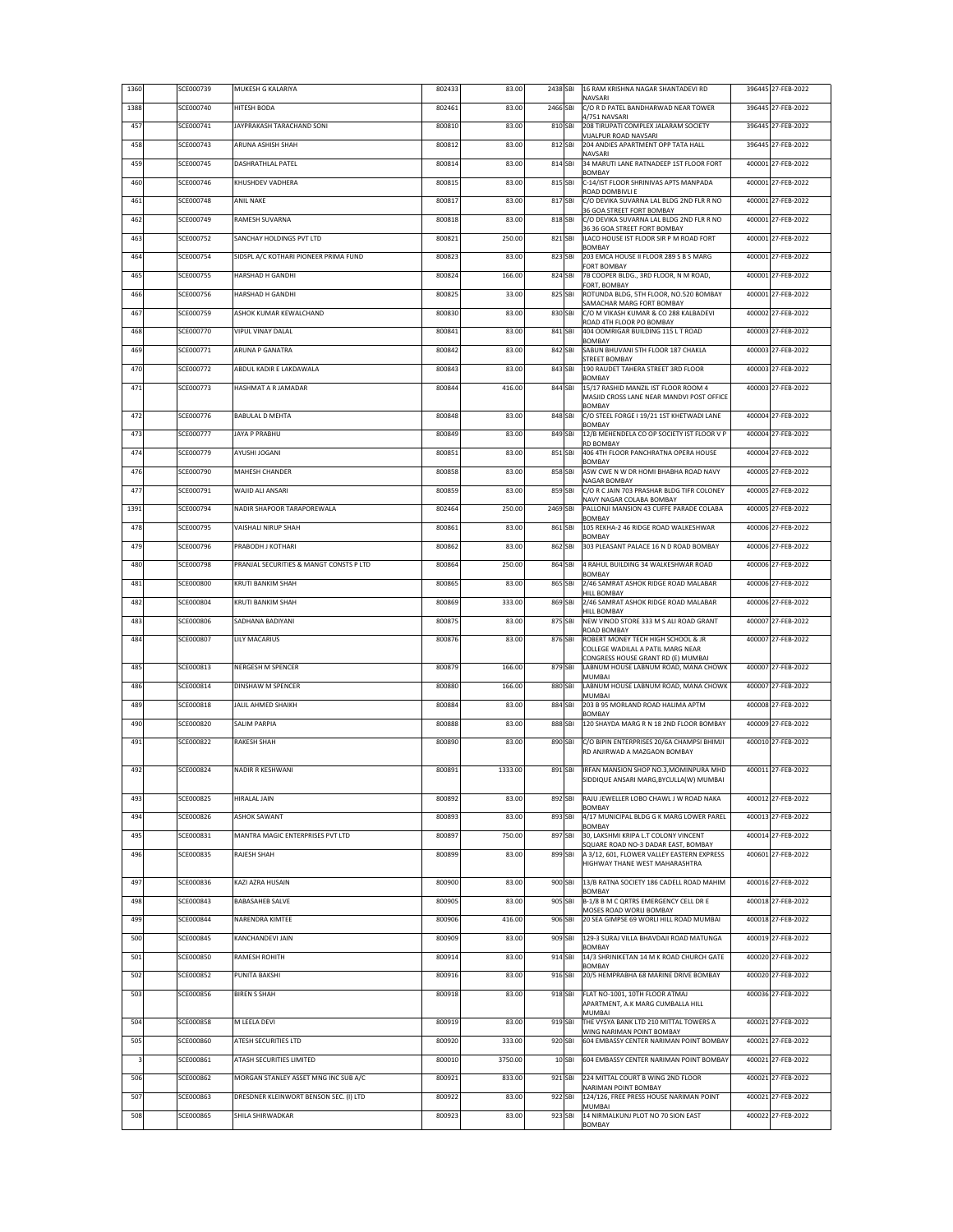| 1360 | SCE000739        | MUKESH G KALARIYA                       | 802433 | 83.00   | 2438 SBI |         | 16 RAM KRISHNA NAGAR SHANTADEVI RD<br>NAVSARI                                     | 396445 27-FEB-2022 |
|------|------------------|-----------------------------------------|--------|---------|----------|---------|-----------------------------------------------------------------------------------|--------------------|
| 1388 | SCE000740        | HITESH BODA                             | 802461 | 83.00   | 2466 SBI |         | C/O R D PATEL BANDHARWAD NEAR TOWER<br>4/751 NAVSARI                              | 396445 27-FEB-2022 |
| 457  | SCE000741        | JAYPRAKASH TARACHAND SONI               | 800810 | 83.00   | 810 SBI  |         | 208 TIRUPATI COMPLEX JALARAM SOCIETY<br>VIJALPUR ROAD NAVSARI                     | 396445 27-FEB-2022 |
| 458  | SCE000743        | ARUNA ASHISH SHAH                       | 800812 | 83.00   | 812 SBI  |         | 204 ANDIES APARTMENT OPP TATA HALL<br><b>NAVSARI</b>                              | 396445 27-FEB-2022 |
| 459  | SCE000745        | DASHRATHLAL PATEL                       | 800814 | 83.00   | 814 SBI  |         | 34 MARUTI LANE RATNADEEP 1ST FLOOR FORT                                           | 400001 27-FEB-2022 |
| 460  | SCE000746        | KHUSHDEV VADHERA                        | 800815 | 83.00   | 815 SBI  |         | BOMBAY<br>C-14/IST FLOOR SHRINIVAS APTS MANPADA                                   | 400001 27-FEB-2022 |
| 461  | SCE000748        | <b>ANIL NAKE</b>                        | 800817 | 83.00   | 817 SBI  |         | ROAD DOMBIVLI E<br>C/O DEVIKA SUVARNA LAL BLDG 2ND FLR R NO                       | 400001 27-FEB-2022 |
| 462  | SCE000749        | RAMESH SUVARNA                          | 800818 | 83.00   | 818 SBI  |         | 36 GOA STREET FORT BOMBAY<br>C/O DEVIKA SUVARNA LAL BLDG 2ND FLR R NO             | 400001 27-FEB-2022 |
| 463  | SCE000752        | SANCHAY HOLDINGS PVT LTD                | 800821 | 250.00  | 821 SBI  |         | 36 36 GOA STREET FORT BOMBAY<br>ILACO HOUSE IST FLOOR SIR P M ROAD FORT           | 400001 27-FEB-2022 |
| 464  | SCE000754        | SIDSPL A/C KOTHARI PIONEER PRIMA FUND   | 800823 | 83.00   | 823 SBI  |         | <b>BOMBAY</b><br>203 EMCA HOUSE II FLOOR 289 S B S MARG                           | 400001 27-FEB-2022 |
| 465  | <b>SCE000755</b> | HARSHAD H GANDHI                        | 800824 | 166.00  | 824 SBI  |         | FORT BOMBAY<br>7B COOPER BLDG., 3RD FLOOR, N M ROAD,                              | 400001 27-FEB-2022 |
| 466  | SCE000756        | HARSHAD H GANDHI                        | 800825 | 33.00   | 825 SBI  |         | FORT, BOMBAY<br>ROTUNDA BLDG, 5TH FLOOR, NO.520 BOMBAY                            | 400001 27-FEB-2022 |
| 467  | SCE000759        | ASHOK KUMAR KEWALCHAND                  | 800830 | 83.00   | 830 SBI  |         | SAMACHAR MARG FORT BOMBAY<br>C/O M VIKASH KUMAR & CO 288 KALBADEVI                | 400002 27-FEB-2022 |
| 468  | SCE000770        | <b>VIPUL VINAY DALAL</b>                | 800841 | 83.00   | 841 SBI  |         | ROAD 4TH FLOOR PO BOMBAY<br>404 OOMRIGAR BUILDING 115 L T ROAD                    | 400003 27-FEB-2022 |
| 469  | SCE000771        | ARUNA P GANATRA                         | 800842 | 83.00   | 842 SBI  |         | <b>BOMBAY</b><br>SABUN BHUVANI 5TH FLOOR 187 CHAKLA                               | 400003 27-FEB-2022 |
| 470  | SCE000772        | ABDUL KADIR E LAKDAWALA                 | 800843 | 83.00   | 843 SBI  |         | STREET BOMBAY<br>190 RAUDET TAHERA STREET 3RD FLOOR                               | 400003 27-FEB-2022 |
| 471  | SCE000773        | HASHMAT A R JAMADAR                     | 800844 | 416.00  | 844 SBI  |         | <b>BOMBAY</b><br>15/17 RASHID MANZIL IST FLOOR ROOM 4                             | 400003 27-FEB-2022 |
|      |                  |                                         |        |         |          |         | MASJID CROSS LANE NEAR MANDVI POST OFFICE<br><b>BOMBAY</b>                        |                    |
| 472  | SCE000776        | <b>BABULAL D MEHTA</b>                  | 800848 | 83.00   |          | 848 SBI | C/O STEEL FORGE I 19/21 1ST KHETWADI LANE                                         | 400004 27-FEB-2022 |
| 473  | SCE000777        | JAYA P PRABHU                           | 800849 | 83.00   | 849 SBI  |         | BOMBAY<br>12/B MEHENDELA CO OP SOCIETY IST FLOOR V P                              | 400004 27-FEB-2022 |
| 474  | SCE000779        | AYUSHI JOGANI                           | 800851 | 83.00   | 851 SBI  |         | <b>RD BOMBAY</b><br>406 4TH FLOOR PANCHRATNA OPERA HOUSE                          | 400004 27-FEB-2022 |
| 476  | SCE000790        | MAHESH CHANDER                          | 800858 | 83.00   | 858 SBI  |         | BOMBAY<br>ASW CWE N W DR HOMI BHABHA ROAD NAVY                                    | 400005 27-FEB-2022 |
| 477  | SCE000791        | WAIID ALLANSARI                         | 800859 | 83.00   | 859 SBI  |         | NAGAR BOMBAY<br>C/O R C JAIN 703 PRASHAR BLDG TIFR COLONEY                        | 400005 27-FEB-2022 |
| 1391 | SCE000794        | NADIR SHAPOOR TARAPOREWALA              | 802464 | 250.00  | 2469 SBI |         | NAVY NAGAR COLABA BOMBAY<br>PALLONJI MANSION 43 CUFFE PARADE COLABA               | 400005 27-FEB-2022 |
| 478  | SCE000795        | VAISHALI NIRUP SHAH                     | 800861 | 83.00   | 861 SBI  |         | <b>BOMBAY</b><br>105 REKHA-2 46 RIDGE ROAD WALKESHWAR                             | 400006 27-FEB-2022 |
| 479  | SCE000796        | PRABODH J KOTHARI                       | 800862 | 83.00   | 862 SBI  |         | BOMBAY<br>303 PLEASANT PALACE 16 N D ROAD BOMBAY                                  | 400006 27-FEB-2022 |
| 480  | SCE000798        | PRANJAL SECURITIES & MANGT CONSTS P LTD | 800864 | 250.00  | 864 SBI  |         | 4 RAHUL BUILDING 34 WALKESHWAR ROAD                                               | 400006 27-FEB-2022 |
| 481  | SCE000800        | KRUTI BANKIM SHAH                       | 800865 | 83.00   | 865 SBI  |         | BOMBAY<br>2/46 SAMRAT ASHOK RIDGE ROAD MALABAR                                    | 400006 27-FEB-2022 |
| 482  | SCE000804        | KRUTI BANKIM SHAH                       | 800869 | 333.00  | 869 SBI  |         | HILL BOMBAY<br>2/46 SAMRAT ASHOK RIDGE ROAD MALABAR                               | 400006 27-FEB-2022 |
| 483  | SCE000806        | SADHANA BADIYANI                        | 800875 | 83.00   | 875 SBI  |         | HILL BOMBAY<br>NEW VINOD STORE 333 M S ALI ROAD GRANT                             | 400007 27-FEB-2022 |
| 484  | SCE000807        | LILY MACARIUS                           | 800876 | 83.00   | 876 SBI  |         | ROAD BOMBAY<br>ROBERT MONEY TECH HIGH SCHOOL & JR                                 | 400007 27-FEB-2022 |
|      |                  |                                         |        |         |          |         | COLLEGE WADILAL A PATIL MARG NEAR<br>CONGRESS HOUSE GRANT RD (E) MUMBAI           |                    |
| 485  | SCE000813        | NERGESH M SPENCER                       | 800879 | 166.00  | 879 SBI  |         | LABNUM HOUSE LABNUM ROAD, MANA CHOWK<br>MUMBAI                                    | 400007 27-FEB-2022 |
| 486  | SCE000814        | DINSHAW M SPENCER                       | 800880 | 166.00  | 880 SBI  |         | LABNUM HOUSE LABNUM ROAD, MANA CHOWK<br>MUMBAI                                    | 400007 27-FEB-2022 |
| 489  | SCE000818        | JALIL AHMED SHAIKH                      | 800884 | 83.00   | 884 SBI  |         | 203 B 95 MORLAND ROAD HALIMA APTM<br><b>BOMBAY</b>                                | 400008 27-FEB-2022 |
| 490  | SCE000820        | SALIM PARPIA                            | 800888 | 83.00   | 888 SBI  |         | 120 SHAYDA MARG R N 18 2ND FLOOR BOMBAY                                           | 400009 27-FEB-2022 |
| 491  | SCE000822        | RAKESH SHAH                             | 800890 | 83.00   | 890 SBI  |         | C/O BIPIN ENTERPRISES 20/6A CHAMPSI BHIMJI<br>RD ANJIRWAD A MAZGAON BOMBAY        | 400010 27-FEB-2022 |
| 492  | SCE000824        | NADIR R KESHWANI                        | 800891 | 1333.00 | 891 SBI  |         | IRFAN MANSION SHOP NO.3, MOMINPURA MHD                                            | 400011 27-FEB-2022 |
|      |                  |                                         |        |         |          |         | SIDDIQUE ANSARI MARG, BYCULLA(W) MUMBAI                                           |                    |
| 493  | SCE000825        | HIRALAL JAIN                            | 800892 | 83.00   | 892 SBI  |         | RAJU JEWELLER LOBO CHAWL J W ROAD NAKA<br><b>BOMBAY</b>                           | 400012 27-FEB-2022 |
| 494  | SCE000826        | <b>ASHOK SAWANT</b>                     | 800893 | 83.00   | 893 SBI  |         | 4/17 MUNICIPAL BLDG G K MARG LOWER PAREL                                          | 400013 27-FEB-2022 |
| 495  | SCE000831        | MANTRA MAGIC ENTERPRISES PVT LTD        | 800897 | 750.00  | 897 SBI  |         | <b>BOMBAY</b><br>30, LAKSHMI KRIPA L.T COLONY VINCENT                             | 400014 27-FEB-2022 |
| 496  | SCE000835        | RAJESH SHAH                             | 800899 | 83.00   | 899 SBI  |         | SQUARE ROAD NO-3 DADAR EAST, BOMBAY<br>A 3/12, 601, FLOWER VALLEY EASTERN EXPRESS | 400601 27-FEB-2022 |
|      |                  |                                         |        |         |          |         | HIGHWAY THANE WEST MAHARASHTRA                                                    |                    |
| 497  | SCE000836        | KAZI AZRA HUSAIN                        | 800900 | 83.00   |          | 900 SBI | 13/B RATNA SOCIETY 186 CADELL ROAD MAHIM<br>BOMBAY                                | 400016 27-FEB-2022 |
| 498  | SCE000843        | <b>BABASAHEB SALVE</b>                  | 800905 | 83.00   | 905 SBI  |         | B-1/8 B M C QRTRS EMERGENCY CELL DR E<br>MOSES ROAD WORLI BOMBAY                  | 400018 27-FEB-2022 |
| 499  | SCE000844        | NARENDRA KIMTEE                         | 800906 | 416.00  | 906 SBI  |         | 20 SEA GIMPSE 69 WORLI HILL ROAD MUMBAI                                           | 400018 27-FEB-2022 |
| 500  | SCE000845        | KANCHANDEVI JAIN                        | 800909 | 83.00   | 909 SBI  |         | 129-3 SURAJ VILLA BHAVDAJI ROAD MATUNGA<br><b>BOMBAY</b>                          | 400019 27-FEB-2022 |
| 501  | SCE000850        | RAMESH ROHITH                           | 800914 | 83.00   | 914 SBI  |         | 14/3 SHRINIKETAN 14 M K ROAD CHURCH GATE<br><b>BOMBAY</b>                         | 400020 27-FEB-2022 |
| 502  | SCE000852        | PUNITA BAKSHI                           | 800916 | 83.00   | 916 SBI  |         | 20/5 HEMPRABHA 68 MARINE DRIVE BOMBAY                                             | 400020 27-FEB-2022 |
| 503  | SCE000856        | <b>BIREN S SHAH</b>                     | 800918 | 83.00   | 918 SBI  |         | FLAT NO-1001, 10TH FLOOR ATMAJ<br>APARTMENT, A.K MARG CUMBALLA HILL               | 400036 27-FEB-2022 |
| 504  | SCE000858        | M LEELA DEVI                            | 800919 | 83.00   | 919 SBI  |         | MUMBAI<br>THE VYSYA BANK LTD 210 MITTAL TOWERS A                                  | 400021 27-FEB-2022 |
| 505  | SCE000860        | ATESH SECURITIES LTD                    | 800920 | 333.00  | 920 SBI  |         | WING NARIMAN POINT BOMBAY<br>604 EMBASSY CENTER NARIMAN POINT BOMBAY              | 400021 27-FEB-2022 |
| 3    | SCE000861        | ATASH SECURITIES LIMITED                | 800010 | 3750.00 |          | 10 SBI  | 604 EMBASSY CENTER NARIMAN POINT BOMBAY                                           | 400021 27-FEB-2022 |
| 506  | SCE000862        | MORGAN STANLEY ASSET MNG INC SUB A/C    | 800921 | 833.00  | 921 SBI  |         | 224 MITTAL COURT B WING 2ND FLOOR                                                 | 400021 27-FEB-2022 |
| 507  | SCE000863        | DRESDNER KLEINWORT BENSON SEC. (I) LTD  | 800922 | 83.00   | 922 SBI  |         | NARIMAN POINT BOMBAY<br>124/126, FREE PRESS HOUSE NARIMAN POINT                   | 400021 27-FEB-2022 |
| 508  | SCE000865        | SHILA SHIRWADKAR                        | 800923 | 83.00   |          | 923 SBI | <b>MUMBAI</b><br>14 NIRMALKUNJ PLOT NO 70 SION EAST                               | 400022 27-FEB-2022 |
|      |                  |                                         |        |         |          |         | BOMBAY                                                                            |                    |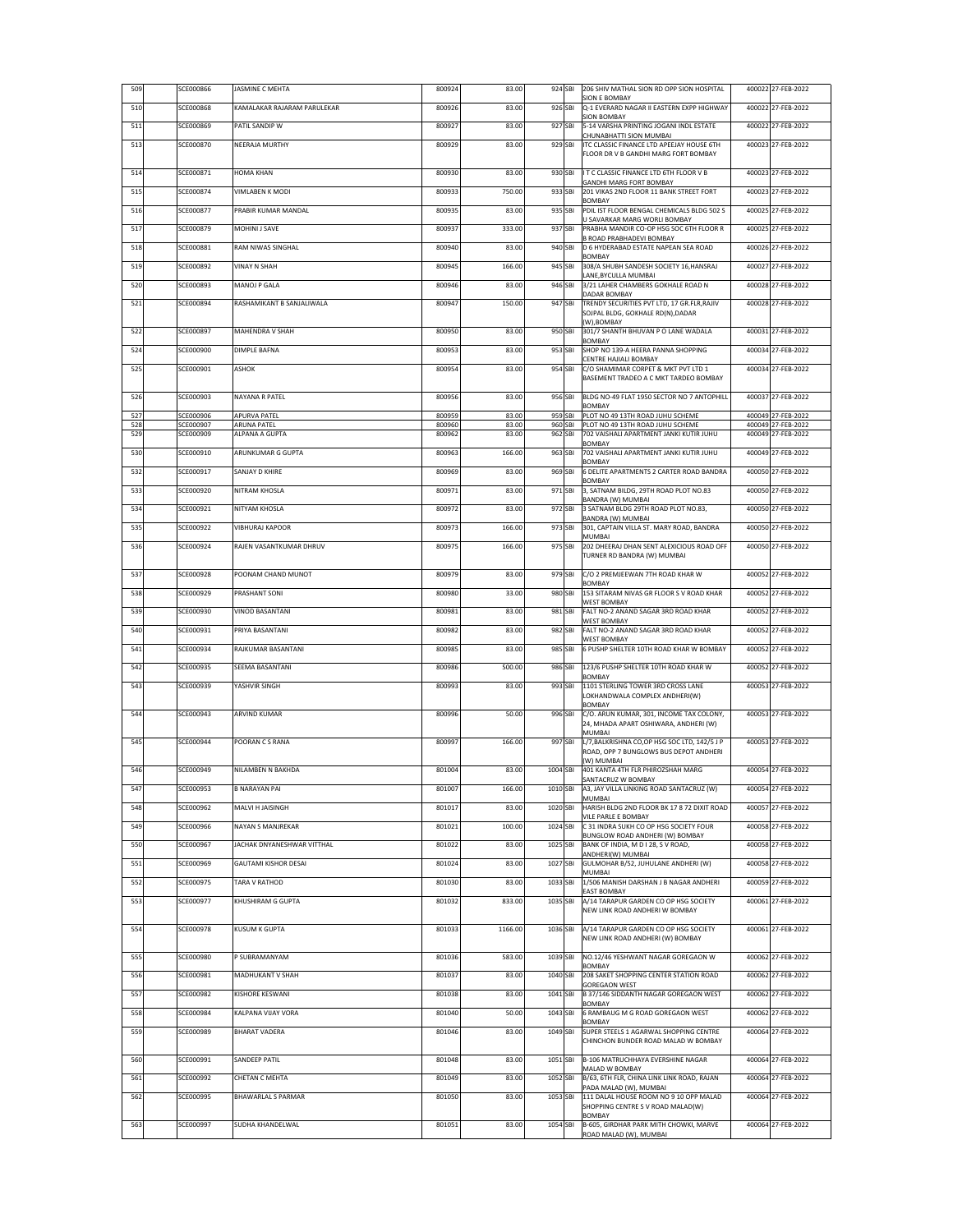| 509        | SCE000866              | JASMINE C MEHTA             | 800924           | 83.00          | 924 SBI            | 206 SHIV MATHAL SION RD OPP SION HOSPITAL<br><b>SION E BOMBAY</b>                     | 400022 27-FEB-2022                       |
|------------|------------------------|-----------------------------|------------------|----------------|--------------------|---------------------------------------------------------------------------------------|------------------------------------------|
| 510        | SCE000868              | KAMALAKAR RAJARAM PARULEKAR | 800926           | 83.00          | 926 SBI            | O-1 EVERARD NAGAR II EASTERN EXPP HIGHWAY                                             | 400022 27-FEB-2022                       |
| 511        | SCE000869              | PATIL SANDIP W              | 800927           | 83.00          | 927 SBI            | <b>SION BOMBAY</b><br>5-14 VARSHA PRINTING JOGANI INDL ESTATE                         | 400022 27-FEB-2022                       |
| 513        | SCE000870              | NEERAJA MURTHY              | 800929           | 83.00          | 929 SBI            | CHUNABHATTI SION MUMBAI<br>ITC CLASSIC FINANCE LTD APEEJAY HOUSE 6TH                  | 400023 27-FEB-2022                       |
|            |                        |                             |                  |                |                    | FLOOR DR V B GANDHI MARG FORT BOMBAY                                                  |                                          |
| 514        | SCE000871              | HOMA KHAN                   | 800930           | 83.00          | 930 SBI            | I T C CLASSIC FINANCE LTD 6TH FLOOR V B<br>GANDHI MARG FORT BOMBAY                    | 400023 27-FEB-2022                       |
| 515        | SCE000874              | <b>VIMLABEN K MODI</b>      | 800933           | 750.00         | 933 SBI            | 201 VIKAS 2ND FLOOR 11 BANK STREET FORT<br>BOMBAY                                     | 400023 27-FEB-2022                       |
| 516        | SCE000877              | PRABIR KUMAR MANDAL         | 800935           | 83.00          | 935 SBI            | PDIL IST FLOOR BENGAL CHEMICALS BLDG 502 S<br>U SAVARKAR MARG WORLI BOMBAY            | 400025 27-FEB-2022                       |
| 517        | SCE000879              | MOHINI J SAVE               | 800937           | 333.00         | 937 SBI            | PRABHA MANDIR CO-OP HSG SOC 6TH FLOOR R                                               | 400025 27-FEB-2022                       |
| 518        | SCE000881              | RAM NIWAS SINGHAL           | 800940           | 83.00          | 940 SBI            | B ROAD PRABHADEVI BOMBAY<br>D 6 HYDERABAD ESTATE NAPEAN SEA ROAD                      | 400026 27-FEB-2022                       |
| 519        | SCE000892              | <b>VINAY N SHAH</b>         | 800945           | 166.00         | 945 SBI            | BOMBAY<br>308/A SHUBH SANDESH SOCIETY 16, HANSRAJ                                     | 400027 27-FEB-2022                       |
| 520        | SCE000893              | MANOJ P GALA                | 800946           | 83.00          | 946 SBI            | LANE, BYCULLA MUMBAI<br>3/21 LAHER CHAMBERS GOKHALE ROAD N                            | 400028 27-FEB-2022                       |
| 521        | SCE000894              | RASHAMIKANT B SANJALIWALA   | 800947           | 150.00         | 947 SBI            | DADAR BOMBAY<br>TRENDY SECURITIES PVT LTD, 17 GR.FLR, RAJIV                           | 400028 27-FEB-2022                       |
|            |                        |                             |                  |                |                    | SOJPAL BLDG, GOKHALE RD(N), DADAR<br>(W),BOMBAY                                       |                                          |
| 522        | SCE000897              | MAHENDRA V SHAH             | 800950           | 83.00          | 950 SBI            | 301/7 SHANTH BHUVAN P O LANE WADALA<br>BOMBAY                                         | 400031 27-FEB-2022                       |
| 524        | SCE000900              | DIMPLE BAFNA                | 800953           | 83.00          | 953 SBI            | SHOP NO 139-A HEERA PANNA SHOPPING<br>CENTRE HAJIALI BOMBAY                           | 400034 27-FEB-2022                       |
| 525        | SCE000901              | ASHOK                       | 800954           | 83.00          | 954 SBI            | C/O SHAMIMAR CORPET & MKT PVT LTD 1                                                   | 400034 27-FEB-2022                       |
|            |                        |                             |                  |                |                    | BASEMENT TRADEO A C MKT TARDEO BOMBAY                                                 |                                          |
| 526        | SCE000903              | NAYANA R PATEL              | 800956           | 83.00          | 956 SBI            | BLDG NO-49 FLAT 1950 SECTOR NO 7 ANTOPHILL<br>BOMBAY                                  | 400037 27-FEB-2022                       |
| 527<br>528 | SCE000906<br>SCE000907 | APURVA PATEL<br>ARUNA PATEL | 800959<br>800960 | 83.00<br>83.00 | 959 SBI<br>960 SBI | PLOT NO 49 13TH ROAD JUHU SCHEME<br>PLOT NO 49 13TH ROAD JUHU SCHEME                  | 400049 27-FEB-2022<br>400049 27-FEB-2022 |
| 529        | SCE000909              | ALPANA A GUPTA              | 800962           | 83.00          | 962 SBI            | 702 VAISHALI APARTMENT JANKI KUTIR JUHU<br>BOMBAY                                     | 400049 27-FEB-2022                       |
| 530        | SCE000910              | ARUNKUMAR G GUPTA           | 800963           | 166.00         | 963 SBI            | 702 VAISHALI APARTMENT JANKI KUTIR JUHU<br>BOMBAY                                     | 400049 27-FEB-2022                       |
| 532        | SCE000917              | SANJAY D KHIRE              | 800969           | 83.00          | 969 SBI            | 6 DELITE APARTMENTS 2 CARTER ROAD BANDRA<br><b>BOMBAY</b>                             | 400050 27-FEB-2022                       |
| 533        | SCE000920              | NITRAM KHOSLA               | 800971           | 83.00          | 971 SBI            | 3, SATNAM BILDG, 29TH ROAD PLOT NO.83<br>BANDRA (W) MUMBAI                            | 400050 27-FEB-2022                       |
| 534        | SCE000921              | NITYAM KHOSLA               | 800972           | 83.00          | 972 SBI            | 3 SATNAM BLDG 29TH ROAD PLOT NO.83,<br>BANDRA (W) MUMBAI                              | 400050 27-FEB-2022                       |
| 535        | SCE000922              | <b>VIBHURAJ KAPOOR</b>      | 800973           | 166.00         | 973 SBI            | 301, CAPTAIN VILLA ST. MARY ROAD, BANDRA<br>MUMBAI                                    | 400050 27-FEB-2022                       |
| 536        | SCE000924              | RAJEN VASANTKUMAR DHRUV     | 800975           | 166.00         | 975 SBI            | 202 DHEERAJ DHAN SENT ALEXICIOUS ROAD OFF<br>TURNER RD BANDRA (W) MUMBAI              | 400050 27-FEB-2022                       |
| 537        | SCE000928              | POONAM CHAND MUNOT          | 800979           | 83.00          | 979 SBI            | C/O 2 PREMJEEWAN 7TH ROAD KHAR W                                                      | 400052 27-FEB-2022                       |
| 538        | SCE000929              | PRASHANT SONI               | 800980           | 33.00          | 980 SBI            | BOMBAY<br>153 SITARAM NIVAS GR FLOOR S V ROAD KHAR                                    | 400052 27-FEB-2022                       |
|            |                        |                             |                  |                |                    | <b>WEST BOMBAY</b>                                                                    |                                          |
| 539        | SCE000930              | <b>VINOD BASANTANI</b>      | 800981           | 83.00          | 981 SBI            | FALT NO-2 ANAND SAGAR 3RD ROAD KHAR<br><b>WEST BOMBAY</b>                             | 400052 27-FEB-2022                       |
| 540        | SCE000931              | PRIYA BASANTANI             | 800982           | 83.00          | 982 SBI            | FALT NO-2 ANAND SAGAR 3RD ROAD KHAR<br><b>WEST BOMBAY</b>                             | 400052 27-FEB-2022                       |
| 541        | SCE000934              | RAJKUMAR BASANTANI          | 800985           | 83.00          | 985 SBI            | 6 PUSHP SHELTER 10TH ROAD KHAR W BOMBAY                                               | 400052 27-FEB-2022                       |
| 542        | SCE000935              | SEEMA BASANTANI             | 800986           | 500.00         | 986 SBI            | 123/6 PUSHP SHELTER 10TH ROAD KHAR W<br><b>BOMBAY</b>                                 | 400052 27-FEB-2022                       |
| 543        | SCE000939              | YASHVIR SINGH               | 800993           | 83.00          | 993 SBI            | 1101 STERLING TOWER 3RD CROSS LANE<br>LOKHANDWALA COMPLEX ANDHERI(W)                  | 400053 27-FEB-2022                       |
| 544        | SCE000943              | <b>ARVIND KUMAR</b>         | 800996           | 50.00          | 996 SBI            | BOMBAY<br>C/O. ARUN KUMAR, 301, INCOME TAX COLONY,                                    | 400053 27-FEB-2022                       |
|            |                        |                             |                  |                |                    | 24, MHADA APART OSHIWARA, ANDHERI (W)<br>MUMBAI                                       |                                          |
| 545        | SCE000944              | POORAN CS RANA              | 800997           | 166.00         | 997 SBI            | L/7.BALKRISHNA CO.OP HSG SOC LTD. 142/5 J P<br>ROAD, OPP 7 BUNGLOWS BUS DEPOT ANDHERI | 400053 27-FEB-2022                       |
| 546        | SCE000949              | NILAMBEN N BAKHDA           | 801004           | 83.00          | 1004 SBI           | (W) MUMBAI<br>401 KANTA 4TH FLR PHIROZSHAH MARG                                       | 400054 27-FEB-2022                       |
|            |                        |                             |                  |                |                    | SANTACRUZ W BOMBAY                                                                    |                                          |
| 547        | SCE000953              | B NARAYAN PAI               | 801007           | 166.00         | 1010 SBI           | A3, JAY VILLA LINKING ROAD SANTACRUZ (W)<br>MUMBAI                                    | 400054 27-FEB-2022                       |
| 548        | SCE000962              | MALVI H JAISINGH            | 801017           | 83.00          | 1020 SBI           | HARISH BLDG 2ND FLOOR BK 17 8 72 DIXIT ROAD<br>VILE PARLE E BOMBAY                    | 400057 27-FEB-2022                       |
| 549        | SCE000966              | NAYAN S MANJREKAR           | 801021           | 100.00         | 1024 SBI           | C 31 INDRA SUKH CO OP HSG SOCIETY FOUR<br>BUNGLOW ROAD ANDHERI (W) BOMBAY             | 400058 27-FEB-2022                       |
| 550        | SCE000967              | JACHAK DNYANESHWAR VITTHAL  | 801022           | 83.00          | 1025 SBI           | BANK OF INDIA. M D I 28. S V ROAD.<br>ANDHERI(W) MUMBAI                               | 400058 27-FEB-2022                       |
| 551        | SCE000969              | GAUTAMI KISHOR DESAI        | 801024           | 83.00          | 1027 SBI           | GULMOHAR B/52, JUHULANE ANDHERI (W)<br>MUMBAI                                         | 400058 27-FEB-2022                       |
| 552        | SCE000975              | TARA V RATHOD               | 801030           | 83.00          | 1033 SBI           | 1/506 MANISH DARSHAN J B NAGAR ANDHERI<br><b>EAST BOMBAY</b>                          | 400059 27-FEB-2022                       |
| 553        | SCE000977              | KHUSHIRAM G GUPTA           | 801032           | 833.00         | 1035 SBI           | A/14 TARAPUR GARDEN CO OP HSG SOCIETY<br>NEW LINK ROAD ANDHERI W BOMBAY               | 400061 27-FEB-2022                       |
| 554        | SCE000978              | KUSUM K GUPTA               | 801033           | 1166.00        | 1036 SBI           | A/14 TARAPUR GARDEN CO OP HSG SOCIETY                                                 | 400061 27-FEB-2022                       |
|            |                        |                             |                  |                |                    | NEW LINK ROAD ANDHERI (W) BOMBAY                                                      |                                          |
| 555        | SCE000980              | P SUBRAMANYAM               | 801036           | 583.00         | 1039 SBI           | NO.12/46 YESHWANT NAGAR GOREGAON W<br><b>BOMBAY</b>                                   | 400062 27-FEB-2022                       |
| 556        | SCE000981              | MADHUKANT V SHAH            | 801037           | 83.00          | 1040 SBI           | 208 SAKET SHOPPING CENTER STATION ROAD<br><b>GOREGAON WEST</b>                        | 400062 27-FEB-2022                       |
| 557        | SCE000982              | KISHORE KESWANI             | 801038           | 83.00          | 1041 SBI           | B 37/146 SIDDANTH NAGAR GOREGAON WEST<br>BOMBAY                                       | 400062 27-FEB-2022                       |
| 558        | SCE000984              | KALPANA VIJAY VORA          | 801040           | 50.00          | 1043 SBI           | 6 RAMBAUG M G ROAD GOREGAON WEST<br>BOMBAY                                            | 400062 27-FEB-2022                       |
| 559        | SCE000989              | <b>BHARAT VADERA</b>        | 801046           | 83.00          | 1049 SBI           | SUPER STEELS 1 AGARWAL SHOPPING CENTRE<br>CHINCHON BUNDER ROAD MALAD W BOMBAY         | 400064 27-FEB-2022                       |
| 560        | SCE000991              | <b>SANDEEP PATIL</b>        | 801048           | 83.00          | 1051 SBI           | B-106 MATRUCHHAYA EVERSHINE NAGAR                                                     | 400064 27-FEB-2022                       |
| 561        | SCE000992              | CHETAN C MEHTA              | 801049           | 83.00          | 1052 SBI           | MALAD W BOMBAY<br>B/63, 6TH FLR, CHINA LINK LINK ROAD, RAJAN                          | 400064 27-FEB-2022                       |
|            |                        |                             |                  |                |                    | PADA MALAD (W), MUMBAI                                                                |                                          |
| 562        | SCE000995              | BHAWARLAL S PARMAR          | 801050           | 83.00          | 1053 SBI           | 111 DALAL HOUSE ROOM NO 9 10 OPP MALAD<br>SHOPPING CENTRE S V ROAD MALAD(W)           | 400064 27-FEB-2022                       |
| 563        | SCE000997              | SUDHA KHANDELWAL            | 801051           | 83.00          | 1054 SBI           | BOMBAY<br>B-605, GIRDHAR PARK MITH CHOWKI, MARVE                                      | 400064 27-FEB-2022                       |
|            |                        |                             |                  |                |                    | ROAD MALAD (W), MUMBAI                                                                |                                          |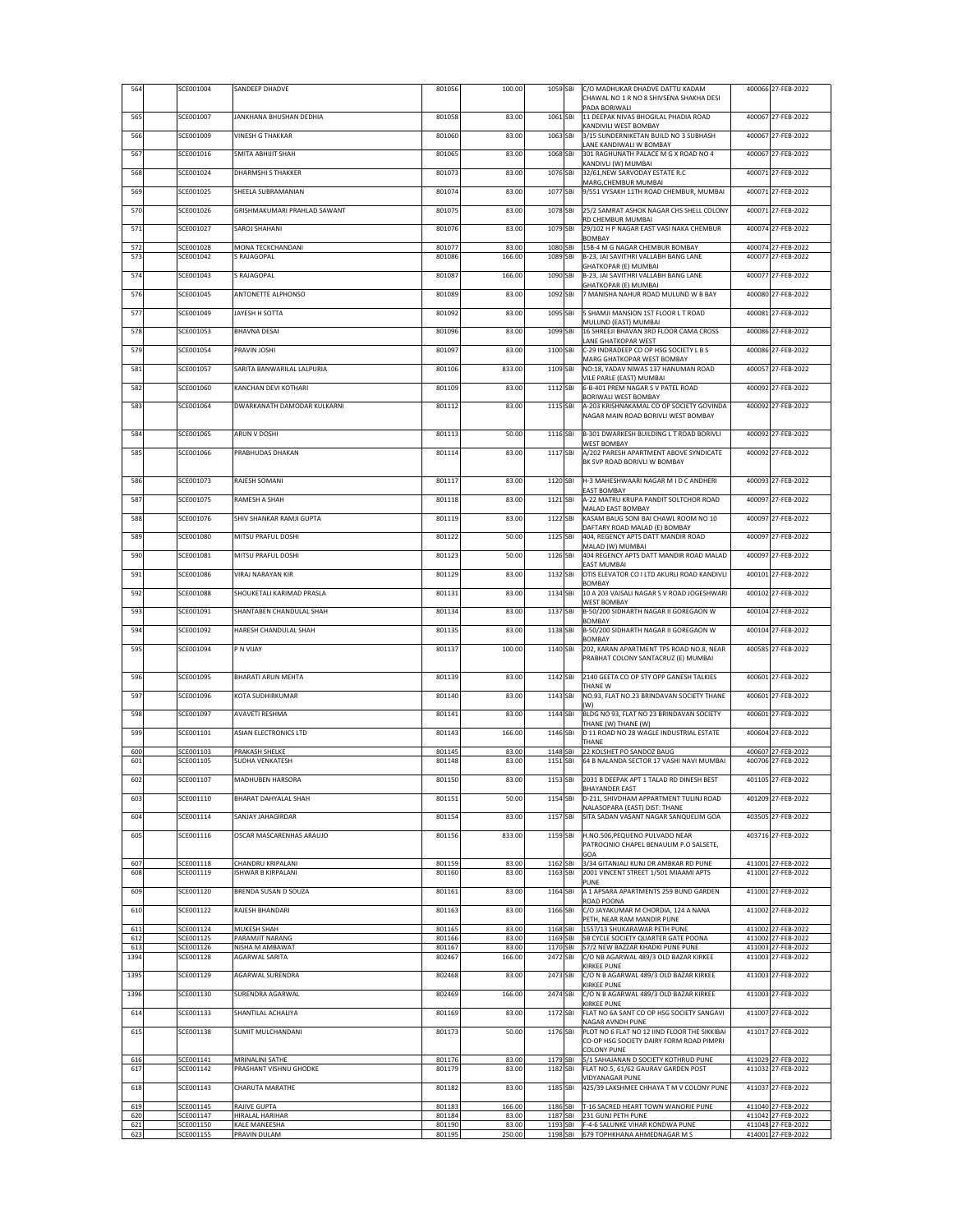| 564        | SCE001004              | SANDEEP DHADVE                            | 801056           | 100.00         | 1059 SBI             | C/O MADHUKAR DHADVE DATTU KADAM<br>CHAWAL NO 1 R NO 8 SHIVSENA SHAKHA DESI      | 400066 27-FEB-2022                       |
|------------|------------------------|-------------------------------------------|------------------|----------------|----------------------|---------------------------------------------------------------------------------|------------------------------------------|
| 565        | SCE001007              | JANKHANA BHUSHAN DEDHIA                   | 801058           | 83.00          | 1061 SBI             | PADA BORIWALI<br>11 DEEPAK NIVAS BHOGILAL PHADIA ROAD                           | 400067 27-FEB-2022                       |
| 566        | SCE001009              | <b>VINESH G THAKKAR</b>                   | 801060           | 83.00          | 1063 SBI             | KANDIVILI WEST BOMBAY<br>3/15 SUNDERNIKETAN BUILD NO 3 SUBHASH                  | 400067 27-FEB-2022                       |
| 567        | SCE001016              | <b>SMITA ABHIJIT SHAH</b>                 | 801065           | 83.00          | 1068 SBI             | LANE KANDIWALI W BOMBAY<br>301 RAGHUNATH PALACE M G X ROAD NO 4                 | 400067 27-FEB-2022                       |
| 568        | SCE001024              | DHARMSHI S THAKKER                        | 801073           | 83.00          | 1076 SBI             | KANDIVLI (W) MUMBAI<br>32/61, NEW SARVODAY ESTATE R.C                           | 400071 27-FEB-2022                       |
| 569        | SCE001025              | SHEELA SUBRAMANIAN                        | 801074           | 83.00          | 1077 SBI             | MARG, CHEMBUR MUMBAI<br>9/551 VYSAKH 11TH ROAD CHEMBUR, MUMBAI                  | 400071 27-FEB-2022                       |
| 570        | SCE001026              | GRISHMAKUMARI PRAHLAD SAWANT              | 801075           | 83.00          | 1078 SBI             | 25/2 SAMRAT ASHOK NAGAR CHS SHELL COLONY                                        | 400071 27-FEB-2022                       |
| 571        | SCE001027              | SAROJ SHAHANI                             | 801076           | 83.00          | 1079 SBI             | RD CHEMBUR MUMBAI<br>29/102 H P NAGAR EAST VASI NAKA CHEMBUR                    | 400074 27-FEB-2022                       |
| 572        | SCE001028              | MONA TECKCHANDANI                         | 801077           | 83.00          | 1080 SBI             | BOMBAY<br>15B-4 M G NAGAR CHEMBUR BOMBAY                                        | 400074 27-FEB-2022                       |
| 573        | SCE001042              | <b>RAJAGOPAL</b>                          | 801086           | 166.00         | 1089 SBI             | B-23, JAI SAVITHRI VALLABH BANG LANE<br>GHATKOPAR (E) MUMBAI                    | 400077 27-FEB-2022                       |
| 574        | SCE001043              | <b>RAJAGOPAL</b>                          | 801087           | 166.00         | 1090 SBI             | B-23, JAI SAVITHRI VALLABH BANG LANE<br>GHATKOPAR (E) MUMBAI                    | 400077 27-FEB-2022                       |
| 576        | SCE001045              | ANTONETTE ALPHONSO                        | 801089           | 83.00          | 1092 SBI             | 7 MANISHA NAHUR ROAD MULUND W B BAY                                             | 400080 27-FEB-2022                       |
| 577        | SCE001049              | JAYESH H SOTTA                            | 801092           | 83.00          | 1095 SBI             | 5 SHAMJI MANSION 1ST FLOOR L T ROAD<br>MULUND (EAST) MUMBAI                     | 400081 27-FEB-2022                       |
| 578        | SCE001053              | <b>BHAVNA DESAI</b>                       | 801096           | 83.00          | 1099 SBI             | 16 SHREEJI BHAVAN 3RD FLOOR CAMA CROSS                                          | 400086 27-FEB-2022                       |
| 579        | SCE001054              | PRAVIN JOSHI                              | 801097           | 83.00          | 1100 SBI             | LANE GHATKOPAR WEST<br>C-29 INDRADEEP CO OP HSG SOCIETY L B S                   | 400086 27-FEB-2022                       |
| 581        | SCE001057              | SARITA BANWARILAL LALPURIA                | 801106           | 833.00         | 1109 SBI             | MARG GHATKOPAR WEST BOMBAY<br>NO:18, YADAV NIWAS 137 HANUMAN ROAD               | 400057 27-FEB-2022                       |
| 582        | SCE001060              | KANCHAN DEVI KOTHARI                      | 801109           | 83.00          | 1112 SBI             | VILE PARLE (EAST) MUMBAI<br>6-B-401 PREM NAGAR S V PATEL ROAD                   | 400092 27-FEB-2022                       |
| 583        | SCE001064              | DWARKANATH DAMODAR KULKARNI               | 801112           | 83.00          | 1115 SBI             | BORIWALI WEST BOMBAY<br>A-203 KRISHNAKAMAL CO OP SOCIETY GOVINDA                | 400092 27-FEB-2022                       |
|            |                        |                                           |                  |                |                      | NAGAR MAIN ROAD BORIVLI WEST BOMBAY                                             |                                          |
| 584        | SCE001065              | ARUN V DOSHI                              | 801113           | 50.00          | 1116 SBI             | B-301 DWARKESH BUILDING L T ROAD BORIVLI<br><b>WEST BOMBAY</b>                  | 400092 27-FEB-2022                       |
| 585        | SCE001066              | PRABHUDAS DHAKAN                          | 801114           | 83.00          | 1117 SBI             | A/202 PARESH APARTMENT ABOVE SYNDICATE<br>BK SVP ROAD BORIVLI W BOMBAY          | 400092 27-FEB-2022                       |
| 586        | SCE001073              | RAJESH SOMANI                             | 801117           | 83.00          | 1120 SBI             | H-3 MAHESHWAARI NAGAR M I D C ANDHERI                                           | 400093 27-FEB-2022                       |
| 587        | SCE001075              | RAMESH A SHAH                             | 801118           | 83.00          | 1121 SBI             | <b>EAST BOMBAY</b><br>A-22 MATRU KRUPA PANDIT SOLTCHOR ROAD                     | 400097 27-FEB-2022                       |
| 588        | SCE001076              | SHIV SHANKAR RAMJI GUPTA                  | 801119           | 83.00          | 1122 SBI             | MALAD EAST BOMBAY<br>KASAM BAUG SONI BAI CHAWL ROOM NO 10                       | 400097 27-FEB-2022                       |
|            |                        |                                           |                  |                |                      | DAFTARY ROAD MALAD (E) BOMBAY                                                   |                                          |
| 589        | SCE001080              | MITSU PRAFUL DOSHI                        | 801122           | 50.00          | 1125 SBI             | 404, REGENCY APTS DATT MANDIR ROAD<br>MALAD (W) MUMBAI                          | 400097 27-FEB-2022                       |
| 590        | SCE001081              | MITSU PRAFUL DOSHI                        | 801123           | 50.00          | 1126 SBI             | 404 REGENCY APTS DATT MANDIR ROAD MALAD<br><b>EAST MUMBAI</b>                   | 400097 27-FEB-2022                       |
| 591        | SCE001086              | VIRAJ NARAYAN KIR                         | 801129           | 83.00          | 1132 SBI             | OTIS ELEVATOR CO I LTD AKURLI ROAD KANDIVLI<br>BOMBAY                           | 400101 27-FEB-2022                       |
| 592        | SCE001088              | SHOUKETALI KARIMAD PRASLA                 | 801131           | 83.00          | 1134 SBI             | 10 A 203 VAISALI NAGAR S V ROAD JOGESHWARI<br><b>WEST BOMBAY</b>                | 400102 27-FEB-2022                       |
| 593        | SCE001091              | SHANTABEN CHANDULAL SHAH                  | 801134           | 83.00          | 1137 SBI             | B-50/200 SIDHARTH NAGAR II GOREGAON W<br>BOMBAY                                 | 400104 27-FEB-2022                       |
| 594        | SCE001092              | HARESH CHANDULAL SHAH                     | 801135           | 83.00          | 1138 SBI             | B-50/200 SIDHARTH NAGAR II GOREGAON W<br>BOMBAY                                 | 400104 27-FEB-2022                       |
| 595        | SCE001094              | P N VIJAY                                 | 801137           | 100.00         | 1140 SBI             | 202, KARAN APARTMENT TPS ROAD NO.8, NEAR<br>PRABHAT COLONY SANTACRUZ (E) MUMBAI | 400585 27-FEB-2022                       |
| 596        | SCE001095              | BHARATI ARUN MEHTA                        | 801139           | 83.00          | 1142 SBI             | 2140 GEETA CO OP STY OPP GANESH TALKIES                                         | 400601 27-FEB-2022                       |
| 597        | SCE001096              | KOTA SUDHIRKUMAR                          | 801140           | 83.00          | 1143 SBI             | THANE W<br>NO.93, FLAT NO.23 BRINDAVAN SOCIETY THANE                            | 400601 27-FEB-2022                       |
| 598        | SCE001097              | <b>AVAVETI RESHMA</b>                     | 801141           | 83.00          | 1144 SBI             | (W)<br>BLDG NO 93, FLAT NO 23 BRINDAVAN SOCIETY                                 | 400601 27-FEB-2022                       |
| 599        | SCE001101              | ASIAN ELECTRONICS LTD                     | 801143           | 166.00         | 1146 SBI             | THANE (W) THANE (W)<br>D 11 ROAD NO 28 WAGLE INDUSTRIAL ESTATE                  | 400604 27-FEB-2022                       |
|            | SCE001103              | PRAKASH SHELKE                            | 801145           | 83.00          | 1148 SBI             | THANE<br>22 KOLSHET PO SANDOZ BAUG                                              | 400607 27-FEB-2022                       |
| 600<br>601 | SCE001105              | SUDHA VENKATESH                           | 801148           | 83.00          | 1151 SBI             | 64 B NALANDA SECTOR 17 VASHI NAVI MUMBAI                                        | 400706 27-FEB-2022                       |
| 602        | SCE001107              | MADHUBEN HARSORA                          | 801150           | 83.00          |                      | 1153 SBI 2031 B DEEPAK APT 1 TALAD RD DINESH BEST                               | 401105 27-FEB-2022                       |
| 603        | SCE001110              | BHARAT DAHYALAL SHAH                      | 801151           | 50.00          | 1154 SBI             | <b>BHAYANDER EAST</b><br>D-211, SHIVDHAM APPARTMENT TULINJ ROAD                 | 401209 27-FEB-2022                       |
| 604        | SCE001114              | SANJAY JAHAGIRDAR                         | 801154           | 83.00          | 1157 SBI             | NALASOPARA (EAST) DIST: THANE<br>SITA SADAN VASANT NAGAR SANQUELIM GOA          | 403505 27-FEB-2022                       |
| 605        | SCE001116              | OSCAR MASCARENHAS ARAUJO                  | 801156           | 833.00         | 1159 SBI             | H.NO.506, PEQUENO PULVADO NEAR                                                  | 403716 27-FEB-2022                       |
|            |                        |                                           |                  |                |                      | PATROCINIO CHAPEL BENAULIM P.O SALSETE,<br>GOA                                  |                                          |
| 607<br>608 | SCE001118<br>SCE001119 | CHANDRU KRIPALANI<br>SHWAR B KIRPALANI    | 801159<br>801160 | 83.00<br>83.00 | 1162 SBI<br>1163 SBI | 3/34 GITANJALI KUNJ DR AMBKAR RD PUNE<br>2001 VINCENT STREET 1/501 MIAAMI APTS  | 411001 27-FEB-2022<br>411001 27-FEB-2022 |
| 609        | SCE001120              | BRENDA SUSAN D SOUZA                      | 801161           | 83.00          | 1164 SBI             | PUNE<br>A 1 APSARA APARTMENTS 259 BUND GARDEN                                   | 411001 27-FEB-2022                       |
| 610        | SCE001122              | RAJESH BHANDARI                           | 801163           | 83.00          | 1166 SBI             | ROAD POONA<br>C/O JAYAKUMAR M CHORDIA, 124 A NANA                               | 411002 27-FEB-2022                       |
| 611        | SCE001124              | MUKESH SHAH                               | 801165           | 83.00          | 1168 SBI             | PETH, NEAR RAM MANDIR PUNE<br>1557/13 SHUKARAWAR PETH PUNE                      | 411002 27-FEB-2022                       |
| 612<br>613 | SCE001125<br>SCE001126 | PARAMJIT NARANG<br>NISHA M AMBAWAT        | 801166<br>801167 | 83.00<br>83.00 | 1169 SBI<br>1170 SBI | 5B CYCLE SOCIETY QUARTER GATE POONA<br>57/2 NEW BAZZAR KHADKI PUNE PUNE         | 411002 27-FEB-2022<br>411003 27-FEB-2022 |
| 1394       | SCE001128              | <b>AGARWAL SARITA</b>                     | 802467           | 166.00         | 2472 SBI             | C/O NB AGARWAL 489/3 OLD BAZAR KIRKEE<br>KIRKEE PUNE                            | 411003 27-FEB-2022                       |
| 1395       | SCE001129              | AGARWAL SURENDRA                          | 802468           | 83.00          | 2473 SBI             | C/O N B AGARWAL 489/3 OLD BAZAR KIRKEE                                          | 411003 27-FEB-2022                       |
| 1396       | SCE001130              | SURENDRA AGARWAL                          | 802469           | 166.00         | 2474 SBI             | KIRKEE PUNE<br>C/O N B AGARWAL 489/3 OLD BAZAR KIRKEE                           | 411003 27-FEB-2022                       |
| 614        | SCE001133              | SHANTILAL ACHALIYA                        | 801169           | 83.00          | 1172 SBI             | KIRKEE PUNE<br>FLAT NO 6A SANT CO OP HSG SOCIETY SANGAVI                        | 411007 27-FEB-2022                       |
| 615        | SCE001138              | SUMIT MULCHANDANI                         | 801173           | 50.00          | 1176 SBI             | NAGAR AVNDH PUNE<br>PLOT NO 6 FLAT NO 12 IIND FLOOR THE SIKKIBAI                | 411017 27-FEB-2022                       |
|            |                        |                                           |                  |                |                      | CO-OP HSG SOCIETY DAIRY FORM ROAD PIMPRI<br>COLONY PUNE                         |                                          |
| 616<br>617 | SCE001141<br>SCE001142 | MRINALINI SATHE<br>PRASHANT VISHNU GHODKE | 801176<br>801179 | 83.00<br>83.00 | 1179 SBI<br>1182 SBI | 5/1 SAHAJANAN D SOCIETY KOTHRUD PUNE<br>FLAT NO.5, 61/62 GAURAV GARDEN POST     | 411029 27-FEB-2022<br>411032 27-FEB-2022 |
| 618        | SCE001143              | CHARUTA MARATHE                           | 801182           | 83.00          | 1185 SBI             | <b>VIDYANAGAR PUNE</b><br>425/39 LAKSHMEE CHHAYA T M V COLONY PUNE              | 411037 27-FEB-2022                       |
| 619        | SCE001145              | RAJIVE GUPTA                              | 801183           | 166.00         | 1186 SBI             | T-16 SACRED HEART TOWN WANORIE PUNE                                             | 411040 27-FEB-2022                       |
| 620<br>621 | SCE001147<br>SCE001150 | HIRALAL HARIHAR<br>KALE MANEESHA          | 801184<br>801190 | 83.00<br>83.00 | 1187 SBI             | 231 GUNJ PETH PUNE<br>1193 SBI F-4-6 SALUNKE VIHAR KONDWA PUNE                  | 411042 27-FEB-2022<br>411048 27-FEB-2022 |
| 623        | SCE001155              | PRAVIN DULAM                              | 801195           | 250.00         |                      | 1198 SBI 679 TOPHKHANA AHMEDNAGAR M S                                           | 414001 27-FEB-2022                       |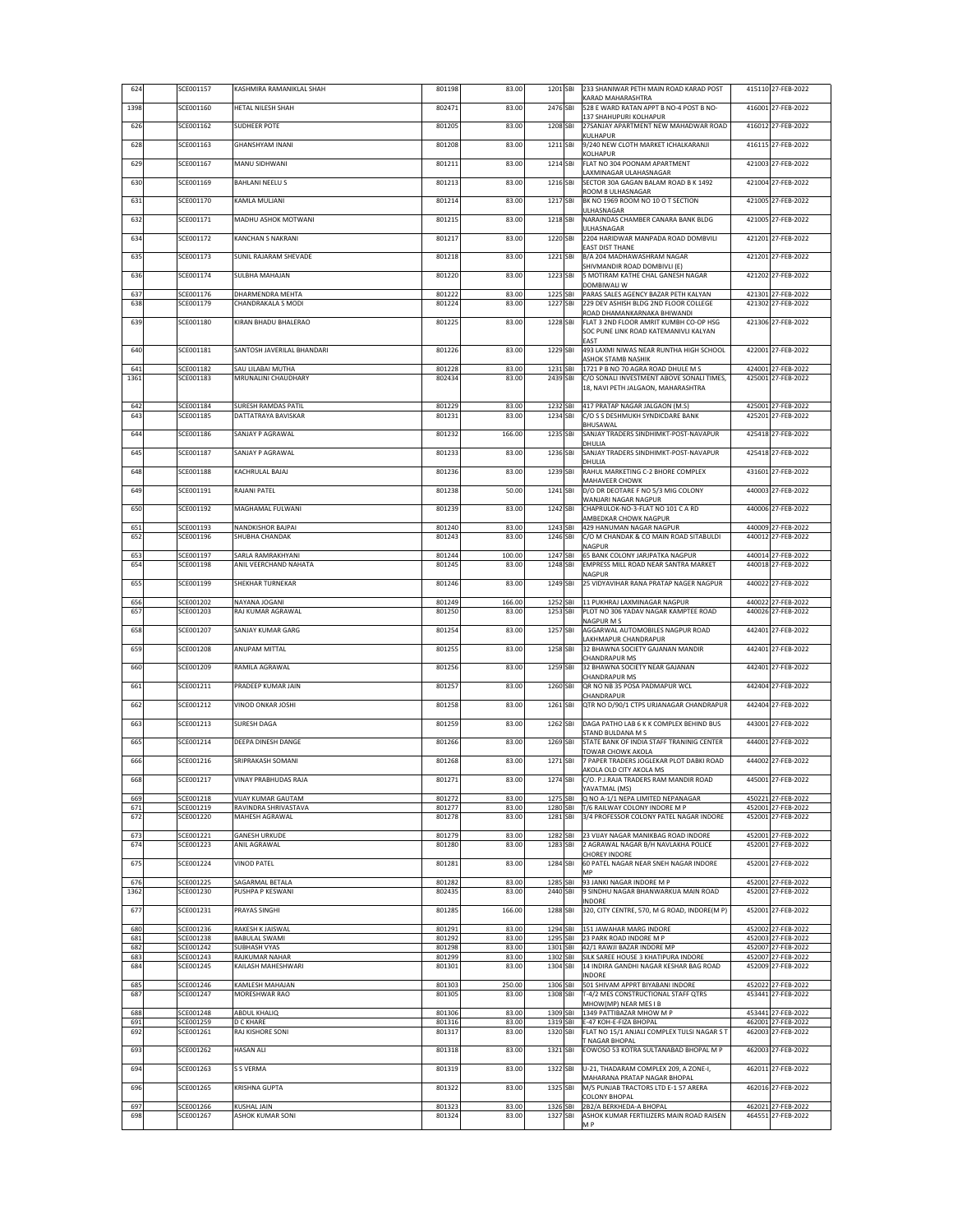| 624         | SCE001157              | KASHMIRA RAMANIKLAL SHAH                          | 801198           | 83.00           | 1201 SBI             | 233 SHANIWAR PETH MAIN ROAD KARAD POST<br>KARAD MAHARASHTRA                     | 415110 27-FEB-2022                       |
|-------------|------------------------|---------------------------------------------------|------------------|-----------------|----------------------|---------------------------------------------------------------------------------|------------------------------------------|
| 1398        | SCE001160              | HETAL NILESH SHAH                                 | 802471           | 83.00           | 2476 SBI             | 528 E WARD RATAN APPT B NO-4 POST B NO-<br>137 SHAHUPURI KOLHAPUR               | 416001 27-FEB-2022                       |
| 626         | SCE001162              | SUDHEER POTE                                      | 801205           | 83.00           | 1208 SBI             | 27SANJAY APARTMENT NEW MAHADWAR ROAD                                            | 416012 27-FEB-2022                       |
| 628         | SCE001163              | GHANSHYAM INANI                                   | 801208           | 83.00           | 1211 SBI             | KULHAPUR<br>9/240 NEW CLOTH MARKET ICHALKARANJI                                 | 416115 27-FEB-2022                       |
| 629         | SCE001167              | MANU SIDHWANI                                     | 801211           | 83.00           | 1214 SBI             | KOLHAPUR<br>FLAT NO 304 POONAM APARTMENT                                        | 421003 27-FEB-2022                       |
| 630         | SCE001169              | BAHLANI NEELU S                                   | 801213           | 83.00           | 1216 SBI             | LAXMINAGAR ULAHASNAGAR<br>SECTOR 30A GAGAN BALAM ROAD B K 1492                  | 421004 27-FEB-2022                       |
|             | SCE001170              | KAMLA MULJANI                                     | 801214           | 83.00           | 1217 SBI             | ROOM 8 ULHASNAGAR                                                               | 421005 27-FEB-2022                       |
| 631         |                        |                                                   |                  |                 |                      | BK NO 1969 ROOM NO 10 O T SECTION<br>ULHASNAGAR                                 |                                          |
| 632         | SCE001171              | MADHU ASHOK MOTWANI                               | 801215           | 83.00           | 1218 SBI             | NARAINDAS CHAMBER CANARA BANK BLDG<br>ULHASNAGAR                                | 421005 27-FEB-2022                       |
| 634         | SCE001172              | KANCHAN S NAKRANI                                 | 801217           | 83.00           | 1220 SBI             | 2204 HARIDWAR MANPADA ROAD DOMBVILI<br><b>EAST DIST THANE</b>                   | 421201 27-FEB-2022                       |
| 635         | SCE001173              | SUNIL RAJARAM SHEVADE                             | 801218           | 83.00           | 1221 SBI             | B/A 204 MADHAWASHRAM NAGAR<br>SHIVMANDIR ROAD DOMBIVLI (E)                      | 421201 27-FEB-2022                       |
| 636         | SCE001174              | SULBHA MAHAJAN                                    | 801220           | 83.00           | 1223 SBI             | 5 MOTIRAM KATHE CHAL GANESH NAGAR<br>DOMBIWALI W                                | 421202 27-FEB-2022                       |
| 637         | SCE001176              | DHARMENDRA MEHTA                                  | 801222           | 83.00           | 1225 SBI             | PARAS SALES AGENCY BAZAR PETH KALYAN                                            | 421301 27-FEB-2022                       |
| 638         | SCE001179              | CHANDRAKALA S MODI                                | 801224           | 83.00           | 1227 SBI             | 229 DEV ASHISH BLDG 2ND FLOOR COLLEGE<br>ROAD DHAMANKARNAKA BHIWANDI            | 421302 27-FEB-2022                       |
| 639         | SCE001180              | KIRAN BHADU BHALERAO                              | 801225           | 83.00           | 1228 SBI             | FLAT 3 2ND FLOOR AMRIT KUMBH CO-OP HSG<br>SOC PUNE LINK ROAD KATEMANIVLI KALYAN | 421306 27-FEB-2022                       |
| 640         | SCE001181              | SANTOSH JAVERILAL BHANDARI                        | 801226           | 83.00           | 1229 SBI             | EAST<br>493 LAXMI NIWAS NEAR RUNTHA HIGH SCHOOL                                 | 422001 27-FEB-2022                       |
| 641         | SCE001182              | SAU LILABAI MUTHA                                 | 801228           | 83.00           | 1231 SBI             | ASHOK STAMB NASHIK<br>1721 P B NO 70 AGRA ROAD DHULE M S                        | 424001 27-FEB-2022                       |
| 1361        | SCE001183              | MRUNALINI CHAUDHARY                               | 802434           | 83.00           | 2439 SBI             | C/O SONALI INVESTMENT ABOVE SONALI TIMES,                                       | 425001 27-FEB-2022                       |
|             |                        |                                                   |                  |                 |                      | 18, NAVI PETH JALGAON, MAHARASHTRA                                              |                                          |
| 642<br>643  | SCE001184<br>SCE001185 | SURESH RAMDAS PATIL<br>DATTATRAYA BAVISKAR        | 801229<br>801231 | 83.00<br>83.00  | 1232 SBI<br>1234 SBI | 417 PRATAP NAGAR JALGAON (M.S)<br>C/O S S DESHMUKH SYNDICDARE BANK              | 425001 27-FEB-2022<br>425201 27-FEB-2022 |
| 644         | SCE001186              | SANJAY P AGRAWAL                                  | 801232           | 166.00          | 1235 SBI             | BHUSAWAL<br>SANJAY TRADERS SINDHIMKT-POST-NAVAPUR                               | 425418 27-FEB-2022                       |
| 645         | SCE001187              | SANJAY P AGRAWAL                                  | 801233           | 83.00           | 1236 SBI             | DHULIA<br>SANJAY TRADERS SINDHIMKT-POST-NAVAPUR                                 | 425418 27-FEB-2022                       |
|             |                        |                                                   |                  |                 |                      | DHULIA                                                                          |                                          |
| 648         | SCE001188              | KACHRULAL BAJAJ                                   | 801236           | 83.00           | 1239 SBI             | RAHUL MARKETING C-2 BHORE COMPLEX<br>MAHAVEER CHOWK                             | 431601 27-FEB-2022                       |
| 649         | SCE001191              | RAJANI PATEL                                      | 801238           | 50.00           | 1241 SBI             | D/O DR DEOTARE F NO 5/3 MIG COLONY<br>WANJARI NAGAR NAGPUR                      | 440003 27-FEB-2022                       |
| 650         | SCE001192              | MAGHAMAL FULWANI                                  | 801239           | 83.00           | 1242 SBI             | CHAPRULOK-NO-3-FLAT NO 101 C A RD<br>AMBEDKAR CHOWK NAGPUR                      | 440006 27-FEB-2022                       |
| 651<br>652  | SCE001193<br>SCE001196 | NANDKISHOR BAJPAI<br><b>SHUBHA CHANDAK</b>        | 801240<br>801243 | 83.00<br>83.00  | 1243 SBI<br>1246 SBI | 429 HANUMAN NAGAR NAGPUR<br>C/O M CHANDAK & CO MAIN ROAD SITABULDI              | 440009 27-FEB-2022<br>440012 27-FEB-2022 |
|             |                        |                                                   |                  |                 |                      | NAGPUR                                                                          |                                          |
| 653<br>654  | SCE001197<br>SCE001198 | SARLA RAMRAKHYANI<br>ANIL VEERCHAND NAHATA        | 801244<br>801245 | 100.00<br>83.00 | 1247 SBI<br>1248 SBI | 65 BANK COLONY JARJPATKA NAGPUR<br>EMPRESS MILL ROAD NEAR SANTRA MARKET         | 440014 27-FEB-2022<br>440018 27-FEB-2022 |
| 655         | SCE001199              | SHEKHAR TURNEKAR                                  | 801246           | 83.00           | 1249 SBI             | NAGPUR<br>25 VIDYAVIHAR RANA PRATAP NAGER NAGPUR                                | 440022 27-FEB-2022                       |
| 656         | SCE001202              | NAYANA JOGANI                                     | 801249           | 166.00          | 1252 SBI             | 11 PUKHRAJ LAXMINAGAR NAGPUR                                                    | 440022 27-FEB-2022                       |
| 657         | SCE001203              | RAJ KUMAR AGRAWAL                                 | 801250           | 83.00           | 1253 SBI             | PLOT NO 306 YADAV NAGAR KAMPTEE ROAD<br>NAGPUR M S                              | 440026 27-FEB-2022                       |
| 658         | SCE001207              | SANJAY KUMAR GARG                                 | 801254           | 83.00           | 1257 SBI             | AGGARWAL AUTOMOBILES NAGPUR ROAD                                                | 442401 27-FEB-2022                       |
| 659         | SCE001208              | ANUPAM MITTAL                                     | 801255           | 83.00           | 1258 SBI             | LAKHMAPUR CHANDRAPUR<br>32 BHAWNA SOCIETY GAJANAN MANDIR                        | 442401 27-FEB-2022                       |
| 660         | SCE001209              | RAMILA AGRAWAL                                    | 801256           | 83.00           | 1259 SBI             | CHANDRAPUR MS<br>32 BHAWNA SOCIETY NEAR GAJANAN                                 | 442401 27-FEB-2022                       |
| 661         | SCE001211              | PRADEEP KUMAR JAIN                                | 801257           | 83.00           | 1260 SBI             | CHANDRAPUR MS<br>QR NO NB 35 POSA PADMAPUR WCL                                  | 442404 27-FEB-2022                       |
| 662         | SCE001212              | <b>VINOD ONKAR JOSHI</b>                          | 801258           | 83.00           | 1261 SBI             | CHANDRAPUR<br>QTR NO D/90/1 CTPS URJANAGAR CHANDRAPUR                           | 442404 27-FEB-2022                       |
|             | SCE001213              | SURESH DAGA                                       | 801259           | 83.00           | 1262 SBI             | DAGA PATHO LAB 6 K K COMPLEX BEHIND BUS                                         | 443001 27-FEB-2022                       |
| 663         |                        |                                                   |                  |                 |                      | STAND BULDANA M S                                                               |                                          |
| 665         | SCE001214              | DEEPA DINESH DANGE                                | 801266           | 83.00           | 1269 SBI             | STATE BANK OF INDIA STAFF TRANINIG CENTER<br><b>TOWAR CHOWK AKOLA</b>           | 444001 27-FEB-2022                       |
| 666         | SCE001216              | SRIPRAKASH SOMANI                                 | 801268           | 83.00           | 1271 SBI             | 7 PAPER TRADERS JOGLEKAR PLOT DABKI ROAD<br>AKOLA OLD CITY AKOLA MS             | 444002 27-FEB-2022                       |
| 668         | SCE001217              | <b>VINAY PRABHUDAS RAJA</b>                       | 801271           | 83.00           | 1274 SBI             | C/O. P.J.RAJA TRADERS RAM MANDIR ROAD<br>YAVATMAL (MS)                          | 445001 27-FEB-2022                       |
| 669<br>671  | SCE001218<br>SCE001219 | <b>VIJAY KUMAR GAUTAM</b><br>RAVINDRA SHRIVASTAVA | 801272<br>801277 | 83.00<br>83.00  | 1275 SBI<br>1280 SBI | Q NO A-1/1 NEPA LIMITED NEPANAGAR<br>T/6 RAILWAY COLONY INDORE M P              | 450221 27-FEB-2022<br>452001 27-FEB-2022 |
| 672         | SCE001220              | MAHESH AGRAWAL                                    | 801278           | 83.00           | 1281 SBI             | 3/4 PROFESSOR COLONY PATEL NAGAR INDORE                                         | 452001 27-FEB-2022                       |
| 673         | SCE001221              | GANESH URKUDE                                     | 801279           | 83.00           | 1282 SBI             | 23 VIJAY NAGAR MANIKBAG ROAD INDORE                                             | 452001 27-FEB-2022                       |
| 674         | SCE001223              | ANIL AGRAWAL                                      | 801280           | 83.00           | 1283 SBI             | 2 AGRAWAL NAGAR B/H NAVLAKHA POLICE<br><b>CHOREY INDORE</b>                     | 452001 27-FEB-2022                       |
| 675         | SCE001224              | <b>VINOD PATEL</b>                                | 801281           | 83.00           | 1284 SBI             | 60 PATEL NAGAR NEAR SNEH NAGAR INDORE<br>MP                                     | 452001 27-FEB-2022                       |
| 676<br>1362 | SCE001225<br>SCE001230 | SAGARMAL BETALA<br>PUSHPA P KESWANI               | 801282<br>802435 | 83.00<br>83.00  | 1285 SBI<br>2440 SBI | 93 JANKI NAGAR INDORE M P<br>9 SINDHU NAGAR BHANWARKUA MAIN ROAD                | 452001 27-FEB-2022<br>452001 27-FEB-2022 |
| 677         | SCE001231              | PRAYAS SINGHI                                     | 801285           | 166.00          | 1288 SBI             | INDORE<br>320, CITY CENTRE, 570, M G ROAD, INDORE(M P)                          | 452001 27-FEB-2022                       |
|             |                        |                                                   |                  |                 |                      |                                                                                 |                                          |
| 680<br>681  | SCE001236<br>SCE001238 | RAKESH K JAISWAL<br>BABULAL SWAMI                 | 801291<br>801292 | 83.00<br>83.00  |                      | 1294 SBI 151 JAWAHAR MARG INDORE<br>1295 SBI 23 PARK ROAD INDORE M P            | 452002 27-FEB-2022<br>452003 27-FEB-2022 |
| 682<br>683  | SCE001242<br>SCE001243 | SUBHASH VYAS<br>RAJKUMAR NAHAR                    | 801298<br>801299 | 83.00<br>83.00  | 1302 SBI             | 1301 SBI 42/1 RAWJI BAZAR INDORE MP<br>SILK SAREE HOUSE 3 KHATIPURA INDORE      | 452007 27-FEB-2022<br>452007 27-FEB-2022 |
| 684         | SCE001245              | KAILASH MAHESHWARI                                | 801301           | 83.00           | 1304 SBI             | 14 INDIRA GANDHI NAGAR KESHAR BAG ROAD<br>INDORE                                | 452009 27-FEB-2022                       |
| 685<br>687  | SCE001246<br>SCE001247 | KAMLESH MAHAJAN<br>MORESHWAR RAO                  | 801303<br>801305 | 250.00<br>83.00 | 1306 SBI<br>1308 SBI | 501 SHIVAM APPRT BIYABANI INDORE<br>T-4/2 MES CONSTRUCTIONAL STAFF QTRS         | 452022 27-FEB-2022<br>453441 27-FEB-2022 |
|             |                        |                                                   |                  |                 |                      | MHOW(MP) NEAR MES I B                                                           |                                          |
| 688<br>691  | SCE001248<br>SCE001259 | ABDUL KHALIQ<br>D C KHARE                         | 801306<br>801316 | 83.00<br>83.00  | 1309 SBI<br>1319 SBI | 1349 PATTIBAZAR MHOW M P<br>E-47 KOH-E-FIZA BHOPAL                              | 453441 27-FEB-2022<br>462001 27-FEB-2022 |
| 692         | SCE001261              | RAJ KISHORE SONI                                  | 801317           | 83.00           | 1320 SBI             | FLAT NO 15/1 ANJALI COMPLEX TULSI NAGAR S T<br>T NAGAR BHOPAL                   | 462003 27-FEB-2022                       |
| 693         | SCE001262              | <b>HASAN ALI</b>                                  | 801318           | 83.00           | 1321 SBI             | EOWOSO 53 KOTRA SULTANABAD BHOPAL M P                                           | 462003 27-FEB-2022                       |
| 694         | SCE001263              | S S VERMA                                         | 801319           | 83.00           | 1322 SBI             | U-21, THADARAM COMPLEX 209, A ZONE-I,<br>MAHARANA PRATAP NAGAR BHOPAL           | 462011 27-FEB-2022                       |
| 696         | SCE001265              | KRISHNA GUPTA                                     | 801322           | 83.00           | 1325 SBI             | M/S PUNJAB TRACTORS LTD E-1 57 ARERA                                            | 462016 27-FEB-2022                       |
| 697         | SCE001266              | KUSHAL JAIN                                       | 801323           | 83.00           | 1326 SBI             | <b>COLONY BHOPAL</b><br>2B2/A BERKHEDA-A BHOPAL                                 | 462021 27-FEB-2022                       |
| 698         | SCE001267              | <b>ASHOK KUMAR SONI</b>                           | 801324           | 83.00           | 1327 SBI             | ASHOK KUMAR FERTILIZERS MAIN ROAD RAISEN<br>МP                                  | 464551 27-FEB-2022                       |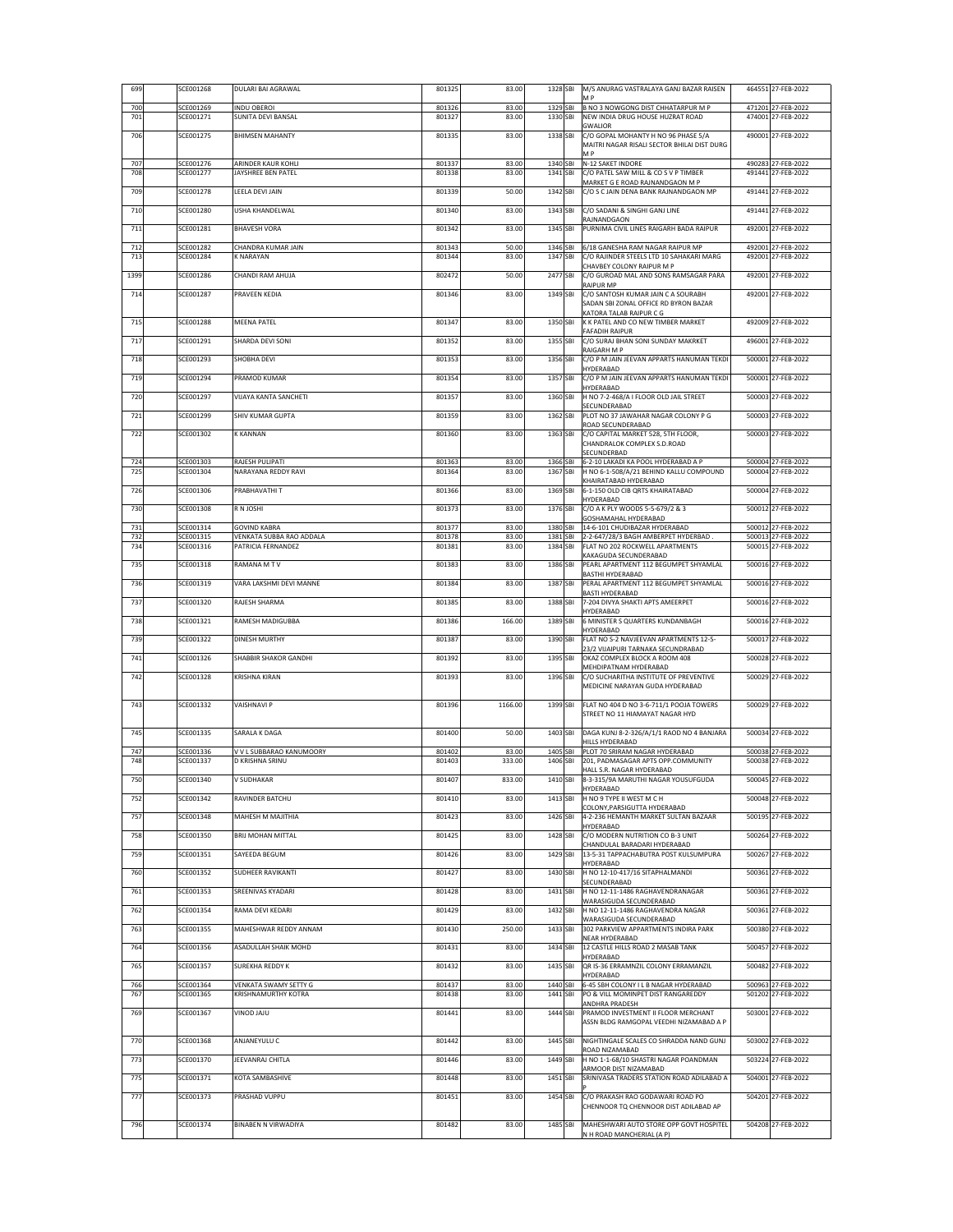| 699        | SCE001268              | DULARI BAI AGRAWAL                           | 801325           | 83.00           | 1328 SBI             | M/S ANURAG VASTRALAYA GANJ BAZAR RAISEN<br>M P                                     | 464551 27-FEB-2022                       |
|------------|------------------------|----------------------------------------------|------------------|-----------------|----------------------|------------------------------------------------------------------------------------|------------------------------------------|
| 700<br>701 | SCE001269<br>SCE001271 | <b>INDU OBEROI</b><br>SUNITA DEVI BANSAL     | 801326<br>801327 | 83.00<br>83.00  | 1329 SBI<br>1330 SBI | B NO 3 NOWGONG DIST CHHATARPUR M P<br>NEW INDIA DRUG HOUSE HUZRAT ROAD             | 471201 27-FEB-2022<br>474001 27-FEB-2022 |
|            |                        |                                              |                  |                 |                      | <b>GWALIOR</b>                                                                     |                                          |
| 706        | SCE001275              | <b>BHIMSEN MAHANTY</b>                       | 801335           | 83.00           | 1338 SBI             | C/O GOPAL MOHANTY H NO 96 PHASE 5/A<br>MAITRI NAGAR RISALI SECTOR BHILAI DIST DURG | 490001 27-FEB-2022                       |
| 707        | SCE001276              | ARINDER KAUR KOHLI                           | 801337           | 83.00           |                      | МP<br>1340 SBI N-12 SAKET INDORE                                                   | 490283 27-FEB-2022                       |
| 708        | SCE001277              | JAYSHREE BEN PATEL                           | 801338           | 83.00           | 1341 SBI             | C/O PATEL SAW MILL & CO S V P TIMBER<br>MARKET G E ROAD RAJNANDGAON M P            | 491441 27-FEB-2022                       |
| 709        | SCE001278              | LEELA DEVI JAIN                              | 801339           | 50.00           | 1342 SBI             | C/O S C JAIN DENA BANK RAJNANDGAON MP                                              | 491441 27-FEB-2022                       |
| 710        | SCE001280              | USHA KHANDELWAL                              | 801340           | 83.00           | 1343 SBI             | C/O SADANI & SINGHI GANJ LINE                                                      | 491441 27-FEB-2022                       |
| 711        | SCE001281              | <b>BHAVESH VORA</b>                          | 801342           | 83.00           | 1345 SBI             | RAJNANDGAON<br>PURNIMA CIVIL LINES RAIGARH BADA RAIPUR                             | 492001 27-FEB-2022                       |
|            | SCE001282              | CHANDRA KUMAR JAIN                           |                  |                 |                      |                                                                                    |                                          |
| 712<br>713 | SCE001284              | <b>K NARAYAN</b>                             | 801343<br>801344 | 50.00<br>83.00  | 1346 SBI<br>1347 SBI | 6/18 GANESHA RAM NAGAR RAIPUR MP<br>C/O RAJINDER STEELS LTD 10 SAHAKARI MARG       | 492001 27-FEB-2022<br>492001 27-FEB-2022 |
| 1399       | SCE001286              | CHANDI RAM AHUJA                             | 802472           | 50.00           | 2477 SBI             | CHAVBEY COLONY RAIPUR M P<br>C/O GUROAD MAL AND SONS RAMSAGAR PARA                 | 492001 27-FEB-2022                       |
| 714        | SCE001287              | PRAVEEN KEDIA                                | 801346           | 83.00           | 1349 SBI             | RAIPUR MP<br>C/O SANTOSH KUMAR JAIN C A SOURABH                                    | 492001 27-FEB-2022                       |
|            |                        |                                              |                  |                 |                      | SADAN SBI ZONAL OFFICE RD BYRON BAZAR<br>KATORA TALAB RAIPUR C G                   |                                          |
| 715        | SCE001288              | <b>MEENA PATEL</b>                           | 801347           | 83.00           | 1350 SBI             | K K PATEL AND CO NEW TIMBER MARKET                                                 | 492009 27-FEB-2022                       |
| 717        | SCE001291              | SHARDA DEVI SONI                             | 801352           | 83.00           | 1355 SBI             | FAFADIH RAIPUR<br>C/O SURAJ BHAN SONI SUNDAY MAKRKET                               | 496001 27-FEB-2022                       |
| 718        | SCE001293              | <b>SHOBHA DEVI</b>                           | 801353           | 83.00           | 1356 SBI             | RAIGARH M P<br>C/O P M JAIN JEEVAN APPARTS HANUMAN TEKDI                           | 500001 27-FEB-2022                       |
| 719        | SCE001294              | PRAMOD KUMAR                                 | 801354           | 83.00           | 1357 SBI             | HYDERABAD<br>C/O P M JAIN JEEVAN APPARTS HANUMAN TEKDI                             | 500001 27-FEB-2022                       |
|            |                        |                                              |                  |                 |                      | HYDERABAD                                                                          |                                          |
| 720        | SCE001297              | VIJAYA KANTA SANCHETI                        | 801357           | 83.00           | 1360 SBI             | H NO 7-2-468/A I FLOOR OLD JAIL STREET<br>SECUNDERABAD                             | 500003 27-FEB-2022                       |
| 721        | SCE001299              | SHIV KUMAR GUPTA                             | 801359           | 83.00           | 1362 SBI             | PLOT NO 37 JAWAHAR NAGAR COLONY P G<br>ROAD SECUNDERABAD                           | 500003 27-FEB-2022                       |
| 722        | SCE001302              | <b>K KANNAN</b>                              | 801360           | 83.00           | 1363 SBI             | C/O CAPITAL MARKET 528, 5TH FLOOR,<br>CHANDRALOK COMPLEX S.D.ROAD                  | 500003 27-FEB-2022                       |
|            |                        | RAJESH PULIPATI                              |                  |                 |                      | SECUNDERBAD<br>1366 SBI 6-2-10 LAKADI KA POOL HYDERABAD A P                        | 500004 27-FEB-2022                       |
| 724<br>725 | SCE001303<br>SCE001304 | NARAYANA REDDY RAVI                          | 801363<br>801364 | 83.00<br>83.00  | 1367 SBI             | H NO 6-1-508/A/21 BEHIND KALLU COMPOUND                                            | 500004 27-FEB-2022                       |
| 726        | SCE001306              | PRABHAVATHI T                                | 801366           | 83.00           | 1369 SBI             | KHAIRATABAD HYDERABAD<br>6-1-150 OLD CIB QRTS KHAIRATABAD                          | 500004 27-FEB-2022                       |
| 730        | SCE001308              | R N JOSHI                                    | 801373           | 83.00           | 1376 SBI             | HYDERABAD<br>C/O A K PLY WOODS 5-5-679/2 & 3                                       | 500012 27-FEB-2022                       |
| 731        | SCE001314              | <b>GOVIND KABRA</b>                          | 801377           | 83.00           |                      | GOSHAMAHAL HYDERABAD<br>1380 SBI 14-6-101 CHUDIBAZAR HYDERABAD                     | 500012 27-FEB-2022                       |
| 732        | SCE001315              | VENKATA SUBBA RAO ADDALA                     | 801378           | 83.00           |                      | 1381 SBI 2-2-647/28/3 BAGH AMBERPET HYDERBAD.                                      | 500013 27-FEB-2022                       |
| 734        | SCE001316              | PATRICIA FERNANDEZ                           | 801381           | 83.00           | 1384 SBI             | FLAT NO 202 ROCKWELL APARTMENTS<br>KAKAGUDA SECUNDERABAD                           | 500015 27-FEB-2022                       |
| 735        | SCE001318              | RAMANA M TV                                  | 801383           | 83.00           | 1386 SBI             | PEARL APARTMENT 112 BEGUMPET SHYAMLAL<br><b>BASTHI HYDERABAD</b>                   | 500016 27-FEB-2022                       |
| 736        | SCE001319              | VARA LAKSHMI DEVI MANNE                      | 801384           | 83.00           | 1387 SBI             | PERAL APARTMENT 112 BEGUMPET SHYAMLAL<br>BASTI HYDERABAD                           | 500016 27-FEB-2022                       |
| 737        | SCE001320              | RAJESH SHARMA                                | 801385           | 83.00           | 1388 SBI             | 7-204 DIVYA SHAKTI APTS AMEERPET<br>HYDERABAD                                      | 500016 27-FEB-2022                       |
| 738        | SCE001321              | RAMESH MADIGUBBA                             | 801386           | 166.00          | 1389 SBI             | 6 MINISTER S QUARTERS KUNDANBAGH                                                   | 500016 27-FEB-2022                       |
| 739        | SCE001322              | <b>DINESH MURTHY</b>                         | 801387           | 83.00           | 1390 SBI             | HYDERABAD<br>FLAT NO S-2 NAVJEEVAN APARTMENTS 12-5-                                | 500017 27-FEB-2022                       |
| 741        | SCE001326              | SHABBIR SHAKOR GANDHI                        | 801392           | 83.00           | 1395 SBI             | 23/2 VIJAIPURI TARNAKA SECUNDRABAD<br>OKAZ COMPLEX BLOCK A ROOM 408                | 500028 27-FEB-2022                       |
| 742        | SCE001328              | <b>KRISHNA KIRAN</b>                         | 801393           | 83.00           | 1396 SBI             | MEHDIPATNAM HYDERABAD<br>C/O SUCHARITHA INSTITUTE OF PREVENTIVE                    | 500029 27-FEB-2022                       |
|            |                        |                                              |                  |                 |                      | MEDICINE NARAYAN GUDA HYDERABAD                                                    |                                          |
| 743        | SCE001332              | <b>VAISHNAVI P</b>                           | 801396           | 1166.00         | 1399 SBI             | FLAT NO 404 D NO 3-6-711/1 POOJA TOWERS                                            | 500029 27-FEB-2022                       |
|            |                        |                                              |                  |                 |                      | STREET NO 11 HIAMAYAT NAGAR HYD                                                    |                                          |
| 745        | SCE001335              | SARALA K DAGA                                | 801400           | 50.00           | 1403 SBI             | DAGA KUNJ 8-2-326/A/1/1 RAOD NO 4 BANJARA<br>HILLS HYDERABAD                       | 500034 27-FEB-2022                       |
| 747<br>748 | SCE001336<br>SCE001337 | V V L SUBBARAO KANUMOORY<br>D KRISHNA SRINU  | 801402<br>801403 | 83.00<br>333.00 | 1405 SBI<br>1406 SBI | PLOT 70 SRIRAM NAGAR HYDERABAD<br>201, PADMASAGAR APTS OPP.COMMUNITY               | 500038 27-FEB-2022<br>500038 27-FEB-2022 |
|            |                        |                                              |                  |                 |                      | HALL S.R. NAGAR HYDERABAD                                                          |                                          |
| 750        | SCE001340              | V SUDHAKAR                                   | 801407           | 833.00          | 1410 SBI             | 8-3-315/9A MARUTHI NAGAR YOUSUFGUDA<br>HYDERABAD                                   | 500045 27-FEB-2022                       |
| 752        | SCE001342              | RAVINDER BATCHU                              | 801410           | 83.00           | 1413 SBI             | H NO 9 TYPE II WEST M C H<br>COLONY, PARSIGUTTA HYDERABAD                          | 500048 27-FEB-2022                       |
| 757        | SCE001348              | MAHESH M MAJITHIA                            | 801423           | 83.00           | 1426 SBI             | 4-2-236 HEMANTH MARKET SULTAN BAZAAR<br>HYDFRABAD                                  | 500195 27-FEB-2022                       |
| 758        | SCE001350              | <b>BRIJ MOHAN MITTAL</b>                     | 801425           | 83.00           | 1428 SBI             | C/O MODERN NUTRITION CO B-3 UNIT<br>CHANDULAL BARADARI HYDERABAD                   | 500264 27-FEB-2022                       |
| 759        | SCE001351              | SAYEEDA BEGUM                                | 801426           | 83.00           | 1429 SBI             | 13-5-31 TAPPACHABUTRA POST KULSUMPURA                                              | 500267 27-FEB-2022                       |
| 760        | SCE001352              | <b>SUDHEER RAVIKANTI</b>                     | 801427           | 83.00           | 1430 SBI             | HYDERABAD<br>H NO 12-10-417/16 SITAPHALMANDI                                       | 500361 27-FEB-2022                       |
| 761        | SCE001353              | SREENIVAS KYADARI                            | 801428           | 83.00           | 1431 SBI             | SECUNDERABAD<br>H NO 12-11-1486 RAGHAVENDRANAGAR                                   | 500361 27-FEB-2022                       |
| 762        | SCE001354              | RAMA DEVI KEDARI                             | 801429           | 83.00           | 1432 SBI             | WARASIGUDA SECUNDERABAD<br>H NO 12-11-1486 RAGHAVENDRA NAGAR                       | 500361 27-FEB-2022                       |
|            |                        |                                              |                  |                 |                      | WARASIGUDA SECUNDERABAD                                                            |                                          |
| 763        | SCE001355              | MAHESHWAR REDDY ANNAM                        | 801430           | 250.00          | 1433 SBI             | 302 PARKVIEW APPARTMENTS INDIRA PARK<br>NEAR HYDERABAD                             | 500380 27-FEB-2022                       |
| 764        | SCE001356              | ASADULLAH SHAIK MOHD                         | 801431           | 83.00           | 1434 SBI             | 12 CASTLE HILLS ROAD 2 MASAB TANK<br>HYDERABAD                                     | 500457 27-FEB-2022                       |
| 765        | SCE001357              | <b>SUREKHA REDDY K</b>                       | 801432           | 83.00           | 1435 SBI             | QR IS-36 ERRAMNZIL COLONY ERRAMANZIL<br>HYDFRABAD                                  | 500482 27-FEB-2022                       |
| 766<br>767 | SCE001364<br>SCE001365 | VENKATA SWAMY SETTY G<br>KRISHNAMURTHY KOTRA | 801437<br>801438 | 83.00<br>83.00  | 1440 SBI<br>1441 SBI | 6-45 SBH COLONY I L B NAGAR HYDERABAD<br>PO & VILL MOMINPET DIST RANGAREDDY        | 500963 27-FEB-2022<br>501202 27-FEB-2022 |
|            |                        |                                              |                  |                 |                      | ANDHRA PRADESH                                                                     |                                          |
| 769        | SCE001367              | UIAL GONIV                                   | 801441           | 83.00           | 1444 SBI             | PRAMOD INVESTMENT II FLOOR MERCHANT<br>ASSN BLDG RAMGOPAL VEEDHI NIZAMABAD A P     | 503001 27-FEB-2022                       |
| 770        | SCE001368              | ANJANEYULU C                                 | 801442           | 83.00           | 1445 SBI             | NIGHTINGALE SCALES CO SHRADDA NAND GUNJ                                            | 503002 27-FEB-2022                       |
| 773        | SCE001370              | JEEVANRAJ CHITLA                             | 801446           | 83.00           | 1449 SBI             | ROAD NIZAMABAD<br>H NO 1-1-68/10 SHASTRI NAGAR POANDMAN                            | 503224 27-FEB-2022                       |
|            | SCE001371              | KOTA SAMBASHIVE                              |                  |                 |                      | ARMOOR DIST NIZAMABAD<br>SRINIVASA TRADERS STATION ROAD ADILABAD A                 | 504001 27-FEB-2022                       |
| 775        |                        |                                              | 801448           | 83.00           | 1451 SBI             |                                                                                    |                                          |
| 777        | SCE001373              | PRASHAD VUPPU                                | 801451           | 83.00           | 1454 SBI             | C/O PRAKASH RAO GODAWARI ROAD PO<br>CHENNOOR TO CHENNOOR DIST ADILABAD AP          | 504201 27-FEB-2022                       |
| 796        | SCE001374              | <b>BINABEN N VIRWADIYA</b>                   | 801482           | 83.00           | 1485 SBI             | MAHESHWARI AUTO STORE OPP GOVT HOSPITEL                                            | 504208 27-FEB-2022                       |
|            |                        |                                              |                  |                 |                      | N H ROAD MANCHERIAL (A P)                                                          |                                          |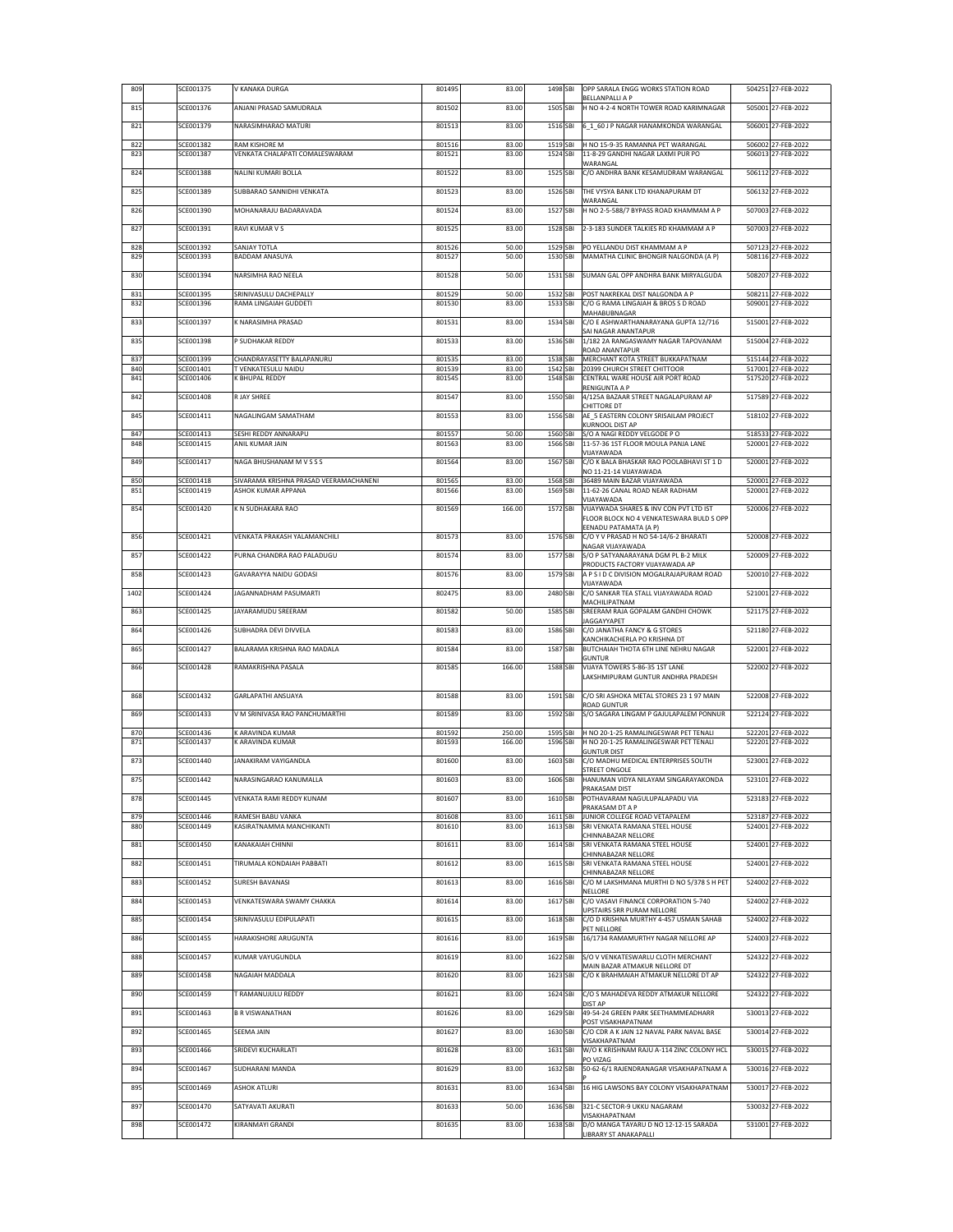| 809        | SCE001375              | V KANAKA DURGA                                                | 801495           | 83.00          | 1498 SBI             | OPP SARALA ENGG WORKS STATION ROAD<br><b>BELLANPALLI A P</b>                           | 504251 27-FEB-2022                       |
|------------|------------------------|---------------------------------------------------------------|------------------|----------------|----------------------|----------------------------------------------------------------------------------------|------------------------------------------|
| 815        | SCE001376              | ANJANI PRASAD SAMUDRALA                                       | 801502           | 83.00          | 1505 SBI             | H NO 4-2-4 NORTH TOWER ROAD KARIMNAGAR                                                 | 505001 27-FEB-2022                       |
| 821        | SCE001379              | NARASIMHARAO MATURI                                           | 801513           | 83.00          | 1516 SBI             | 6_1_60 J P NAGAR HANAMKONDA WARANGAL                                                   | 506001 27-FEB-2022                       |
| 822<br>823 | SCE001382<br>SCE001387 | RAM KISHORE M<br>VENKATA CHALAPATI COMALESWARAM               | 801516<br>801521 | 83.00<br>83.00 | 1519 SBI<br>1524 SBI | H NO 15-9-35 RAMANNA PET WARANGAL<br>11-8-29 GANDHI NAGAR LAXMI PUR PO                 | 506002 27-FEB-2022<br>506013 27-FEB-2022 |
| 824        | SCE001388              | NALINI KUMARI BOLLA                                           | 801522           | 83.00          | 1525 SBI             | WARANGAL<br>C/O ANDHRA BANK KESAMUDRAM WARANGAL                                        | 506112 27-FEB-2022                       |
| 825        | SCE001389              | SUBBARAO SANNIDHI VENKATA                                     | 801523           | 83.00          | 1526 SBI             | THE VYSYA BANK LTD KHANAPURAM DT                                                       | 506132 27-FEB-2022                       |
| 826        | SCE001390              | MOHANARAJU BADARAVADA                                         | 801524           | 83.00          | 1527 SBI             | WARANGAL<br>H NO 2-5-588/7 BYPASS ROAD KHAMMAM A P                                     | 507003 27-FEB-2022                       |
| 827        | SCE001391              | RAVI KUMAR V S                                                | 801525           | 83.00          | 1528 SBI             | 2-3-183 SUNDER TALKIES RD KHAMMAM A P                                                  | 507003 27-FEB-2022                       |
| 828        | SCE001392              | SANJAY TOTLA                                                  | 801526           | 50.00          | 1529 SBI             | PO YELLANDU DIST KHAMMAM A P                                                           | 507123 27-FEB-2022                       |
| 829        | SCE001393              | BADDAM ANASUYA                                                | 801527           | 50.00          | 1530 SBI             | MAMATHA CLINIC BHONGIR NALGONDA (A P)                                                  | 508116 27-FEB-2022                       |
| 830        | SCE001394              | NARSIMHA RAO NEELA                                            | 801528           | 50.00          | 1531 SBI             | SUMAN GAL OPP ANDHRA BANK MIRYALGUDA                                                   | 508207 27-FEB-2022                       |
| 831<br>832 | SCE001395<br>SCE001396 | SRINIVASULU DACHEPALLY<br>RAMA LINGAIAH GUDDETI               | 801529<br>801530 | 50.00<br>83.00 | 1532 SBI<br>1533 SBI | POST NAKREKAL DIST NALGONDA A P<br>C/O G RAMA LINGAIAH & BROS S D ROAD<br>MAHABUBNAGAR | 508211 27-FEB-2022<br>509001 27-FEB-2022 |
| 833        | SCE001397              | <b>NARASIMHA PRASAD</b>                                       | 801531           | 83.00          | 1534 SBI             | C/O E ASHWARTHANARAYANA GUPTA 12/716<br>SAI NAGAR ANANTAPUR                            | 515001 27-FEB-2022                       |
| 835        | SCE001398              | P SUDHAKAR REDDY                                              | 801533           | 83.00          | 1536 SBI             | 1/182 2A RANGASWAMY NAGAR TAPOVANAM<br>ROAD ANANTAPUR                                  | 515004 27-FEB-2022                       |
| 837<br>840 | SCE001399<br>SCE001401 | CHANDRAYASETTY BALAPANURU<br><b><i>FVENKATESULU NAIDU</i></b> | 801535<br>801539 | 83.00<br>83.00 | 1538 SBI<br>1542 SBI | MERCHANT KOTA STREET BUKKAPATNAM<br>20399 CHURCH STREET CHITTOOR                       | 515144 27-FEB-2022<br>517001 27-FEB-2022 |
| 841        | SCE001406              | <b>(BHUPAL REDDY</b>                                          | 801545           | 83.00          | 1548 SBI             | CENTRAL WARE HOUSE AIR PORT ROAD                                                       | 517520 27-FEB-2022                       |
| 842        | SCE001408              | R JAY SHREE                                                   | 801547           | 83.00          | 1550 SBI             | RENIGUNTA A P<br>4/125A BAZAAR STREET NAGALAPURAM AP<br>CHITTORE DT                    | 517589 27-FEB-2022                       |
| 845        | SCE001411              | NAGALINGAM SAMATHAM                                           | 801553           | 83.00          | 1556 SBI             | AE 5 EASTERN COLONY SRISAILAM PROJECT<br>KURNOOL DIST AP                               | 518102 27-FEB-2022                       |
| 847        | SCE001413              | SESHI REDDY ANNARAPU                                          | 801557           | 50.00          | 1560 SBI             | S/O A NAGI REDDY VELGODE PO                                                            | 518533 27-FEB-2022                       |
| 848        | SCE001415              | ANIL KUMAR JAIN                                               | 801563           | 83.00          | 1566 SBI             | 11-57-36 1ST FLOOR MOULA PANJA LANE<br>VIJAYAWADA                                      | 520001 27-FEB-2022                       |
| 849        | SCE001417              | NAGA BHUSHANAM M V S S S                                      | 801564           | 83.00          | 1567 SBI             | C/O K BALA BHASKAR RAO POOLABHAVI ST 1 D<br>NO 11-21-14 VIJAYAWADA                     | 520001 27-FEB-2022                       |
| 850<br>851 | SCE001418<br>SCE001419 | SIVARAMA KRISHNA PRASAD VEERAMACHANENI<br>ASHOK KUMAR APPANA  | 801565<br>801566 | 83.00<br>83.00 | 1568 SBI<br>1569 SBI | 36489 MAIN BAZAR VIJAYAWADA<br>11-62-26 CANAL ROAD NEAR RADHAM                         | 520001 27-FEB-2022<br>520001 27-FEB-2022 |
| 854        | SCE001420              | K N SUDHAKARA RAO                                             | 801569           | 166.00         | 1572 SBI             | VIJAYAWADA<br>VIJAYWADA SHARES & INV CON PVT LTD IST                                   | 520006 27-FEB-2022                       |
|            |                        |                                                               |                  |                |                      | FLOOR BLOCK NO 4 VENKATESWARA BULD S OPP<br>EENADU PATAMATA (A P)                      |                                          |
| 856        | SCE001421              | VENKATA PRAKASH YALAMANCHILI                                  | 801573           | 83.00          | 1576 SBI             | C/O Y V PRASAD H NO 54-14/6-2 BHARATI<br>NAGAR VIJAYAWADA                              | 520008 27-FEB-2022                       |
| 857        | SCE001422              | PURNA CHANDRA RAO PALADUGU                                    | 801574           | 83.00          | 1577 SBI             | S/O P SATYANARAYANA DGM PL B-2 MILK<br>PRODUCTS FACTORY VIJAYAWADA AP                  | 520009 27-FEB-2022                       |
| 858        | SCE001423              | GAVARAYYA NAIDU GODASI                                        | 801576           | 83.00          | 1579 SBI             | A P S I D C DIVISION MOGALRAJAPURAM ROAD<br>VIJAYAWADA                                 | 520010 27-FEB-2022                       |
| 1402       | SCE001424              | JAGANNADHAM PASUMARTI                                         | 802475           | 83.00          | 2480 SBI             | C/O SANKAR TEA STALL VIJAYAWADA ROAD<br>MACHILIPATNAM                                  | 521001 27-FEB-2022                       |
| 863        | SCE001425              | JAYARAMUDU SREERAM                                            | 801582           | 50.00          | 1585 SBI             | SREERAM RAJA GOPALAM GANDHI CHOWK<br><b>JAGGAYYAPET</b>                                | 521175 27-FEB-2022                       |
| 864        | SCE001426              | SUBHADRA DEVI DIVVELA                                         | 801583           | 83.00          | 1586 SBI             | C/O JANATHA FANCY & G STORES<br>KANCHIKACHERLA PO KRISHNA DT                           | 521180 27-FEB-2022                       |
| 865        | SCE001427              | BALARAMA KRISHNA RAO MADALA                                   | 801584           | 83.00          | 1587 SBI             | BUTCHAIAH THOTA 6TH LINE NEHRU NAGAR<br>GUNTUR                                         | 522001 27-FEB-2022                       |
| 866        | SCE001428              | RAMAKRISHNA PASALA                                            | 801585           | 166.00         | 1588 SBI             | VIJAYA TOWERS 5-86-35 1ST LANE<br>LAKSHMIPURAM GUNTUR ANDHRA PRADESH                   | 522002 27-FEB-2022                       |
| 868        | SCE001432              | GARLAPATHI ANSUAYA                                            | 801588           | 83.00          | 1591 SBI             | C/O SRI ASHOKA METAL STORES 23 1 97 MAIN                                               | 522008 27-FEB-2022                       |
| 869        | SCE001433              | V M SRINIVASA RAO PANCHUMARTHI                                | 801589           | 83.00          | 1592 SBI             | ROAD GUNTUR<br>S/O SAGARA LINGAM P GAJULAPALEM PONNUR                                  | 522124 27-FEB-2022                       |
| 870        | SCE001436              | <b>ARAVINDA KUMAR</b>                                         | 801592           | 250.00         | 1595 SBI             | H NO 20-1-25 RAMALINGESWAR PET TENALI                                                  | 522201 27-FEB-2022                       |
| 871        | SCE001437              | <b>ARAVINDA KUMAR</b>                                         | 801593           | 166.00         | 1596 SBI             | H NO 20-1-25 RAMALINGESWAR PET TENALI<br><b>GUNTUR DIST</b>                            | 522201 27-FEB-2022                       |
| 873        | SCE001440              | JANAKIRAM VAYIGANDLA                                          | 801600           | 83.00          | 1603 SBI             | C/O MADHU MEDICAL ENTERPRISES SOUTH<br>STREET ONGOLE                                   | 523001 27-FEB-2022                       |
| 875        | SCE001442              | NARASINGARAO KANUMALLA                                        | 801603           | 83.00          | 1606 SBI             | HANUMAN VIDYA NILAYAM SINGARAYAKONDA<br>PRAKASAM DIST                                  | 523101 27-FEB-2022                       |
| 878        | SCE001445              | VENKATA RAMI REDDY KUNAM                                      | 801607           | 83.00          | 1610 SBI             | POTHAVARAM NAGULUPALAPADU VIA<br>PRAKASAM DT A P                                       | 523183 27-FEB-2022                       |
| 879<br>880 | SCE001446<br>SCE001449 | RAMESH BABU VANKA<br>KASIRATNAMMA MANCHIKANTI                 | 801608<br>801610 | 83.00<br>83.00 | 1611 SBI<br>1613 SBI | JUNIOR COLLEGE ROAD VETAPALEM<br>SRI VENKATA RAMANA STEEL HOUSE                        | 523187 27-FEB-2022<br>524001 27-FEB-2022 |
| 881        | SCE001450              | KANAKAIAH CHINNI                                              | 801611           | 83.00          | 1614 SBI             | CHINNABAZAR NELLORE<br>SRI VENKATA RAMANA STEEL HOUSE                                  | 524001 27-FEB-2022                       |
| 882        | SCE001451              | TIRUMALA KONDAIAH PABBATI                                     | 801612           | 83.00          | 1615 SBI             | CHINNABAZAR NELLORE<br>SRI VENKATA RAMANA STEEL HOUSE                                  | 524001 27-FEB-2022                       |
| 883        | SCE001452              | SURESH BAVANASI                                               | 801613           | 83.00          | 1616 SBI             | CHINNABAZAR NELLORE<br>C/O M LAKSHMANA MURTHI D NO 5/378 S H PET                       | 524002 27-FEB-2022                       |
| 884        | SCE001453              | VENKATESWARA SWAMY CHAKKA                                     | 801614           | 83.00          | 1617 SBI             | NELLORE<br>C/O VASAVI FINANCE CORPORATION 5-740                                        | 524002 27-FEB-2022                       |
| 885        | SCE001454              | SRINIVASULU EDIPULAPATI                                       | 801615           | 83.00          | 1618 SBI             | UPSTAIRS SRR PURAM NELLORE<br>C/O D KRISHNA MURTHY 4-457 USMAN SAHAB                   | 524002 27-FEB-2022                       |
| 886        | SCE001455              | HARAKISHORE ARUGUNTA                                          | 801616           | 83.00          | 1619 SBI             | PET NELLORE<br>16/1734 RAMAMURTHY NAGAR NELLORE AP                                     | 524003 27-FEB-2022                       |
| 888        | SCE001457              | KUMAR VAYUGUNDLA                                              | 801619           | 83.00          | 1622 SBI             | S/O V VENKATESWARLU CLOTH MERCHANT                                                     | 524322 27-FEB-2022                       |
| 889        | SCE001458              | NAGAIAH MADDALA                                               | 801620           | 83.00          | 1623 SBI             | MAIN BAZAR ATMAKUR NELLORE DT<br>C/O K BRAHMAIAH ATMAKUR NELLORE DT AP                 | 524322 27-FEB-2022                       |
| 890        | SCE001459              | T RAMANUJULU REDDY                                            | 801621           | 83.00          | 1624 SBI             | C/O S MAHADEVA REDDY ATMAKUR NELLORE                                                   | 524322 27-FEB-2022                       |
| 891        | SCE001463              | <b>B R VISWANATHAN</b>                                        | 801626           | 83.00          | 1629 SBI             | DIST AP<br>49-54-24 GREEN PARK SEETHAMMEADHARR                                         | 530013 27-FEB-2022                       |
| 892        | SCE001465              | SEEMA JAIN                                                    | 801627           | 83.00          | 1630 SBI             | POST VISAKHAPATNAM<br>C/O CDR A K JAIN 12 NAVAL PARK NAVAL BASE                        | 530014 27-FEB-2022                       |
| 893        | SCE001466              | SRIDEVI KUCHARLATI                                            | 801628           | 83.00          | 1631 SBI             | VISAKHAPATNAM<br>W/O K KRISHNAM RAJU A-114 ZINC COLONY HCL                             | 530015 27-FEB-2022                       |
| 894        | SCE001467              | SUDHARANI MANDA                                               | 801629           | 83.00          | 1632 SBI             | PO VIZAG<br>50-62-6/1 RAJENDRANAGAR VISAKHAPATNAM A                                    | 530016 27-FEB-2022                       |
| 895        | SCE001469              | <b>ASHOK ATLURI</b>                                           | 801631           | 83.00          | 1634 SBI             | 16 HIG LAWSONS BAY COLONY VISAKHAPATNAM                                                | 530017 27-FEB-2022                       |
| 897        | SCE001470              | SATYAVATI AKURATI                                             | 801633           | 50.00          | 1636 SBI             | 321-C SECTOR-9 UKKU NAGARAM                                                            | 530032 27-FEB-2022                       |
| 898        | SCE001472              | KIRANMAYI GRANDI                                              | 801635           | 83.00          | 1638 SBI             | VISAKHAPATNAM<br>D/O MANGA TAYARU D NO 12-12-15 SARADA                                 | 531001 27-FEB-2022                       |
|            |                        |                                                               |                  |                |                      | LIBRARY ST ANAKAPALLI                                                                  |                                          |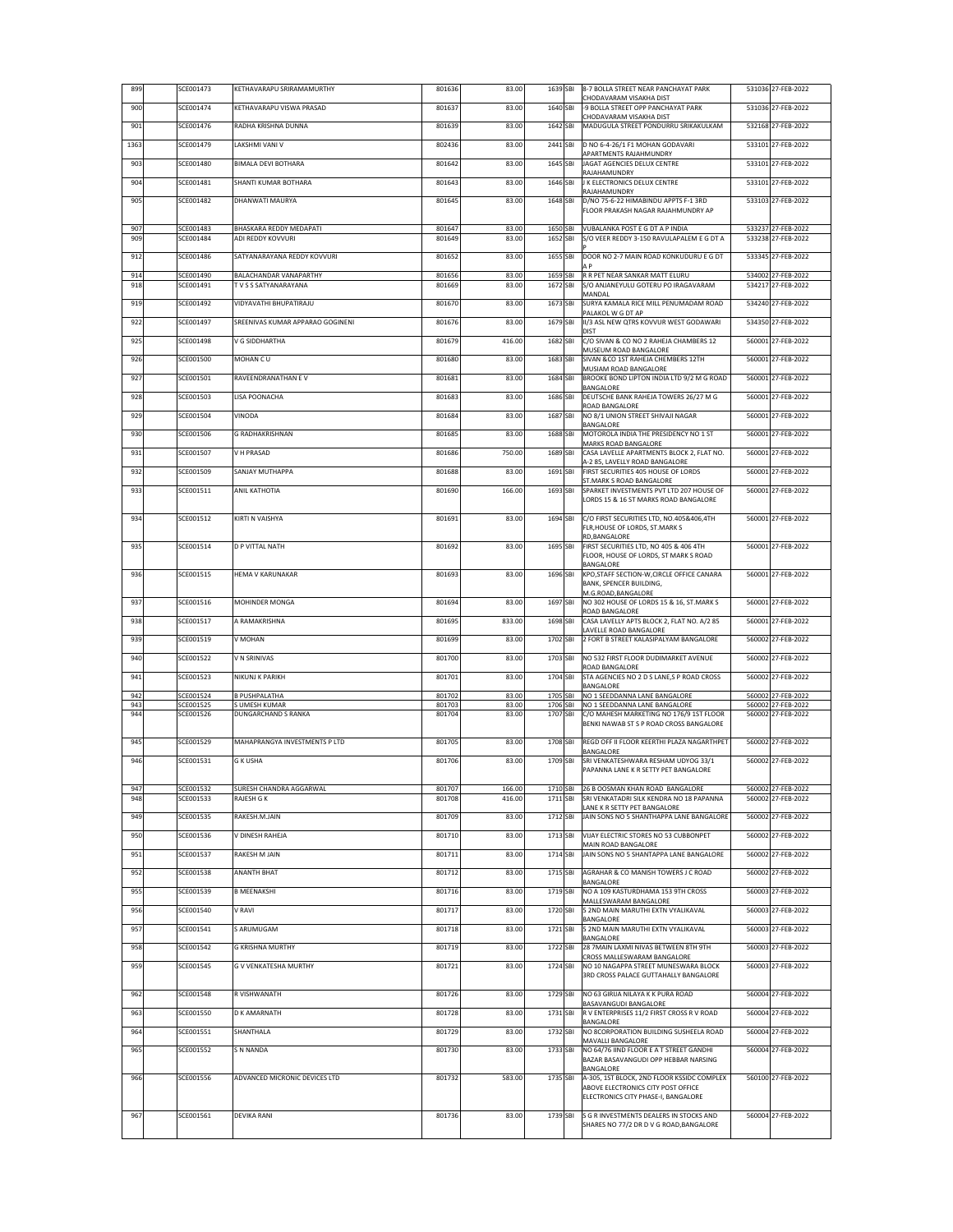| 899        | SCE001473              | KETHAVARAPU SRIRAMAMURTHY                    | 801636           | 83.00          | 1639 SBI             | 8-7 BOLLA STREET NEAR PANCHAYAT PARK<br>CHODAVARAM VISAKHA DIST                    | 531036 27-FEB-2022                       |
|------------|------------------------|----------------------------------------------|------------------|----------------|----------------------|------------------------------------------------------------------------------------|------------------------------------------|
| 900        | SCE001474              | KETHAVARAPU VISWA PRASAD                     | 801637           | 83.00          | 1640 SBI             | -9 BOLLA STREET OPP PANCHAYAT PARK<br>CHODAVARAM VISAKHA DIST                      | 531036 27-FEB-2022                       |
| 901        | SCE001476              | RADHA KRISHNA DUNNA                          | 801639           | 83.00          | 1642 SBI             | MADUGULA STREET PONDURRU SRIKAKULKAM                                               | 532168 27-FEB-2022                       |
| 1363       | SCE001479              | LAKSHMI VANI V                               | 802436           | 83.00          | 2441 SBI             | D NO 6-4-26/1 F1 MOHAN GODAVARI                                                    | 533101 27-FEB-2022                       |
| 903        | SCE001480              | <b>BIMALA DEVI BOTHARA</b>                   | 801642           | 83.00          | 1645 SBI             | APARTMENTS RAJAHMUNDRY<br>JAGAT AGENCIES DELUX CENTRE                              | 533101 27-FEB-2022                       |
| 904        | SCE001481              | SHANTI KUMAR BOTHARA                         | 801643           | 83.00          | 1646 SBI             | RAJAHAMUNDRY<br><b>J K ELECTRONICS DELUX CENTRE</b>                                | 533101 27-FEB-2022                       |
| 905        | SCE001482              | <b>DHANWATI MAURYA</b>                       | 801645           | 83.00          | 1648 SBI             | RAJAHAMUNDRY<br>D/NO 75-6-22 HIMABINDU APPTS F-1 3RD                               | 533103 27-FEB-2022                       |
|            |                        |                                              |                  |                |                      | FLOOR PRAKASH NAGAR RAJAHMUNDRY AP                                                 |                                          |
| 907<br>909 | SCE001483<br>SCE001484 | BHASKARA REDDY MEDAPATI<br>ADI REDDY KOVVURI | 801647<br>801649 | 83.00<br>83.00 | 1650 SBI<br>1652 SBI | VUBALANKA POST E G DT A P INDIA<br>S/O VEER REDDY 3-150 RAVULAPALEM E G DT A       | 533237 27-FEB-2022<br>533238 27-FEB-2022 |
| 912        | SCE001486              | SATYANARAYANA REDDY KOVVURI                  | 801652           | 83.00          | 1655 SBI             | DOOR NO 2-7 MAIN ROAD KONKUDURU E G DT                                             | 533345 27-FEB-2022                       |
|            |                        | <b>BALACHANDAR VANAPARTHY</b>                |                  |                |                      | ΑP                                                                                 |                                          |
| 914<br>918 | SCE001490<br>SCE001491 | TVSS SATYANARAYANA                           | 801656<br>801669 | 83.00<br>83.00 | 1659 SBI<br>1672 SBI | R R PET NEAR SANKAR MATT ELURU<br>S/O ANJANEYULU GOTERU PO IRAGAVARAM              | 534002 27-FEB-2022<br>534217 27-FEB-2022 |
| 919        | SCE001492              | VIDYAVATHI BHUPATIRAJU                       | 801670           | 83.00          | 1673 SBI             | MANDAL<br>SURYA KAMALA RICE MILL PENUMADAM ROAD                                    | 534240 27-FEB-2022                       |
| 922        | SCE001497              | SREENIVAS KUMAR APPARAO GOGINENI             | 801676           | 83.00          | 1679 SBI             | PALAKOL W G DT AP<br>II/3 ASL NEW QTRS KOVVUR WEST GODAWARI                        | 534350 27-FEB-2022                       |
| 925        | SCE001498              | V G SIDDHARTHA                               | 801679           | 416.00         | 1682 SBI             | DIST<br>C/O SIVAN & CO NO 2 RAHEJA CHAMBERS 12                                     | 560001 27-FEB-2022                       |
| 926        | SCE001500              | MOHAN CU                                     | 801680           | 83.00          | 1683 SBI             | MUSEUM ROAD BANGALORE<br>SIVAN &CO 1ST RAHEJA CHEMBERS 12TH                        | 560001 27-FEB-2022                       |
| 927        | SCE001501              | RAVEENDRANATHAN E V                          | 801681           | 83.00          | 1684 SBI             | MUSIAM ROAD BANGALORE<br>BROOKE BOND LIPTON INDIA LTD 9/2 M G ROAD                 | 560001 27-FEB-2022                       |
|            | SCE001503              | LISA POONACHA                                | 801683           | 83.00          | 1686 SBI             | BANGALORE<br>DEUTSCHE BANK RAHEJA TOWERS 26/27 M G                                 | 560001 27-FEB-2022                       |
| 928        |                        |                                              |                  |                |                      | ROAD BANGALORE                                                                     |                                          |
| 929        | SCE001504              | VINODA                                       | 801684           | 83.00          | 1687 SBI             | NO 8/1 UNION STREET SHIVAJI NAGAR<br>BANGALORE                                     | 560001 27-FEB-2022                       |
| 930        | SCE001506              | <b>G RADHAKRISHNAN</b>                       | 801685           | 83.00          | 1688 SBI             | MOTOROLA INDIA THE PRESIDENCY NO 1 ST<br>MARKS ROAD BANGALORE                      | 560001 27-FEB-2022                       |
| 931        | SCE001507              | V H PRASAD                                   | 801686           | 750.00         | 1689 SBI             | CASA LAVELLE APARTMENTS BLOCK 2. FLAT NO.<br>A-2 85, LAVELLY ROAD BANGALORE        | 560001 27-FEB-2022                       |
| 932        | SCE001509              | SANJAY MUTHAPPA                              | 801688           | 83.00          | 1691 SBI             | FIRST SECURITIES 405 HOUSE OF LORDS<br>ST.MARK S ROAD BANGALORE                    | 560001 27-FEB-2022                       |
| 933        | SCE001511              | <b>ANIL KATHOTIA</b>                         | 801690           | 166.00         | 1693 SBI             | SPARKET INVESTMENTS PVT LTD 207 HOUSE OF<br>LORDS 15 & 16 ST MARKS ROAD BANGALORE  | 560001 27-FEB-2022                       |
|            |                        |                                              |                  |                |                      |                                                                                    |                                          |
| 934        | SCE001512              | <b>KIRTI N VAISHYA</b>                       | 801691           | 83.00          | 1694 SBI             | C/O FIRST SECURITIES LTD, NO.405&406,4TH<br>FLR, HOUSE OF LORDS, ST.MARK S         | 560001 27-FEB-2022                       |
| 935        | SCE001514              | <b>D P VITTAL NATH</b>                       | 801692           | 83.00          | 1695 SBI             | RD, BANGALORE<br>FIRST SECURITIES LTD, NO 405 & 406 4TH                            | 560001 27-FEB-2022                       |
|            |                        |                                              |                  |                |                      | FLOOR, HOUSE OF LORDS, ST MARK S ROAD<br>BANGALORE                                 |                                          |
| 936        | SCE001515              | <b>HEMA V KARUNAKAR</b>                      | 801693           | 83.00          | 1696 SBI             | KPO, STAFF SECTION-W, CIRCLE OFFICE CANARA<br>BANK, SPENCER BUILDING,              | 560001 27-FEB-2022                       |
| 937        | SCE001516              | <b>MOHINDER MONGA</b>                        | 801694           | 83.00          | 1697 SBI             | M.G.ROAD,BANGALORE<br>NO 302 HOUSE OF LORDS 15 & 16, ST.MARK S                     | 560001 27-FEB-2022                       |
| 938        | SCE001517              | A RAMAKRISHNA                                | 801695           | 833.00         | 1698 SBI             | ROAD BANGALORE<br>CASA LAVELLY APTS BLOCK 2, FLAT NO. A/2 85                       | 560001 27-FEB-2022                       |
|            | SCE001519              | V MOHAN                                      | 801699           | 83.00          | 1702 SBI             | LAVELLE ROAD BANGALORE                                                             | 560002 27-FEB-2022                       |
| 939        |                        |                                              |                  |                |                      | 2 FORT B STREET KALASIPALYAM BANGALORE                                             |                                          |
| 940        | SCE001522              | V N SRINIVAS                                 | 801700           | 83.00          | 1703 SBI             | NO 532 FIRST FLOOR DUDIMARKET AVENUE<br>ROAD BANGALORE                             | 560002 27-FEB-2022                       |
| 941        | SCE001523              | NIKUNJ K PARIKH                              | 801701           | 83.00          | 1704 SBI             | STA AGENCIES NO 2 D S LANE,S P ROAD CROSS<br>BANGALORE                             | 560002 27-FEB-2022                       |
| 942<br>943 | SCE001524<br>SCE001525 | <b>B PUSHPALATHA</b><br>S UMESH KUMAR        | 801702<br>801703 | 83.00<br>83.00 | 1705 SBI<br>1706 SBI | NO 1 SEEDDANNA LANE BANGALORE<br>NO 1 SEEDDANNA LANE BANGALORE                     | 560002 27-FEB-2022<br>560002 27-FEB-2022 |
| 944        | SCE001526              | <b>DUNGARCHAND S RANKA</b>                   | 801704           | 83.00          | 1707 SBI             | C/O MAHESH MARKETING NO 176/9 1ST FLOOR<br>BENKI NAWAB ST S P ROAD CROSS BANGALORE | 560002 27-FEB-2022                       |
| 945        | SCE001529              | MAHAPRANGYA INVESTMENTS P LTD                | 801705           | 83.00          | 1708 SBI             | REGD OFF II FLOOR KEERTHI PLAZA NAGARTHPET                                         | 560002 27-FEB-2022                       |
| 946        | SCE001531              | <b>G K USHA</b>                              | 801706           | 83.00          | 1709 SBI             | BANGALORE<br>SRI VENKATESHWARA RESHAM UDYOG 33/1                                   | 560002 27-FEB-2022                       |
|            |                        |                                              |                  |                |                      | PAPANNA LANE K R SETTY PET BANGALORE                                               |                                          |
| 947        | SCE001532              | SURESH CHANDRA AGGARWAL                      | 801707           | 166.00         | 1710 SBI             | 26 B OOSMAN KHAN ROAD BANGALORE                                                    | 560002 27-FEB-2022                       |
| 948        | SCE001533              | RAJESH G K                                   | 801708           | 416.00         | 1711 SBI             | SRI VENKATADRI SILK KENDRA NO 18 PAPANNA<br>LANE K R SETTY PET BANGALORE           | 560002 27-FEB-2022                       |
| 949        | SCE001535              | RAKESH.M.JAIN                                | 801709           | 83.00          | 1712 SBI             | JAIN SONS NO 5 SHANTHAPPA LANE BANGALORE                                           | 560002 27-FEB-2022                       |
| 950        | SCE001536              | V DINESH RAHEJA                              | 801710           | 83.00          | 1713 SBI             | VIJAY ELECTRIC STORES NO 53 CUBBONPET<br>MAIN ROAD BANGALORE                       | 560002 27-FEB-2022                       |
| 951        | SCE001537              | RAKESH M JAIN                                | 801711           | 83.00          | 1714 SBI             | JAIN SONS NO 5 SHANTAPPA LANE BANGALORE                                            | 560002 27-FEB-2022                       |
| 952        | SCE001538              | <b>ANANTH BHAT</b>                           | 801712           | 83.00          | 1715 SBI             | AGRAHAR & CO MANISH TOWERS J C ROAD<br>BANGALORE                                   | 560002 27-FEB-2022                       |
| 955        | SCE001539              | <b>B MEENAKSHI</b>                           | 801716           | 83.00          | 1719 SBI             | NO A 109 KASTURDHAMA 153 9TH CROSS<br>MALLESWARAM BANGALORE                        | 560003 27-FEB-2022                       |
| 956        | SCE001540              | V RAVI                                       | 801717           | 83.00          | 1720 SBI             | 5 2ND MAIN MARUTHI EXTN VYALIKAVAL                                                 | 560003 27-FEB-2022                       |
| 957        | SCE001541              | S ARUMUGAM                                   | 801718           | 83.00          | 1721 SBI             | BANGALORE<br>5 2ND MAIN MARUTHI EXTN VYALIKAVAL                                    | 560003 27-FEB-2022                       |
| 958        | SCE001542              | <b>G KRISHNA MURTHY</b>                      | 801719           | 83.00          | 1722 SBI             | BANGALORE<br>28 7MAIN LAXMI NIVAS BETWEEN 8TH 9TH                                  | 560003 27-FEB-2022                       |
| 959        | SCE001545              | <b>G V VENKATESHA MURTHY</b>                 | 801721           | 83.00          | 1724 SBI             | CROSS MALLESWARAM BANGALORE<br>NO 10 NAGAPPA STREET MUNESWARA BLOCK                | 560003 27-FEB-2022                       |
|            |                        |                                              |                  |                |                      | 3RD CROSS PALACE GUTTAHALLY BANGALORE                                              |                                          |
| 962        | SCE001548              | R VISHWANATH                                 | 801726           | 83.00          | 1729 SBI             | NO 63 GIRIJA NILAYA K K PURA ROAD<br>BASAVANGUDI BANGALORE                         | 560004 27-FEB-2022                       |
| 963        | SCE001550              | <b>D K AMARNATH</b>                          | 801728           | 83.00          | 1731 SBI             | R V ENTERPRISES 11/2 FIRST CROSS R V ROAD<br>BANGALORE                             | 560004 27-FEB-2022                       |
| 964        | SCE001551              | SHANTHALA                                    | 801729           | 83.00          | 1732 SBI             | NO 8CORPORATION BUILDING SUSHEELA ROAD<br>MAVALLI BANGALORE                        | 560004 27-FEB-2022                       |
| 965        | SCE001552              | <b>S N NANDA</b>                             | 801730           | 83.00          | 1733 SBI             | NO 64/76 IIND FLOOR E A T STREET GANDHI                                            | 560004 27-FEB-2022                       |
|            |                        |                                              |                  |                |                      | BAZAR BASAVANGUDI OPP HEBBAR NARSING<br>BANGALORE                                  |                                          |
| 966        | SCE001556              | ADVANCED MICRONIC DEVICES LTD                | 801732           | 583.00         | 1735 SBI             | A-305, 1ST BLOCK, 2ND FLOOR KSSIDC COMPLEX<br>ABOVE ELECTRONICS CITY POST OFFICE   | 560100 27-FEB-2022                       |
|            |                        |                                              |                  |                |                      | ELECTRONICS CITY PHASE-I, BANGALORE                                                |                                          |
| 967        | SCE001561              | <b>DEVIKA RANI</b>                           | 801736           | 83.00          | 1739 SBI             | S G R INVESTMENTS DEALERS IN STOCKS AND<br>SHARES NO 77/2 DR D V G ROAD, BANGALORE | 560004 27-FEB-2022                       |
|            |                        |                                              |                  |                |                      |                                                                                    |                                          |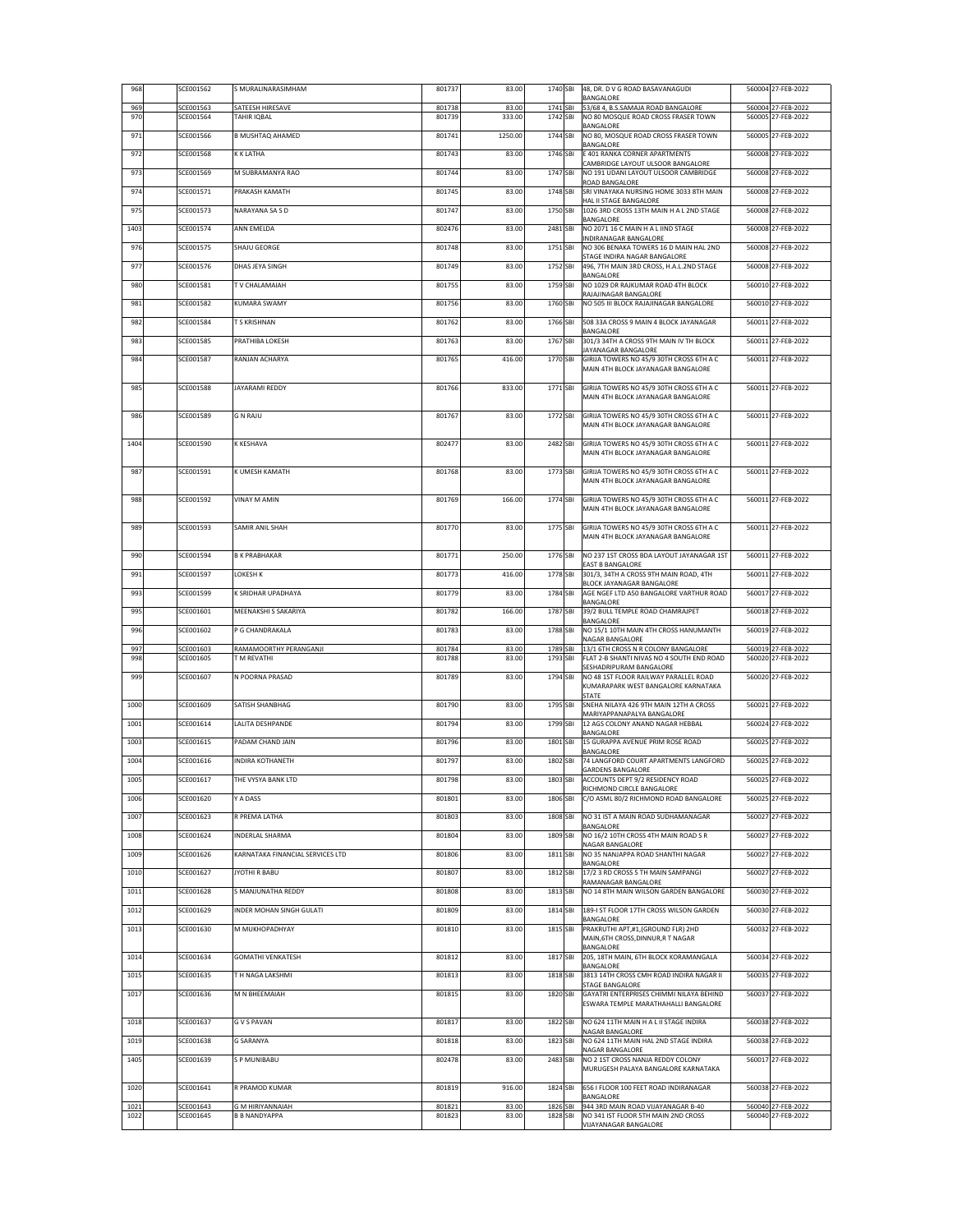| 968        | SCE001562              | S MURALINARASIMHAM                     | 801737           | 83.00           | 1740 SBI             | 48, DR. D V G ROAD BASAVANAGUDI<br>BANGALORE                                     | 560004 27-FEB-2022                       |
|------------|------------------------|----------------------------------------|------------------|-----------------|----------------------|----------------------------------------------------------------------------------|------------------------------------------|
| 969<br>970 | SCE001563<br>SCE001564 | SATEESH HIRESAVE<br><b>TAHIR IOBAL</b> | 801738<br>801739 | 83.00<br>333.00 | 1741 SBI<br>1742 SBI | 53/68 4, B.S.SAMAJA ROAD BANGALORE<br>NO 80 MOSQUE ROAD CROSS FRASER TOWN        | 560004 27-FEB-2022<br>560005 27-FEB-2022 |
| 971        | SCE001566              | <b>B MUSHTAQ AHAMED</b>                | 801741           | 1250.00         | 1744 SBI             | BANGALORE<br>NO 80, MOSQUE ROAD CROSS FRASER TOWN                                | 560005 27-FEB-2022                       |
|            | SCE001568              | K K LATHA                              |                  |                 |                      | BANGALORE                                                                        |                                          |
| 972        |                        |                                        | 801743           | 83.00           | 1746 SBI             | E 401 RANKA CORNER APARTMENTS<br>CAMBRIDGE LAYOUT ULSOOR BANGALORE               | 560008 27-FEB-2022                       |
| 973        | SCE001569              | M SUBRAMANYA RAO                       | 801744           | 83.00           | 1747 SBI             | NO 191 UDANI LAYOUT ULSOOR CAMBRIDGE<br>ROAD BANGALORE                           | 560008 27-FEB-2022                       |
| 974        | SCE001571              | PRAKASH KAMATH                         | 801745           | 83.00           | 1748 SBI             | SRI VINAYAKA NURSING HOME 3033 8TH MAIN<br>HAL II STAGE BANGALORE                | 560008 27-FEB-2022                       |
| 975        | SCE001573              | NARAYANA SA S D                        | 801747           | 83.00           | 1750 SBI             | 1026 3RD CROSS 13TH MAIN H A L 2ND STAGE<br>BANGALORE                            | 560008 27-FEB-2022                       |
| 1403       | SCE001574              | <b>ANN EMELDA</b>                      | 802476           | 83.00           | 2481 SBI             | NO 2071 16 C MAIN H A L IIND STAGE<br>INDIRANAGAR BANGALORE                      | 560008 27-FEB-2022                       |
| 976        | SCE001575              | SHAJU GEORGE                           | 801748           | 83.00           | 1751 SBI             | NO 306 BENAKA TOWERS 16 D MAIN HAL 2ND<br>STAGE INDIRA NAGAR BANGALORE           | 560008 27-FEB-2022                       |
| 977        | SCE001576              | DHAS JEYA SINGH                        | 801749           | 83.00           | 1752 SBI             | 496, 7TH MAIN 3RD CROSS, H.A.L.2ND STAGE<br>BANGALORE                            | 560008 27-FEB-2022                       |
| 980        | SCE001581              | <b>TV CHALAMAIAH</b>                   | 801755           | 83.00           | 1759 SBI             | NO 1029 DR RAJKUMAR ROAD 4TH BLOCK<br>RAJAJINAGAR BANGALORE                      | 560010 27-FEB-2022                       |
| 981        | SCE001582              | <b>KUMARA SWAMY</b>                    | 801756           | 83.00           | 1760 SBI             | NO 505 III BLOCK RAJAJINAGAR BANGALORE                                           | 560010 27-FEB-2022                       |
| 982        | SCE001584              | <b>T S KRISHNAN</b>                    | 801762           | 83.00           | 1766 SBI             | 508 33A CROSS 9 MAIN 4 BLOCK JAYANAGAR<br>BANGALORE                              | 560011 27-FEB-2022                       |
| 983        | SCE001585              | PRATHIBA LOKESH                        | 801763           | 83.00           | 1767 SBI             | 301/3 34TH A CROSS 9TH MAIN IV TH BLOCK                                          | 560011 27-FEB-2022                       |
| 984        | SCE001587              | RANJAN ACHARYA                         | 801765           | 416.00          | 1770 SBI             | JAYANAGAR BANGALORE<br>GIRIJA TOWERS NO 45/9 30TH CROSS 6TH A C                  | 560011 27-FEB-2022                       |
|            |                        |                                        |                  |                 |                      | MAIN 4TH BLOCK JAYANAGAR BANGALORE                                               |                                          |
| 985        | SCE001588              | JAYARAMI REDDY                         | 801766           | 833.00          | 1771 SBI             | GIRIJA TOWERS NO 45/9 30TH CROSS 6TH A C<br>MAIN 4TH BLOCK JAYANAGAR BANGALORE   | 560011 27-FEB-2022                       |
| 986        | <b>SCE001589</b>       | <b>G N RAJU</b>                        | 801767           | 83.00           | 1772 SBI             | GIRIJA TOWERS NO 45/9 30TH CROSS 6TH A C                                         | 560011 27-FEB-2022                       |
|            |                        |                                        |                  |                 |                      | MAIN 4TH BLOCK JAYANAGAR BANGALORE                                               |                                          |
| 1404       | SCE001590              | K KESHAVA                              | 802477           | 83.00           | 2482 SBI             | GIRIJA TOWERS NO 45/9 30TH CROSS 6TH A C<br>MAIN 4TH BLOCK JAYANAGAR BANGALORE   | 560011 27-FEB-2022                       |
| 987        | SCE001591              | K UMESH KAMATH                         | 801768           | 83.00           | 1773 SBI             | GIRIJA TOWERS NO 45/9 30TH CROSS 6TH A C                                         | 560011 27-FEB-2022                       |
|            |                        |                                        |                  |                 |                      | MAIN 4TH BLOCK JAYANAGAR BANGALORE                                               |                                          |
| 988        | SCE001592              | VINAY M AMIN                           | 801769           | 166.00          | 1774 SBI             | GIRIJA TOWERS NO 45/9 30TH CROSS 6TH A C                                         | 560011 27-FEB-2022                       |
|            |                        |                                        |                  |                 |                      | MAIN 4TH BLOCK JAYANAGAR BANGALORE                                               |                                          |
| 989        | SCE001593              | <b>SAMIR ANIL SHAH</b>                 | 801770           | 83.00           | 1775 SBI             | GIRIJA TOWERS NO 45/9 30TH CROSS 6TH A C<br>MAIN 4TH BLOCK JAYANAGAR BANGALORE   | 560011 27-FEB-2022                       |
| 990        | SCE001594              | <b>B K PRABHAKAR</b>                   | 801771           | 250.00          | 1776 SBI             | NO 237 1ST CROSS BDA LAYOUT JAYANAGAR 1ST                                        | 560011 27-FEB-2022                       |
| 991        | SCE001597              | <b>LOKESH K</b>                        | 801773           | 416.00          | 1778 SBI             | EAST B BANGALORE<br>301/3, 34TH A CROSS 9TH MAIN ROAD, 4TH                       | 560011 27-FEB-2022                       |
| 993        | SCE001599              | K SRIDHAR UPADHAYA                     | 801779           | 83.00           | 1784 SBI             | BLOCK JAYANAGAR BANGALORE<br>AGE NGEF LTD A50 BANGALORE VARTHUR ROAD             | 560017 27-FEB-2022                       |
| 995        | SCE001601              | MEENAKSHI S SAKARIYA                   | 801782           | 166.00          | 1787 SBI             | BANGALORE<br>39/2 BULL TEMPLE ROAD CHAMRAJPET                                    | 560018 27-FEB-2022                       |
| 996        | SCE001602              | P G CHANDRAKALA                        | 801783           | 83.00           | 1788 SBI             | BANGALORE<br>NO 15/1 10TH MAIN 4TH CROSS HANUMANTH                               | 560019 27-FEB-2022                       |
| 997        | SCE001603              | RAMAMOORTHY PERANGANJI                 | 801784           | 83.00           | 1789 SBI             | NAGAR BANGALORE<br>13/1 6TH CROSS N R COLONY BANGALORE                           | 560019 27-FEB-2022                       |
| 998        | SCE001605              | <b>T M REVATHI</b>                     | 801788           | 83.00           | 1793 SBI             | FLAT 2-B SHANTI NIVAS NO 4 SOUTH END ROAD                                        | 560020 27-FEB-2022                       |
| 999        | SCE001607              | N POORNA PRASAD                        | 801789           | 83.00           | 1794 SBI             | SESHADRIPURAM BANGALORE<br>NO 48 1ST FLOOR RAILWAY PARALLEL ROAD                 | 560020 27-FEB-2022                       |
|            |                        |                                        |                  |                 |                      | KUMARAPARK WEST BANGALORE KARNATAKA<br>STATE                                     |                                          |
| 1000       | SCE001609              | SATISH SHANBHAG                        | 801790           | 83.00           | 1795 SBI             | SNEHA NILAYA 426 9TH MAIN 12TH A CROSS<br>MARIYAPPANAPALYA BANGALORE             | 560021 27-FEB-2022                       |
| 1001       | SCE001614              | LALITA DESHPANDE                       | 801794           | 83.00           | 1799 SBI             | 12 AGS COLONY ANAND NAGAR HEBBAL<br>BANGALORE                                    | 560024 27-FEB-2022                       |
| 1003       | SCE001615              | PADAM CHAND JAIN                       | 801796           | 83.00           | 1801 SBI             | 15 GURAPPA AVENUE PRIM ROSE ROAD<br>BANGALORE                                    | 560025 27-FEB-2022                       |
| 1004       | SCE001616              | <b>INDIRA KOTHANETH</b>                | 801797           | 83.00           | 1802 SBI             | 74 LANGFORD COURT APARTMENTS LANGFORD<br><b>GARDENS BANGALORE</b>                | 560025 27-FEB-2022                       |
| 1005       | SCE001617              | THE VYSYA BANK LTD                     | 801798           | 83.00           | 1803 SBI             | ACCOUNTS DEPT 9/2 RESIDENCY ROAD<br>RICHMOND CIRCLE BANGALORE                    | 560025 27-FEB-2022                       |
| 1006       | SCE001620              | Y A DASS                               | 801801           | 83.00           | 1806 SBI             | C/O ASML 80/2 RICHMOND ROAD BANGALORE                                            | 560025 27-FEB-2022                       |
| 1007       | SCE001623              | R PREMA LATHA                          | 801803           | 83.00           | 1808 SBI             | NO 31 IST A MAIN ROAD SUDHAMANAGAR<br>BANGALORE                                  | 560027 27-FEB-2022                       |
| 1008       | SCE001624              | <b>INDERLAL SHARMA</b>                 | 801804           | 83.00           | 1809 SBI             | NO 16/2 10TH CROSS 4TH MAIN ROAD S R<br>NAGAR BANGALORE                          | 560027 27-FEB-2022                       |
| 1009       | SCE001626              | KARNATAKA FINANCIAL SERVICES LTD       | 801806           | 83.00           | 1811 SBI             | NO 35 NANJAPPA ROAD SHANTHI NAGAR                                                | 560027 27-FEB-2022                       |
| 1010       | SCE001627              | JYOTHI R BABU                          | 801807           | 83.00           | 1812 SBI             | BANGALORE<br>17/2 3 RD CROSS 5 TH MAIN SAMPANGI                                  | 560027 27-FEB-2022                       |
| 1011       | SCE001628              | S MANJUNATHA REDDY                     | 801808           | 83.00           | 1813 SBI             | RAMANAGAR BANGALORE<br>NO 14 8TH MAIN WILSON GARDEN BANGALORE                    | 560030 27-FEB-2022                       |
| 1012       | SCE001629              | INDER MOHAN SINGH GULATI               | 801809           | 83.00           | 1814 SBI             | 189-I ST FLOOR 17TH CROSS WILSON GARDEN                                          | 560030 27-FEB-2022                       |
| 1013       | SCE001630              | M MUKHOPADHYAY                         | 801810           | 83.00           | 1815 SBI             | BANGALORE<br>PRAKRUTHI APT,#1,(GROUND FLR) 2HD                                   | 560032 27-FEB-2022                       |
|            |                        |                                        |                  |                 |                      | MAIN, 6TH CROSS, DINNUR, R T NAGAR<br>BANGALORE                                  |                                          |
| 1014       | SCE001634              | <b>GOMATHI VENKATESH</b>               | 801812           | 83.00           | 1817 SBI             | 205, 18TH MAIN, 6TH BLOCK KORAMANGALA<br>BANGALORE                               | 560034 27-FEB-2022                       |
| 1015       | SCE001635              | T H NAGA LAKSHMI                       | 801813           | 83.00           | 1818 SBI             | 3813 14TH CROSS CMH ROAD INDIRA NAGAR II<br>STAGE BANGALORE                      | 560035 27-FEB-2022                       |
| 1017       | SCE001636              | M N BHEEMAIAH                          | 801815           | 83.00           | 1820 SBI             | GAYATRI ENTERPRISES CHIMMI NILAYA BEHIND<br>ESWARA TEMPLE MARATHAHALLI BANGALORE | 560037 27-FEB-2022                       |
| 1018       | SCE001637              | <b>GVS PAVAN</b>                       | 801817           | 83.00           | 1822 SBI             | NO 624 11TH MAIN H A L II STAGE INDIRA                                           | 560038 27-FEB-2022                       |
|            |                        |                                        |                  |                 |                      | NAGAR BANGALORE                                                                  |                                          |
| 1019       | SCE001638              | <b>G SARANYA</b>                       | 801818           | 83.00           | 1823 SBI             | NO 624 11TH MAIN HAL 2ND STAGE INDIRA<br>NAGAR BANGALORE                         | 560038 27-FEB-2022                       |
| 1405       | SCE001639              | S P MUNIBABU                           | 802478           | 83.00           | 2483 SBI             | NO 2 1ST CROSS NANJA REDDY COLONY<br>MURUGESH PALAYA BANGALORE KARNATAKA         | 560017 27-FEB-2022                       |
| 1020       | SCE001641              | R PRAMOD KUMAR                         | 801819           | 916.00          | 1824 SBI             | 656 I FLOOR 100 FEET ROAD INDIRANAGAR                                            | 560038 27-FEB-2022                       |
| 1021       | SCE001643              | <b>GM HIRIYANNAIAH</b>                 | 801821           | 83.00           | 1826 SBI             | BANGALORE<br>944 3RD MAIN ROAD VIJAYANAGAR B-40                                  | 560040 27-FEB-2022                       |
| 1022       | SCE001645              | <b>B B NANDYAPPA</b>                   | 801823           | 83.00           | 1828 SBI             | NO 341 IST FLOOR 5TH MAIN 2ND CROSS<br>VIJAYANAGAR BANGALORE                     | 560040 27-FEB-2022                       |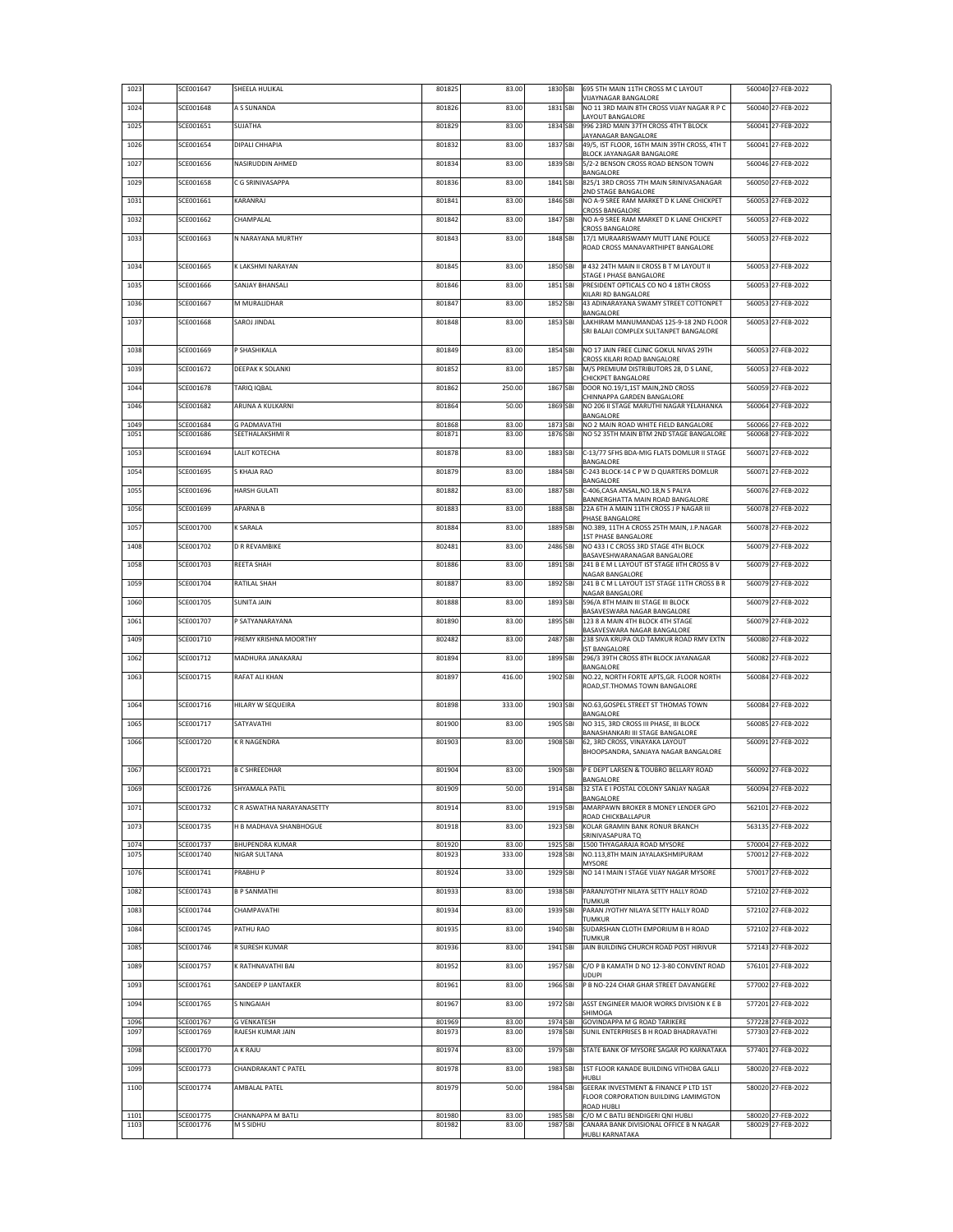| 1023         | SCE001647              | SHEELA HULIKAL                   | 801825           | 83.00           | 1830 SBI             | 695 5TH MAIN 11TH CROSS M C LAYOUT<br>VIJAYNAGAR BANGALORE                   | 560040 27-FEB-2022                       |
|--------------|------------------------|----------------------------------|------------------|-----------------|----------------------|------------------------------------------------------------------------------|------------------------------------------|
| 1024         | SCE001648              | A S SUNANDA                      | 801826           | 83.00           | 1831 SBI             | NO 11 3RD MAIN 8TH CROSS VIJAY NAGAR R P C<br>LAYOUT BANGALORE               | 560040 27-FEB-2022                       |
| 1025         | SCE001651              | SUJATHA                          | 801829           | 83.00           | 1834 SBI             | 996 23RD MAIN 37TH CROSS 4TH T BLOCK                                         | 560041 27-FEB-2022                       |
| 1026         | SCE001654              | DIPALI CHHAPIA                   | 801832           | 83.00           | 1837 SBI             | <b>JAYANAGAR BANGALORE</b><br>49/5, IST FLOOR, 16TH MAIN 39TH CROSS, 4TH T   | 560041 27-FEB-2022                       |
| 1027         | SCE001656              | NASIRUDDIN AHMED                 | 801834           | 83.00           | 1839 SBI             | BLOCK JAYANAGAR BANGALORE<br>5/2-2 BENSON CROSS ROAD BENSON TOWN             | 560046 27-FEB-2022                       |
| 1029         | SCE001658              | C G SRINIVASAPPA                 | 801836           | 83.00           | 1841 SBI             | BANGALORE<br>825/1 3RD CROSS 7TH MAIN SRINIVASANAGAR                         | 560050 27-FEB-2022                       |
| 1031         | SCE001661              | KARANRAJ                         | 801841           | 83.00           | 1846 SBI             | 2ND STAGE BANGALORE<br>NO A-9 SREE RAM MARKET D K LANE CHICKPET              | 560053 27-FEB-2022                       |
| 1032         | SCE001662              | CHAMPALAL                        | 801842           | 83.00           | 1847 SBI             | CROSS BANGALORE<br>NO A-9 SREE RAM MARKET D K LANE CHICKPET                  | 560053 27-FEB-2022                       |
|              | SCE001663              | N NARAYANA MURTHY                | 801843           | 83.00           | 1848 SBI             | CROSS BANGALORE<br>17/1 MURAARISWAMY MUTT LANE POLICE                        | 560053 27-FEB-2022                       |
| 1033         |                        |                                  |                  |                 |                      | ROAD CROSS MANAVARTHIPET BANGALORE                                           |                                          |
| 1034         | SCE001665              | K LAKSHMI NARAYAN                | 801845           | 83.00           | 1850 SBI             | # 432 24TH MAIN II CROSS B T M LAYOUT II                                     | 560053 27-FEB-2022                       |
| 1035         | SCE001666              | SANJAY BHANSALI                  | 801846           | 83.00           | 1851 SBI             | STAGE I PHASE BANGALORE<br>PRESIDENT OPTICALS CO NO 4 18TH CROSS             | 560053 27-FEB-2022                       |
| 1036         | SCE001667              | M MURALIDHAR                     | 801847           | 83.00           | 1852 SBI             | KILARI RD BANGALORE<br>43 ADINARAYANA SWAMY STREET COTTONPET                 | 560053 27-FEB-2022                       |
| 1037         | SCE001668              | SAROJ JINDAL                     | 801848           | 83.00           | 1853 SBI             | BANGALORE<br>LAKHIRAM MANUMANDAS 125-9-18 2ND FLOOR                          | 560053 27-FEB-2022                       |
|              |                        |                                  |                  |                 |                      | SRI BALAJI COMPLEX SULTANPET BANGALORE                                       |                                          |
| 1038         | SCE001669              | SHASHIKALA                       | 801849           | 83.00           | 1854 SBI             | NO 17 JAIN FREE CLINIC GOKUL NIVAS 29TH<br>CROSS KILARI ROAD BANGALORE       | 560053 27-FEB-2022                       |
| 1039         | SCE001672              | DEEPAK K SOLANKI                 | 801852           | 83.00           | 1857 SBI             | M/S PREMIUM DISTRIBUTORS 28, D S LANE,                                       | 560053 27-FEB-2022                       |
| 1044         | SCE001678              | TARIO IOBAL                      | 801862           | 250.00          | 1867 SBI             | CHICKPET BANGALORE<br>DOOR NO.19/1,1ST MAIN, 2ND CROSS                       | 560059 27-FEB-2022                       |
| 1046         | SCE001682              | ARUNA A KULKARNI                 | 801864           | 50.00           | 1869 SBI             | CHINNAPPA GARDEN BANGALORE<br>NO 206 II STAGE MARUTHI NAGAR YELAHANKA        | 560064 27-FEB-2022                       |
| 1049         | SCE001684              | G PADMAVATHI                     | 801868           | 83.00           | 1873 SBI             | BANGALORE<br>NO 2 MAIN ROAD WHITE FIELD BANGALORE                            | 560066 27-FEB-2022                       |
| 1051         | SCE001686              | SEETHALAKSHMI R                  | 801871           | 83.00           | 1876 SBI             | NO 52 35TH MAIN BTM 2ND STAGE BANGALORE                                      | 560068 27-FEB-2022                       |
| 1053         | SCE001694              | LALIT KOTECHA                    | 801878           | 83.00           | 1883 SBI             | C-13/77 SFHS BDA-MIG FLATS DOMLUR II STAGE<br>BANGALORE                      | 560071 27-FEB-2022                       |
| 1054         | SCE001695              | S KHAJA RAO                      | 801879           | 83.00           | 1884 SBI             | C-243 BLOCK-14 C P W D QUARTERS DOMLUR<br>BANGALORE                          | 560071 27-FEB-2022                       |
| 1055         | SCE001696              | <b>HARSH GULATI</b>              | 801882           | 83.00           | 1887 SBI             | C-406, CASA ANSAL, NO.18, N S PALYA<br>BANNERGHATTA MAIN ROAD BANGALORE      | 560076 27-FEB-2022                       |
| 1056         | SCE001699              | APARNA B                         | 801883           | 83.00           | 1888 SBI             | 22A 6TH A MAIN 11TH CROSS J P NAGAR III<br>PHASE BANGALORE                   | 560078 27-FEB-2022                       |
| 1057         | SCE001700              | K SARALA                         | 801884           | 83.00           | 1889 SBI             | NO.389, 11TH A CROSS 25TH MAIN, J.P.NAGAR                                    | 560078 27-FEB-2022                       |
| 1408         | SCE001702              | D R REVAMBIKE                    | 802481           | 83.00           | 2486 SBI             | <b>1ST PHASE BANGALORE</b><br>NO 433 I C CROSS 3RD STAGE 4TH BLOCK           | 560079 27-FEB-2022                       |
| 1058         | SCE001703              | REETA SHAH                       | 801886           | 83.00           | 1891 SBI             | BASAVESHWARANAGAR BANGALORE<br>241 B E M L LAYOUT IST STAGE IITH CROSS B V   | 560079 27-FEB-2022                       |
| 1059         | SCE001704              | RATILAL SHAH                     | 801887           | 83.00           | 1892 SBI             | NAGAR BANGALORE<br>241 B C M L LAYOUT 1ST STAGE 11TH CROSS B R               | 560079 27-FEB-2022                       |
| 1060         | SCE001705              | SUNITA JAIN                      | 801888           | 83.00           | 1893 SBI             | NAGAR BANGALORE<br>596/A 8TH MAIN III STAGE III BLOCK                        | 560079 27-FEB-2022                       |
| 1061         | SCE001707              | P SATYANARAYANA                  | 801890           | 83.00           | 1895 SBI             | BASAVESWARA NAGAR BANGALORE<br>123 8 A MAIN 4TH BLOCK 4TH STAGE              | 560079 27-FEB-2022                       |
| 1409         | SCE001710              | PREMY KRISHNA MOORTHY            | 802482           | 83.00           | 2487 SBI             | BASAVESWARA NAGAR BANGALORE<br>238 SIVA KRUPA OLD TAMKUR ROAD RMV EXTN       | 560080 27-FEB-2022                       |
| 1062         | SCE001712              | MADHURA JANAKARAJ                | 801894           | 83.00           | 1899 SBI             | IST BANGALORE<br>296/3 39TH CROSS 8TH BLOCK JAYANAGAR                        | 560082 27-FEB-2022                       |
| 1063         | SCE001715              | RAFAT ALI KHAN                   | 801897           | 416.00          | 1902 SBI             | BANGALORE<br>NO.22, NORTH FORTE APTS, GR. FLOOR NORTH                        | 560084 27-FEB-2022                       |
|              |                        |                                  |                  |                 |                      | ROAD, ST. THOMAS TOWN BANGALORE                                              |                                          |
| 1064         | SCE001716              | HILARY W SEQUEIRA                | 801898           | 333.00          | 1903 SBI             | NO.63, GOSPEL STREET ST THOMAS TOWN<br>BANGALORE                             | 560084 27-FEB-2022                       |
| 1065         | SCE001717              | SATYAVATHI                       | 801900           | 83.00           | 1905 SBI             | NO 315, 3RD CROSS III PHASE, III BLOCK<br>BANASHANKARI III STAGE BANGALORE   | 560085 27-FEB-2022                       |
| 1066         | SCE001720              | K R NAGENDRA                     | 801903           | 83.00           | 1908 SBI             | 62, 3RD CROSS, VINAYAKA LAYOUT<br>BHOOPSANDRA, SANJAYA NAGAR BANGALORE       | 560091 27-FEB-2022                       |
| 1067         | SCE001721              | <b>B C SHREEDHAR</b>             | 801904           | 83.00           | 1909 SBI             | P E DEPT LARSEN & TOUBRO BELLARY ROAD                                        | 560092 27-FEB-2022                       |
| 1069         | SCE001726              | SHYAMALA PATIL                   | 801909           | 50.00           | 1914 SBI             | BANGALORE<br>32 STA E I POSTAL COLONY SANJAY NAGAR                           | 560094 27-FEB-2022                       |
| 1071         | SCE001732              | C R ASWATHA NARAYANASETTY        | 801914           | 83.00           | 1919 SBI             | BANGALORE<br>AMARPAWN BROKER 8 MONEY LENDER GPO                              | 562101 27-FEB-2022                       |
|              | SCE001735              | H B MADHAVA SHANBHOGUE           |                  | 83.00           | 1923 SBI             | ROAD CHICKBALLAPUR<br>KOLAR GRAMIN BANK RONUR BRANCH                         | 563135 27-FEB-2022                       |
| 1073         |                        |                                  | 801918           |                 |                      | SRINIVASAPURA TQ                                                             |                                          |
| 1074<br>1075 | SCE001737<br>SCE001740 | BHUPENDRA KUMAR<br>NIGAR SULTANA | 801920<br>801923 | 83.00<br>333.00 | 1925 SBI<br>1928 SBI | 1500 THYAGARAJA ROAD MYSORE<br>NO.113,8TH MAIN JAYALAKSHMIPURAM              | 570004 27-FEB-2022<br>570012 27-FEB-2022 |
| 1076         | SCE001741              | PRABHU P                         | 801924           | 33.00           | 1929 SBI             | MYSORE<br>NO 14   MAIN   STAGE VIJAY NAGAR MYSORE                            | 570017 27-FEB-2022                       |
| 1082         | SCE001743              | <b>B P SANMATHI</b>              | 801933           | 83.00           | 1938 SBI             | PARANJYOTHY NILAYA SETTY HALLY ROAD                                          | 572102 27-FEB-2022                       |
| 1083         | SCE001744              | CHAMPAVATHI                      | 801934           | 83.00           | 1939 SBI             | TUMKUR<br>PARAN JYOTHY NILAYA SETTY HALLY ROAD                               | 572102 27-FEB-2022                       |
| 1084         | SCE001745              | PATHU RAO                        | 801935           | 83.00           | 1940 SBI             | TUMKUR<br>SUDARSHAN CLOTH EMPORIUM B H ROAD                                  | 572102 27-FEB-2022                       |
| 1085         | SCE001746              | R SURESH KUMAR                   | 801936           | 83.00           | 1941 SBI             | TUMKUR<br>JAIN BUILDING CHURCH ROAD POST HIRIVUR                             | 572143 27-FEB-2022                       |
| 1089         | SCE001757              | K RATHNAVATHI BAI                | 801952           | 83.00           | 1957 SBI             | C/O P B KAMATH D NO 12-3-80 CONVENT ROAD                                     | 576101 27-FEB-2022                       |
| 1093         | SCE001761              | SANDEEP P IJANTAKER              | 801961           | 83.00           | 1966 SBI             | UDUPI<br>P B NO-224 CHAR GHAR STREET DAVANGERE                               | 577002 27-FEB-2022                       |
| 1094         | SCE001765              | <b>SNINGAIAH</b>                 | 801967           | 83.00           | 1972 SBI             | ASST ENGINEER MAJOR WORKS DIVISION K E B                                     | 577201 27-FEB-2022                       |
| 1096         | SCE001767              | <b>G VENKATESH</b>               | 801969           | 83.00           | 1974 SBI             | SHIMOGA<br>GOVINDAPPA M G ROAD TARIKERE                                      | 577228 27-FEB-2022                       |
| 1097         | SCE001769              | RAJESH KUMAR JAIN                | 801973           | 83.00           | 1978 SBI             | SUNIL ENTERPRISES B H ROAD BHADRAVATHI                                       | 577303 27-FEB-2022                       |
| 1098         | SCE001770              | A K RAJU                         | 801974           | 83.00           | 1979 SBI             | STATE BANK OF MYSORE SAGAR PO KARNATAKA                                      | 577401 27-FEB-2022                       |
| 1099         | SCE001773              | CHANDRAKANT C PATEL              | 801978           | 83.00           | 1983 SBI             | 1ST FLOOR KANADE BUILDING VITHOBA GALLI                                      | 580020 27-FEB-2022                       |
| 1100         | SCE001774              | AMBALAL PATEL                    | 801979           | 50.00           | 1984 SBI             | HUBI I<br>GEERAK INVESTMENT & FINANCE P LTD 1ST                              | 580020 27-FEB-2022                       |
|              |                        |                                  |                  |                 |                      | FLOOR CORPORATION BUILDING LAMIMGTON<br>ROAD HUBLI                           |                                          |
| 1101<br>1103 | SCE001775<br>SCE001776 | CHANNAPPA M BATLI<br>M S SIDHU   | 801980<br>801982 | 83.00<br>83.00  | 1985 SBI<br>1987 SBI | C/O M C BATLI BENDIGERI QNI HUBLI<br>CANARA BANK DIVISIONAL OFFICE B N NAGAR | 580020 27-FEB-2022<br>580029 27-FEB-2022 |
|              |                        |                                  |                  |                 |                      | HUBLI KARNATAKA                                                              |                                          |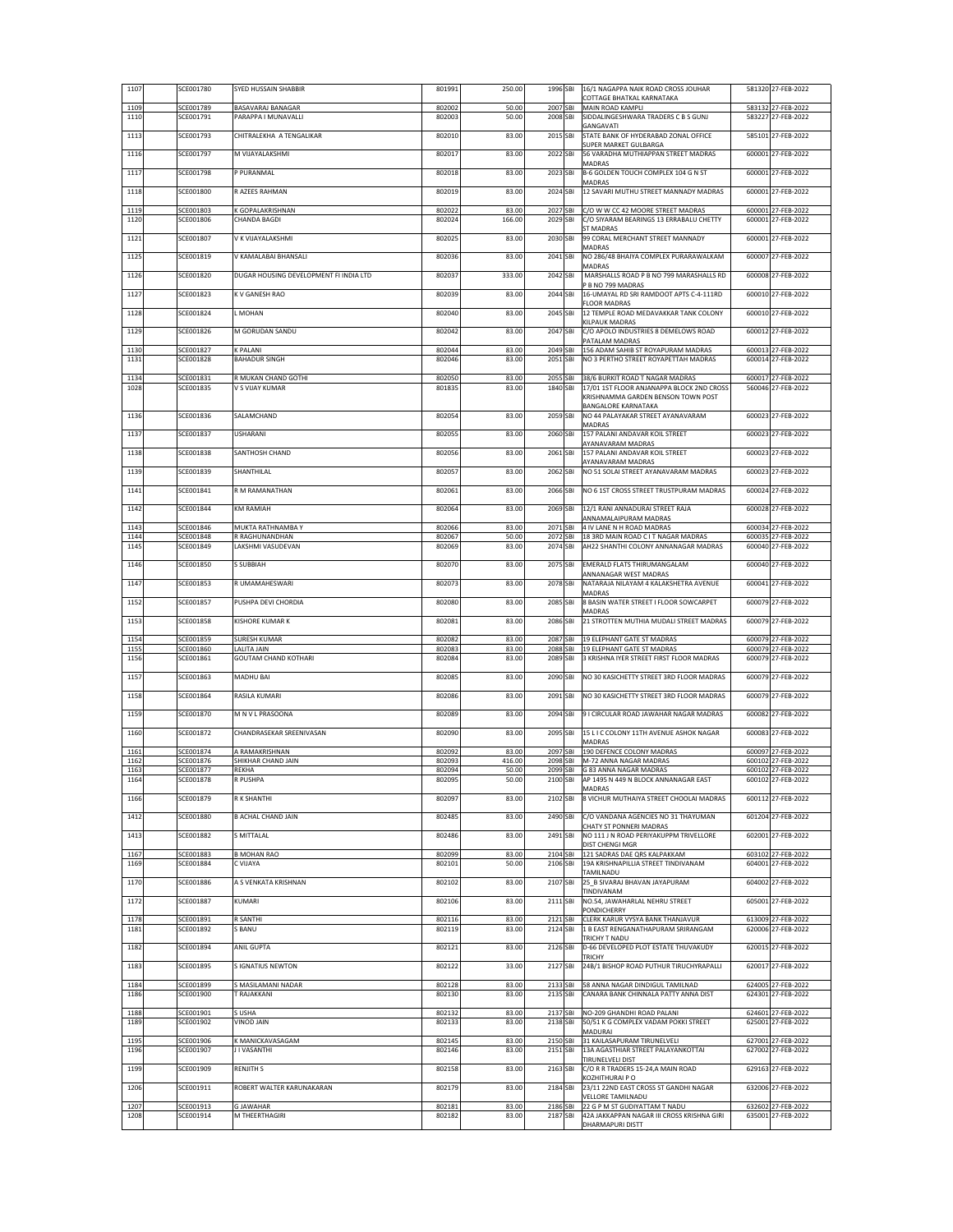|              | SCE001780              | SYED HUSSAIN SHABBIR                        | 801991           | 250.00          | 1996 SBI                       | 16/1 NAGAPPA NAIK ROAD CROSS JOUHAR<br>COTTAGE BHATKAL KARNATAKA                                     | 581320 27-FEB-2022                       |
|--------------|------------------------|---------------------------------------------|------------------|-----------------|--------------------------------|------------------------------------------------------------------------------------------------------|------------------------------------------|
| 1109<br>1110 | SCE001789<br>SCE001791 | BASAVARAJ BANAGAR<br>PARAPPA I MUNAVALLI    | 802002<br>802003 | 50.00<br>50.00  | 2007 SBI<br>2008 SBI           | MAIN ROAD KAMPLI<br>SIDDALINGESHWARA TRADERS C B S GUNJ                                              | 583132 27-FEB-2022<br>583227 27-FEB-2022 |
|              |                        |                                             |                  |                 |                                | GANGAVATI                                                                                            |                                          |
| 1113<br>1116 | SCE001793<br>SCE001797 | CHITRALEKHA A TENGALIKAR<br>M VIJAYALAKSHMI | 802010<br>802017 | 83.00<br>83.00  | 2015 SBI<br>2022 SBI           | STATE BANK OF HYDERABAD ZONAL OFFICE<br>SUPER MARKET GULBARGA<br>56 VARADHA MUTHIAPPAN STREET MADRAS | 585101 27-FEB-2022<br>600001 27-FEB-2022 |
| 1117         | SCE001798              | P PURANMAL                                  | 802018           | 83.00           | 2023 SBI                       | MADRAS<br>B-6 GOLDEN TOUCH COMPLEX 104 G N ST                                                        | 600001 27-FEB-2022                       |
| 1118         | SCE001800              | R AZEES RAHMAN                              | 802019           | 83.00           | 2024 SBI                       | MADRAS<br>12 SAVARI MUTHU STREET MANNADY MADRAS                                                      | 600001 27-FEB-2022                       |
| 1119         | SCE001803              | GOPALAKRISHNAN                              | 802022           | 83.00           | 2027 SBI                       | C/O W W CC 42 MOORE STREET MADRAS                                                                    | 600001 27-FEB-2022                       |
| 1120         | SCE001806              | CHANDA BAGDI                                | 802024           | 166.00          | 2029 SBI                       | C/O SIYARAM BEARINGS 13 ERRABALU CHETTY<br><b>ST MADRAS</b>                                          | 600001 27-FEB-2022                       |
| 1121         | SCE001807              | V K VIJAYALAKSHMI                           | 802025           | 83.00           | 2030 SBI                       | 99 CORAL MERCHANT STREET MANNADY<br>MADRAS                                                           | 600001 27-FEB-2022                       |
| 1125         | SCE001819              | V KAMALABAI BHANSALI                        | 802036           | 83.00           | 2041 SBI                       | NO 286/48 BHAIYA COMPLEX PURARAWALKAM<br>MADRAS                                                      | 600007 27-FEB-2022                       |
| 1126         | SCE001820              | DUGAR HOUSING DEVELOPMENT FI INDIA LTD      | 802037           | 333.00          | 2042 SBI                       | MARSHALLS ROAD P B NO 799 MARASHALLS RD<br>B NO 799 MADRAS                                           | 600008 27-FEB-2022                       |
| 1127         | SCE001823              | K V GANESH RAO                              | 802039           | 83.00           | 2044 SBI                       | 16-UMAYAL RD SRI RAMDOOT APTS C-4-111RD<br><b>FLOOR MADRAS</b>                                       | 600010 27-FEB-2022                       |
| 1128         | SCE001824              | <b>MOHAN</b>                                | 802040           | 83.00           | 2045 SBI                       | 12 TEMPLE ROAD MEDAVAKKAR TANK COLONY<br>KILPAUK MADRAS                                              | 600010 27-FEB-2022                       |
| 1129         | SCE001826              | M GORUDAN SANDU                             | 802042           | 83.00           | 2047 SBI                       | C/O APOLO INDUSTRIES 8 DEMELOWS ROAD<br>PATALAM MADRAS                                               | 600012 27-FEB-2022                       |
| 1130<br>1131 | SCE001827<br>SCE001828 | K PALANI<br><b>BAHADUR SINGH</b>            | 802044<br>802046 | 83.00<br>83.00  | 2049 SBI<br>2051<br>SBI        | 156 ADAM SAHIB ST ROYAPURAM MADRAS<br>NO 3 PERTHO STREET ROYAPETTAH MADRAS                           | 600013 27-FEB-2022<br>600014 27-FEB-2022 |
| 1134         | SCE001831              | R MUKAN CHAND GOTHI                         | 802050           | 83.00           | 2055 SBI                       | 38/6 BURKIT ROAD T NAGAR MADRAS                                                                      | 600017 27-FEB-2022                       |
| 1028         | SCE001835              | V S VIJAY KUMAR                             | 801835           | 83.00           | 1840 SBI                       | 17/01 1ST FLOOR ANJANAPPA BLOCK 2ND CROSS<br>KRISHNAMMA GARDEN BENSON TOWN POST                      | 560046 27-FEB-2022                       |
| 1136         | SCE001836              | SALAMCHAND                                  | 802054           | 83.00           | 2059 SBI                       | BANGALORE KARNATAKA<br>NO 44 PALAYAKAR STREET AYANAVARAM<br>MADRAS                                   | 600023 27-FEB-2022                       |
| 1137         | SCE001837              | <b>USHARANI</b>                             | 802055           | 83.00           | 2060 SBI                       | 157 PALANI ANDAVAR KOIL STREET<br>AYANAVARAM MADRAS                                                  | 600023 27-FEB-2022                       |
| 1138         | SCE001838              | SANTHOSH CHAND                              | 802056           | 83.00           | 2061 SBI                       | 157 PALANI ANDAVAR KOIL STREET<br>AYANAVARAM MADRAS                                                  | 600023 27-FEB-2022                       |
| 1139         | SCE001839              | SHANTHILAL                                  | 802057           | 83.00           | 2062 SBI                       | NO 51 SOLAI STREET AYANAVARAM MADRAS                                                                 | 600023 27-FEB-2022                       |
| 1141         | SCE001841              | R M RAMANATHAN                              | 802061           | 83.00           | 2066 SBI                       | NO 6 1ST CROSS STREET TRUSTPURAM MADRAS                                                              | 600024 27-FEB-2022                       |
| 1142         | SCE001844              | KM RAMIAH                                   | 802064           | 83.00           | 2069 SBI                       | 12/1 RANI ANNADURAI STREET RAJA<br>ANNAMALAIPURAM MADRAS                                             | 600028 27-FEB-2022                       |
| 1143         | SCE001846              | MUKTA RATHNAMBA Y                           | 802066           | 83.00           | 2071 SBI                       | 4 IV LANE N H ROAD MADRAS                                                                            | 600034 27-FEB-2022                       |
| 1144<br>1145 | SCE001848<br>SCE001849 | R RAGHUNANDHAN<br>LAKSHMI VASUDEVAN         | 802067<br>802069 | 50.00<br>83.00  | 2072 SBI<br>2074 SBI           | 18 3RD MAIN ROAD C IT NAGAR MADRAS<br>AH22 SHANTHI COLONY ANNANAGAR MADRAS                           | 600035 27-FEB-2022<br>600040 27-FEB-2022 |
| 1146         | SCE001850              | S SUBBIAH                                   | 802070           | 83.00           | 2075 SBI                       | EMERALD FLATS THIRUMANGALAM<br>ANNANAGAR WEST MADRAS                                                 | 600040 27-FEB-2022                       |
| 1147         | SCE001853              | R UMAMAHESWARI                              | 802073           | 83.00           | 2078 SBI                       | NATARAJA NILAYAM 4 KALAKSHETRA AVENUE<br>MADRAS                                                      | 600041 27-FEB-2022                       |
| 1152         | SCE001857              | PUSHPA DEVI CHORDIA                         | 802080           | 83.00           | 2085 SBI                       | 8 BASIN WATER STREET I FLOOR SOWCARPET<br>MADRAS                                                     | 600079 27-FEB-2022                       |
| 1153         | SCE001858              | KISHORE KUMAR K                             | 802081           | 83.00           | 2086 SBI                       | 21 STROTTEN MUTHIA MUDALI STREET MADRAS                                                              | 600079 27-FEB-2022                       |
|              |                        |                                             |                  |                 |                                |                                                                                                      |                                          |
| 1154         | SCE001859              | <b>SURESH KUMAR</b>                         | 802082           | 83.00           | 2087 SBI                       | 19 ELEPHANT GATE ST MADRAS                                                                           | 600079 27-FEB-2022                       |
| 1155<br>1156 | SCE001860<br>SCE001861 | ALITA JAIN<br><b>GOUTAM CHAND KOTHARI</b>   | 802083<br>802084 | 83.00<br>83.00  | 2088 SBI<br>2089<br><b>SBI</b> | 19 ELEPHANT GATE ST MADRAS<br>3 KRISHNA IYER STREET FIRST FLOOR MADRAS                               | 600079 27-FEB-2022<br>600079 27-FEB-2022 |
| 1157         | SCE001863              | MADHU BAI                                   | 802085           | 83.00           | 2090 SBI                       | NO 30 KASICHETTY STREET 3RD FLOOR MADRAS                                                             | 600079 27-FEB-2022                       |
| 1158         | SCE001864              | RASILA KUMARI                               | 802086           | 83.00           | 2091 SBI                       | NO 30 KASICHETTY STREET 3RD FLOOR MADRAS                                                             | 600079 27-FEB-2022                       |
| 1159         | SCE001870              | M N V L PRASOONA                            | 802089           | 83.00           | 2094 SBI                       | 9 I CIRCULAR ROAD JAWAHAR NAGAR MADRAS                                                               | 600082 27-FEB-2022                       |
| 1160         | SCE001872              | CHANDRASEKAR SREENIVASAN                    | 802090           | 83.00           | 2095 SBI                       | 15 L I C COLONY 11TH AVENUE ASHOK NAGAR<br>MADRAS                                                    | 600083 27-FEB-2022                       |
| 1161         | SCE001874              | A RAMAKRISHNAN<br>SHIKHAR CHAND JAIN        | 802092           | 83.00           | 2097 SBI                       | 190 DEFENCE COLONY MADRAS                                                                            | 600097 27-FEB-2022                       |
| 1162<br>1163 | SCE001876<br>SCE001877 | REKHA                                       | 802093<br>802094 | 416.00<br>50.00 | 2098 SBI                       | M-72 ANNA NAGAR MADRAS<br>2099 SBI G 83 ANNA NAGAR MADRAS                                            | 600102 27-FEB-2022<br>600102 27-FEB-2022 |
| 1164         | SCE001878              | R PUSHPA                                    | 802095           | 50.00           |                                | 2100 SBI AP 1495 N 449 N BLOCK ANNANAGAR EAST<br>MADRAS                                              | 600102 27-FEB-2022                       |
| 1166         | SCE001879              | R K SHANTHI                                 | 802097           | 83.00           | 2102 SBI                       | 8 VICHUR MUTHAIYA STREET CHOOLAI MADRAS                                                              | 600112 27-FEB-2022                       |
| 1412         | SCE001880              | <b>B ACHAL CHAND JAIN</b>                   | 802485           | 83.00           | 2490 SBI                       | C/O VANDANA AGENCIES NO 31 THAYUMAN<br><b>CHATY ST PONNERI MADRAS</b>                                | 601204 27-FEB-2022                       |
| 1413         | SCE001882              | S MITTALAL                                  | 802486           | 83.00           | 2491 SBI                       | NO 111 J N ROAD PERIYAKUPPM TRIVELLORE<br>DIST CHENGI MGR                                            | 602001 27-FEB-2022                       |
| 1167<br>1169 | SCE001883<br>SCE001884 | <b>B MOHAN RAO</b><br>C VIJAYA              | 802099<br>802101 | 83.00<br>50.00  | 2104 SBI<br>2106 SBI           | 121 SADRAS DAE ORS KALPAKKAM<br>19A KRISHNAPILLIA STREET TINDIVANAM                                  | 603102 27-FEB-2022<br>604001 27-FEB-2022 |
| 1170         | SCE001886              | A S VENKATA KRISHNAN                        | 802102           | 83.00           | 2107 SBI                       | TAMILNADU<br>25 B SIVARAJ BHAVAN JAYAPURAM                                                           | 604002 27-FEB-2022                       |
| 1172         | SCE001887              | KUMARI                                      | 802106           | 83.00           | 2111 SBI                       | TINDIVANAM<br>NO.54, JAWAHARLAL NEHRU STREET                                                         | 605001 27-FEB-2022                       |
| 1178         | SCE001891              | SANTHI                                      | 802116           | 83.00           | 2121 SBI                       | PONDICHERRY<br>CLERK KARUR VYSYA BANK THANJAVUR                                                      | 613009 27-FEB-2022                       |
| 1181         | SCE001892              | <b>BANU</b><br><b>ANIL GUPTA</b>            | 802119           | 83.00           | 2124 SBI                       | 1 B EAST RENGANATHAPURAM SRIRANGAM<br>TRICHY T NADU                                                  | 620006 27-FEB-2022                       |
| 1182<br>1183 | SCE001894<br>SCE001895 | <b>SIGNATIUS NEWTON</b>                     | 802121<br>802122 | 83.00<br>33.00  | 2126 SBI<br>2127 SBI           | D-66 DEVELOPED PLOT ESTATE THUVAKUDY<br>TRICHY<br>24B/1 BISHOP ROAD PUTHUR TIRUCHYRAPALLI            | 620015 27-FEB-2022<br>620017 27-FEB-2022 |
| 1184         | SCE001899              | S MASILAMANI NADAR                          | 802128           | 83.00           | 2133 SBI                       | 58 ANNA NAGAR DINDIGUL TAMILNAD                                                                      | 624005 27-FEB-2022                       |
| 1186         | SCE001900              | <b>FRAJAKKANI</b>                           | 802130           | 83.00           | 2135 SBI                       | CANARA BANK CHINNALA PATTY ANNA DIST                                                                 | 624301 27-FEB-2022                       |
| 1188<br>1189 | SCE001901<br>SCE001902 | USHA<br><b>HIAL GONIV</b>                   | 802132<br>802133 | 83.00<br>83.00  | 2137 SBI<br>2138 SBI           | NO-209 GHANDHI ROAD PALANI<br>50/51 K G COMPLEX VADAM POKKI STREET<br>MADURAI                        | 624601 27-FEB-2022<br>625001 27-FEB-2022 |
| 1195<br>1196 | SCE001906<br>SCE001907 | K MANICKAVASAGAM<br>I I VASANTHI            | 802145<br>802146 | 83.00<br>83.00  | 2150 SBI<br>2151 SBI           | 31 KAILASAPURAM TIRUNELVELI<br>13A AGASTHIAR STREET PALAYANKOTTAI                                    | 627001 27-FEB-2022<br>627002 27-FEB-2022 |
| 1199         | SCE001909              | <b>RENJITH S</b>                            | 802158           | 83.00           | 2163 SBI                       | <b>TIRUNELVELI DIST</b><br>C/O R R TRADERS 15-24,A MAIN ROAD                                         | 629163 27-FEB-2022                       |
| 1206         | SCE001911              | ROBERT WALTER KARUNAKARAN                   | 802179           | 83.00           | 2184 SBI                       | KOZHITHURAI P O<br>23/11 22ND EAST CROSS ST GANDHI NAGAR                                             | 632006 27-FEB-2022                       |
| 1207<br>1208 | SCE001913<br>SCE001914 | <b>GJAWAHAR</b><br>M THEERTHAGIRI           | 802181<br>802182 | 83.00<br>83.00  | 2186 SBI<br>2187 SBI           | VELLORE TAMILNADU<br>22 G P M ST GUDIYATTAM T NADU<br>42A JAKKAPPAN NAGAR III CROSS KRISHNA GIRI     | 632602 27-FEB-2022<br>635001 27-FEB-2022 |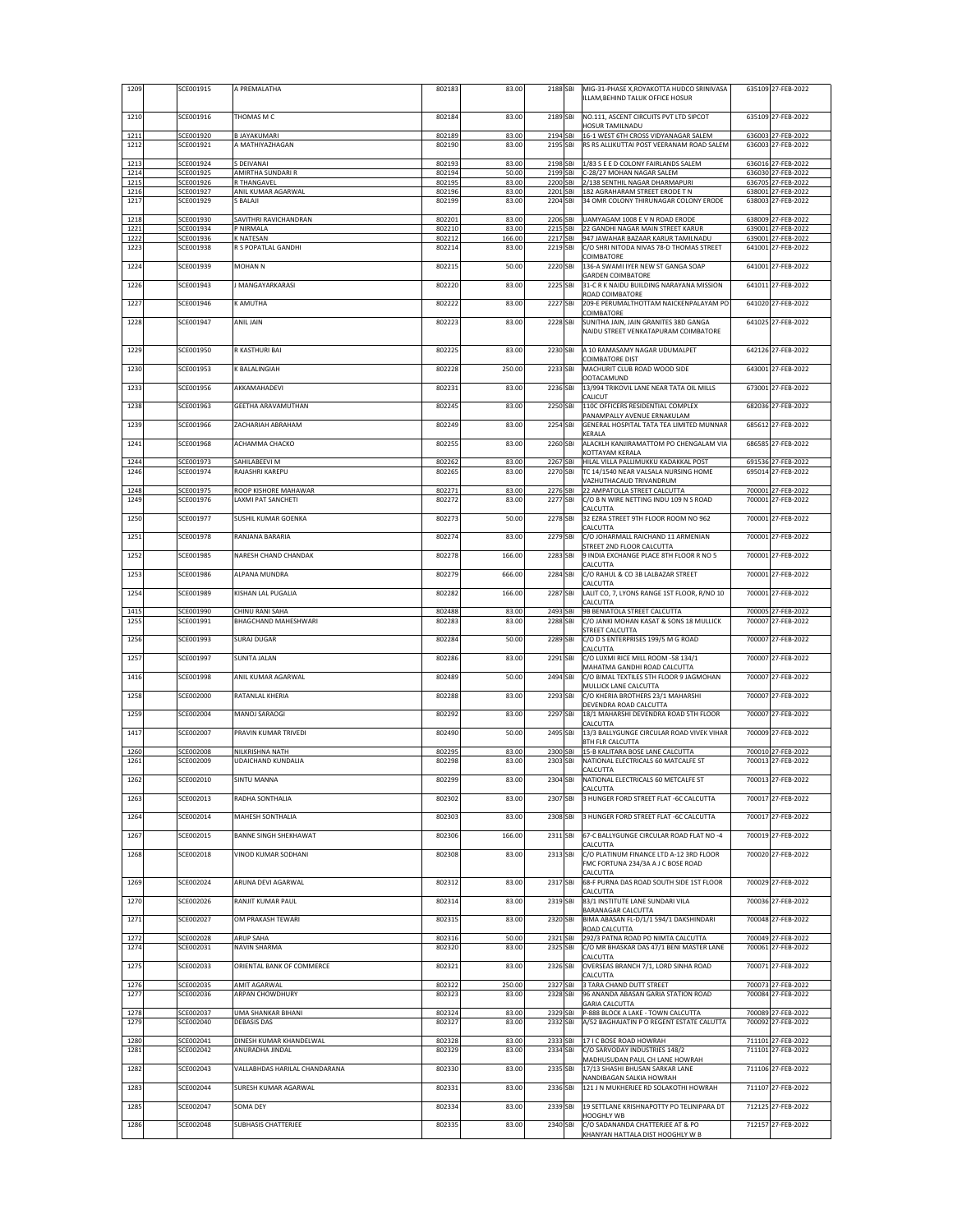|              | SCE001915              | A PREMALATHA                              | 802183           | 83.00           | 2188 SBI             | MIG-31-PHASE X, ROYAKOTTA HUDCO SRINIVASA<br>ILLAM, BEHIND TALUK OFFICE HOSUR               | 635109 27-FEB-2022                       |
|--------------|------------------------|-------------------------------------------|------------------|-----------------|----------------------|---------------------------------------------------------------------------------------------|------------------------------------------|
| 1210         | SCE001916              | THOMAS M C                                | 802184           | 83.00           | 2189 SBI             | NO.111, ASCENT CIRCUITS PVT LTD SIPCOT<br>HOSUR TAMILNADU                                   | 635109 27-FEB-2022                       |
| 1211<br>1212 | SCE001920<br>SCE001921 | <b>B JAYAKUMARI</b><br>A MATHIYAZHAGAN    | 802189<br>802190 | 83.00<br>83.00  | 2194 SBI<br>2195 SBI | 16-1 WEST 6TH CROSS VIDYANAGAR SALEM<br>RS RS ALLIKUTTAI POST VEERANAM ROAD SALEM           | 636003 27-FEB-2022<br>636003 27-FEB-2022 |
| 1213         | SCE001924              | S DEIVANAI                                | 802193           | 83.00           | 2198 SBI             | 1/83 S E E D COLONY FAIRLANDS SALEM                                                         | 636016 27-FEB-2022                       |
| 1214<br>1215 | SCE001925<br>SCE001926 | AMIRTHA SUNDARI R<br>R THANGAVEL          | 802194<br>802195 | 50.00<br>83.00  | 2199 SBI<br>2200 SBI | C-28/27 MOHAN NAGAR SALEM<br>2/138 SENTHIL NAGAR DHARMAPURI                                 | 636030 27-FEB-2022<br>636705 27-FEB-2022 |
| 1216         | SCE001927              | ANIL KUMAR AGARWAL                        | 802196           | 83.00           | 2201 SBI             | 182 AGRAHARAM STREET ERODE T N                                                              | 638001 27-FEB-2022                       |
| 1217         | SCE001929              | S BALAJI                                  | 802199           | 83.00           | 2204 SBI             | 34 OMR COLONY THIRUNAGAR COLONY ERODE                                                       | 638003 27-FEB-2022                       |
| 1218<br>1221 | SCE001930<br>SCE001934 | SAVITHRI RAVICHANDRAN<br>P NIRMALA        | 802201<br>802210 | 83.00<br>83.00  | 2206 SBI<br>2215 SBI | UAMYAGAM 1008 E V N ROAD ERODE<br>22 GANDHI NAGAR MAIN STREET KARUR                         | 638009 27-FEB-2022<br>639001 27-FEB-2022 |
| 1222<br>1223 | SCE001936<br>SCE001938 | <b>K NATESAN</b><br>R S POPATLAL GANDHI   | 802212<br>802214 | 166.00<br>83.00 | 2217 SBI<br>2219 SBI | 947 JAWAHAR BAZAAR KARUR TAMILNADU<br>C/O SHRI NITODA NIVAS 78-D THOMAS STREET              | 639001 27-FEB-2022<br>641001 27-FEB-2022 |
| 1224         | SCE001939              | MOHAN <sub>N</sub>                        | 802215           | 50.00           | 2220 SBI             | COIMBATORE<br>136-A SWAMI IYER NEW ST GANGA SOAP                                            | 641001 27-FEB-2022                       |
| 1226         | SCE001943              | <b>MANGAYARKARASI</b>                     | 802220           | 83.00           | 2225 SBI             | <b>GARDEN COIMBATORE</b><br>31-C R K NAIDU BUILDING NARAYANA MISSION                        | 641011 27-FEB-2022                       |
| 1227         | SCE001946              | K AMUTHA                                  | 802222           | 83.00           | 2227 SBI             | ROAD COIMBATORE<br>209-E PERUMALTHOTTAM NAICKENPALAYAM PO                                   | 641020 27-FEB-2022                       |
| 1228         | SCE001947              | ANIL JAIN                                 | 802223           | 83.00           | 2228 SBI             | COIMBATORE<br>SUNITHA JAIN, JAIN GRANITES 38D GANGA                                         | 641025 27-FEB-2022                       |
|              |                        |                                           |                  |                 |                      | NAIDU STREET VENKATAPURAM COIMBATORE                                                        |                                          |
| 1229         | SCE001950              | R KASTHURI BAI                            | 802225           | 83.00           | 2230 SBI             | A 10 RAMASAMY NAGAR UDUMALPET<br><b>COIMBATORE DIST</b>                                     | 642126 27-FEB-2022                       |
| 1230         | SCE001953              | K BALALINGIAH                             | 802228           | 250.00          | 2233 SBI             | MACHURIT CLUB ROAD WOOD SIDE<br><b>OOTACAMUND</b>                                           | 643001 27-FEB-2022                       |
| 1233         | SCE001956              | AKKAMAHADEVI                              | 802231           | 83.00           | 2236 SBI             | 13/994 TRIKOVIL LANE NEAR TATA OIL MILLS<br>CALICUT                                         | 673001 27-FEB-2022                       |
| 1238         | SCE001963              | GEETHA ARAVAMUTHAN                        | 802245           | 83.00           | 2250 SBI             | 110C OFFICERS RESIDENTIAL COMPLEX<br>PANAMPALLY AVENUE ERNAKULAM                            | 682036 27-FEB-2022                       |
| 1239         | SCE001966              | ZACHARIAH ABRAHAM                         | 802249           | 83.00           | 2254 SBI             | GENERAL HOSPITAL TATA TEA LIMITED MUNNAR                                                    | 685612 27-FEB-2022                       |
| 1241         | SCE001968              | АСНАММА СНАСКО                            | 802255           | 83.00           | 2260 SBI             | KERALA<br>ALACKLH KANJIRAMATTOM PO CHENGALAM VIA                                            | 686585 27-FEB-2022                       |
| 1244         | SCE001973              | SAHILABEEVI M                             | 802262           | 83.00           | 2267 SBI             | KOTTAYAM KERALA<br>HILAL VILLA PALLIMUKKU KADAKKAL POST                                     | 691536 27-FEB-2022                       |
| 1246         | SCE001974              | RAJASHRI KAREPU                           | 802265           | 83.00           | 2270 SBI             | TC 14/1540 NEAR VALSALA NURSING HOME<br>VAZHUTHACAUD TRIVANDRUM                             | 695014 27-FEB-2022                       |
| 1248         | SCE001975              | ROOP KISHORE MAHAWAR                      | 802271           | 83.00           | 2276 SBI<br>2277 SBI | 22 AMPATOLLA STREET CALCUTTA<br>C/O B N WIRE NETTING INDU 109 N S ROAD                      | 700001 27-FEB-2022                       |
| 1249<br>1250 | SCE001976<br>SCE001977 | LAXMI PAT SANCHETI<br>SUSHIL KUMAR GOENKA | 802272<br>802273 | 83.00<br>50.00  | 2278 SBI             | CALCUTTA<br>32 EZRA STREET 9TH FLOOR ROOM NO 962                                            | 700001 27-FEB-2022<br>700001 27-FEB-2022 |
| 1251         | SCE001978              | RANJANA BARARIA                           | 802274           | 83.00           | 2279 SBI             | CALCUTTA<br>C/O JOHARMALL RAICHAND 11 ARMENIAN                                              | 700001 27-FEB-2022                       |
| 1252         | SCE001985              | NARESH CHAND CHANDAK                      | 802278           | 166.00          | 2283 SBI             | STREET 2ND FLOOR CALCUTTA<br>9 INDIA EXCHANGE PLACE 8TH FLOOR R NO 5                        | 700001 27-FEB-2022                       |
| 1253         | SCE001986              | ALPANA MUNDRA                             | 802279           | 666.00          | 2284 SBI             | CALCUTTA<br>C/O RAHUL & CO 3B LALBAZAR STREET                                               | 700001 27-FEB-2022                       |
|              |                        | KISHAN LAL PUGALIA                        | 802282           | 166.00          | 2287 SBI             | CALCUTTA<br>LALIT CO, 7, LYONS RANGE 1ST FLOOR, R/NO 10                                     | 700001 27-FEB-2022                       |
|              |                        |                                           |                  |                 |                      |                                                                                             |                                          |
| 1254         | SCE001989              |                                           |                  |                 |                      | CALCUTTA                                                                                    |                                          |
| 1415<br>1255 | SCE001990<br>SCE001991 | CHINU RANI SAHA<br>BHAGCHAND MAHESHWARI   | 802488<br>802283 | 83.00<br>83.00  | 2493 SBI<br>2288 SBI | 9B BENIATOLA STREET CALCUTTA<br>C/O JANKI MOHAN KASAT & SONS 18 MULLICK                     | 700005 27-FEB-2022<br>700007 27-FEB-2022 |
| 1256         | SCE001993              | <b>SURAJ DUGAR</b>                        | 802284           | 50.00           | 2289 SBI             | STREET CALCUTTA<br>C/O D S ENTERPRISES 199/5 M G ROAD                                       | 700007 27-FEB-2022                       |
| 1257         | SCE001997              | SUNITA JALAN                              | 802286           | 83.00           | 2291 SBI             | CALCUTTA<br>C/O LUXMI RICE MILL ROOM -58 134/1                                              | 700007 27-FEB-2022                       |
| 1416         | SCE001998              | ANIL KUMAR AGARWAL                        | 802489           | 50.00           | 2494 SBI             | MAHATMA GANDHI ROAD CALCUTTA<br>C/O BIMAL TEXTILES 5TH FLOOR 9 JAGMOHAN                     | 700007 27-FEB-2022                       |
| 1258         | SCE002000              | RATANLAL KHERIA                           | 802288           | 83.00           | 2293 SBI             | MULLICK LANE CALCUTTA<br>C/O KHERIA BROTHERS 23/1 MAHARSHI                                  | 700007 27-FEB-2022                       |
| 1259         | SCE002004              | MANOJ SARAOGI                             | 802292           | 83.00           | 2297 SBI             | DEVENDRA ROAD CALCUTTA<br>18/1 MAHARSHI DEVENDRA ROAD 5TH FLOOR                             | 700007 27-FEB-2022                       |
| 1417         | SCE002007              | PRAVIN KUMAR TRIVEDI                      | 802490           | 50.00           | 2495 SBI             | CALCUTTA<br>13/3 BALLYGUNGE CIRCULAR ROAD VIVEK VIHAR                                       | 700009 27-FEB-2022                       |
| 1260         | SCE002008              | NILKRISHNA NATH                           | 802295           | 83.00           | 2300 SBI             | 8TH FLR CALCUTTA<br>15-B KALITARA BOSE LANE CALCUTTA                                        | 700010 27-FEB-2022                       |
| 1261         | SCE002009              | UDAICHAND KUNDALIA                        | 802298           | 83.00           | 2303 SBI             | NATIONAL ELECTRICALS 60 MATCALFE ST<br>CALCUTTA                                             | 700013 27-FEB-2022                       |
| 1262         | SCE002010              | <b>SINTU MANNA</b>                        | 802299           | 83.00           | 2304 SBI             | NATIONAL ELECTRICALS 60 METCALFE ST                                                         | 700013 27-FEB-2022                       |
| 1263         | SCE002013              | RADHA SONTHALIA                           | 802302           | 83.00           | 2307 SBI             | CALCUTTA<br>3 HUNGER FORD STREET FLAT -6C CALCUTTA                                          | 700017 27-FEB-2022                       |
| 1264         | SCE002014              | MAHESH SONTHALIA                          | 802303           | 83.00           | 2308 SBI             | 3 HUNGER FORD STREET FLAT -6C CALCUTTA                                                      | 700017 27-FEB-2022                       |
| 1267         | SCE002015              | BANNE SINGH SHEKHAWAT                     | 802306           | 166.00          | 2311 SBI             | 67-C BALLYGUNGE CIRCULAR ROAD FLAT NO -4<br>CALCUTTA                                        | 700019 27-FEB-2022                       |
| 1268         | SCE002018              | VINOD KUMAR SODHANI                       | 802308           | 83.00           | 2313 SBI             | C/O PLATINUM FINANCE LTD A-12 3RD FLOOR<br>FMC FORTUNA 234/3A A J C BOSE ROAD               | 700020 27-FEB-2022                       |
| 1269         | SCE002024              | ARUNA DEVI AGARWAL                        | 802312           | 83.00           | 2317 SBI             | CALCUTTA<br>68-F PURNA DAS ROAD SOUTH SIDE 1ST FLOOR                                        | 700029 27-FEB-2022                       |
| 1270         | SCE002026              | RANJIT KUMAR PAUL                         | 802314           | 83.00           | 2319 SBI             | CALCUTTA<br>83/1 INSTITUTE LANE SUNDARI VILA                                                | 700036 27-FEB-2022                       |
| 1271         | SCE002027              | OM PRAKASH TEWARI                         | 802315           | 83.00           | 2320 SBI             | BARANAGAR CALCUTTA<br>BIMA ABASAN FL-D/1/1 594/1 DAKSHINDARI                                | 700048 27-FEB-2022                       |
| 1272         | SCE002028              | ARUP SAHA                                 | 802316           | 50.00           | 2321 SBI             | ROAD CALCUTTA<br>292/3 PATNA ROAD PO NIMTA CALCUTTA                                         | 700049 27-FEB-2022                       |
| 1274         | SCE002031              | NAVIN SHARMA                              | 802320           | 83.00           | 2325 SBI             | C/O MR BHASKAR DAS 47/1 BENI MASTER LANE<br>CALCUTTA                                        | 700061 27-FEB-2022                       |
| 1275         | SCE002033              | ORIENTAL BANK OF COMMERCE                 | 802321           | 83.00           | 2326 SBI             | OVERSEAS BRANCH 7/1, LORD SINHA ROAD<br>CALCUTTA                                            | 700071 27-FEB-2022                       |
| 1276<br>1277 | SCE002035              | AMIT AGARWAL<br><b>ARPAN CHOWDHURY</b>    | 802322           | 250.00          | 2327 SBI<br>2328 SBI | 3 TARA CHAND DUTT STREET                                                                    | 700073 27-FEB-2022                       |
|              | SCE002036              |                                           | 802323           | 83.00           |                      | 96 ANANDA ABASAN GARIA STATION ROAD<br><b>GARIA CALCUTTA</b>                                | 700084 27-FEB-2022                       |
| 1278<br>1279 | SCE002037<br>SCE002040 | UMA SHANKAR BIHANI<br><b>DEBASIS DAS</b>  | 802324<br>802327 | 83.00<br>83.00  | 2329 SBI<br>2332 SBI | P-888 BLOCK A LAKE - TOWN CALCUTTA<br>A/52 BAGHAJATIN P O REGENT ESTATE CALUTTA             | 700089 27-FEB-2022<br>700092 27-FEB-2022 |
| 1280         | SCE002041              | DINESH KUMAR KHANDELWAL                   | 802328           | 83.00           | 2333 SBI             | 17 I C BOSE ROAD HOWRAH                                                                     | 711101 27-FEB-2022                       |
| 1281         | SCE002042              | ANURADHA JINDAL                           | 802329           | 83.00           | 2334 SBI             | C/O SARVODAY INDUSTRIES 148/2<br>MADHUSUDAN PAUL CH LANE HOWRAH                             | 711101 27-FEB-2022                       |
| 1282         | SCE002043              | VALLABHDAS HARILAL CHANDARANA             | 802330           | 83.00           | 2335 SBI             | 17/13 SHASHI BHUSAN SARKAR LANE<br>NANDIBAGAN SALKIA HOWRAH                                 | 711106 27-FEB-2022                       |
| 1283         | SCE002044              | SURESH KUMAR AGARWAL                      | 802331           | 83.00           | 2336 SBI             | 121 J N MUKHERJEE RD SOLAKOTHI HOWRAH                                                       | 711107 27-FEB-2022                       |
| 1285         | SCE002047<br>SCE002048 | SOMA DEY                                  | 802334           | 83.00           | 2339 SBI             | 19 SETTLANE KRISHNAPOTTY PO TELINIPARA DT<br>HOOGHLY WB<br>C/O SADANANDA CHATTERJEE AT & PO | 712125 27-FEB-2022<br>712157 27-FEB-2022 |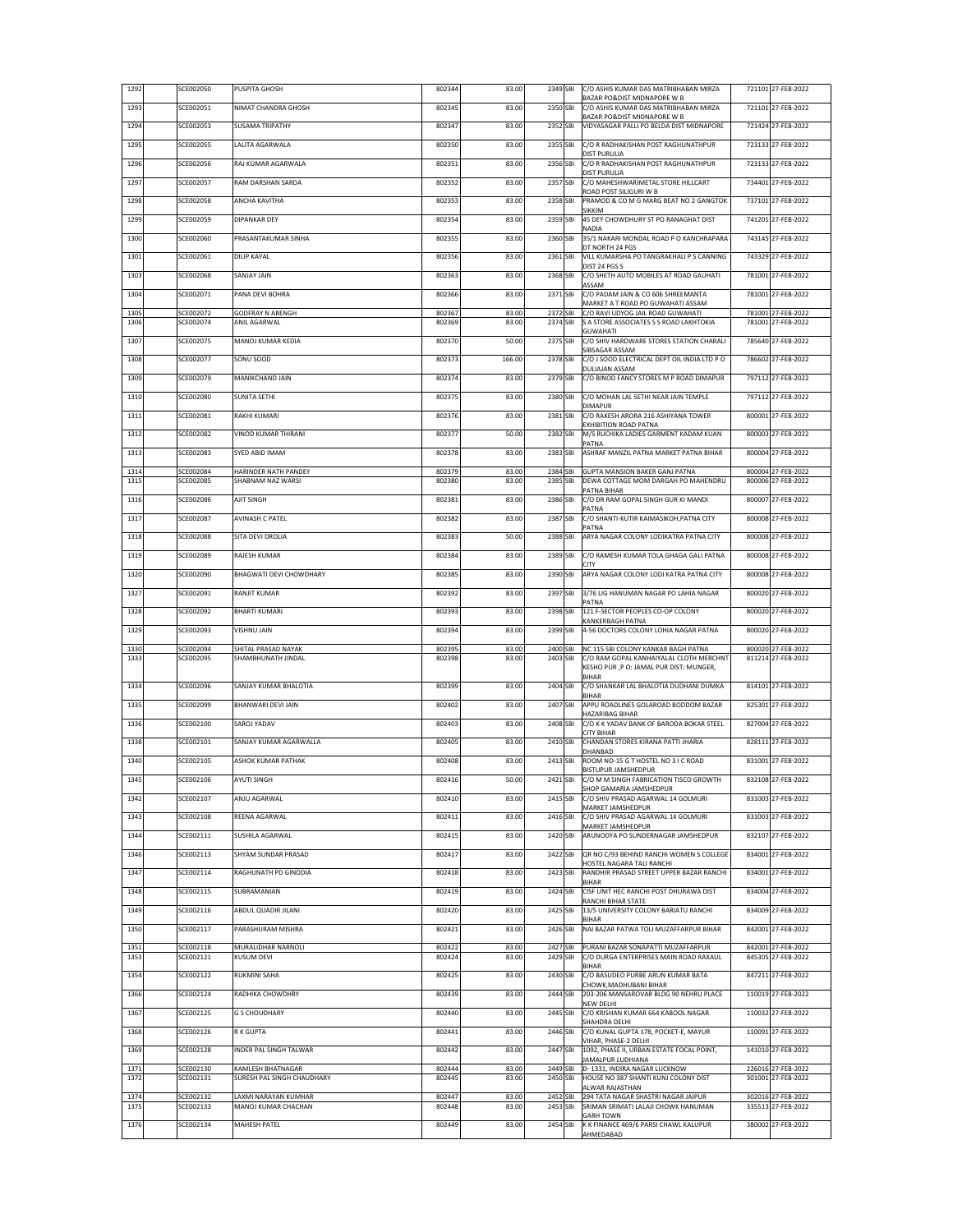| 1292         | SCE002050              | PUSPITA GHOSH                                   | 802344           | 83.00          | 2349 SBI             | C/O ASHIS KUMAR DAS MATRIBHABAN MIRZA<br>BAZAR PO&DIST MIDNAPORE W B           |        | 721101 27-FEB-2022                       |
|--------------|------------------------|-------------------------------------------------|------------------|----------------|----------------------|--------------------------------------------------------------------------------|--------|------------------------------------------|
| 1293         | SCE002051              | NIMAT CHANDRA GHOSH                             | 802345           | 83.00          | 2350 SBI             | C/O ASHIS KUMAR DAS MATRIBHABAN MIRZA<br>BAZAR PO&DIST MIDNAPORE W B           |        | 721101 27-FEB-2022                       |
| 1294         | SCE002053              | <b>SUSAMA TRIPATHY</b>                          | 802347           | 83.00          | 2352 SBI             | VIDYASAGAR PALLI PO BELDA DIST MIDNAPORE                                       |        | 721424 27-FEB-2022                       |
| 1295         | SCE002055              | LALITA AGARWALA                                 | 802350           | 83.00          | 2355 SBI             | C/O R RADHAKISHAN POST RAGHUNATHPUR                                            |        | 723133 27-FEB-2022                       |
| 1296         | SCE002056              | RAJ KUMAR AGARWALA                              | 802351           | 83.00          | 2356 SBI             | <b>DIST PURULIA</b><br>C/O R RADHAKISHAN POST RAGHUNATHPUR                     |        | 723133 27-FEB-2022                       |
| 1297         | SCE002057              | RAM DARSHAN SARDA                               | 802352           | 83.00          | 2357 SBI             | <b>DIST PURULIA</b><br>C/O MAHESHWARIMETAL STORE HILLCART                      |        | 734401 27-FEB-2022                       |
| 1298         | SCE002058              | ANCHA KAVITHA                                   | 802353           | 83.00          | 2358 SBI             | ROAD POST SILIGURI W B<br>PRAMOD & CO M G MARG BEAT NO 2 GANGTOK               |        | 737101 27-FEB-2022                       |
| 1299         | SCE002059              | <b>DIPANKAR DEY</b>                             | 802354           | 83.00          | 2359 SBI             | SIKKIM<br>45 DEY CHOWDHURY ST PO RANAGHAT DIST                                 |        | 741201 27-FEB-2022                       |
|              |                        |                                                 |                  |                |                      | NADIA                                                                          |        |                                          |
| 1300         | SCE002060              | PRASANTAKUMAR SINHA                             | 802355           | 83.00          | 2360 SBI             | 35/1 NAKARI MONDAL ROAD P O KANCHRAPARA<br>DT NORTH 24 PGS                     |        | 743145 27-FEB-2022                       |
| 1301         | SCE002061              | <b>DILIP KAYAL</b>                              | 802356           | 83.00          | 2361 SBI             | VILL KUMARSHA PO TANGRAKHALI P S CANNING<br>DIST 24 PGS S                      | 743329 | 27-FEB-2022                              |
| 1303         | SCE002068              | SANJAY JAIN                                     | 802363           | 83.00          | 2368 SBI             | C/O SHETH AUTO MOBILES AT ROAD GAUHATI<br>ASSAM                                |        | 781001 27-FEB-2022                       |
| 1304         | SCE002071              | PANA DEVI BOHRA                                 | 802366           | 83.00          | 2371 SBI             | C/O PADAM JAIN & CO 606 SHREEMANTA<br>MARKET A T ROAD PO GUWAHATI ASSAM        |        | 781001 27-FEB-2022                       |
| 1305<br>1306 | SCE002072<br>SCE002074 | <b>GODFRAY N ARENGH</b><br>ANIL AGARWAL         | 802367<br>802369 | 83.00<br>83.00 | 2372 SBI<br>2374 SBI | C/O RAVI UDYOG JAIL ROAD GUWAHATI<br>S A STORE ASSOCIATES S S ROAD LAKHTOKIA   | 781001 | 781001 27-FEB-2022<br>27-FEB-2022        |
| 1307         | SCE002075              | MANOJ KUMAR KEDIA                               | 802370           | 50.00          | 2375 SBI             | <b>GUWAHATI</b><br>C/O SHIV HARDWARE STORES STATION CHARALI                    |        | 785640 27-FEB-2022                       |
|              |                        |                                                 |                  |                |                      | SIBSAGAR ASSAM                                                                 |        |                                          |
| 1308         | SCE002077              | SONU SOOD                                       | 802373           | 166.00         | 2378 SBI             | C/O J SOOD ELECTRICAL DEPT OIL INDIA LTD PO<br>DULIAJAN ASSAM                  |        | 786602 27-FEB-2022                       |
| 1309         | SCE002079              | MANIKCHAND JAIN                                 | 802374           | 83.00          | 2379 SBI             | C/O BINOD FANCY STORES M P ROAD DIMAPUR                                        |        | 797112 27-FEB-2022                       |
| 1310         | SCE002080              | <b>SUNITA SETHI</b>                             | 802375           | 83.00          | 2380 SBI             | C/O MOHAN LAL SETHI NEAR JAIN TEMPLE<br><b>DIMAPUR</b>                         |        | 797112 27-FEB-2022                       |
| 1311         | SCE002081              | RAKHI KUMARI                                    | 802376           | 83.00          | 2381 SBI             | C/O RAKESH ARORA 216 ASHIYANA TOWER<br>EXHIBITION ROAD PATNA                   |        | 800001 27-FEB-2022                       |
| 1312         | SCE002082              | VINOD KUMAR THIRANI                             | 802377           | 50.00          | 2382 SBI             | M/S RUCHIKA LADIES GARMENT KADAM KUAN                                          |        | 800003 27-FEB-2022                       |
| 1313         | SCE002083              | SYED ABID IMAM                                  | 802378           | 83.00          | 2383 SBI             | PATNA<br>ASHRAF MANZIL PATNA MARKET PATNA BIHAR                                |        | 800004 27-FEB-2022                       |
| 1314         | SCE002084              | HARINDER NATH PANDEY                            | 802379           | 83.00          | 2384 SBI             | GUPTA MANSION BAKER GANJ PATNA                                                 |        | 800004 27-FEB-2022                       |
| 1315         | <b>SCE002085</b>       | SHABNAM NAZ WARSI                               | 802380           | 83.00          | 2385 SBI             | DEWA COTTAGE MOM DARGAH PO MAHENDRU<br>PATNA BIHAR                             |        | 800006 27-FEB-2022                       |
| 1316         | SCE002086              | AJIT SINGH                                      | 802381           | 83.00          | 2386 SBI             | C/O DR RAM GOPAL SINGH GUR KI MANDI<br>PATNA                                   |        | 800007 27-FEB-2022                       |
| 1317         | SCE002087              | <b>AVINASH C PATEL</b>                          | 802382           | 83.00          | 2387 SBI             | C/O SHANTI-KUTIR KAIMASIKOH, PATNA CITY<br>PATNA                               |        | 800008 27-FEB-2022                       |
| 1318         | SCE002088              | SITA DEVI DROLIA                                | 802383           | 50.00          | 2388 SBI             | ARYA NAGAR COLONY LODIKATRA PATNA CITY                                         |        | 800008 27-FEB-2022                       |
| 1319         | SCE002089              | RAJESH KUMAR                                    | 802384           | 83.00          | 2389 SBI             | C/O RAMESH KUMAR TOLA GHAGA GALI PATNA                                         | 800008 | 27-FEB-2022                              |
| 1320         | SCE002090              | BHAGWATI DEVI CHOWDHARY                         | 802385           | 83.00          | 2390 SBI             | <b>CITY</b><br>ARYA NAGAR COLONY LODI KATRA PATNA CITY                         |        | 800008 27-FEB-2022                       |
| 1327         | SCE002091              | RANJIT KUMAR                                    | 802392           | 83.00          | 2397 SBI             | 3/76 LIG HANUMAN NAGAR PO LAHIA NAGAR                                          |        | 800020 27-FEB-2022                       |
| 1328         | SCE002092              | <b>BHARTI KUMARI</b>                            | 802393           | 83.00          | 2398 SBI             | PATNA<br>121 F-SECTOR PEOPLES CO-OP COLONY                                     |        | 800020 27-FEB-2022                       |
| 1329         | SCE002093              | VISHNU JAIN                                     | 802394           | 83.00          | 2399 SBI             | KANKERBAGH PATNA<br>4-56 DOCTORS COLONY LOHIA NAGAR PATNA                      |        | 800020 27-FEB-2022                       |
|              |                        |                                                 |                  |                |                      |                                                                                |        |                                          |
| 1330<br>1333 | SCE002094<br>SCE002095 | SHITAL PRASAD NAYAK<br>SHAMBHUNATH JINDAL       | 802395<br>802398 | 83.00<br>83.00 | 2400 SBI<br>2403 SBI | NC 115 SBI COLONY KANKAR BAGH PATNA<br>C/O RAM GOPAL KANHAIYALAL CLOTH MERCHNT | 800020 | 27-FEB-2022<br>811214 27-FEB-2022        |
|              |                        |                                                 |                  |                |                      | KESHO PUR, PO: JAMAL PUR DIST: MUNGER,<br><b>BIHAR</b>                         |        |                                          |
| 1334         | SCE002096              | SANJAY KUMAR BHALOTIA                           | 802399           | 83.00          | 2404 SBI             | C/O SHANKAR LAL BHALOTIA DUDHANI DUMKA<br><b>BIHAR</b>                         |        | 814101 27-FEB-2022                       |
| 1335         | SCE002099              | <b>BHANWARI DEVI JAIN</b>                       | 802402           | 83.00          | 2407 SBI             | APPU ROADLINES GOLAROAD BODDOM BAZAR<br>HAZARIBAG BIHAR                        |        | 825301 27-FEB-2022                       |
| 1336         | SCE002100              | SAROJ YADAV                                     | 802403           | 83.00          | 2408 SBI             | C/O K K YADAV BANK OF BARODA BOKAR STEEL<br><b>CITY BIHAR</b>                  |        | 827004 27-FEB-2022                       |
| 1338         | SCE002101              | SANJAY KUMAR AGARWALLA                          | 802405           | 83.00          | 2410 SBI             | CHANDAN STORES KIRANA PATTI JHARIA<br>DHANBAD                                  |        | 828111 27-FEB-2022                       |
| 1340         | SCE002105              | ASHOK KUMAR PATHAK                              | 802408           | 83.00          | 2413 SBI             | ROOM NO-15 G T HOSTEL NO 3 I C ROAD                                            |        | 831001 27-FEB-2022                       |
| 1345         | SCE002106              | <b>AYUTI SINGH</b>                              | 802416           | 50.00          | 2421 SBI             | BISTUPUR JAMSHEDPUR<br>C/O M M SINGH FABRICATION TISCO GROWTH                  |        | 832108 27-FEB-2022                       |
| 1342         | SCE002107              | ANJU AGARWAL                                    | 802410           | 83.00          | 2415 SBI             | SHOP GAMARIA JAMSHEDPUR<br>C/O SHIV PRASAD AGARWAL 14 GOLMURI                  |        | 831003 27-FEB-2022                       |
| 1343         | SCE002108              | REENA AGARWAL                                   | 802411           | 83.00          | 2416 SBI             | MARKET JAMSHEDPUR<br>C/O SHIV PRASAD AGARWAL 14 GOLMURI                        |        | 831003 27-FEB-2022                       |
| 1344         | SCE002111              | SUSHILA AGARWAL                                 | 802415           | 83.00          | 2420 SBI             | MARKET JAMSHEDPUR<br>ARUNODYA PO SUNDERNAGAR JAMSHEDPUR                        |        | 832107 27-FEB-2022                       |
| 1346         | SCE002113              | SHYAM SUNDAR PRASAD                             | 802417           | 83.00          | 2422 SBI             | QR NO C/93 BEHIND RANCHI WOMEN S COLLEGE                                       |        | 834001 27-FEB-2022                       |
| 1347         | SCE002114              | RAGHUNATH PD GINODIA                            | 802418           | 83.00          | 2423 SBI             | HOSTEL NAGARA TALI RANCHI<br>RANDHIR PRASAD STREET UPPER BAZAR RANCHI          |        | 834001 27-FEB-2022                       |
|              |                        |                                                 |                  |                |                      | <b>BIHAR</b>                                                                   |        |                                          |
| 1348         | SCE002115              | SUBRAMANIAN                                     | 802419           | 83.00          | 2424 SBI             | CISF UNIT HEC RANCHI POST DHURAWA DIST<br>RANCHI BIHAR STATE                   |        | 834004 27-FEB-2022                       |
| 1349         | SCE002116              | ABDUL QUADIR JILANI                             | 802420           | 83.00          | 2425 SBI             | 13/5 UNIVERSITY COLONY BARIATU RANCHI<br><b>BIHAR</b>                          |        | 834009 27-FEB-2022                       |
| 1350         | SCE002117              | PARASHURAM MISHRA                               | 802421           | 83.00          | 2426 SBI             | NAI BAZAR PATWA TOLI MUZAFFARPUR BIHAR                                         |        | 842001 27-FEB-2022                       |
| 1351<br>1353 | SCE002118<br>SCE002121 | MURALIDHAR NARNOLI<br><b>KUSUM DEVI</b>         | 802422<br>802424 | 83.00<br>83.00 | 2427 SBI<br>2429 SBI | PURANI BAZAR SONAPATTI MUZAFFARPUR<br>C/O DURGA ENTERPRISES MAIN ROAD RAXAUL   |        | 842001 27-FEB-2022<br>845305 27-FEB-2022 |
| 1354         | SCE002122              | <b>RUKMINI SAHA</b>                             | 802425           | 83.00          | 2430 SBI             | <b>BIHAR</b><br>C/O BASUDEO PURBE ARUN KUMAR BATA                              |        | 847211 27-FEB-2022                       |
|              |                        |                                                 |                  |                |                      | CHOWK, MADHUBANI BIHAR                                                         |        |                                          |
| 1366         | SCE002124              | RADHIKA CHOWDHRY                                | 802439           | 83.00          | 2444 SBI             | 203-206 MANSAROVAR BLDG 90 NEHRU PLACE<br>NEW DELHI                            |        | 110019 27-FEB-2022                       |
| 1367         | SCE002125              | <b>G S CHOUDHARY</b>                            | 802440           | 83.00          | 2445 SBI             | C/O KRISHAN KUMAR 664 KABOOL NAGAR<br>SHAHDRA DELHI                            |        | 110032 27-FEB-2022                       |
| 1368         | SCE002126              | R K GUPTA                                       | 802441           | 83.00          | 2446 SBI             | C/O KUNAL GUPTA 178, POCKET-E, MAYUR<br>VIHAR, PHASE-2 DELHI                   |        | 110091 27-FEB-2022                       |
| 1369         | SCE002128              | INDER PAL SINGH TALWAR                          | 802442           | 83.00          | 2447 SBI             | 1092, PHASE II, URBAN ESTATE FOCAL POINT,<br>JAMALPUR LUDHIANA                 |        | 141010 27-FEB-2022                       |
| 1371<br>1372 | SCE002130<br>SCE002131 | KAMLESH BHATNAGAR<br>SURESH PAL SINGH CHAUDHARY | 802444<br>802445 | 83.00<br>83.00 | 2449 SBI<br>2450 SBI | D-1331, INDIRA NAGAR LUCKNOW<br>HOUSE NO 387 SHANTI KUNJ COLONY DIST           |        | 226016 27-FEB-2022<br>301001 27-FEB-2022 |
|              |                        |                                                 |                  |                |                      | ALWAR RAJASTHAN                                                                |        |                                          |
| 1374<br>1375 | SCE002132<br>SCE002133 | LAXMI NARAYAN KUMHAR<br>MANOJ KUMAR CHACHAN     | 802447<br>802448 | 83.00<br>83.00 | 2452 SBI<br>2453 SBI | 294 TATA NAGAR SHASTRI NAGAR JAIPUR<br>SRIMAN SRIMATI LALAJI CHOWK HANUMAN     |        | 302016 27-FEB-2022<br>335513 27-FEB-2022 |
| 1376         | SCE002134              | MAHESH PATEL                                    | 802449           | 83.00          | 2454 SBI             | <b>GARH TOWN</b><br>K K FINANCE 469/6 PARSI CHAWL KALUPUR                      |        | 380002 27-FEB-2022                       |
|              |                        |                                                 |                  |                |                      | AHMEDABAD                                                                      |        |                                          |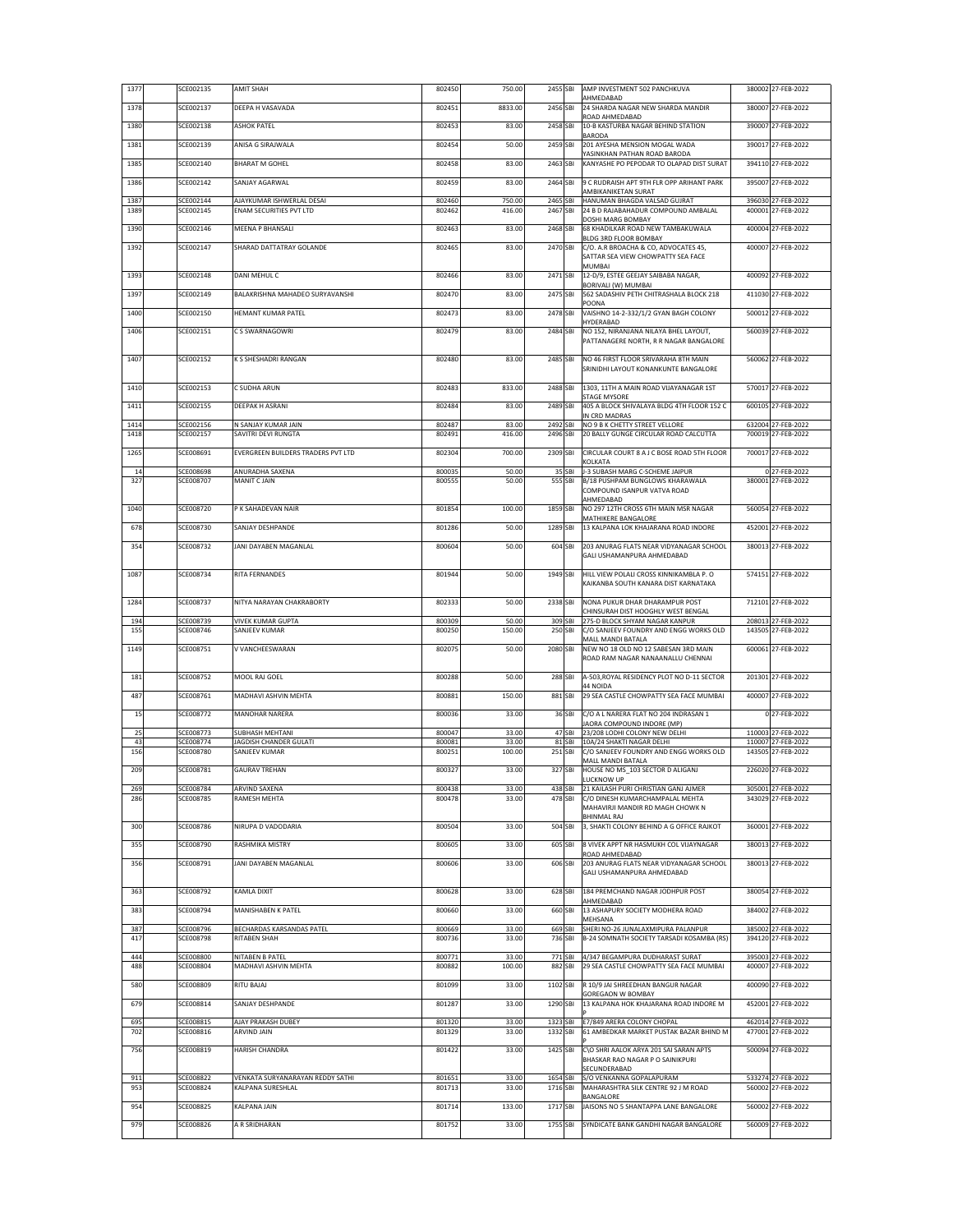| 1377         | SCE002135              | AMIT SHAH                                            | 802450           | 750.00           | 2455 SBI             |                  | AMP INVESTMENT 502 PANCHKUVA<br>AHMEDABAD                                    | 380002 27-FEB-2022                       |
|--------------|------------------------|------------------------------------------------------|------------------|------------------|----------------------|------------------|------------------------------------------------------------------------------|------------------------------------------|
| 1378         | SCE002137              | DEEPA H VASAVADA                                     | 802451           | 8833.00          | 2456 SBI             |                  | 24 SHARDA NAGAR NEW SHARDA MANDIR                                            | 380007 27-FEB-2022                       |
| 1380         | SCE002138              | ASHOK PATEL                                          | 802453           | 83.00            | 2458 SBI             |                  | ROAD AHMEDABAD<br>10-B KASTURBA NAGAR BEHIND STATION                         | 390007 27-FEB-2022                       |
| 1381         | SCE002139              | ANISA G SIRAJWALA                                    | 802454           | 50.00            | 2459 SBI             |                  | BARODA<br>201 AYESHA MENSION MOGAL WADA                                      | 390017 27-FEB-2022                       |
|              | SCE002140              |                                                      | 802458           | 83.00            | 2463 SBI             |                  | YASINKHAN PATHAN ROAD BARODA<br>KANYASHE PO PEPODAR TO OLAPAD DIST SURAT     | 394110 27-FEB-2022                       |
| 1385         |                        | BHARAT M GOHEL                                       |                  |                  |                      |                  |                                                                              |                                          |
| 1386         | SCE002142              | SANJAY AGARWAL                                       | 802459           | 83.00            | 2464 SBI             |                  | 9 C RUDRAISH APT 9TH FLR OPP ARIHANT PARK<br>AMBIKANIKETAN SURAT             | 395007 27-FEB-2022                       |
| 1387<br>1389 | SCE002144<br>SCE002145 | AJAYKUMAR ISHWERLAL DESAI<br>ENAM SECURITIES PVT LTD | 802460<br>802462 | 750.00<br>416.00 | 2465 SBI<br>2467 SBI |                  | HANUMAN BHAGDA VALSAD GUJRAT<br>24 B D RAJABAHADUR COMPOUND AMBALAL          | 396030 27-FEB-2022<br>400001 27-FEB-2022 |
|              |                        |                                                      |                  |                  |                      |                  | DOSHI MARG BOMBAY                                                            |                                          |
| 1390         | SCE002146              | MEENA P BHANSALI                                     | 802463           | 83.00            | 2468 SBI             |                  | 68 KHADILKAR ROAD NEW TAMBAKUWALA<br>BLDG 3RD FLOOR BOMBAY                   | 400004 27-FEB-2022                       |
| 1392         | SCE002147              | SHARAD DATTATRAY GOLANDE                             | 802465           | 83.00            | 2470 SBI             |                  | C/O. A.R BROACHA & CO, ADVOCATES 45,<br>SATTAR SEA VIEW CHOWPATTY SEA FACE   | 400007 27-FEB-2022                       |
|              |                        |                                                      |                  |                  |                      |                  | MUMBAI                                                                       |                                          |
| 1393         | SCE002148              | DANI MEHUL C                                         | 802466           | 83.00            | 2471 SBI             |                  | 12-D/9, ESTEE GEEJAY SAIBABA NAGAR,<br>BORIVALI (W) MUMBAI                   | 400092 27-FEB-2022                       |
| 1397         | SCE002149              | BALAKRISHNA MAHADEO SURYAVANSHI                      | 802470           | 83.00            | 2475 SBI             |                  | 562 SADASHIV PETH CHITRASHALA BLOCK 218<br>POONA                             | 411030 27-FEB-2022                       |
| 1400         | SCE002150              | HEMANT KUMAR PATEL                                   | 802473           | 83.00            | 2478 SBI             |                  | VAISHNO 14-2-332/1/2 GYAN BAGH COLONY<br>HYDERABAD                           | 500012 27-FEB-2022                       |
| 1406         | SCE002151              | C S SWARNAGOWRI                                      | 802479           | 83.00            | 2484 SBI             |                  | NO 152, NIRANJANA NILAYA BHEL LAYOUT,                                        | 560039 27-FEB-2022                       |
|              |                        |                                                      |                  |                  |                      |                  | PATTANAGERE NORTH, R R NAGAR BANGALORE                                       |                                          |
| 1407         | SCE002152              | K S SHESHADRI RANGAN                                 | 802480           | 83.00            | 2485 SBI             |                  | NO 46 FIRST FLOOR SRIVARAHA 8TH MAIN<br>SRINIDHI LAYOUT KONANKUNTE BANGALORE | 560062 27-FEB-2022                       |
|              |                        |                                                      | 802483           |                  | 2488 SBI             |                  | 1303, 11TH A MAIN ROAD VIJAYANAGAR 1ST                                       |                                          |
| 1410         | SCE002153              | C SUDHA ARUN                                         |                  | 833.00           |                      |                  | STAGE MYSORE                                                                 | 570017 27-FEB-2022                       |
| 1411         | SCE002155              | DEEPAK H ASRANI                                      | 802484           | 83.00            | 2489 SBI             |                  | 405 A BLOCK SHIVALAYA BLDG 4TH FLOOR 152 C<br>IN CRD MADRAS                  | 600105 27-FEB-2022                       |
| 1414<br>1418 | SCE002156<br>SCE002157 | N SANJAY KUMAR JAIN<br>SAVITRI DEVI RUNGTA           | 802487<br>802491 | 83.00<br>416.00  | 2492 SBI<br>2496 SBI |                  | NO 9 B K CHETTY STREET VELLORE<br>20 BALLY GUNGE CIRCULAR ROAD CALCUTTA      | 632004 27-FEB-2022<br>700019 27-FEB-2022 |
|              |                        |                                                      |                  |                  |                      |                  |                                                                              |                                          |
| 1265         | SCE008691              | EVERGREEN BUILDERS TRADERS PVT LTD                   | 802304           | 700.00           | 2309 SBI             |                  | CIRCULAR COURT 8 A J C BOSE ROAD 5TH FLOOR<br>KOLKATA                        | 700017 27-FEB-2022                       |
| 14<br>327    | SCE008698<br>SCE008707 | ANURADHA SAXENA<br>MANIT C JAIN                      | 800035<br>800555 | 50.00<br>50.00   | 555 SBI              | 35 SBI           | J-3 SUBASH MARG C-SCHEME JAIPUR<br>B/18 PUSHPAM BUNGLOWS KHARAWALA           | 0 27-FEB-2022<br>380001 27-FEB-2022      |
|              |                        |                                                      |                  |                  |                      |                  | COMPOUND ISANPUR VATVA ROAD                                                  |                                          |
| 1040         | SCE008720              | P K SAHADEVAN NAIR                                   | 801854           | 100.00           | 1859 SBI             |                  | AHMEDABAD<br>NO 297 12TH CROSS 6TH MAIN MSR NAGAR                            | 560054 27-FEB-2022                       |
| 678          | SCE008730              | SANJAY DESHPANDE                                     | 801286           | 50.00            | 1289 SBI             |                  | MATHIKERE BANGALORE<br>13 KALPANA LOK KHAJARANA ROAD INDORE                  | 452001 27-FEB-2022                       |
| 354          | SCE008732              | JANI DAYABEN MAGANLAL                                | 800604           | 50.00            | 604 SBI              |                  | 203 ANURAG FLATS NEAR VIDYANAGAR SCHOOL                                      | 380013 27-FEB-2022                       |
|              |                        |                                                      |                  |                  |                      |                  | GALI USHAMANPURA AHMEDABAD                                                   |                                          |
| 1087         | SCE008734              | RITA FERNANDES                                       | 801944           | 50.00            | 1949 SBI             |                  | HILL VIEW POLALI CROSS KINNIKAMBLA P. O                                      | 574151 27-FEB-2022                       |
|              |                        |                                                      |                  |                  |                      |                  | KAIKANBA SOUTH KANARA DIST KARNATAKA                                         |                                          |
| 1284         | SCE008737              | NITYA NARAYAN CHAKRABORTY                            | 802333           | 50.00            | 2338 SBI             |                  | NONA PUKUR DHAR DHARAMPUR POST<br>CHINSURAH DIST HOOGHLY WEST BENGAL         | 712101 27-FEB-2022                       |
| 194          | SCE008739              | <b>VIVEK KUMAR GUPTA</b>                             | 800309           | 50.00            | 309 SBI              |                  | 275-D BLOCK SHYAM NAGAR KANPUR                                               | 208013 27-FEB-2022                       |
| 155          | SCE008746              | SANJEEV KUMAR                                        | 800250           | 150.00           | 250 SBI              |                  | C/O SANJEEV FOUNDRY AND ENGG WORKS OLD<br>MALL MANDI BATALA                  | 143505 27-FEB-2022                       |
| 1149         | SCE008751              | V VANCHEESWARAN                                      | 802075           | 50.00            | 2080 SBI             |                  | NEW NO 18 OLD NO 12 SABESAN 3RD MAIN<br>ROAD RAM NAGAR NANAANALLU CHENNAI    | 600061 27-FEB-2022                       |
| 181          | SCE008752              | MOOL RAJ GOEL                                        | 800288           | 50.00            | 288 SBI              |                  | A-503, ROYAL RESIDENCY PLOT NO D-11 SECTOR                                   | 201301 27-FEB-2022                       |
|              |                        |                                                      |                  |                  |                      |                  | 44 NOIDA                                                                     |                                          |
| 487          | SCE008761              | MADHAVI ASHVIN MEHTA                                 | 800881           | 150.00           | 881 SBI              |                  | 29 SEA CASTLE CHOWPATTY SEA FACE MUMBAI                                      | 400007 27-FEB-2022                       |
| 15           | SCE008772              | MANOHAR NARERA                                       | 800036           | 33.00            |                      | 36 SBI           | C/O A L NARERA FLAT NO 204 INDRASAN 1<br>JAORA COMPOUND INDORE (MP)          | 0 27-FEB-2022                            |
| 25<br>43     | SCE008773<br>SCE008774 | <b>SUBHASH MEHTANI</b><br>JAGDISH CHANDER GULATI     | 800047<br>800081 | 33.00<br>33.00   |                      | 47 SBI<br>81 SBI | 23/208 LODHI COLONY NEW DELHI<br>10A/24 SHAKTI NAGAR DELHI                   | 110003 27-FEB-2022<br>110007 27-FEB-2022 |
| 156          | SCE008780              | SANJEEV KUMAR                                        | 800251           | 100.00           | 251 SBI              |                  | C/O SANJEEV FOUNDRY AND ENGG WORKS OLD                                       | 143505 27-FEB-2022                       |
| 209          | SCE008781              | <b>GAURAV TREHAN</b>                                 | 800327           | 33.00            | 327 SBI              |                  | MALL MANDI BATALA<br>HOUSE NO MS 103 SECTOR D ALIGANJ                        | 226020 27-FEB-2022                       |
| 269          | SCE008784              | ARVIND SAXENA                                        | 800438           | 33.00            |                      | 438 SBI          | LUCKNOW UP<br>21 KAILASH PURI CHRISTIAN GANJ AJMER                           | 305001 27-FEB-2022                       |
| 286          | SCE008785              | RAMESH MEHTA                                         | 800478           | 33.00            | 478 SBI              |                  | C/O DINESH KUMARCHAMPALAL MEHTA                                              | 343029 27-FEB-2022                       |
|              |                        |                                                      |                  |                  |                      |                  | MAHAVIRJI MANDIR RD MAGH CHOWK N<br>BHINMAL RAJ                              |                                          |
| 300          | SCE008786              | NIRUPA D VADODARIA                                   | 800504           | 33.00            | 504 SBI              |                  | 3, SHAKTI COLONY BEHIND A G OFFICE RAJKOT                                    | 360001 27-FEB-2022                       |
| 355          | SCE008790              | RASHMIKA MISTRY                                      | 800605           | 33.00            | 605 SBI              |                  | 8 VIVEK APPT NR HASMUKH COL VIJAYNAGAR<br>ROAD AHMEDABAD                     | 380013 27-FEB-2022                       |
| 356          | SCE008791              | JANI DAYABEN MAGANLAL                                | 800606           | 33.00            | 606 SBI              |                  | 203 ANURAG FLATS NEAR VIDYANAGAR SCHOOL                                      | 380013 27-FEB-2022                       |
|              |                        |                                                      |                  |                  |                      |                  | GALI USHAMANPURA AHMEDABAD                                                   |                                          |
| 363          | SCE008792              | KAMLA DIXIT                                          | 800628           | 33.00            | 628 SBI              |                  | 184 PREMCHAND NAGAR JODHPUR POST<br>AHMEDABAD                                | 380054 27-FEB-2022                       |
| 383          | SCE008794              | MANISHABEN K PATEL                                   | 800660           | 33.00            | 660 SBI              |                  | 13 ASHAPURY SOCIETY MODHERA ROAD<br>MEHSANA                                  | 384002 27-FEB-2022                       |
| 387          | SCE008796              | BECHARDAS KARSANDAS PATEL                            | 800669           | 33.00            | 669 SBI              |                  | SHERI NO-26 JUNALAXMIPURA PALANPUR                                           | 385002 27-FEB-2022                       |
| 417          | SCE008798              | RITABEN SHAH                                         | 800736           | 33.00            |                      | 736 SBI          | B-24 SOMNATH SOCIETY TARSADI KOSAMBA (RS)                                    | 394120 27-FEB-2022                       |
| 444<br>488   | SCE008800<br>SCE008804 | NITABEN B PATEL<br>MADHAVI ASHVIN MEHTA              | 800771<br>800882 | 33.00<br>100.00  | 771 SBI<br>882 SBI   |                  | 4/347 BEGAMPURA DUDHARAST SURAT<br>29 SEA CASTLE CHOWPATTY SEA FACE MUMBAI   | 395003 27-FEB-2022<br>400007 27-FEB-2022 |
| 580          | SCE008809              | RITU BAJAJ                                           | 801099           | 33.00            | 1102 SBI             |                  | R 10/9 JAI SHREEDHAN BANGUR NAGAR                                            | 400090 27-FEB-2022                       |
|              |                        |                                                      |                  |                  |                      |                  | GOREGAON W BOMBAY                                                            |                                          |
| 679          | SCE008814              | SANJAY DESHPANDE                                     | 801287           | 33.00            | 1290 SBI             |                  | 13 KALPANA HOK KHAJARANA ROAD INDORE M                                       | 452001 27-FEB-2022                       |
| 695<br>702   | SCE008815<br>SCE008816 | AJAY PRAKASH DUBEY<br>ARVIND JAIN                    | 801320<br>801329 | 33.00<br>33.00   | 1323 SBI<br>1332 SBI |                  | E7/849 ARERA COLONY CHOPAL<br>61 AMBEDKAR MARKET PUSTAK BAZAR BHIND M        | 462014 27-FEB-2022<br>477001 27-FEB-2022 |
|              |                        |                                                      |                  |                  |                      |                  |                                                                              |                                          |
| 756          | SCE008819              | HARISH CHANDRA                                       | 801422           | 33.00            | 1425 SBI             |                  | C\O SHRI AALOK ARYA 201 SAI SARAN APTS<br>BHASKAR RAO NAGAR P O SAINIKPURI   | 500094 27-FEB-2022                       |
| 911          | SCE008822              | VENKATA SURYANARAYAN REDDY SATHI                     | 801651           | 33.00            | 1654 SBI             |                  | SECUNDERABAD<br>S/O VENKANNA GOPALAPURAM                                     | 533274 27-FEB-2022                       |
| 953          | SCE008824              | KALPANA SURESHLAL                                    | 801713           | 33.00            | 1716 SBI             |                  | MAHARASHTRA SILK CENTRE 92 J M ROAD<br>BANGALORE                             | 560002 27-FEB-2022                       |
| 954          | SCE008825              | KALPANA JAIN                                         | 801714           | 133.00           | 1717 SBI             |                  | JAISONS NO 5 SHANTAPPA LANE BANGALORE                                        | 560002 27-FEB-2022                       |
| 979          | SCE008826              | A R SRIDHARAN                                        | 801752           | 33.00            | 1755 SBI             |                  | SYNDICATE BANK GANDHI NAGAR BANGALORE                                        | 560009 27-FEB-2022                       |
|              |                        |                                                      |                  |                  |                      |                  |                                                                              |                                          |